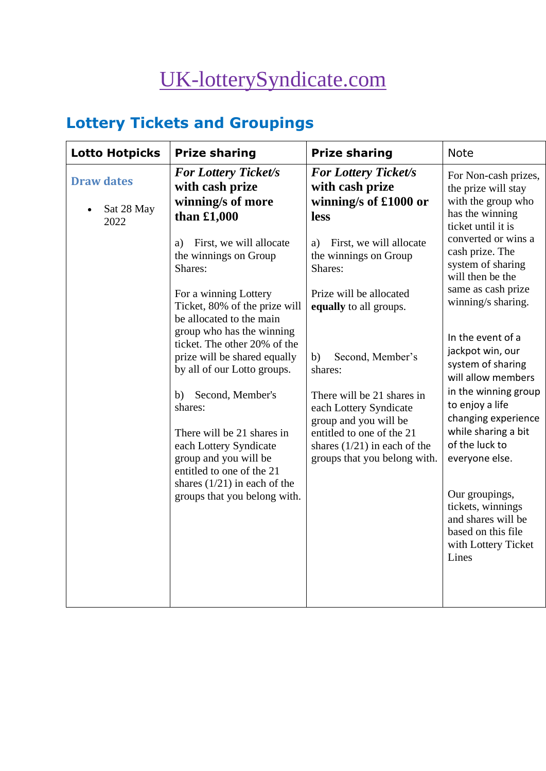# [UK-lotterySyndicate.com](http://www.uk-lotterysyndicate.com/)

## **Lottery Tickets and Groupings**

| <b>Lotto Hotpicks</b>                   | <b>Prize sharing</b>                                                                                                                                                                                                                                                                                                                                                                                                                                                                                                                                                                           | <b>Prize sharing</b>                                                                                                                                                                                                                                                                                                                                                                                                           | <b>Note</b>                                                                                                                                                                                                                                                                                                                                                                                                                                                                                                             |
|-----------------------------------------|------------------------------------------------------------------------------------------------------------------------------------------------------------------------------------------------------------------------------------------------------------------------------------------------------------------------------------------------------------------------------------------------------------------------------------------------------------------------------------------------------------------------------------------------------------------------------------------------|--------------------------------------------------------------------------------------------------------------------------------------------------------------------------------------------------------------------------------------------------------------------------------------------------------------------------------------------------------------------------------------------------------------------------------|-------------------------------------------------------------------------------------------------------------------------------------------------------------------------------------------------------------------------------------------------------------------------------------------------------------------------------------------------------------------------------------------------------------------------------------------------------------------------------------------------------------------------|
| <b>Draw dates</b><br>Sat 28 May<br>2022 | <b>For Lottery Ticket/s</b><br>with cash prize<br>winning/s of more<br>than £1,000<br>First, we will allocate<br>a)<br>the winnings on Group<br>Shares:<br>For a winning Lottery<br>Ticket, 80% of the prize will<br>be allocated to the main<br>group who has the winning<br>ticket. The other 20% of the<br>prize will be shared equally<br>by all of our Lotto groups.<br>Second, Member's<br>b)<br>shares:<br>There will be 21 shares in<br>each Lottery Syndicate<br>group and you will be<br>entitled to one of the 21<br>shares $(1/21)$ in each of the<br>groups that you belong with. | <b>For Lottery Ticket/s</b><br>with cash prize<br>winning/s of £1000 or<br>less<br>First, we will allocate<br>a)<br>the winnings on Group<br>Shares:<br>Prize will be allocated<br>equally to all groups.<br>Second, Member's<br>b)<br>shares:<br>There will be 21 shares in<br>each Lottery Syndicate<br>group and you will be<br>entitled to one of the 21<br>shares $(1/21)$ in each of the<br>groups that you belong with. | For Non-cash prizes,<br>the prize will stay<br>with the group who<br>has the winning<br>ticket until it is<br>converted or wins a<br>cash prize. The<br>system of sharing<br>will then be the<br>same as cash prize<br>winning/s sharing.<br>In the event of a<br>jackpot win, our<br>system of sharing<br>will allow members<br>in the winning group<br>to enjoy a life<br>changing experience<br>while sharing a bit<br>of the luck to<br>everyone else.<br>Our groupings,<br>tickets, winnings<br>and shares will be |
|                                         |                                                                                                                                                                                                                                                                                                                                                                                                                                                                                                                                                                                                |                                                                                                                                                                                                                                                                                                                                                                                                                                | based on this file<br>with Lottery Ticket<br>Lines                                                                                                                                                                                                                                                                                                                                                                                                                                                                      |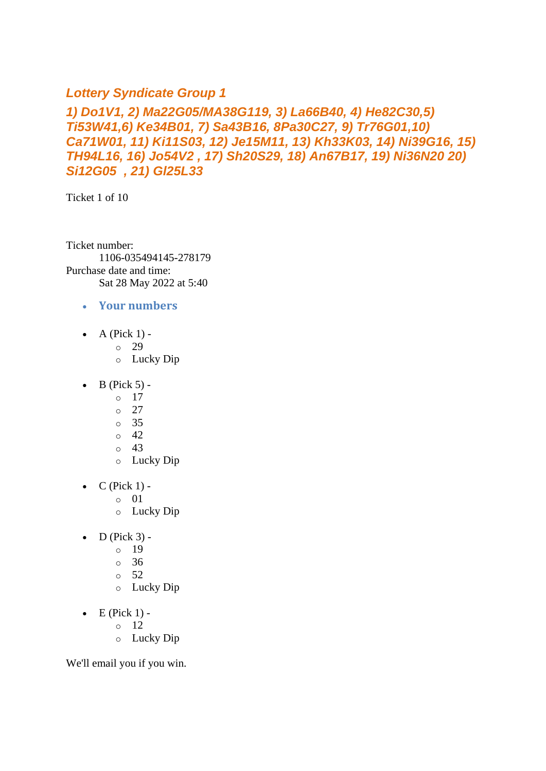## *Lottery Syndicate Group 1*

## *1) Do1V1, 2) Ma22G05/MA38G119, 3) La66B40, 4) He82C30,5) Ti53W41,6) Ke34B01, 7) Sa43B16, 8Pa30C27, 9) Tr76G01,10) Ca71W01, 11) Ki11S03, 12) Je15M11, 13) Kh33K03, 14) Ni39G16, 15) TH94L16, 16) Jo54V2 , 17) Sh20S29, 18) An67B17, 19) Ni36N20 20) Si12G05 , 21) Gl25L33*

Ticket 1 of 10

Ticket number: 1106-035494145-278179 Purchase date and time: Sat 28 May 2022 at 5:40

- **Your numbers**
- $\bullet$  A (Pick 1) -
	- $\degree$  29
	- o Lucky Dip
- $\bullet$  B (Pick 5) -
	- $\circ$  17
		- o 27
		- o 35
		- $\circ$  42
		- o 43
		- o Lucky Dip
- $\bullet$  C (Pick 1) -
	- $\circ$  01
	- o Lucky Dip
- $\bullet$  D (Pick 3)
	- o 19
	- $\circ$  36
	- $\circ$  52
	- o Lucky Dip
- $\bullet$  E (Pick 1) -
	- $\circ$  12
		- o Lucky Dip

We'll email you if you win.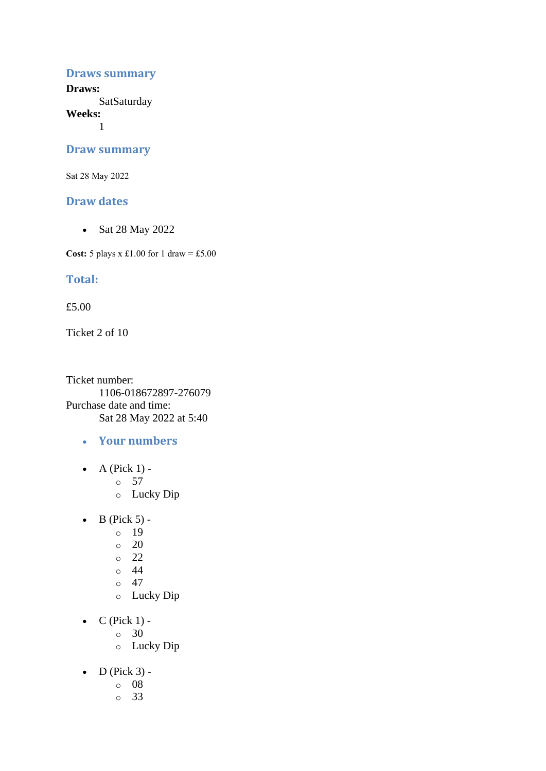#### **Draws summary**

**Draws: SatSaturday** 

**Weeks:**

1

#### **Draw summary**

Sat 28 May 2022

#### **Draw dates**

• Sat 28 May 2022

**Cost:** 5 plays x £1.00 for 1 draw = £5.00

#### **Total:**

£5.00

Ticket 2 of 10

Ticket number: 1106-018672897-276079 Purchase date and time: Sat 28 May 2022 at 5:40

- **Your numbers**
- A (Pick  $1$ )
	- o 57
	- o Lucky Dip
- $\bullet$  B (Pick 5)
	- o 19
	- $\circ$  20
	- $\degree$  22
	- $\circ$  44
	- $\circ$  47
	- o Lucky Dip
- $\bullet$  C (Pick 1)
	- o 30
	- o Lucky Dip
- $\bullet$  D (Pick 3)
	- o 08
	- o 33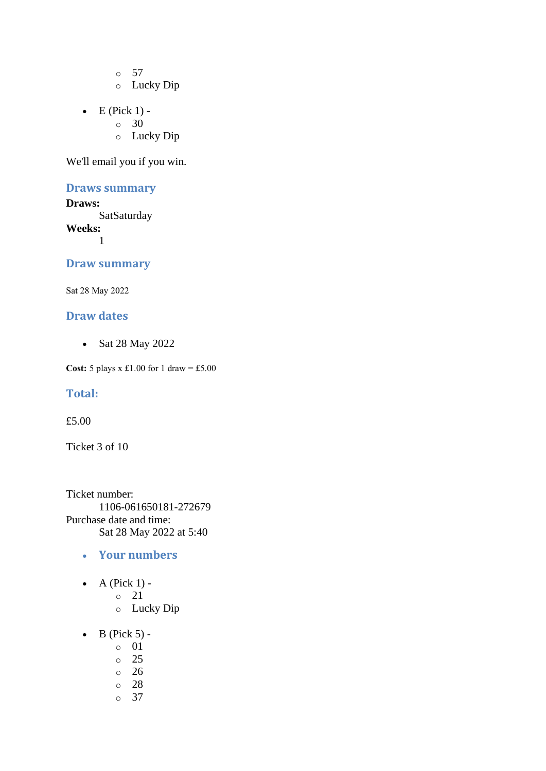o 57

- o Lucky Dip
- $\bullet$  E (Pick 1)
	- o 30
	- o Lucky Dip

We'll email you if you win.

## **Draws summary**

**Draws: SatSaturday Weeks:** 1

#### **Draw summary**

Sat 28 May 2022

#### **Draw dates**

• Sat 28 May 2022

**Cost:** 5 plays x £1.00 for 1 draw = £5.00

#### **Total:**

£5.00

Ticket 3 of 10

Ticket number: 1106-061650181-272679 Purchase date and time: Sat 28 May 2022 at 5:40

- **Your numbers**
- $\bullet$  A (Pick 1)
	- o 21
	- o Lucky Dip
- $\bullet$  B (Pick 5)
	- o 01
	- o 25
	- o 26
	- o 28
	- o 37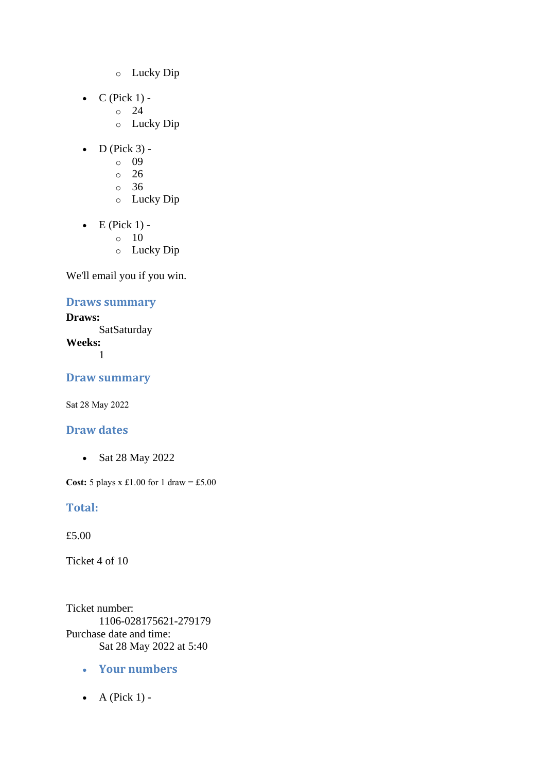- o Lucky Dip
- $C$  (Pick 1) -
	- $\circ$  24
		- o Lucky Dip
- $\bullet$  D (Pick 3)
	- o 09
	- $\circ$  26
	- o 36
	- o Lucky Dip
- $\bullet$  E (Pick 1) -
	- $\circ$  10
	- o Lucky Dip

## **Draws summary**

**Draws: SatSaturday Weeks:** 1

**Draw summary**

Sat 28 May 2022

## **Draw dates**

• Sat 28 May 2022

**Cost:** 5 plays x £1.00 for 1 draw = £5.00

## **Total:**

£5.00

Ticket 4 of 10

Ticket number: 1106-028175621-279179 Purchase date and time: Sat 28 May 2022 at 5:40

- **Your numbers**
- $\bullet$  A (Pick 1) -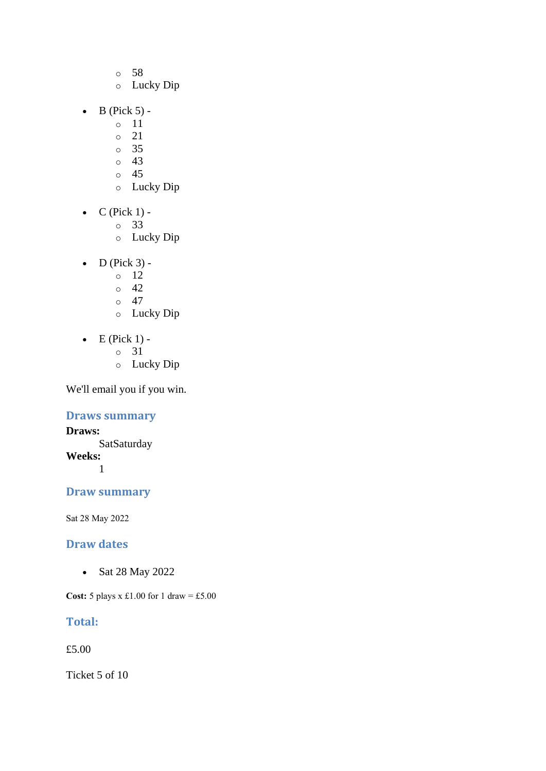- o 58
- o Lucky Dip
- $\bullet$  B (Pick 5)
	- o 11
	- o 21
	- o 35  $\circ$  43
	- o 45
	- o Lucky Dip
- $\bullet$  C (Pick 1)
	- o 33
	- o Lucky Dip
- $\bullet$  D (Pick 3) -
	- $\circ$  12
	- $\circ$  42
	- $\circ$  47
	- o Lucky Dip
- $\bullet$  E (Pick 1)
	- o 31
	- o Lucky Dip

## **Draws summary**

**Draws: SatSaturday Weeks:** 1

## **Draw summary**

Sat 28 May 2022

#### **Draw dates**

• Sat 28 May 2022

**Cost:** 5 plays x £1.00 for 1 draw = £5.00

## **Total:**

£5.00

Ticket 5 of 10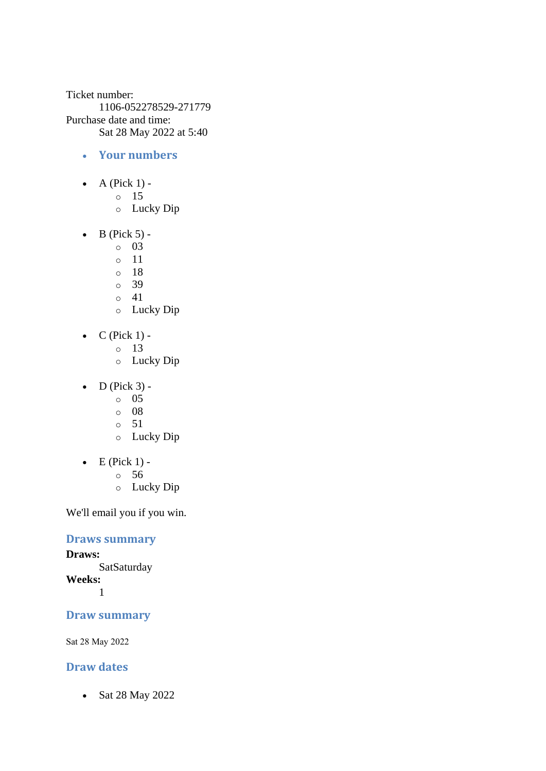Ticket number: 1106-052278529-271779 Purchase date and time: Sat 28 May 2022 at 5:40

- **Your numbers**
- A (Pick  $1$ )
	- o 15
	- o Lucky Dip
- $\bullet$  B (Pick 5)
	- o 03
	- o 11
	- o 18
	- o 39
	- $\circ$  41
	- o Lucky Dip
- $C$  (Pick 1)
	- o 13
		- o Lucky Dip
- $\bullet$  D (Pick 3) -
	- $\circ$  05
	- $\circ$  08
	- o 51
	- o Lucky Dip
- $\bullet$  E (Pick 1)
	- o 56
	- o Lucky Dip

We'll email you if you win.

## **Draws summary**

**Draws: SatSaturday Weeks:**

1

#### **Draw summary**

Sat 28 May 2022

## **Draw dates**

• Sat 28 May 2022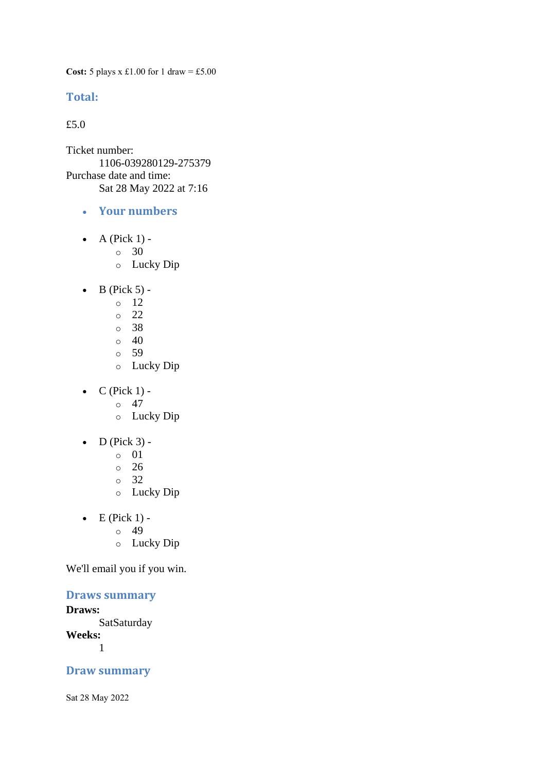**Cost:** 5 plays x £1.00 for 1 draw = £5.00

#### **Total:**

£5.0

Ticket number: 1106-039280129-275379 Purchase date and time: Sat 28 May 2022 at 7:16

- **Your numbers**
- A (Pick  $1$ )
	- o 30
		- o Lucky Dip
- $\bullet$  B (Pick 5)
	- o 12
		- o 22
		- o 38
		- $\circ$  40
		- o 59
		- o Lucky Dip
- $\bullet$  C (Pick 1) -
	- $\circ$  47
	- o Lucky Dip
- $\bullet$  D (Pick 3)
	- o 01
	- $\circ$  26
	- o 32
	- o Lucky Dip
- $\bullet$  E (Pick 1)
	- o 49
	- o Lucky Dip

We'll email you if you win.

## **Draws summary**

#### **Draws:**

**SatSaturday** 

**Weeks:**

1

#### **Draw summary**

Sat 28 May 2022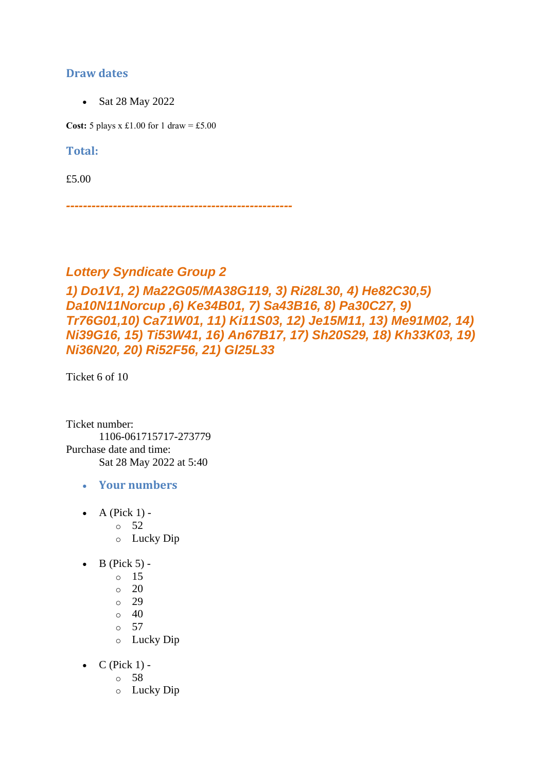## **Draw dates**

• Sat 28 May 2022

**Cost:** 5 plays x £1.00 for 1 draw = £5.00

#### **Total:**

£5.00

*-----------------------------------------------------*

## *Lottery Syndicate Group 2*

*1) Do1V1, 2) Ma22G05/MA38G119, 3) Ri28L30, 4) He82C30,5) Da10N11Norcup ,6) Ke34B01, 7) Sa43B16, 8) Pa30C27, 9) Tr76G01,10) Ca71W01, 11) Ki11S03, 12) Je15M11, 13) Me91M02, 14) Ni39G16, 15) Ti53W41, 16) An67B17, 17) Sh20S29, 18) Kh33K03, 19) Ni36N20, 20) Ri52F56, 21) Gl25L33*

Ticket 6 of 10

Ticket number: 1106-061715717-273779 Purchase date and time: Sat 28 May 2022 at 5:40

- **Your numbers**
- A (Pick  $1$ )
	- o 52
		- o Lucky Dip
- $\bullet$  B (Pick 5)
	- o 15
	- o 20
	- o 29
	- $\circ$  40
	- $\circ$  57
	- o Lucky Dip
- $C$  (Pick 1)
	- o 58
	- o Lucky Dip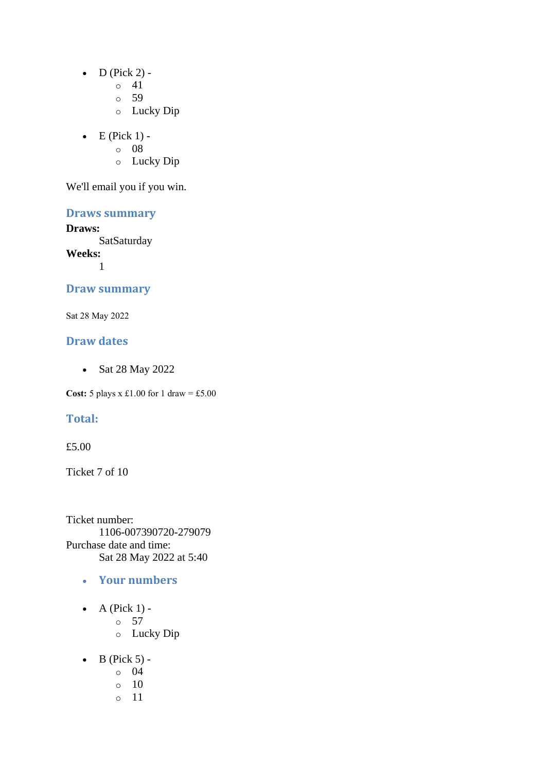- $\bullet$  D (Pick 2) -
	- $\circ$  41
	- o 59
	- o Lucky Dip
- $\bullet$  E (Pick 1)
	- o 08
	- o Lucky Dip

## **Draws summary**

#### **Draws:**

**SatSaturday** 

**Weeks:** 1

#### **Draw summary**

Sat 28 May 2022

#### **Draw dates**

• Sat 28 May 2022

**Cost:** 5 plays x £1.00 for 1 draw = £5.00

#### **Total:**

#### £5.00

Ticket 7 of 10

Ticket number: 1106-007390720-279079 Purchase date and time: Sat 28 May 2022 at 5:40

- **Your numbers**
- A (Pick  $1$ )
	- o 57
		- o Lucky Dip
- $\bullet$  B (Pick 5)
	- o 04
	- o 10
	- o 11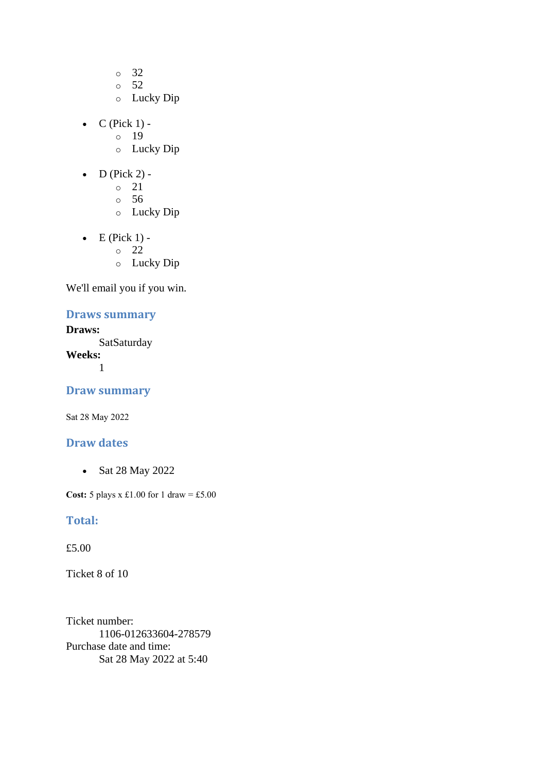- o 32
- o 52
- o Lucky Dip
- $\bullet$  C (Pick 1) -
	- $\circ$  19
	- o Lucky Dip
- $\bullet$  D (Pick 2) -
	- $\circ$  21
	- o 56
	- o Lucky Dip
- $\bullet$  E (Pick 1)
	- o 22
	- o Lucky Dip

#### **Draws summary**

#### **Draws: SatSaturday**

**Weeks:**

1

#### **Draw summary**

Sat 28 May 2022

#### **Draw dates**

• Sat 28 May 2022

**Cost:** 5 plays x £1.00 for 1 draw = £5.00

#### **Total:**

£5.00

Ticket 8 of 10

Ticket number: 1106-012633604-278579 Purchase date and time: Sat 28 May 2022 at 5:40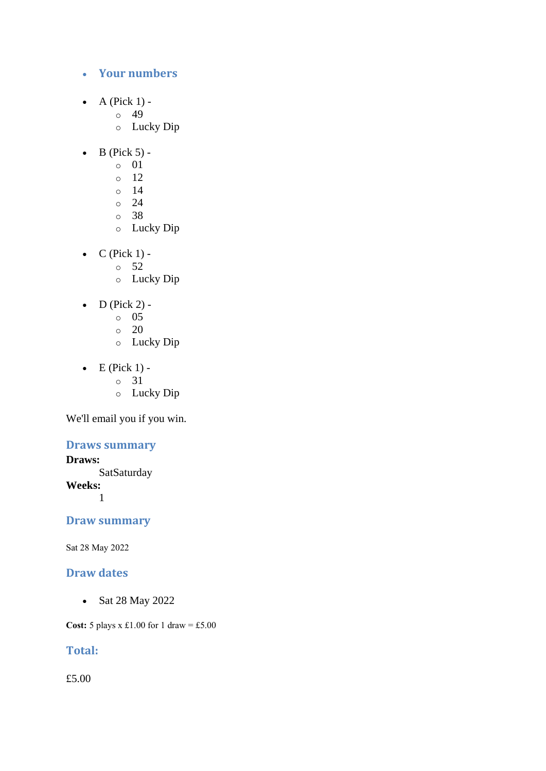- **Your numbers**
- A (Pick  $1$ )
	- o 49
	- o Lucky Dip
- $\bullet$  B (Pick 5)
	- o 01
	- o 12
	- o 14
	- $\circ$  24
	- o 38
	- o Lucky Dip
- $\bullet$  C (Pick 1) -
	- $\circ$  52
	- o Lucky Dip
- D (Pick 2) -
	- $\circ$  05
	- o 20
	- o Lucky Dip
- $\bullet$  E (Pick 1)
	- o 31
		- o Lucky Dip

#### **Draws summary**

#### **Draws:**

**SatSaturday Weeks:** 1

## **Draw summary**

Sat 28 May 2022

## **Draw dates**

• Sat 28 May 2022

**Cost:** 5 plays x £1.00 for 1 draw = £5.00

## **Total:**

£5.00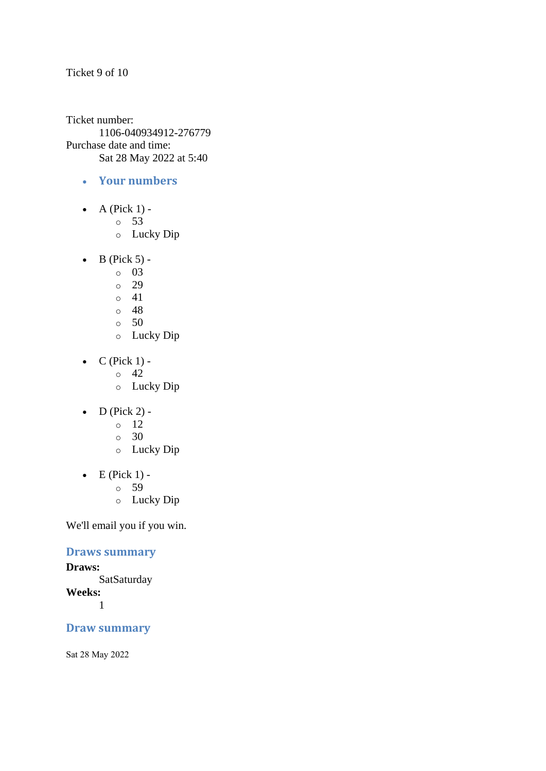#### Ticket 9 of 10

Ticket number: 1106-040934912-276779 Purchase date and time: Sat 28 May 2022 at 5:40

- **Your numbers**
- $\bullet$  A (Pick 1)
	- o 53
	- o Lucky Dip
- $\bullet$  B (Pick 5)
	- o 03
	- o 29
	- $\circ$  41
	- o 48
	- $\circ$  50
	- o Lucky Dip
- $C$  (Pick 1) -
	- $\circ$  42
	- o Lucky Dip
- $\bullet$  D (Pick 2) -
	- $\circ$  12
	- o 30
	- o Lucky Dip
- $\bullet$  E (Pick 1)
	- o 59
	- o Lucky Dip

We'll email you if you win.

#### **Draws summary**

#### **Draws: SatSaturday Weeks:** 1

## **Draw summary**

Sat 28 May 2022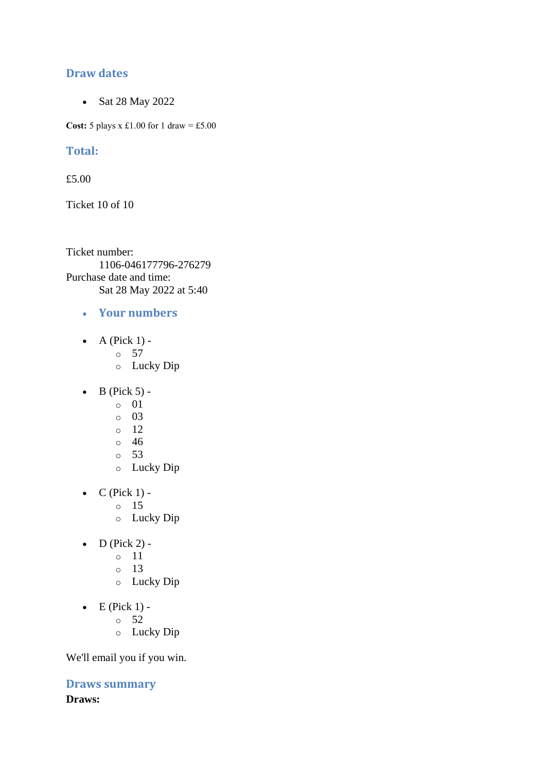### **Draw dates**

• Sat 28 May 2022

**Cost:** 5 plays x £1.00 for 1 draw = £5.00

#### **Total:**

£5.00

Ticket 10 of 10

Ticket number: 1106-046177796-276279 Purchase date and time: Sat 28 May 2022 at 5:40

- **Your numbers**
- A (Pick  $1$ )
	- o 57
	- o Lucky Dip
- $\bullet$  B (Pick 5)
	- o 01
	- o 03
	- $\circ$  12
	- o 46
	- o 53
	- o Lucky Dip
- $\bullet$  C (Pick 1)
	- o 15
	- o Lucky Dip
- $\bullet$  D (Pick 2)
	- o 11
	- o 13
	- o Lucky Dip
- $\bullet$  E (Pick 1)
	- o 52
	- o Lucky Dip

We'll email you if you win.

**Draws summary Draws:**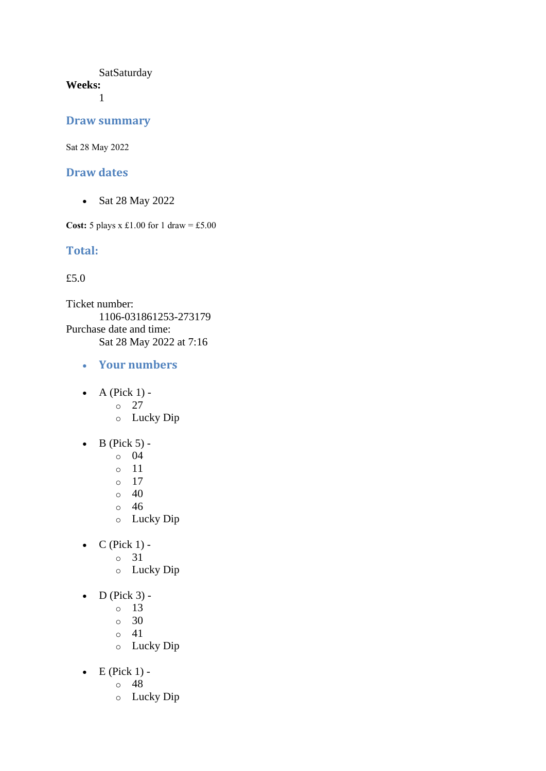#### **SatSaturday Weeks:**

1

#### **Draw summary**

Sat 28 May 2022

#### **Draw dates**

• Sat 28 May 2022

**Cost:** 5 plays x £1.00 for 1 draw = £5.00

#### **Total:**

#### £5.0

Ticket number: 1106-031861253-273179 Purchase date and time: Sat 28 May 2022 at 7:16

- **Your numbers**
- $\bullet$  A (Pick 1) -
	- $\circ$  27
	- o Lucky Dip
- $\bullet$  B (Pick 5) -
	- $\circ$  04
	- o 11
	- o 17
	- $\circ$  40
	- o 46
	- o Lucky Dip
- $\bullet$  C (Pick 1)
	- o 31
	- o Lucky Dip
- $\bullet$  D (Pick 3)
	- o 13
	- $\circ$  30
	- o 41
	- o Lucky Dip
- $\bullet$  E (Pick 1)
	- o 48
	- o Lucky Dip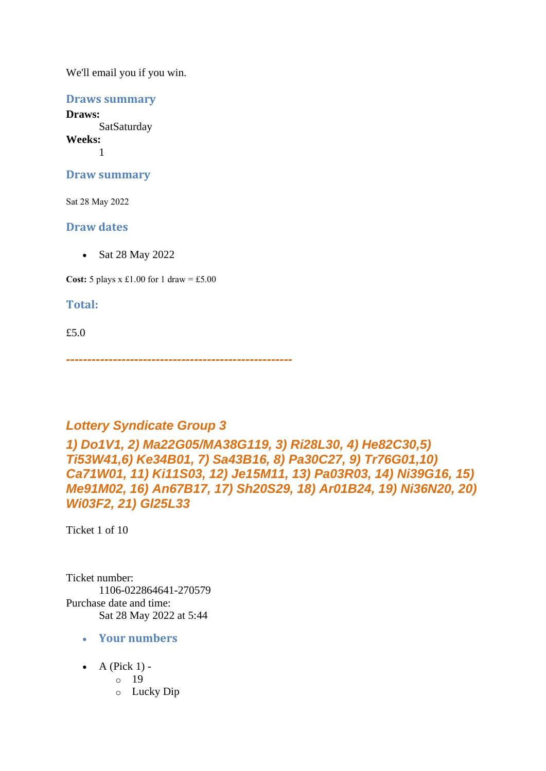**Draws summary**

**Draws: SatSaturday Weeks:** 1

**Draw summary**

Sat 28 May 2022

#### **Draw dates**

• Sat 28 May 2022

**Cost:** 5 plays x £1.00 for 1 draw = £5.00

#### **Total:**

£5.0

*-----------------------------------------------------*

## *Lottery Syndicate Group 3*

*1) Do1V1, 2) Ma22G05/MA38G119, 3) Ri28L30, 4) He82C30,5) Ti53W41,6) Ke34B01, 7) Sa43B16, 8) Pa30C27, 9) Tr76G01,10) Ca71W01, 11) Ki11S03, 12) Je15M11, 13) Pa03R03, 14) Ni39G16, 15) Me91M02, 16) An67B17, 17) Sh20S29, 18) Ar01B24, 19) Ni36N20, 20) Wi03F2, 21) Gl25L33*

Ticket 1 of 10

Ticket number: 1106-022864641-270579 Purchase date and time: Sat 28 May 2022 at 5:44

- **Your numbers**
- A (Pick  $1$ )
	- o 19
	- o Lucky Dip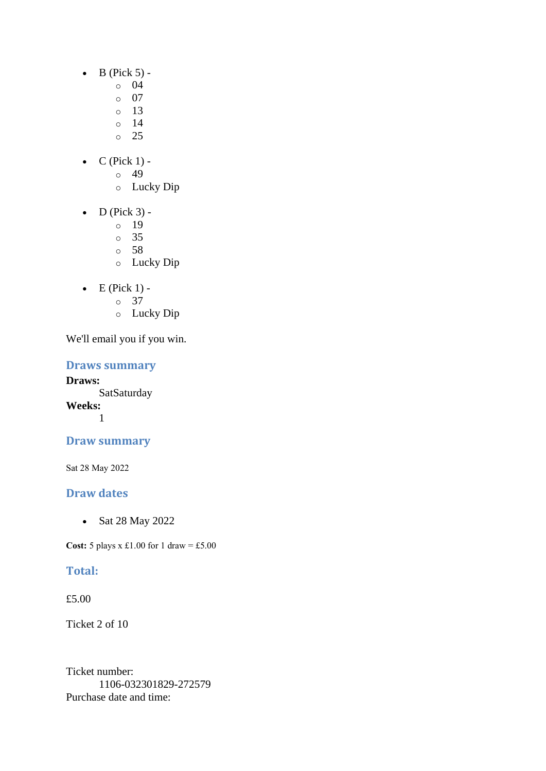- $\bullet$  B (Pick 5)
	- o 04
	- $\circ$  07
	- $\circ$  13
	- o 14
	- $\circ$  25
- $\bullet$  C (Pick 1)
	- o 49
	- o Lucky Dip
- $\bullet$  D (Pick 3)
	- o 19
	- o 35
	- o 58
	- o Lucky Dip
- $\bullet$  E (Pick 1) -
	- $\circ$  37
	- o Lucky Dip

#### **Draws summary**

**Draws: SatSaturday Weeks:** 1

## **Draw summary**

Sat 28 May 2022

## **Draw dates**

• Sat 28 May 2022

**Cost:** 5 plays x £1.00 for 1 draw = £5.00

## **Total:**

£5.00

Ticket 2 of 10

Ticket number: 1106-032301829-272579 Purchase date and time: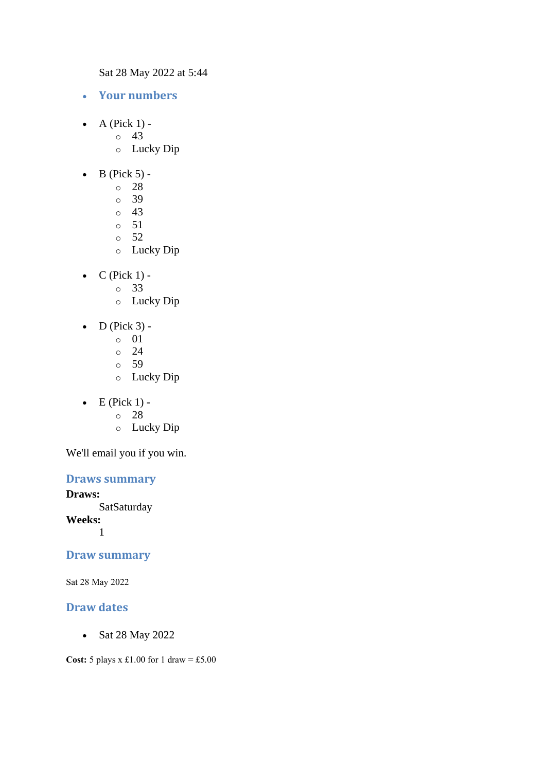Sat 28 May 2022 at 5:44

- **Your numbers**
- $\bullet$  A (Pick 1) -
	- $\circ$  43
		- o Lucky Dip
- $\bullet$  B (Pick 5)
	- o 28
	- o 39
	- $\circ$  43
	- o 51
	- $\circ$  52
	- o Lucky Dip
- $\bullet$  C (Pick 1)
	- o 33
	- o Lucky Dip
- $\bullet$  D (Pick 3)
	- o 01
	- $\circ$  24
	- o 59
	- o Lucky Dip
- $\bullet$  E (Pick 1)
	- o 28
	- o Lucky Dip

We'll email you if you win.

#### **Draws summary**

**Draws: SatSaturday Weeks:** 1

#### **Draw summary**

Sat 28 May 2022

## **Draw dates**

• Sat 28 May 2022

**Cost:**  $5$  plays x £1.00 for 1 draw = £5.00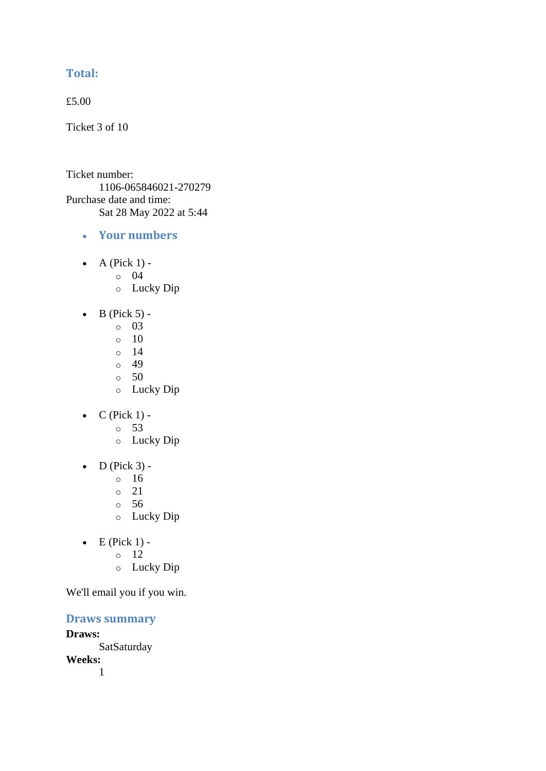## **Total:**

£5.00

Ticket 3 of 10

Ticket number: 1106-065846021-270279 Purchase date and time: Sat 28 May 2022 at 5:44

- **Your numbers**
- A (Pick  $1$ )
	- o 04
	- o Lucky Dip
- $\bullet$  B (Pick 5)
	- o 03
	- $\circ$  10
	- $\circ$  14
	- $\circ$  49
	- $\circ$  50
	- o Lucky Dip
- $C$  (Pick 1)
	- o 53
	- o Lucky Dip
- $\bullet$  D (Pick 3) -
	- $\circ$  16
	- o 21
	- o 56
	- o Lucky Dip
- $\bullet$  E (Pick 1)
	- o 12
	- o Lucky Dip

We'll email you if you win.

**Draws summary**

**Draws: SatSaturday Weeks:**

1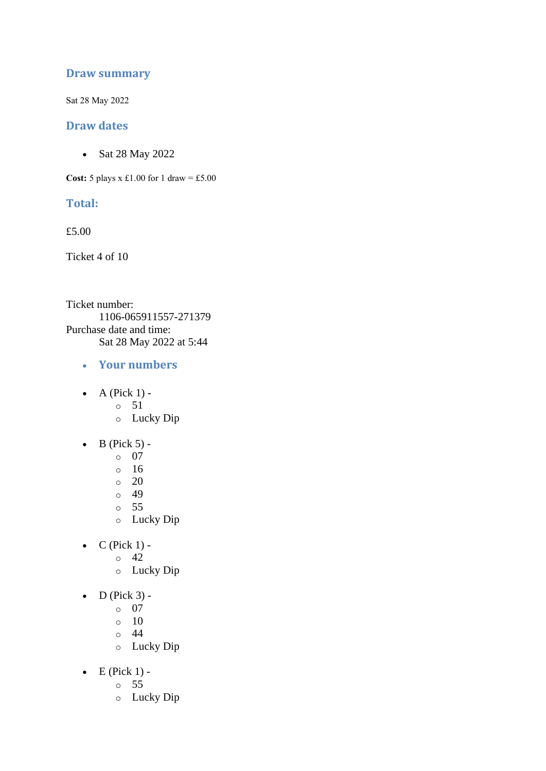#### **Draw summary**

Sat 28 May 2022

#### **Draw dates**

• Sat 28 May 2022

**Cost:**  $5$  plays x £1.00 for 1 draw = £5.00

#### **Total:**

£5.00

Ticket 4 of 10

Ticket number: 1106-065911557-271379 Purchase date and time: Sat 28 May 2022 at 5:44

- **Your numbers**
- $\bullet$  A (Pick 1)
	- o 51
	- o Lucky Dip
- $\bullet$  B (Pick 5)
	- o 07
	- o 16
	- $\circ$  20
	- o 49
	- o 55
	- o Lucky Dip
- $C$  (Pick 1) -
	- $\circ$  42
		- o Lucky Dip
- $\bullet$  D (Pick 3)
	- o 07
	- $\circ$  10
	- o 44
	- o Lucky Dip
- $\bullet$  E (Pick 1)
	- o 55
	- o Lucky Dip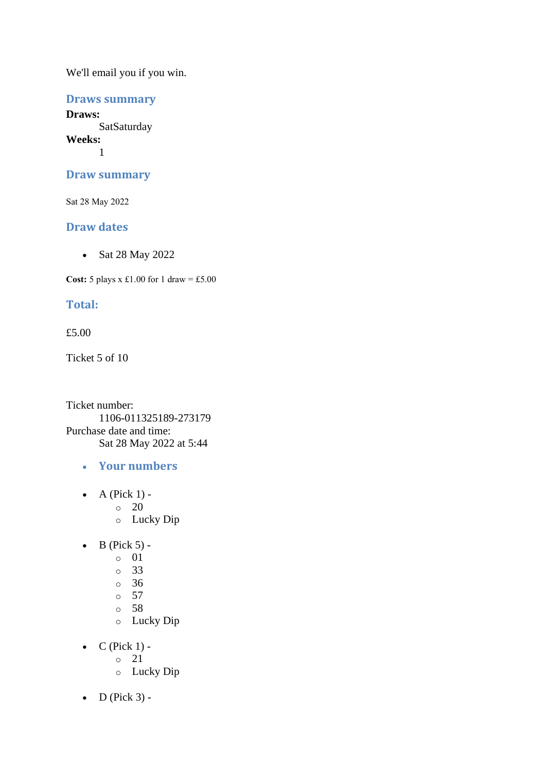#### **Draws summary**

**Draws: SatSaturday Weeks:** 1

#### **Draw summary**

Sat 28 May 2022

#### **Draw dates**

• Sat 28 May 2022

**Cost:**  $5$  plays x £1.00 for 1 draw = £5.00

## **Total:**

#### £5.00

Ticket 5 of 10

Ticket number: 1106-011325189-273179 Purchase date and time: Sat 28 May 2022 at 5:44

- **Your numbers**
- $\bullet$  A (Pick 1)
	- o 20
	- o Lucky Dip
- $\bullet$  B (Pick 5) -
	- $\circ$  01
		- o 33
		- o 36
		- $\circ$  57
		- o 58
		- o Lucky Dip
- $\bullet$  C (Pick 1)
	- o 21
	- o Lucky Dip
- $\bullet$  D (Pick 3) -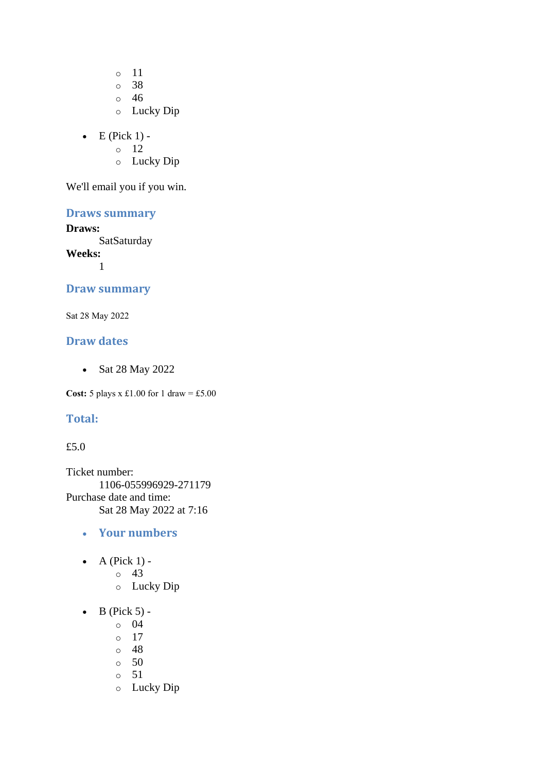o 11 o 38

o 46

- o Lucky Dip
- $\bullet$  E (Pick 1) -

o 12

o Lucky Dip

We'll email you if you win.

## **Draws summary**

#### **Draws:**

**SatSaturday** 

**Weeks:** 1

#### **Draw summary**

Sat 28 May 2022

#### **Draw dates**

• Sat 28 May 2022

**Cost:** 5 plays x £1.00 for 1 draw = £5.00

#### **Total:**

#### £5.0

Ticket number: 1106-055996929-271179 Purchase date and time: Sat 28 May 2022 at 7:16

- **Your numbers**
- $\bullet$  A (Pick 1)
	- o 43
	- o Lucky Dip
- $\bullet$  B (Pick 5)
	- o 04
	- o 17
	- o 48
	- $\circ$  50
	- o 51
	- o Lucky Dip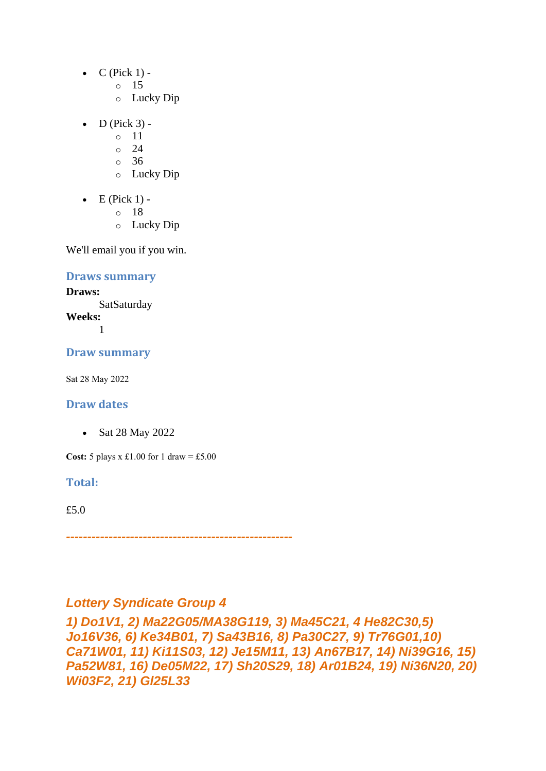- $\bullet$  C (Pick 1)
	- o 15
	- o Lucky Dip
- $\bullet$  D (Pick 3)
	- o 11
	- o 24
	- o 36
	- o Lucky Dip
- $\bullet$  E (Pick 1)
	- o 18
	- o Lucky Dip

**Draws summary**

#### **Draws:**

SatSaturday **Weeks:** 1

**Draw summary**

Sat 28 May 2022

#### **Draw dates**

• Sat 28 May 2022

**Cost:** 5 plays x £1.00 for 1 draw = £5.00

**Total:** 

£5.0

*-----------------------------------------------------*

## *Lottery Syndicate Group 4*

*1) Do1V1, 2) Ma22G05/MA38G119, 3) Ma45C21, 4 He82C30,5) Jo16V36, 6) Ke34B01, 7) Sa43B16, 8) Pa30C27, 9) Tr76G01,10) Ca71W01, 11) Ki11S03, 12) Je15M11, 13) An67B17, 14) Ni39G16, 15) Pa52W81, 16) De05M22, 17) Sh20S29, 18) Ar01B24, 19) Ni36N20, 20) Wi03F2, 21) Gl25L33*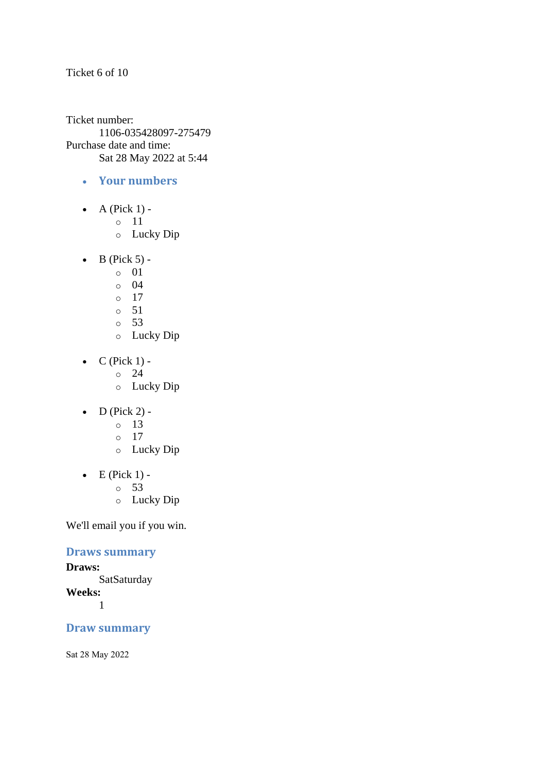#### Ticket 6 of 10

Ticket number: 1106-035428097-275479 Purchase date and time: Sat 28 May 2022 at 5:44

- **Your numbers**
- $\bullet$  A (Pick 1)
	- o 11
	- o Lucky Dip
- $\bullet$  B (Pick 5)
	- o 01
	- o 04
	- $\circ$  17
	- o 51
	- o 53
	- o Lucky Dip
- $C$  (Pick 1) -
	- $\circ$  24
	- o Lucky Dip
- $\bullet$  D (Pick 2) -
	- $\circ$  13
	- o 17
	- o Lucky Dip
- $\bullet$  E (Pick 1)
	- o 53
	- o Lucky Dip

We'll email you if you win.

#### **Draws summary**

#### **Draws: SatSaturday Weeks:** 1

## **Draw summary**

Sat 28 May 2022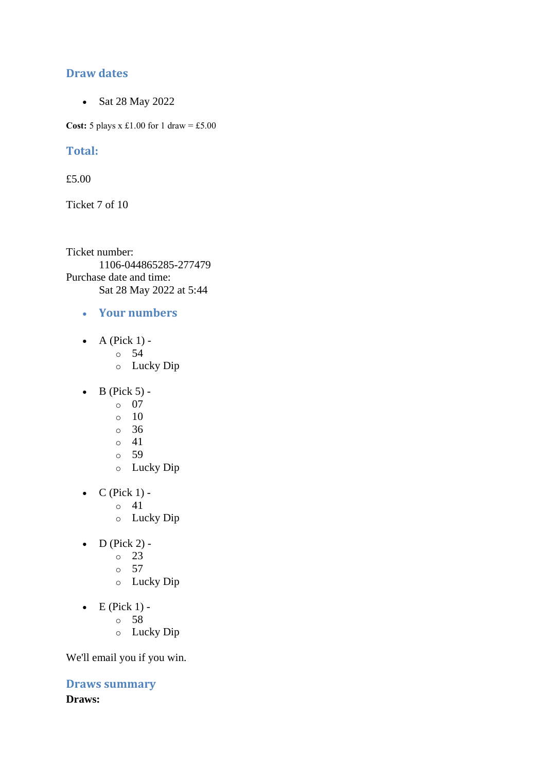### **Draw dates**

• Sat 28 May 2022

**Cost:** 5 plays x £1.00 for 1 draw = £5.00

#### **Total:**

£5.00

Ticket 7 of 10

Ticket number: 1106-044865285-277479 Purchase date and time: Sat 28 May 2022 at 5:44

- **Your numbers**
- A (Pick  $1$ )
	- o 54
	- o Lucky Dip
- $\bullet$  B (Pick 5)
	- o 07
	- $\circ$  10
	- o 36
	- $\circ$  41
	- o 59
	- o Lucky Dip
- $\bullet$  C (Pick 1) -
	- $\circ$  41
	- o Lucky Dip
- $\bullet$  D (Pick 2) -
	- $\circ$  23
	- $\circ$  57
	- o Lucky Dip
- $\bullet$  E (Pick 1)
	- o 58
	- o Lucky Dip

We'll email you if you win.

**Draws summary Draws:**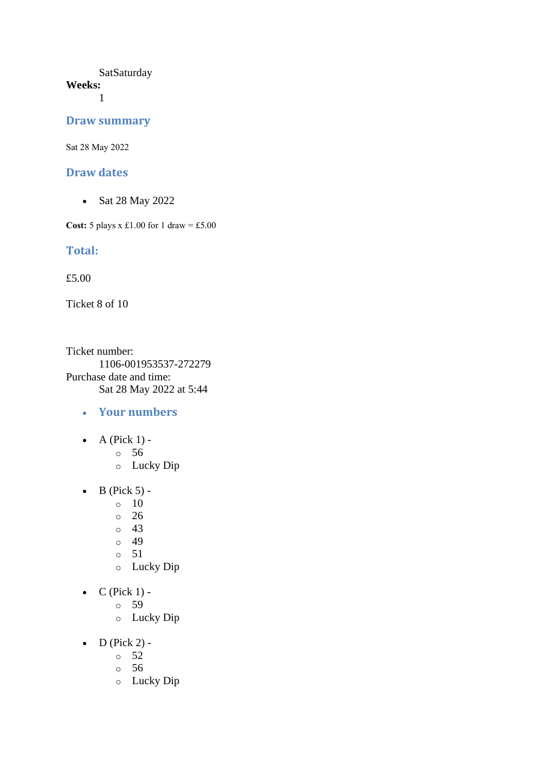#### **SatSaturday Weeks:**

1

#### **Draw summary**

Sat 28 May 2022

#### **Draw dates**

• Sat 28 May 2022

**Cost:** 5 plays x £1.00 for 1 draw = £5.00

#### **Total:**

£5.00

Ticket 8 of 10

Ticket number: 1106-001953537-272279 Purchase date and time: Sat 28 May 2022 at 5:44

- **Your numbers**
- $\bullet$  A (Pick 1)
	- o 56
	- o Lucky Dip
- $\bullet$  B (Pick 5) -
	- $\circ$  10
	- o 26
	- $\circ$  43
	- o 49
	- o 51
	- o Lucky Dip
- $C$  (Pick 1)
	- o 59
		- o Lucky Dip
- $D$  (Pick 2) -
	- $\circ$  52
	- o 56
	- o Lucky Dip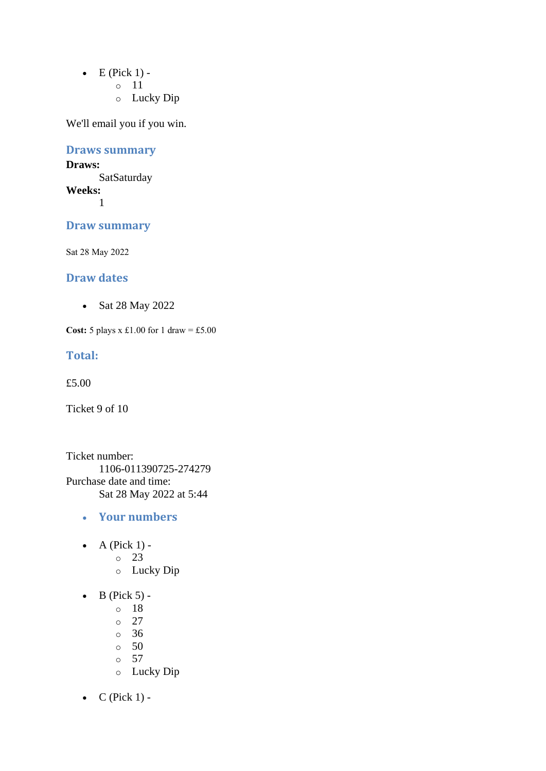- $\bullet$  E (Pick 1)
	- o 11
	- o Lucky Dip

## **Draws summary**

#### **Draws: SatSaturday Weeks:**

1

## **Draw summary**

Sat 28 May 2022

#### **Draw dates**

• Sat 28 May 2022

**Cost:** 5 plays x £1.00 for 1 draw = £5.00

#### **Total:**

£5.00

Ticket 9 of 10

Ticket number: 1106-011390725-274279 Purchase date and time: Sat 28 May 2022 at 5:44

- **Your numbers**
- A (Pick  $1$ )
	- o 23
	- o Lucky Dip
- $\bullet$  B (Pick 5)
	- o 18
	- o 27
	- o 36
	- $\circ$  50
	- o 57
	- o Lucky Dip
- $C$  (Pick 1) -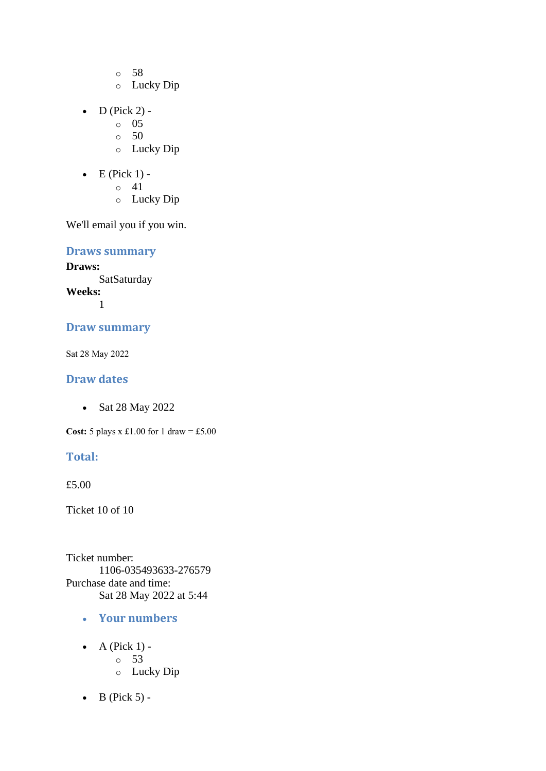- o 58
- o Lucky Dip
- $D$  (Pick 2)
	- o 05
	- $\circ$  50
	- o Lucky Dip
- $\bullet$  E (Pick 1) -
	- $\circ$  41
	- o Lucky Dip

**Draws summary**

**Draws: SatSaturday Weeks:** 1

## **Draw summary**

Sat 28 May 2022

#### **Draw dates**

• Sat 28 May 2022

**Cost:** 5 plays x £1.00 for 1 draw = £5.00

## **Total:**

£5.00

Ticket 10 of 10

Ticket number: 1106-035493633-276579 Purchase date and time: Sat 28 May 2022 at 5:44

- **Your numbers**
- $\bullet$  A (Pick 1) o 53 o Lucky Dip
- $\bullet$  B (Pick 5) -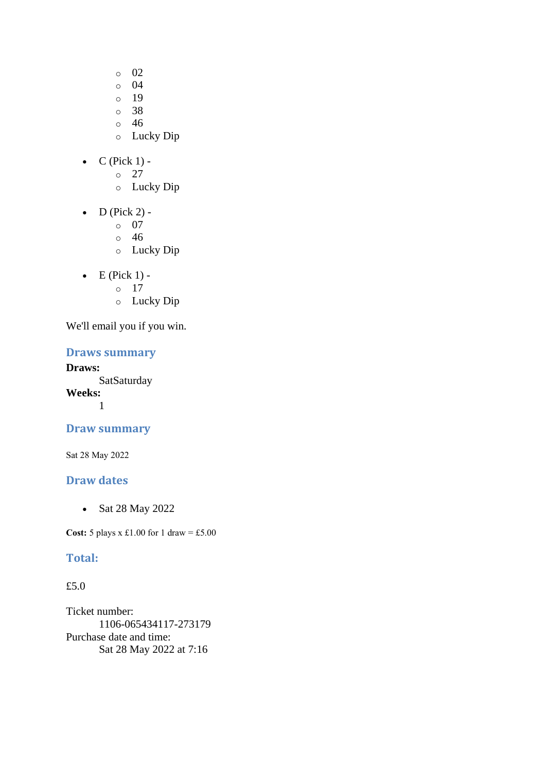- o 02
- o 04
- o 19
- o 38
- o 46
- o Lucky Dip
- $\bullet$  C (Pick 1)
	- o 27
	- o Lucky Dip
- $\bullet$  D (Pick 2)
	- o 07
	- o 46
	- o Lucky Dip
- $\bullet$  E (Pick 1)
	- o 17
	- o Lucky Dip

#### **Draws summary**

**Draws: SatSaturday Weeks:**

1

## **Draw summary**

Sat 28 May 2022

## **Draw dates**

• Sat 28 May 2022

**Cost:** 5 plays x £1.00 for 1 draw = £5.00

## **Total:**

## £5.0

Ticket number: 1106-065434117-273179 Purchase date and time: Sat 28 May 2022 at 7:16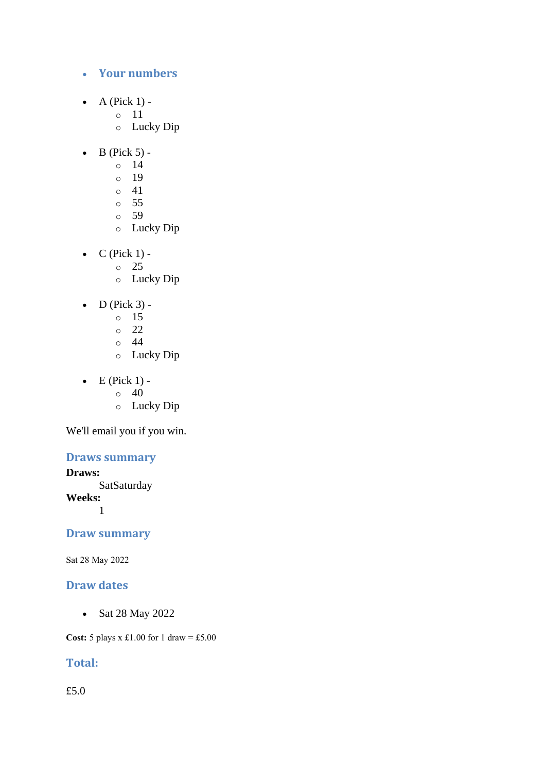- **Your numbers**
- A (Pick  $1$ )
	- o 11
	- o Lucky Dip
- $\bullet$  B (Pick 5)
	- o 14
	- o 19
	- $\circ$  41
	- o 55
	- o 59
	- o Lucky Dip
- $C$  (Pick 1) -
	- $\circ$  25
		- o Lucky Dip
- $\bullet$  D (Pick 3)
	- o 15
	- o 22
	- o 44
	- o Lucky Dip
- $\bullet$  E (Pick 1) -
	- $\circ$  40
	- o Lucky Dip

## **Draws summary**

**Draws:**

**SatSaturday** 

**Weeks:**

1

#### **Draw summary**

Sat 28 May 2022

#### **Draw dates**

• Sat 28 May 2022

**Cost:**  $5$  plays x £1.00 for 1 draw = £5.00

## **Total:**

£5.0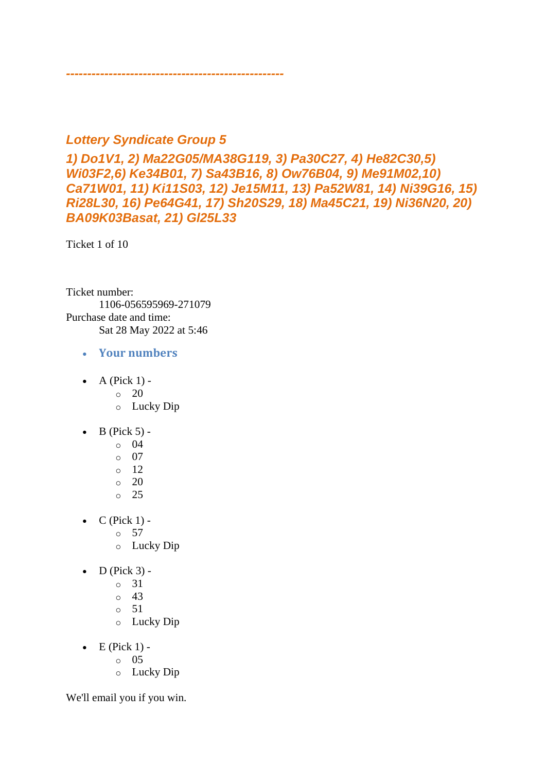## *Lottery Syndicate Group 5*

*---------------------------------------------------*

*1) Do1V1, 2) Ma22G05/MA38G119, 3) Pa30C27, 4) He82C30,5) Wi03F2,6) Ke34B01, 7) Sa43B16, 8) Ow76B04, 9) Me91M02,10) Ca71W01, 11) Ki11S03, 12) Je15M11, 13) Pa52W81, 14) Ni39G16, 15) Ri28L30, 16) Pe64G41, 17) Sh20S29, 18) Ma45C21, 19) Ni36N20, 20) BA09K03Basat, 21) Gl25L33*

Ticket 1 of 10

Ticket number: 1106-056595969-271079 Purchase date and time: Sat 28 May 2022 at 5:46

- **Your numbers**
- A (Pick  $1$ ) -
	- $\circ$  20
	- o Lucky Dip
- $\bullet$  B (Pick 5)
	- o 04
	- o 07
	- o 12
	- $\circ$  20
	- o 25
- $\bullet$  C (Pick 1) -
	- $\circ$  57
	- o Lucky Dip
- $\bullet$  D (Pick 3)
	- o 31
	- $\circ$  43
	- $\circ$  51
	- o Lucky Dip
- $\bullet$  E (Pick 1)
	- o 05
	- o Lucky Dip

We'll email you if you win.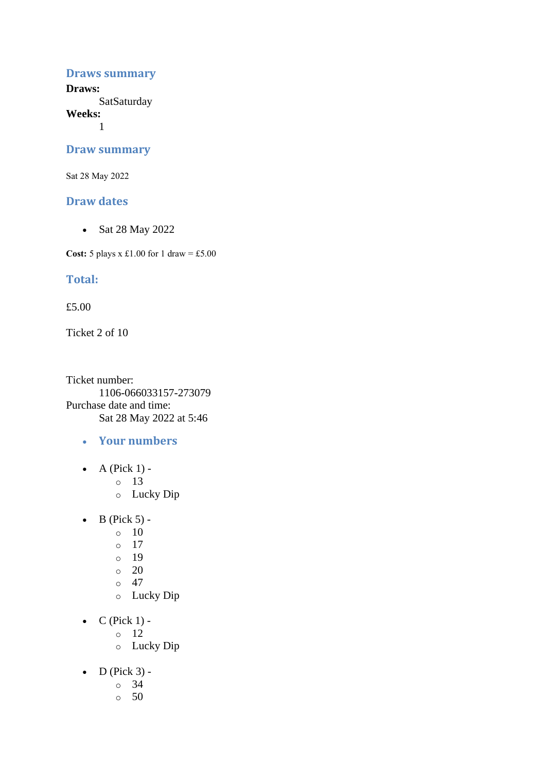#### **Draws summary**

**Draws: SatSaturday** 

**Weeks:**

1

#### **Draw summary**

Sat 28 May 2022

#### **Draw dates**

• Sat 28 May 2022

**Cost:** 5 plays x £1.00 for 1 draw = £5.00

#### **Total:**

£5.00

Ticket 2 of 10

Ticket number: 1106-066033157-273079 Purchase date and time: Sat 28 May 2022 at 5:46

- **Your numbers**
- A (Pick  $1$ )
	- o 13
	- o Lucky Dip
- $\bullet$  B (Pick 5) -
	- $\circ$  10
	- o 17
	- o 19
	- $\circ$  20
	- $\circ$  47
	- o Lucky Dip
- $\bullet$  C (Pick 1)
	- o 12
	- o Lucky Dip
- $\bullet$  D (Pick 3)
	- o 34
	- $\circ$  50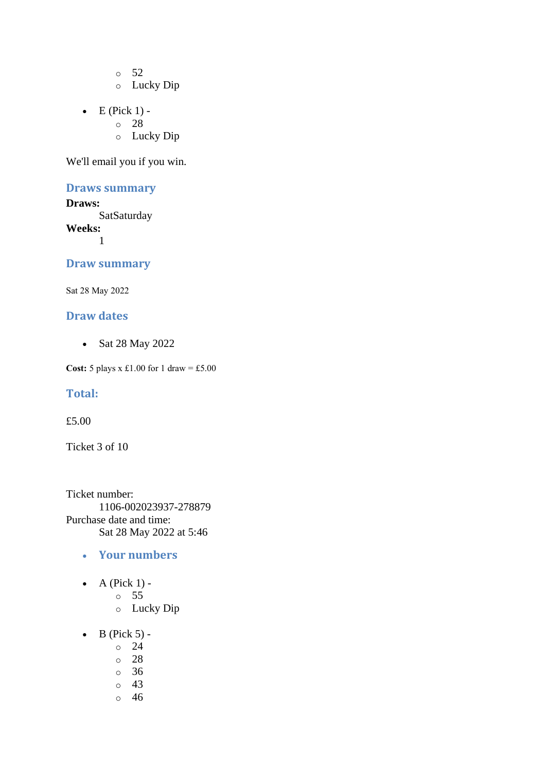o 52

- o Lucky Dip
- $\bullet$  E (Pick 1)
	- o 28
		- o Lucky Dip

We'll email you if you win.

#### **Draws summary**

**Draws: SatSaturday Weeks:** 1

#### **Draw summary**

Sat 28 May 2022

#### **Draw dates**

• Sat 28 May 2022

**Cost:** 5 plays x £1.00 for 1 draw = £5.00

#### **Total:**

£5.00

Ticket 3 of 10

Ticket number: 1106-002023937-278879 Purchase date and time: Sat 28 May 2022 at 5:46

- **Your numbers**
- $\bullet$  A (Pick 1)
	- o 55
	- o Lucky Dip
- $\bullet$  B (Pick 5)
	- o 24
	- o 28
	- o 36
	- o 43
	- o 46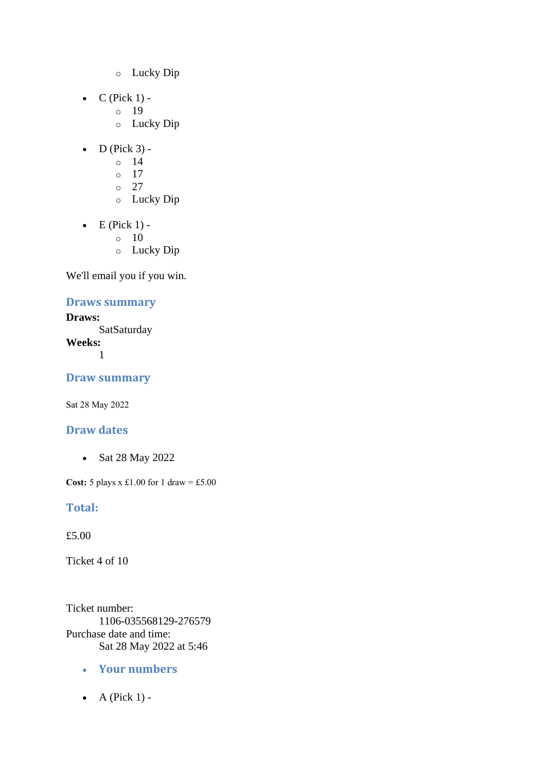- o Lucky Dip
- $C$  (Pick 1)
	- o 19
	- o Lucky Dip
- $\bullet$  D (Pick 3)
	- o 14
	- o 17
	- $\circ$  27
	- o Lucky Dip
- $\bullet$  E (Pick 1) -
	- $\circ$  10
	- o Lucky Dip

## **Draws summary**

**Draws: SatSaturday Weeks:** 1

**Draw summary**

Sat 28 May 2022

## **Draw dates**

• Sat 28 May 2022

**Cost:** 5 plays x £1.00 for 1 draw = £5.00

## **Total:**

£5.00

Ticket 4 of 10

Ticket number: 1106-035568129-276579 Purchase date and time: Sat 28 May 2022 at 5:46

- **Your numbers**
- $\bullet$  A (Pick 1) -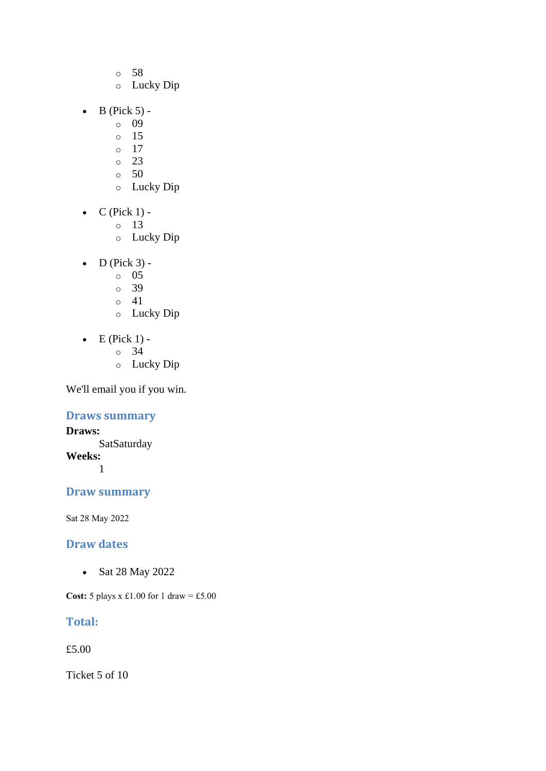- o 58
- o Lucky Dip
- $\bullet$  B (Pick 5)
	- o 09
	- o 15
	- o 17
	- o 23
	- $\circ$  50
	- o Lucky Dip
- $\bullet$  C (Pick 1)
	- o 13
	- o Lucky Dip
- $\bullet$  D (Pick 3)
	- o 05
	- o 39
	- $\circ$  41
	- o Lucky Dip
- $\bullet$  E (Pick 1)
	- o 34
	- o Lucky Dip

## **Draws summary**

**Draws: SatSaturday Weeks:** 1

## **Draw summary**

Sat 28 May 2022

#### **Draw dates**

• Sat 28 May 2022

**Cost:** 5 plays x £1.00 for 1 draw = £5.00

## **Total:**

£5.00

Ticket 5 of 10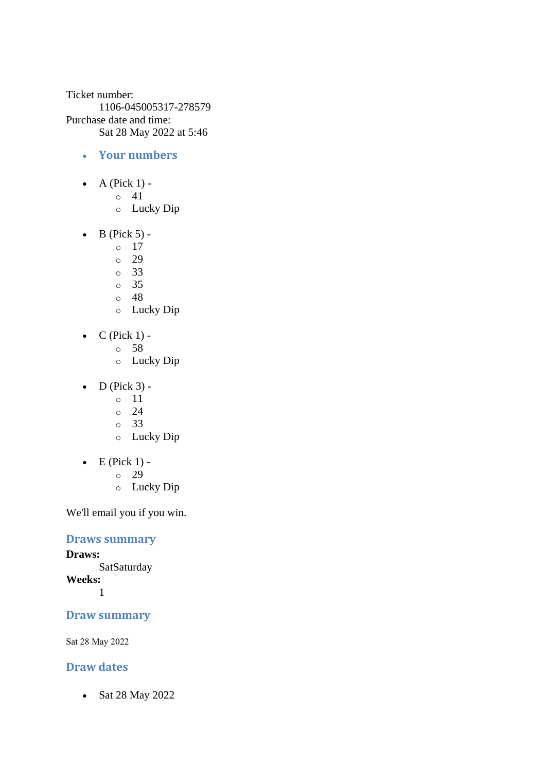Ticket number: 1106-045005317-278579 Purchase date and time: Sat 28 May 2022 at 5:46

- **Your numbers**
- A (Pick  $1$ )
	- o 41
	- o Lucky Dip
- $\bullet$  B (Pick 5) -
	- $\circ$  17
	- o 29
	- o 33
	- o 35
	- o 48
	- o Lucky Dip
- $C$  (Pick 1)
	- o 58
		- o Lucky Dip
- $\bullet$  D (Pick 3)
	- o 11
	- $\degree$  24
	- o 33
	- o Lucky Dip
- $\bullet$  E (Pick 1)
	- o 29
	- o Lucky Dip

We'll email you if you win.

#### **Draws summary**

**Draws: SatSaturday Weeks:**

1

#### **Draw summary**

Sat 28 May 2022

#### **Draw dates**

• Sat 28 May 2022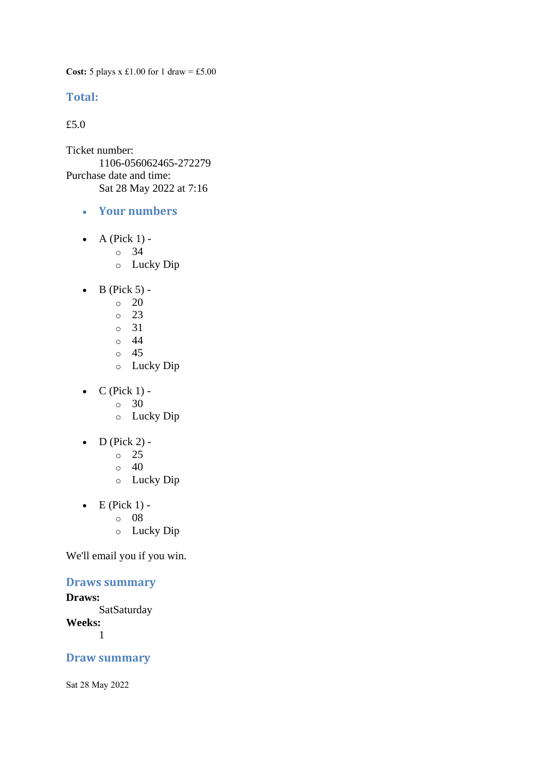**Cost:** 5 plays x £1.00 for 1 draw = £5.00

#### **Total:**

£5.0

Ticket number: 1106-056062465-272279 Purchase date and time: Sat 28 May 2022 at 7:16

- **Your numbers**
- A (Pick  $1$ )
	- o 34
		- o Lucky Dip
- $\bullet$  B (Pick 5) -
	- $\circ$  20
	- o 23
	- o 31
	- o 44
	- o 45
	- o Lucky Dip
- $\bullet$  C (Pick 1) -
	- $\circ$  30
	- o Lucky Dip
- $\bullet$  D (Pick 2) -
	- $\circ$  25
	- $\circ$  40
	- o Lucky Dip
- $\bullet$  E (Pick 1)
	- o 08
	- o Lucky Dip

We'll email you if you win.

# **Draws summary**

#### **Draws: SatSaturday Weeks:** 1

#### **Draw summary**

Sat 28 May 2022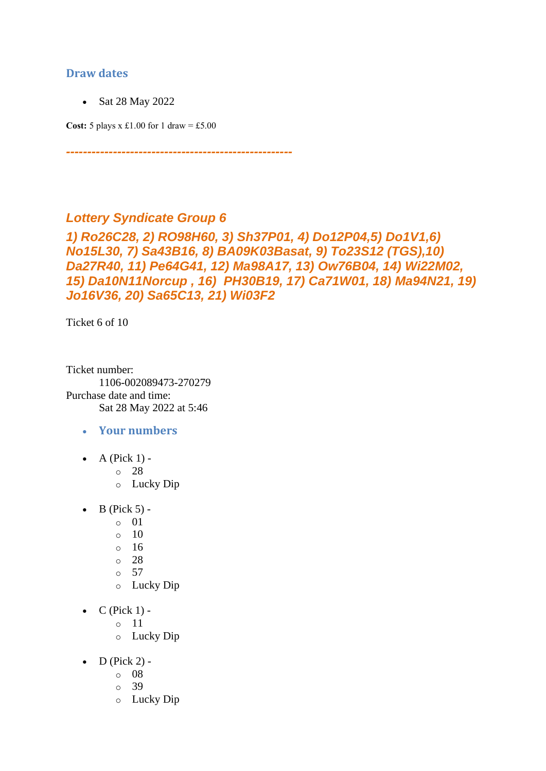### **Draw dates**

• Sat 28 May 2022

**Cost:**  $5$  plays x £1.00 for 1 draw = £5.00

# *Lottery Syndicate Group 6*

*1) Ro26C28, 2) RO98H60, 3) Sh37P01, 4) Do12P04,5) Do1V1,6) No15L30, 7) Sa43B16, 8) BA09K03Basat, 9) To23S12 (TGS),10) Da27R40, 11) Pe64G41, 12) Ma98A17, 13) Ow76B04, 14) Wi22M02, 15) Da10N11Norcup , 16) PH30B19, 17) Ca71W01, 18) Ma94N21, 19) Jo16V36, 20) Sa65C13, 21) Wi03F2*

*-----------------------------------------------------*

Ticket 6 of 10

Ticket number: 1106-002089473-270279 Purchase date and time: Sat 28 May 2022 at 5:46

- **Your numbers**
- A (Pick  $1$ ) -

o 28

- o Lucky Dip
- $\bullet$  B (Pick 5) -
	- $\circ$  01
		- $\circ$  10
		- $\circ$  16
		- o 28
		- $\circ$  57
		- o Lucky Dip
- $C$  (Pick 1)
	- o 11
	- o Lucky Dip
- $\bullet$  D (Pick 2)
	- o 08
	- o 39
	- o Lucky Dip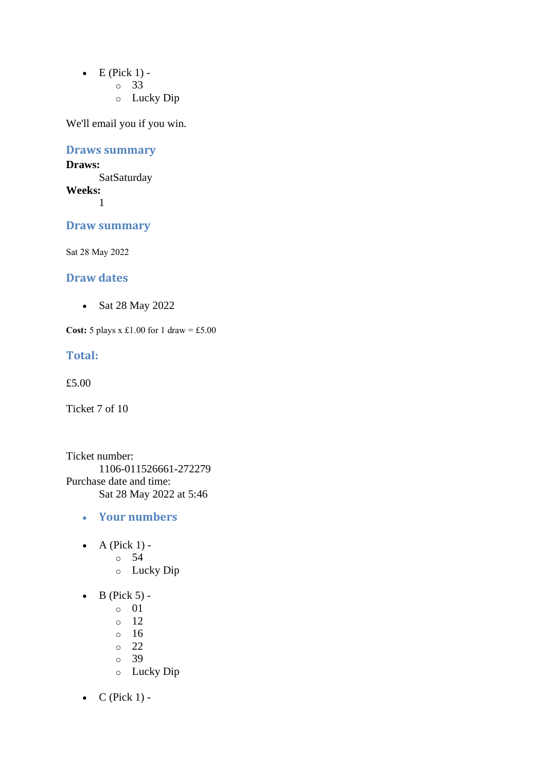- $\bullet$  E (Pick 1)
	- o 33
	- o Lucky Dip

# **Draws summary**

#### **Draws: SatSaturday Weeks:**

1

## **Draw summary**

Sat 28 May 2022

### **Draw dates**

• Sat 28 May 2022

**Cost:** 5 plays x £1.00 for 1 draw = £5.00

#### **Total:**

£5.00

Ticket 7 of 10

Ticket number: 1106-011526661-272279 Purchase date and time: Sat 28 May 2022 at 5:46

- **Your numbers**
- A (Pick  $1$ )
	- o 54
	- o Lucky Dip
- $\bullet$  B (Pick 5)
	- o 01
	- o 12
	- o 16
	- o 22
	- o 39
	- o Lucky Dip
- $C$  (Pick 1) -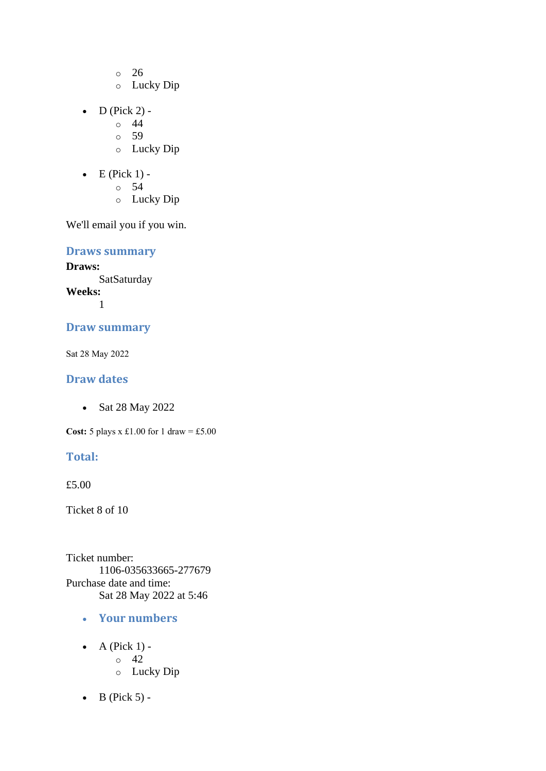- o 26
- o Lucky Dip
- $D$  (Pick 2) -
	- $\circ$  44
	- o 59
	- o Lucky Dip
- $\bullet$  E (Pick 1)
	- o 54
	- o Lucky Dip

**Draws summary**

**Draws: SatSaturday Weeks:** 1

# **Draw summary**

Sat 28 May 2022

### **Draw dates**

• Sat 28 May 2022

**Cost:** 5 plays x £1.00 for 1 draw = £5.00

# **Total:**

£5.00

Ticket 8 of 10

Ticket number: 1106-035633665-277679 Purchase date and time: Sat 28 May 2022 at 5:46

- **Your numbers**
- $\bullet$  A (Pick 1) - $\circ$  42 o Lucky Dip
- $\bullet$  B (Pick 5) -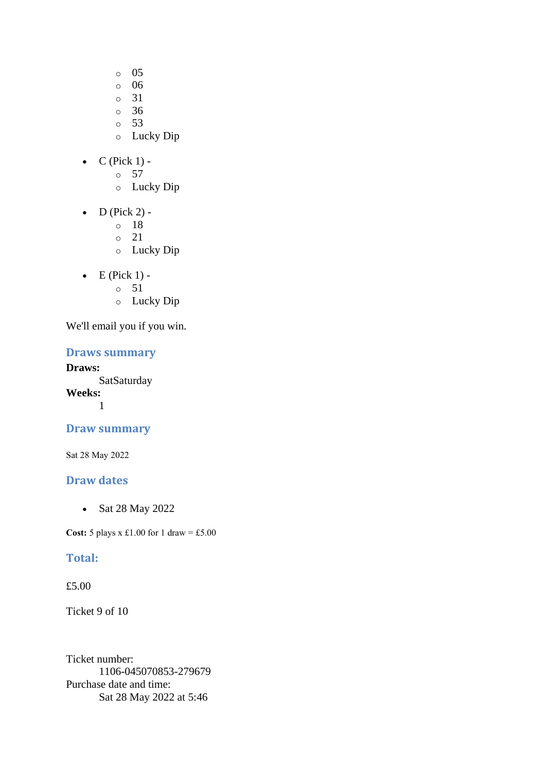- o 05
- o 06
- o 31
- o 36
- o 53
- o Lucky Dip
- $\bullet$  C (Pick 1)
	- o 57
	- o Lucky Dip
- $\bullet$  D (Pick 2)
	- o 18
	- o 21
	- o Lucky Dip
- $\bullet$  E (Pick 1)
	- o 51
	- o Lucky Dip

#### **Draws summary**

**Draws: SatSaturday Weeks:**

1

# **Draw summary**

Sat 28 May 2022

# **Draw dates**

• Sat 28 May 2022

**Cost:** 5 plays x £1.00 for 1 draw = £5.00

### **Total:**

#### £5.00

Ticket 9 of 10

Ticket number: 1106-045070853-279679 Purchase date and time: Sat 28 May 2022 at 5:46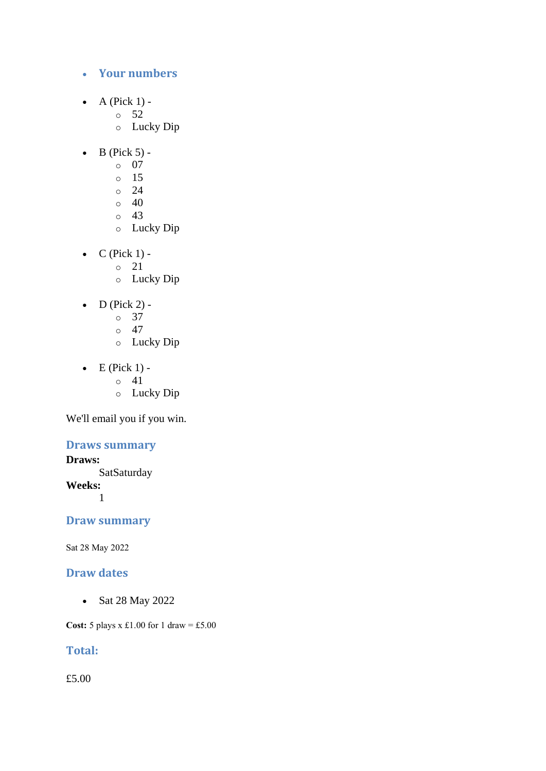### • **Your numbers**

- A (Pick  $1$ )
	- o 52
	- o Lucky Dip
- $\bullet$  B (Pick 5)
	- o 07
	- o 15
	- $\circ$  24
	- $\circ$  40
	- o 43
	- o Lucky Dip
- $C$  (Pick 1)
	- o 21
	- o Lucky Dip
- D (Pick 2) -
	- $\circ$  37
	- o 47
	- o Lucky Dip
- $\bullet$  E (Pick 1) -
	- $\circ$  41
		- o Lucky Dip

We'll email you if you win.

### **Draws summary**

### **Draws:**

**SatSaturday Weeks:** 1

# **Draw summary**

Sat 28 May 2022

## **Draw dates**

• Sat 28 May 2022

**Cost:** 5 plays x £1.00 for 1 draw = £5.00

# **Total:**

£5.00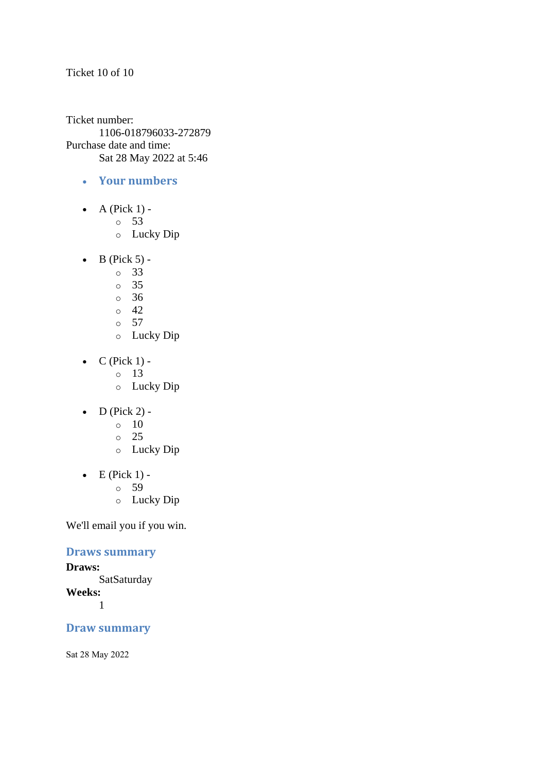#### Ticket 10 of 10

Ticket number: 1106-018796033-272879 Purchase date and time: Sat 28 May 2022 at 5:46

- **Your numbers**
- A (Pick  $1$ )
	- o 53
	- o Lucky Dip
- $\bullet$  B (Pick 5)
	- o 33
	- o 35
	- $\circ$  36
	- $\circ$  42
	- o 57
	- o Lucky Dip
- $C$  (Pick 1)
	- o 13
	- o Lucky Dip
- $\bullet$  D (Pick 2) -
	- $\circ$  10
	- o 25
	- o Lucky Dip
- $\bullet$  E (Pick 1)
	- o 59
	- o Lucky Dip

We'll email you if you win.

### **Draws summary**

**Draws: SatSaturday Weeks:** 1

# **Draw summary**

Sat 28 May 2022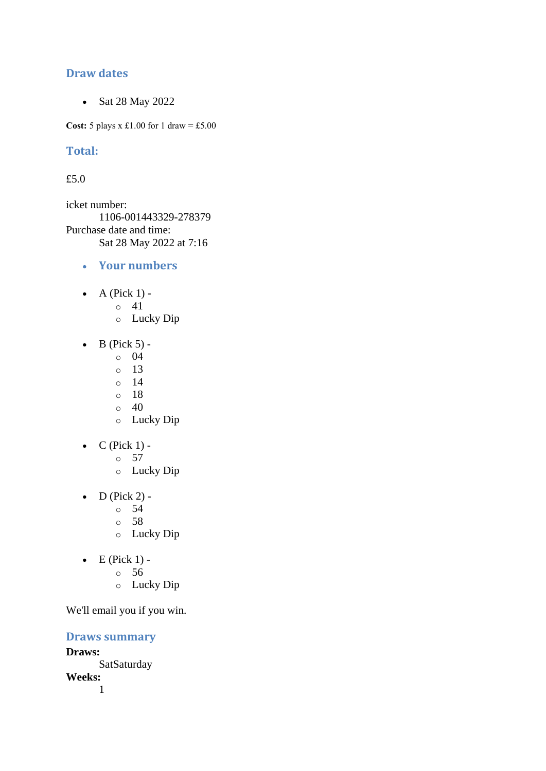### **Draw dates**

• Sat 28 May 2022

**Cost:**  $5$  plays x £1.00 for 1 draw = £5.00

# **Total:**

### £5.0

icket number: 1106-001443329-278379 Purchase date and time: Sat 28 May 2022 at 7:16

- **Your numbers**
- $\bullet$  A (Pick 1)
	- o 41
		- o Lucky Dip
- $\bullet$  B (Pick 5)
	- o 04
	- o 13
	- $\circ$  14
	- o 18
	- $\circ$  40
	- o Lucky Dip
- $\bullet$  C (Pick 1) -
	- $\circ$  57
	- o Lucky Dip
- $\bullet$  D (Pick 2)
	- o 54
		- o 58
		- o Lucky Dip
- $\bullet$  E (Pick 1)
	- o 56
		- o Lucky Dip

We'll email you if you win.

**Draws summary**

**Draws: SatSaturday Weeks:** 1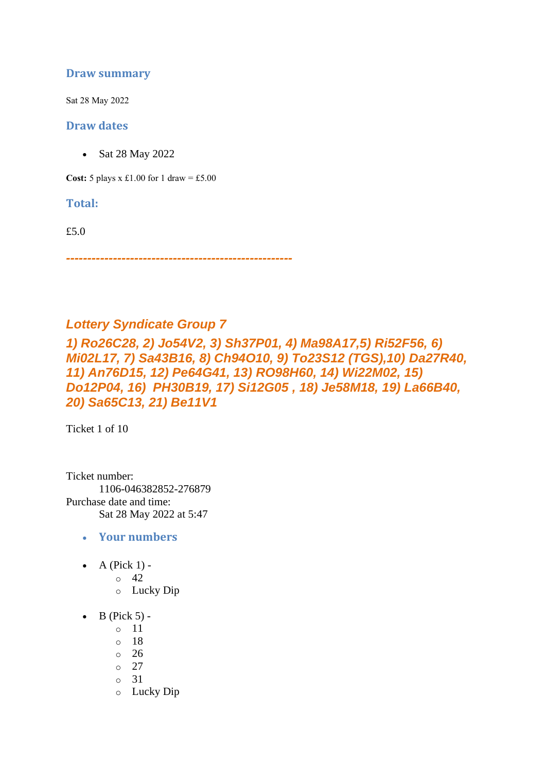### **Draw summary**

Sat 28 May 2022

#### **Draw dates**

• Sat 28 May 2022

**Cost:**  $5$  plays x £1.00 for 1 draw = £5.00

**Total:** 

£5.0

*-----------------------------------------------------*

# *Lottery Syndicate Group 7*

*1) Ro26C28, 2) Jo54V2, 3) Sh37P01, 4) Ma98A17,5) Ri52F56, 6) Mi02L17, 7) Sa43B16, 8) Ch94O10, 9) To23S12 (TGS),10) Da27R40, 11) An76D15, 12) Pe64G41, 13) RO98H60, 14) Wi22M02, 15) Do12P04, 16) PH30B19, 17) Si12G05 , 18) Je58M18, 19) La66B40, 20) Sa65C13, 21) Be11V1*

Ticket 1 of 10

Ticket number: 1106-046382852-276879 Purchase date and time: Sat 28 May 2022 at 5:47

- **Your numbers**
- A (Pick  $1$ ) -
	- $\circ$  42
	- o Lucky Dip
- $\bullet$  B (Pick 5)
	- o 11
	- o 18
	- o 26
	- o 27
	- o 31
	- o Lucky Dip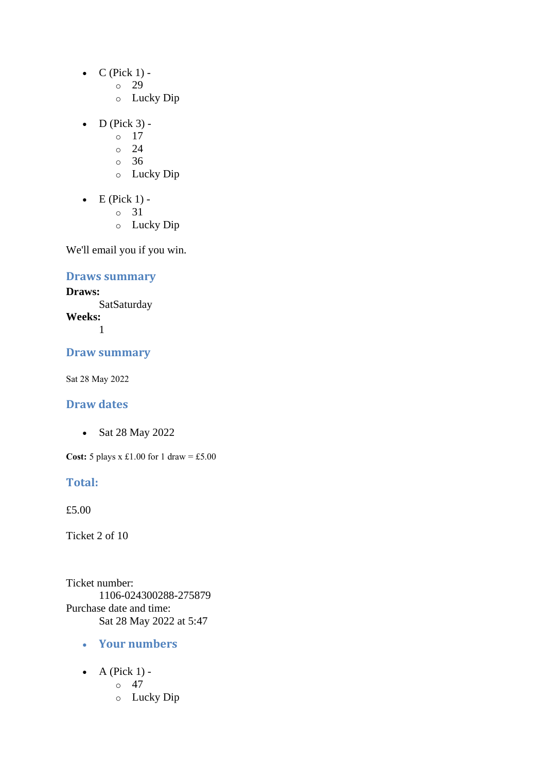- $\bullet$  C (Pick 1)
	- o 29
	- o Lucky Dip
- $\bullet$  D (Pick 3) -
	- $\circ$  17
	- $\circ$  24
	- o 36
	- o Lucky Dip
- $\bullet$  E (Pick 1)
	- o 31
	- o Lucky Dip

# **Draws summary**

#### **Draws:**

**SatSaturday Weeks:** 1

#### **Draw summary**

Sat 28 May 2022

### **Draw dates**

• Sat 28 May 2022

**Cost:** 5 plays x £1.00 for 1 draw = £5.00

#### **Total:**

£5.00

Ticket 2 of 10

Ticket number: 1106-024300288-275879 Purchase date and time: Sat 28 May 2022 at 5:47

- **Your numbers**
- A (Pick  $1$ ) -
	- $\circ$  47
	- o Lucky Dip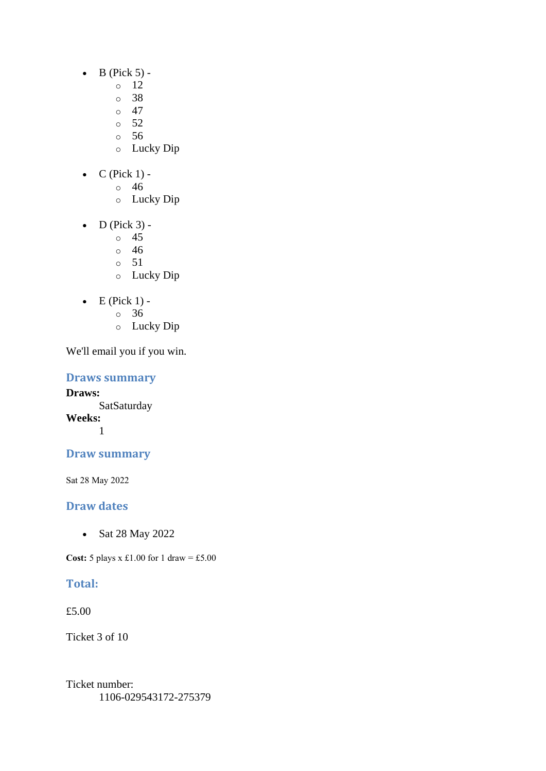- $\bullet$  B (Pick 5) -
	- $\circ$  12
		- o 38
	- $\circ$  47
	- o 52
	- o 56
	- o Lucky Dip
- $C$  (Pick 1)
	- o 46
		- o Lucky Dip
- $\bullet$  D (Pick 3)
	- o 45
	- o 46
	- o 51
	- o Lucky Dip
- $\bullet$  E (Pick 1)
	- o 36
	- o Lucky Dip

**Draws summary**

**Draws: SatSaturday Weeks:** 1

# **Draw summary**

Sat 28 May 2022

# **Draw dates**

• Sat 28 May 2022

**Cost:**  $5$  plays x £1.00 for 1 draw = £5.00

# **Total:**

£5.00

Ticket 3 of 10

Ticket number: 1106-029543172-275379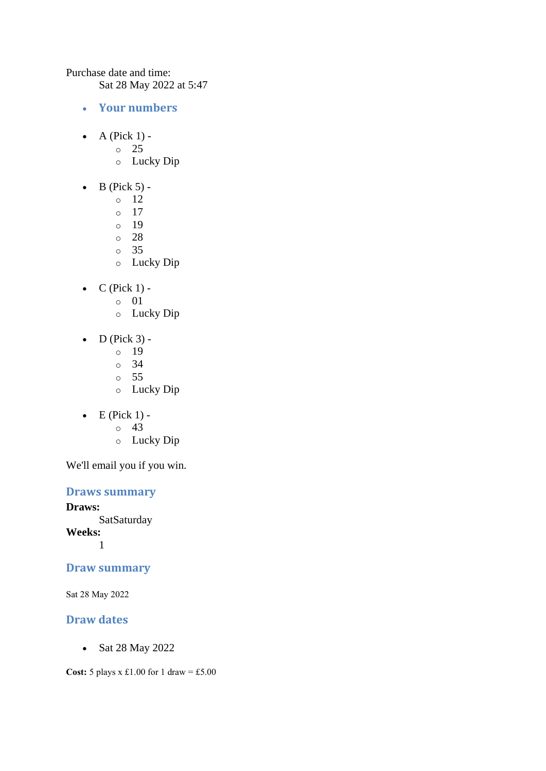Purchase date and time:

Sat 28 May 2022 at 5:47

- **Your numbers**
- A (Pick  $1$ )
	- o 25
	- o Lucky Dip
- $\bullet$  B (Pick 5)
	- o 12
	- o 17
	- o 19
	- o 28
	- o 35
	- o Lucky Dip
- $\bullet$  C (Pick 1)
	- o 01
	- o Lucky Dip
- $\bullet$  D (Pick 3) -
	- $\circ$  19
	- o 34
	- o 55
	- o Lucky Dip
- $\bullet$  E (Pick 1)
	- o 43
	- o Lucky Dip

We'll email you if you win.

# **Draws summary**

**Draws:** SatSaturday **Weeks:** 1

# **Draw summary**

Sat 28 May 2022

# **Draw dates**

• Sat 28 May 2022

**Cost:** 5 plays x £1.00 for 1 draw = £5.00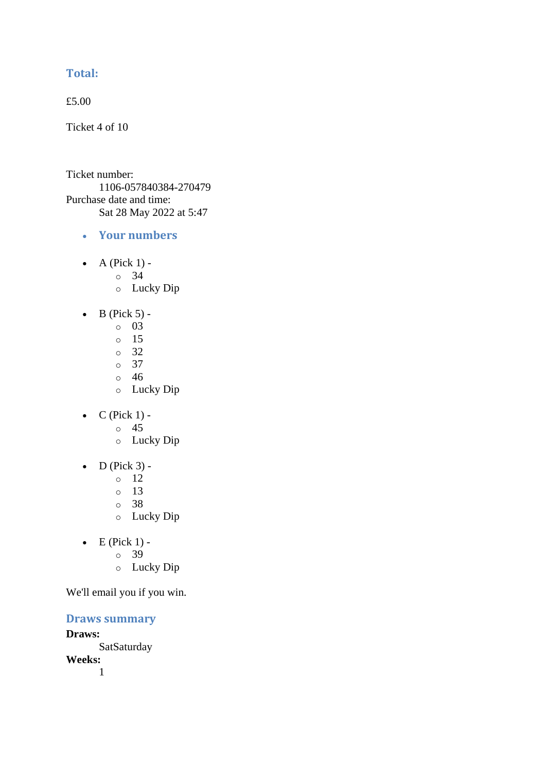# **Total:**

£5.00

Ticket 4 of 10

Ticket number: 1106-057840384-270479 Purchase date and time: Sat 28 May 2022 at 5:47

- **Your numbers**
- A (Pick  $1$ )
	- o 34
	- o Lucky Dip
- $\bullet$  B (Pick 5)
	- o 03
	- o 15
	- o 32
	- o 37  $\circ$  46
	-
	- o Lucky Dip
- $C$  (Pick 1) -
	- $\circ$  45
	- o Lucky Dip
- $\bullet$  D (Pick 3)
	- o 12
	- $\circ$  13
	- o 38
	- o Lucky Dip
- $\bullet$  E (Pick 1)
	- o 39
	- o Lucky Dip

We'll email you if you win.

**Draws summary**

**Draws: SatSaturday Weeks:**

1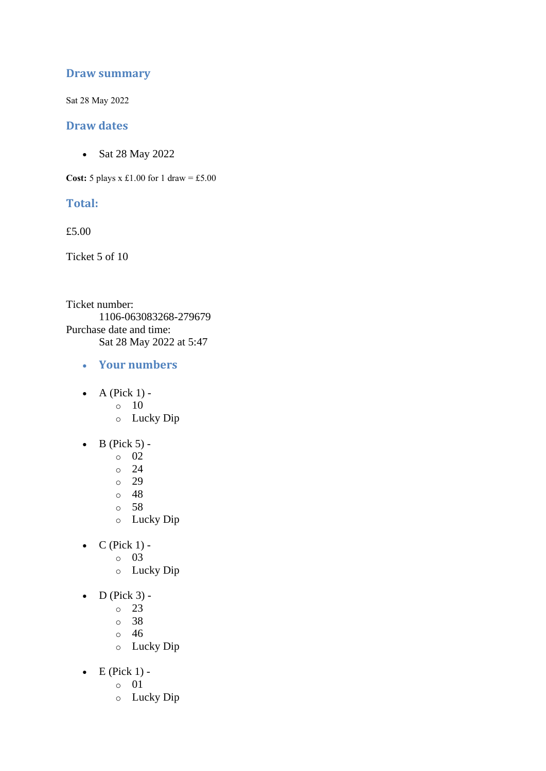### **Draw summary**

Sat 28 May 2022

#### **Draw dates**

• Sat 28 May 2022

**Cost:**  $5$  plays x £1.00 for 1 draw = £5.00

#### **Total:**

£5.00

Ticket 5 of 10

Ticket number: 1106-063083268-279679 Purchase date and time: Sat 28 May 2022 at 5:47

- **Your numbers**
- $\bullet$  A (Pick 1)
	- o 10
	- o Lucky Dip
- $\bullet$  B (Pick 5) -
	- $\circ$  02
	- o 24
	- o 29
	- o 48
	- o 58
	- o Lucky Dip
- $C$  (Pick 1)
	- o 03
		- o Lucky Dip
- $\bullet$  D (Pick 3) -
	- $\circ$  23
	- o 38
	- o 46
	- o Lucky Dip
- $\bullet$  E (Pick 1)
	- o 01
	- o Lucky Dip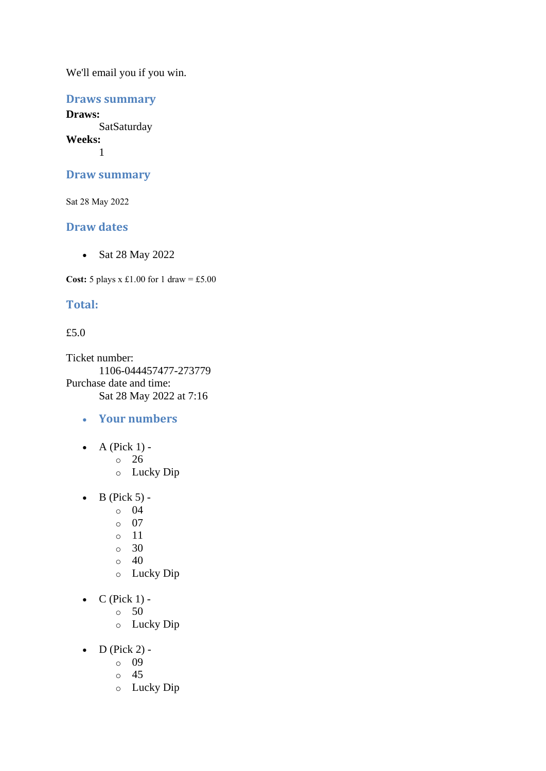## **Draws summary**

**Draws: SatSaturday Weeks:** 1

#### **Draw summary**

Sat 28 May 2022

### **Draw dates**

• Sat 28 May 2022

**Cost:**  $5$  plays x £1.00 for 1 draw = £5.00

### **Total:**

#### £5.0

Ticket number: 1106-044457477-273779 Purchase date and time: Sat 28 May 2022 at 7:16

- **Your numbers**
- A (Pick  $1$ ) -
	- $\circ$  26
	- o Lucky Dip
- $\bullet$  B (Pick 5)
	- o 04
	- o 07
	- o 11
	- o 30
	- $\circ$  40
	- o Lucky Dip
- $\bullet$  C (Pick 1)
	- o 50
	- o Lucky Dip
- $\bullet$  D (Pick 2)
	- o 09
	- o 45
	- o Lucky Dip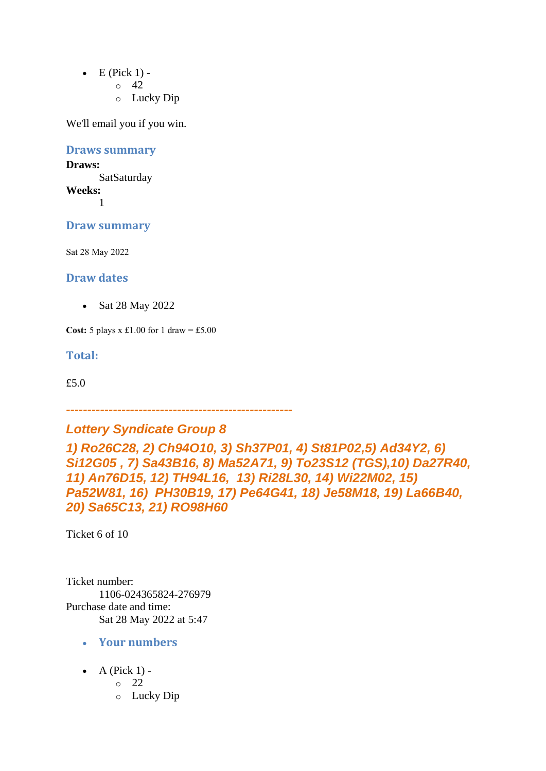- $\bullet$  E (Pick 1) -
	- $\circ$  42
	- o Lucky Dip

**Draws summary**

**Draws: SatSaturday Weeks:** 1

**Draw summary**

Sat 28 May 2022

**Draw dates** 

• Sat 28 May 2022

**Cost:** 5 plays x £1.00 for 1 draw = £5.00

**Total:** 

£5.0

*-----------------------------------------------------*

*Lottery Syndicate Group 8*

*1) Ro26C28, 2) Ch94O10, 3) Sh37P01, 4) St81P02,5) Ad34Y2, 6) Si12G05 , 7) Sa43B16, 8) Ma52A71, 9) To23S12 (TGS),10) Da27R40, 11) An76D15, 12) TH94L16, 13) Ri28L30, 14) Wi22M02, 15) Pa52W81, 16) PH30B19, 17) Pe64G41, 18) Je58M18, 19) La66B40, 20) Sa65C13, 21) RO98H60*

Ticket 6 of 10

Ticket number: 1106-024365824-276979 Purchase date and time: Sat 28 May 2022 at 5:47

- **Your numbers**
- A (Pick  $1$ )
	- o 22
	- o Lucky Dip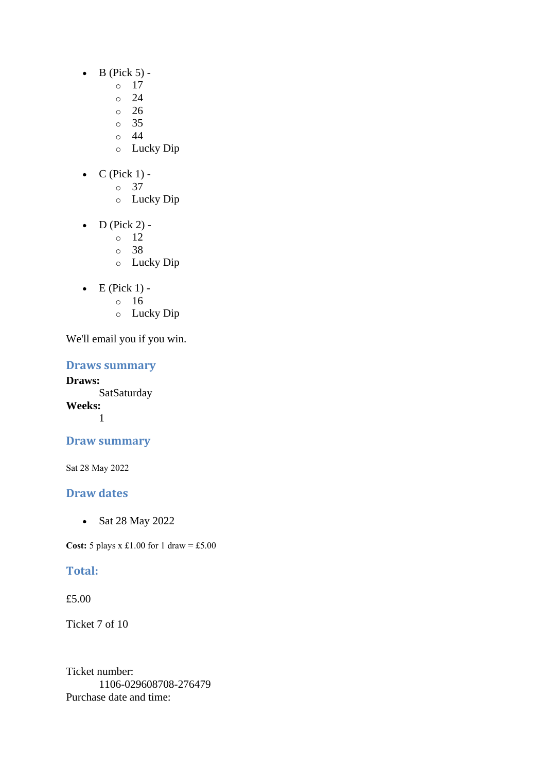- $\bullet$  B (Pick 5)
	- o 17
		- $\circ$  24
	- $\degree$  26
	- o 35
	- o 44
	- o Lucky Dip
- $C$  (Pick 1)
	- o 37
		- o Lucky Dip
- D (Pick 2)
	- o 12
	- o 38
	- o Lucky Dip
- $\bullet$  E (Pick 1)
	- o 16
	- o Lucky Dip

## **Draws summary**

**Draws: SatSaturday Weeks:** 1

# **Draw summary**

Sat 28 May 2022

# **Draw dates**

• Sat 28 May 2022

**Cost:** 5 plays x £1.00 for 1 draw = £5.00

# **Total:**

£5.00

Ticket 7 of 10

Ticket number: 1106-029608708-276479 Purchase date and time: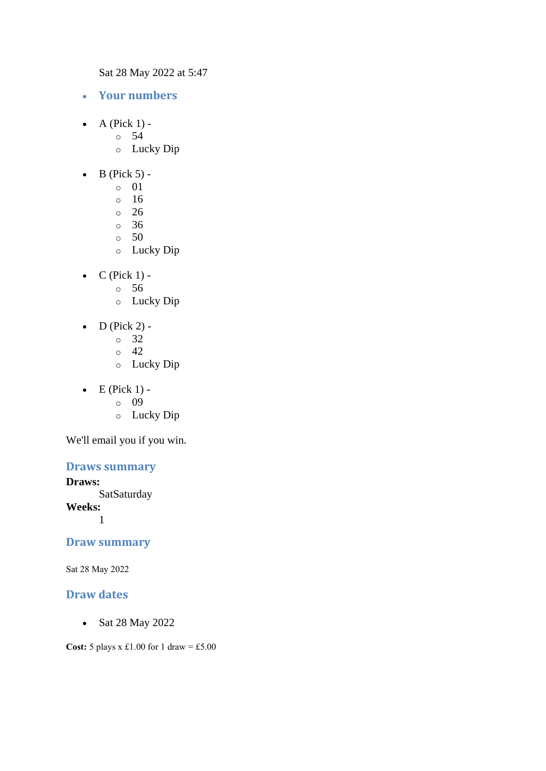Sat 28 May 2022 at 5:47

- **Your numbers**
- A (Pick  $1$ )
	- o 54
	- o Lucky Dip
- $\bullet$  B (Pick 5) -
	- $\circ$  01
	- o 16
	- o 26
	- o 36
	- $\circ$  50
	- o Lucky Dip
- $\bullet$  C (Pick 1)
	- o 56
	- o Lucky Dip
- $D$  (Pick 2)
	- o 32
	- $\circ$  42
	- o Lucky Dip
- $\bullet$  E (Pick 1)
	- o 09
	- o Lucky Dip

We'll email you if you win.

## **Draws summary**

#### **Draws:**

**SatSaturday** 

**Weeks:**

1

#### **Draw summary**

Sat 28 May 2022

#### **Draw dates**

• Sat 28 May 2022

**Cost:** 5 plays x £1.00 for 1 draw = £5.00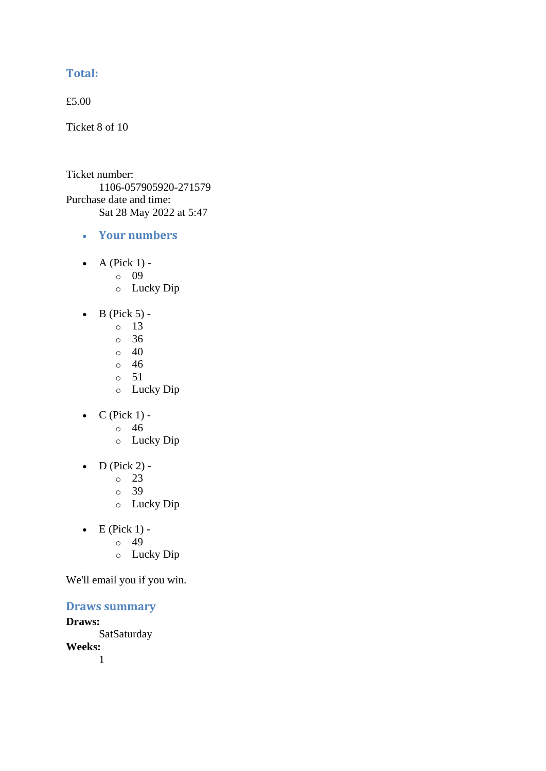# **Total:**

£5.00

Ticket 8 of 10

Ticket number: 1106-057905920-271579 Purchase date and time: Sat 28 May 2022 at 5:47

- **Your numbers**
- A (Pick  $1$ )
	- o 09
	- o Lucky Dip
- $\bullet$  B (Pick 5) -
	- $\circ$  13
	- $\circ$  36
	- $\circ$  40
	- o 46
	- $\circ$  51
	- o Lucky Dip
- $C$  (Pick 1) -
	- $\circ$  46
	- o Lucky Dip
- $\bullet$  D (Pick 2)
	- o 23
	- o 39
	- o Lucky Dip
- $\bullet$  E (Pick 1) -
	- $\circ$  49
		- o Lucky Dip

We'll email you if you win.

#### **Draws summary**

**Draws:** SatSaturday **Weeks:** 1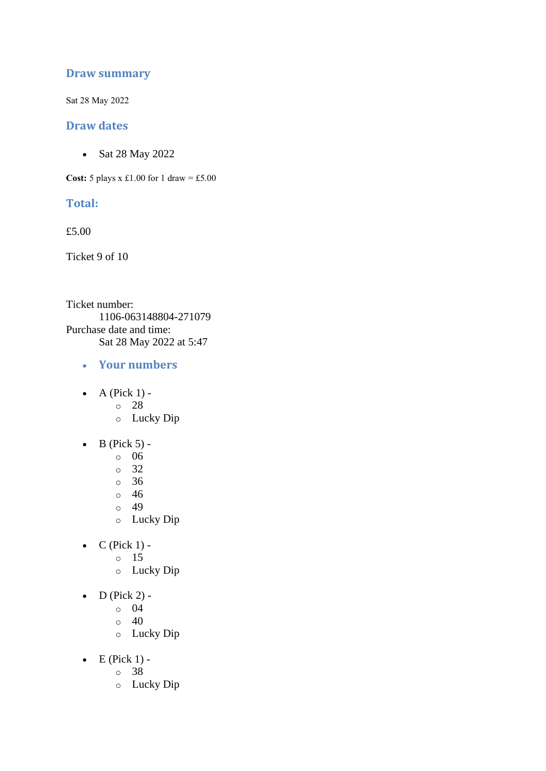### **Draw summary**

Sat 28 May 2022

#### **Draw dates**

• Sat 28 May 2022

**Cost:**  $5$  plays x £1.00 for 1 draw = £5.00

### **Total:**

£5.00

Ticket 9 of 10

Ticket number: 1106-063148804-271079 Purchase date and time: Sat 28 May 2022 at 5:47

- **Your numbers**
- $\bullet$  A (Pick 1)
	- o 28
	- o Lucky Dip
- $\bullet$  B (Pick 5)
	- o 06
	- o 32
	- o 36
	- o 46
	- o 49
	- o Lucky Dip
- $C$  (Pick 1)
	- o 15
		- o Lucky Dip
- $\bullet$  D (Pick 2)
	- o 04
	- $\circ$  40
	- o Lucky Dip
- $\bullet$  E (Pick 1)
	- o 38
	- o Lucky Dip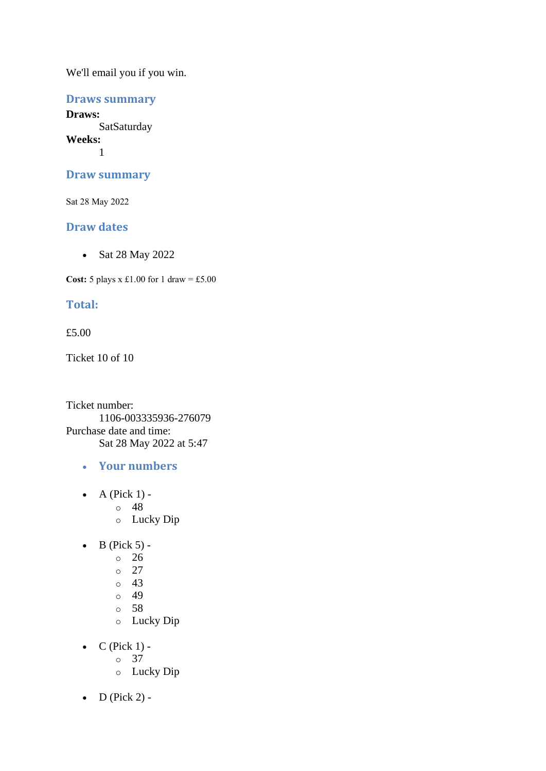## **Draws summary**

**Draws: SatSaturday Weeks:** 1

#### **Draw summary**

Sat 28 May 2022

### **Draw dates**

• Sat 28 May 2022

**Cost:**  $5$  plays x £1.00 for 1 draw = £5.00

# **Total:**

#### £5.00

Ticket 10 of 10

Ticket number: 1106-003335936-276079 Purchase date and time: Sat 28 May 2022 at 5:47

- **Your numbers**
- $\bullet$  A (Pick 1)
	- o 48
	- o Lucky Dip
- $\bullet$  B (Pick 5) -
	- $\degree$  26
		- o 27
		- $\circ$  43
		- $\circ$  49
		- o 58
		- o Lucky Dip
- $\bullet$  C (Pick 1)
	- o 37
	- o Lucky Dip
- $D$  (Pick 2) -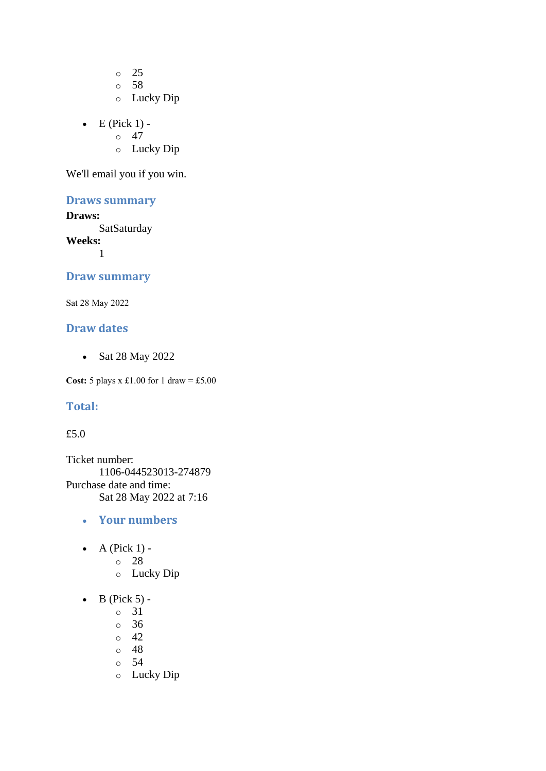o 25 o 58

- o Lucky Dip
- $\bullet$  E (Pick 1) -
	- $\circ$  47
	- o Lucky Dip

We'll email you if you win.

### **Draws summary**

#### **Draws:**

**SatSaturday** 

**Weeks:**

1

### **Draw summary**

Sat 28 May 2022

# **Draw dates**

• Sat 28 May 2022

**Cost:**  $5$  plays x £1.00 for 1 draw = £5.00

#### **Total:**

#### £5.0

Ticket number: 1106-044523013-274879 Purchase date and time: Sat 28 May 2022 at 7:16

- **Your numbers**
- A (Pick  $1$ )
	- o 28
		- o Lucky Dip
- $\bullet$  B (Pick 5)
	- o 31
	- o 36
	- $\circ$  42
	- o 48
	- o 54
	- o Lucky Dip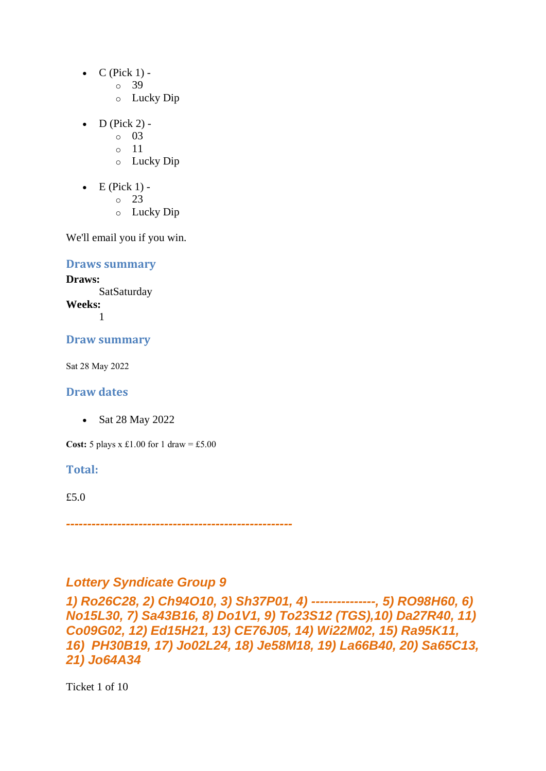- $\bullet$  C (Pick 1)
	- o 39
	- o Lucky Dip
- $D$  (Pick 2)
	- o 03
	- o 11
	- o Lucky Dip
- $\bullet$  E (Pick 1)
	- o 23
	- o Lucky Dip

#### **Draws summary**

**Draws:** SatSaturday **Weeks:**

1

### **Draw summary**

Sat 28 May 2022

# **Draw dates**

• Sat 28 May 2022

**Cost:**  $5$  plays x £1.00 for 1 draw = £5.00

### **Total:**

£5.0

*-----------------------------------------------------*

# *Lottery Syndicate Group 9*

*1) Ro26C28, 2) Ch94O10, 3) Sh37P01, 4) ---------------, 5) RO98H60, 6) No15L30, 7) Sa43B16, 8) Do1V1, 9) To23S12 (TGS),10) Da27R40, 11) Co09G02, 12) Ed15H21, 13) CE76J05, 14) Wi22M02, 15) Ra95K11, 16) PH30B19, 17) Jo02L24, 18) Je58M18, 19) La66B40, 20) Sa65C13, 21) Jo64A34*

Ticket 1 of 10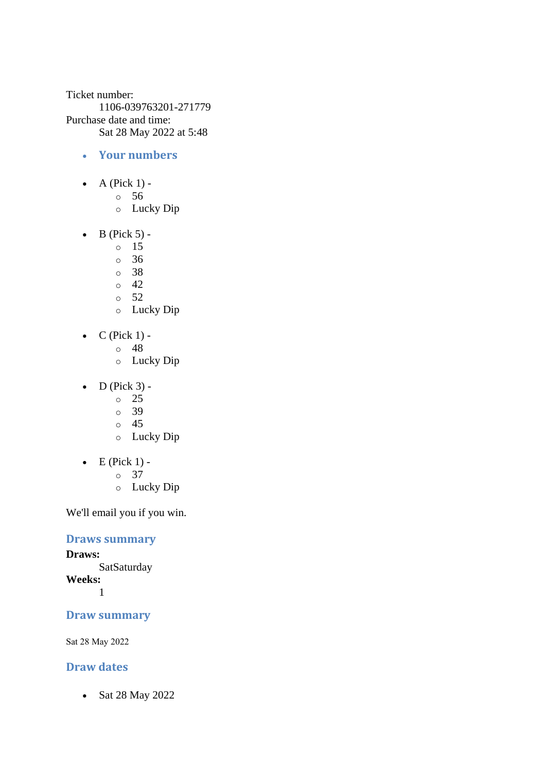Ticket number: 1106-039763201-271779 Purchase date and time: Sat 28 May 2022 at 5:48

- **Your numbers**
- A (Pick  $1$ )
	- o 56
	- o Lucky Dip
- $\bullet$  B (Pick 5)
	- o 15
	- $\circ$  36
	- o 38
	- $\circ$  42
	- $\circ$  52
	- o Lucky Dip
- $C$  (Pick 1)
	- o 48
		- o Lucky Dip
- $\bullet$  D (Pick 3)
	- o 25
	- o 39
	- o 45
	- o Lucky Dip
- $\bullet$  E (Pick 1)
	- o 37
	- o Lucky Dip

We'll email you if you win.

### **Draws summary**

**Draws: SatSaturday Weeks:**

1

## **Draw summary**

Sat 28 May 2022

# **Draw dates**

• Sat 28 May 2022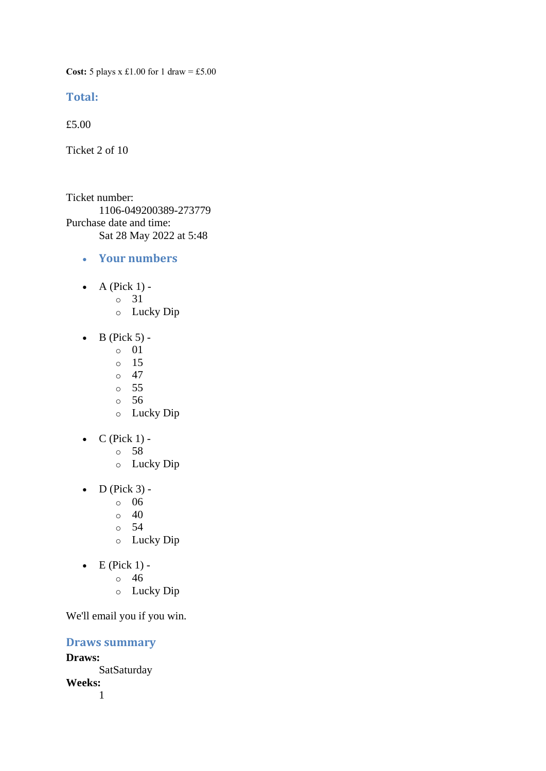**Cost:** 5 plays x £1.00 for 1 draw = £5.00

#### **Total:**

£5.00

Ticket 2 of 10

Ticket number: 1106-049200389-273779 Purchase date and time: Sat 28 May 2022 at 5:48

- **Your numbers**
- A (Pick  $1$ )
	- o 31
	- o Lucky Dip
- $\bullet$  B (Pick 5)
	- o 01
	- o 15
	- $\circ$  47
	- o 55 o 56
	- o Lucky Dip
- $\bullet$  C (Pick 1)
	- o 58
	- o Lucky Dip
- $\bullet$  D (Pick 3)
	- o 06
	- $\circ$  40
	- o 54
	- o Lucky Dip
- $\bullet$  E (Pick 1)
	- o 46
	- o Lucky Dip

We'll email you if you win.

#### **Draws summary**

**Draws: SatSaturday Weeks:** 1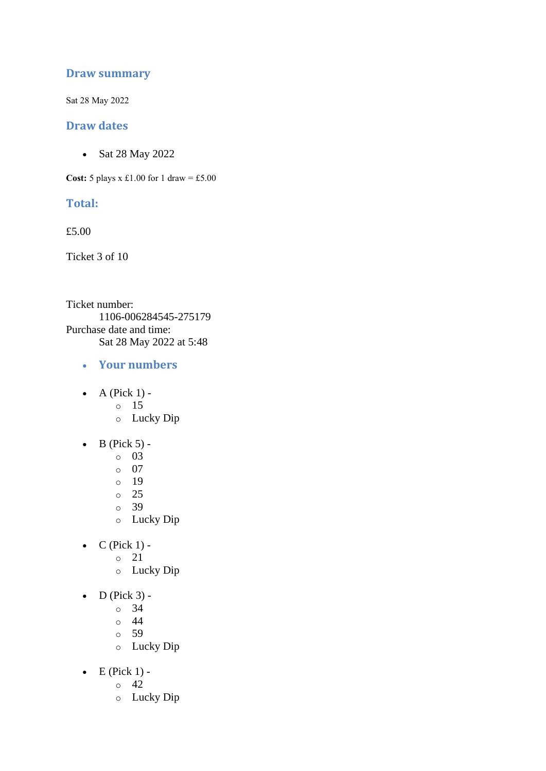### **Draw summary**

Sat 28 May 2022

#### **Draw dates**

• Sat 28 May 2022

**Cost:**  $5$  plays x £1.00 for 1 draw = £5.00

#### **Total:**

£5.00

Ticket 3 of 10

Ticket number: 1106-006284545-275179 Purchase date and time: Sat 28 May 2022 at 5:48

- **Your numbers**
- $\bullet$  A (Pick 1)
	- o 15
	- o Lucky Dip
- $\bullet$  B (Pick 5)
	- o 03
	- o 07
	- o 19
	- o 25
	- o 39
	- o Lucky Dip
- $C$  (Pick 1)
	- o 21
		- o Lucky Dip
- $\bullet$  D (Pick 3)
	- o 34
	- o 44
	- o 59
	- o Lucky Dip
- $\bullet$  E (Pick 1) -
	- $\circ$  42
	- o Lucky Dip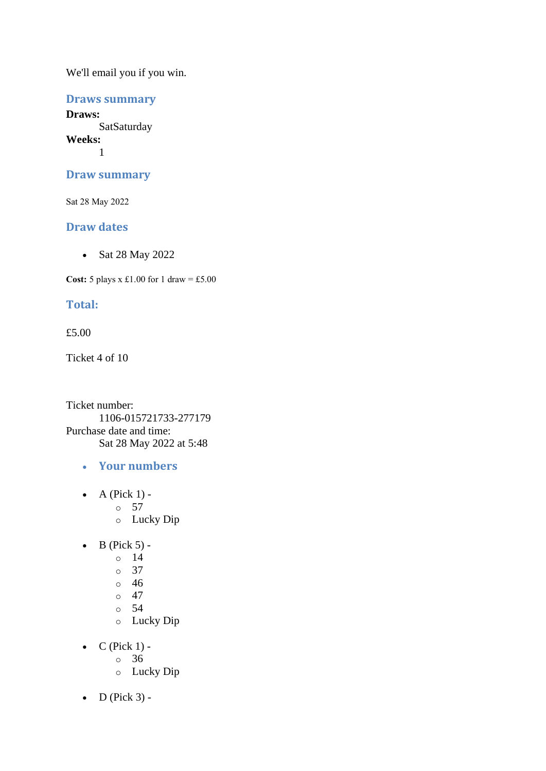## **Draws summary**

**Draws: SatSaturday Weeks:** 1

#### **Draw summary**

Sat 28 May 2022

### **Draw dates**

• Sat 28 May 2022

**Cost:**  $5$  plays x £1.00 for 1 draw = £5.00

# **Total:**

#### £5.00

Ticket 4 of 10

Ticket number: 1106-015721733-277179 Purchase date and time: Sat 28 May 2022 at 5:48

- **Your numbers**
- $\bullet$  A (Pick 1)
	- o 57
	- o Lucky Dip
- $\bullet$  B (Pick 5)
	- o 14
		- o 37
		- o 46
		- $\circ$  47
		- o 54
		- o Lucky Dip
- $\bullet$  C (Pick 1)
	- o 36
	- o Lucky Dip
- $\bullet$  D (Pick 3) -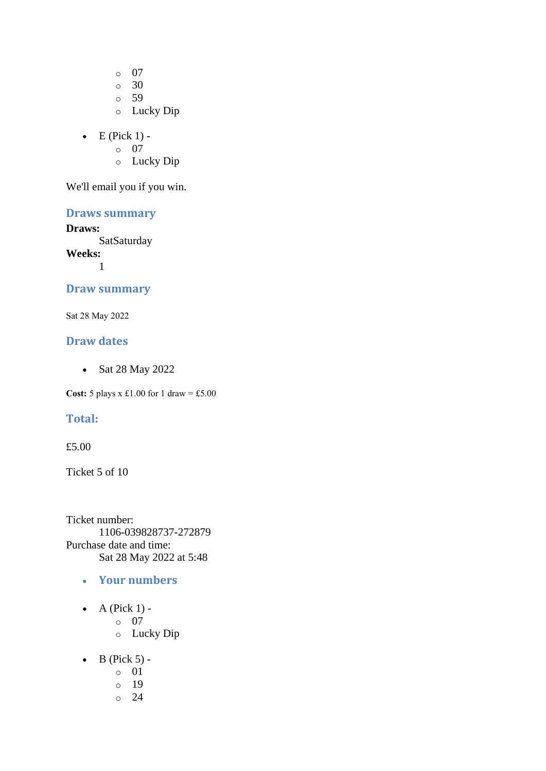o 07

 $\circ$  30

- o 59
- o Lucky Dip
- $\bullet$  E (Pick 1)
	- o 07
	- o Lucky Dip

We'll email you if you win.

# **Draws summary**

#### **Draws:**

**SatSaturday** 

**Weeks:** 1

#### **Draw summary**

Sat 28 May 2022

#### **Draw dates**

• Sat 28 May 2022

**Cost:** 5 plays x £1.00 for 1 draw = £5.00

### **Total:**

#### £5.00

Ticket 5 of 10

Ticket number: 1106-039828737-272879 Purchase date and time: Sat 28 May 2022 at 5:48

- **Your numbers**
- A (Pick  $1$ )
	- o 07
		- o Lucky Dip
- $\bullet$  B (Pick 5)
	- o 01
	- o 19
	- o 24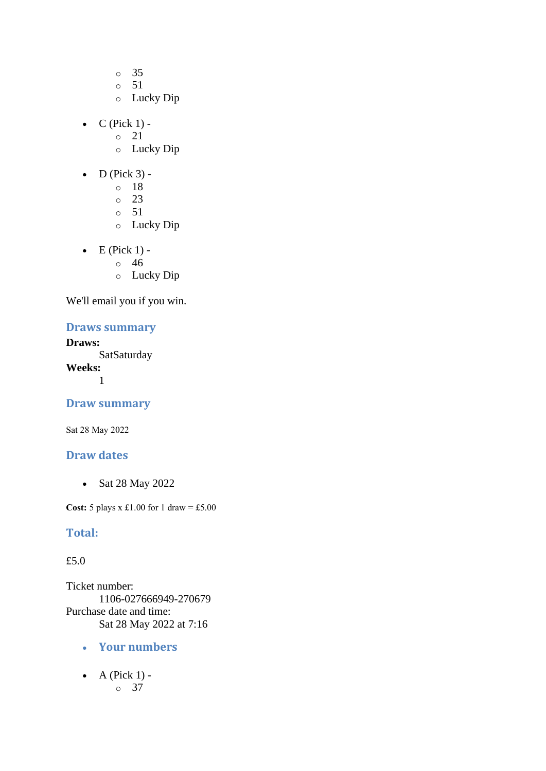- o 35
- o 51
- o Lucky Dip
- $C$  (Pick 1) -
	- $\circ$  21
	- o Lucky Dip
- $\bullet$  D (Pick 3)
	- o 18
	- o 23
	- o 51
	- o Lucky Dip
- $\bullet$  E (Pick 1)
	- o 46
	- o Lucky Dip

## **Draws summary**

# **Draws:**

**SatSaturday Weeks:** 1

#### **Draw summary**

Sat 28 May 2022

### **Draw dates**

• Sat 28 May 2022

**Cost:** 5 plays x £1.00 for 1 draw = £5.00

#### **Total:**

#### £5.0

Ticket number: 1106-027666949-270679 Purchase date and time: Sat 28 May 2022 at 7:16

- **Your numbers**
- $\bullet$  A (Pick 1) o 37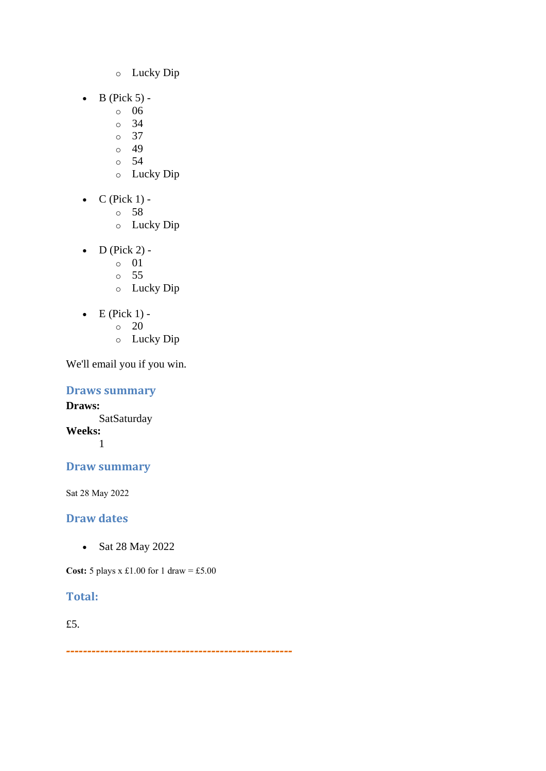- o Lucky Dip
- $\bullet$  B (Pick 5)
	- o 06
	- o 34
	- o 37
	- o 49 o 54
	-
	- o Lucky Dip
- $\bullet$  C (Pick 1)
	- o 58
	- o Lucky Dip
- D (Pick 2)
	- o 01
	- o 55
	- o Lucky Dip
- $\bullet$  E (Pick 1) -
	- $\circ$  20
	- o Lucky Dip

# **Draws summary**

**Draws: SatSaturday Weeks:** 1

# **Draw summary**

Sat 28 May 2022

# **Draw dates**

• Sat 28 May 2022

**Cost:** 5 plays x £1.00 for 1 draw = £5.00

# **Total:**

£5.

*-----------------------------------------------------*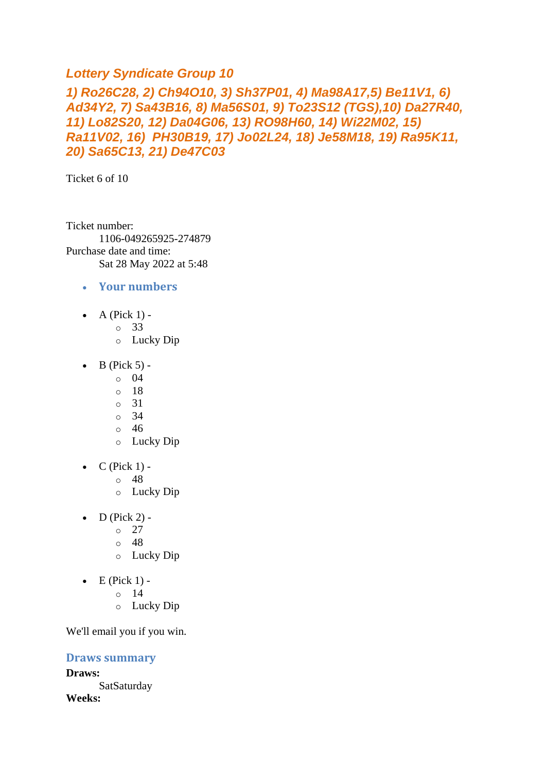# *Lottery Syndicate Group 10*

# *1) Ro26C28, 2) Ch94O10, 3) Sh37P01, 4) Ma98A17,5) Be11V1, 6) Ad34Y2, 7) Sa43B16, 8) Ma56S01, 9) To23S12 (TGS),10) Da27R40, 11) Lo82S20, 12) Da04G06, 13) RO98H60, 14) Wi22M02, 15) Ra11V02, 16) PH30B19, 17) Jo02L24, 18) Je58M18, 19) Ra95K11, 20) Sa65C13, 21) De47C03*

Ticket 6 of 10

Ticket number: 1106-049265925-274879 Purchase date and time: Sat 28 May 2022 at 5:48

- **Your numbers**
- A (Pick  $1$ )
	- o 33
	- o Lucky Dip
- $\bullet$  B (Pick 5) -
	- $\circ$  04
	- $\circ$  18
	- o 31
	- $\circ$  34
	- o 46
	- o Lucky Dip
- $\bullet$  C (Pick 1)
	- o 48
	- o Lucky Dip
- $\bullet$  D (Pick 2) -
	- $\degree$  27
	- o 48
	- o Lucky Dip
- $\bullet$  E (Pick 1) -
	- $\circ$  14
	- o Lucky Dip

We'll email you if you win.

#### **Draws summary**

**Draws:** SatSaturday **Weeks:**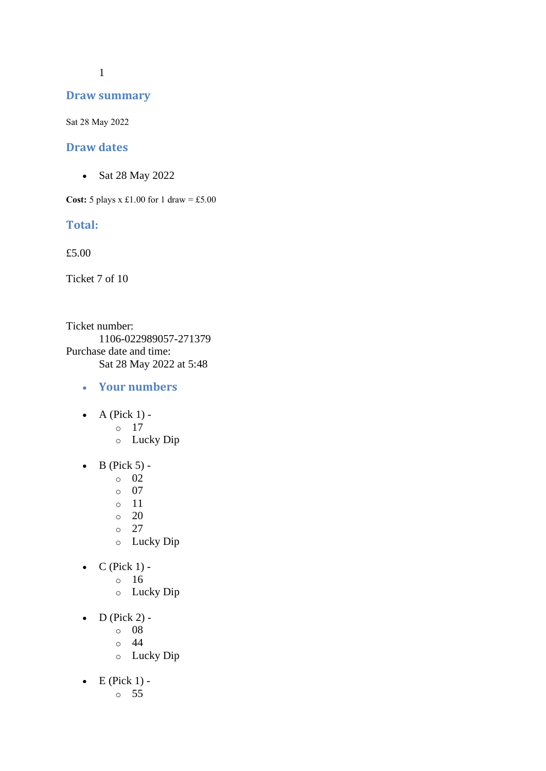1

#### **Draw summary**

Sat 28 May 2022

#### **Draw dates**

• Sat 28 May 2022

**Cost:** 5 plays x £1.00 for 1 draw = £5.00

#### **Total:**

£5.00

Ticket 7 of 10

Ticket number: 1106-022989057-271379 Purchase date and time: Sat 28 May 2022 at 5:48

- **Your numbers**
- $\bullet$  A (Pick 1)
	- o 17
	- o Lucky Dip
- $\bullet$  B (Pick 5)
	- o 02
	- o 07
	- o 11
	- $\circ$  20
	- o 27
	- o Lucky Dip
- $\bullet$  C (Pick 1)
	- o 16
	- o Lucky Dip
- $\bullet$  D (Pick 2)
	- o 08
	- o 44
	- o Lucky Dip
- $\bullet$  E (Pick 1)
	- o 55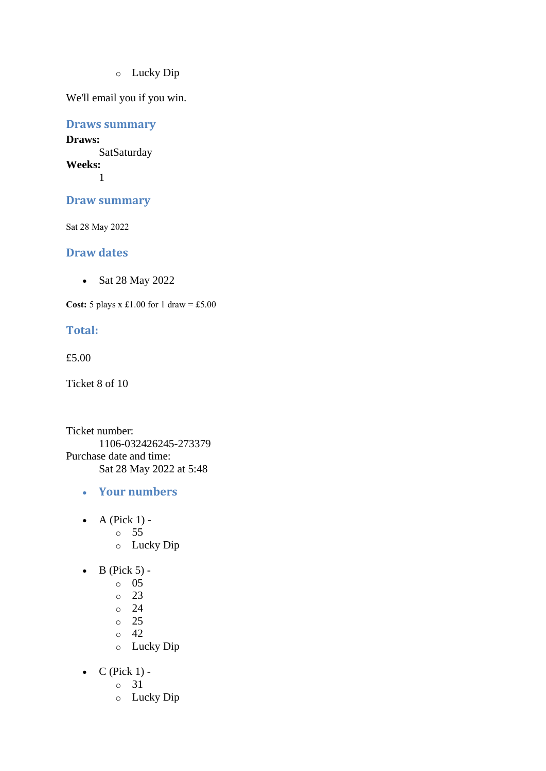o Lucky Dip

We'll email you if you win.

**Draws summary**

**Draws: SatSaturday Weeks:** 1

**Draw summary**

Sat 28 May 2022

#### **Draw dates**

• Sat 28 May 2022

**Cost:** 5 plays x £1.00 for 1 draw = £5.00

#### **Total:**

£5.00

Ticket 8 of 10

Ticket number: 1106-032426245-273379 Purchase date and time: Sat 28 May 2022 at 5:48

- **Your numbers**
- $\bullet$  A (Pick 1)
	- o 55
	- o Lucky Dip
- $\bullet$  B (Pick 5)
	- o 05
	- o 23
	- o 24
	- o 25
	- o 42
	- o Lucky Dip
- $C$  (Pick 1)
	- o 31
	- o Lucky Dip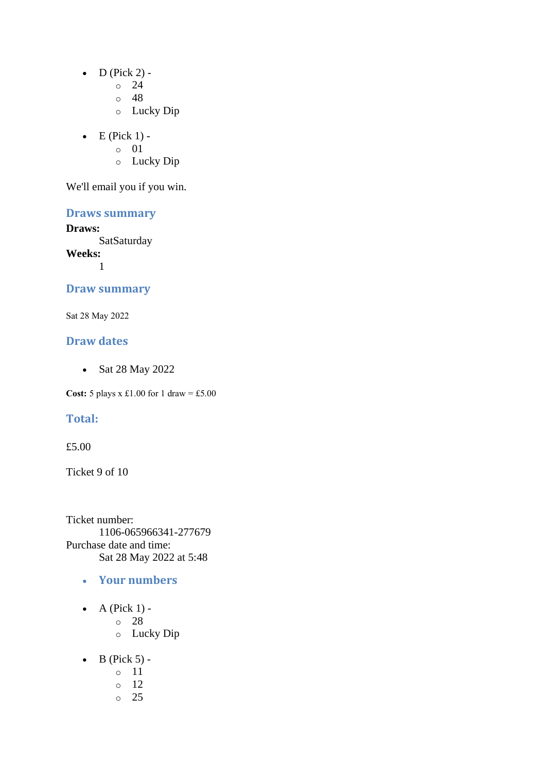- $\bullet$  D (Pick 2) -
	- $\circ$  24
	- o 48
	- o Lucky Dip
- $\bullet$  E (Pick 1)
	- o 01
	- o Lucky Dip

# **Draws summary**

#### **Draws:**

**SatSaturday** 

**Weeks:** 1

#### **Draw summary**

Sat 28 May 2022

#### **Draw dates**

• Sat 28 May 2022

**Cost:** 5 plays x £1.00 for 1 draw = £5.00

### **Total:**

#### £5.00

Ticket 9 of 10

Ticket number: 1106-065966341-277679 Purchase date and time: Sat 28 May 2022 at 5:48

- **Your numbers**
- $\bullet$  A (Pick 1)
	- o 28
		- o Lucky Dip
- $\bullet$  B (Pick 5)
	- o 11
	- o 12
	- o 25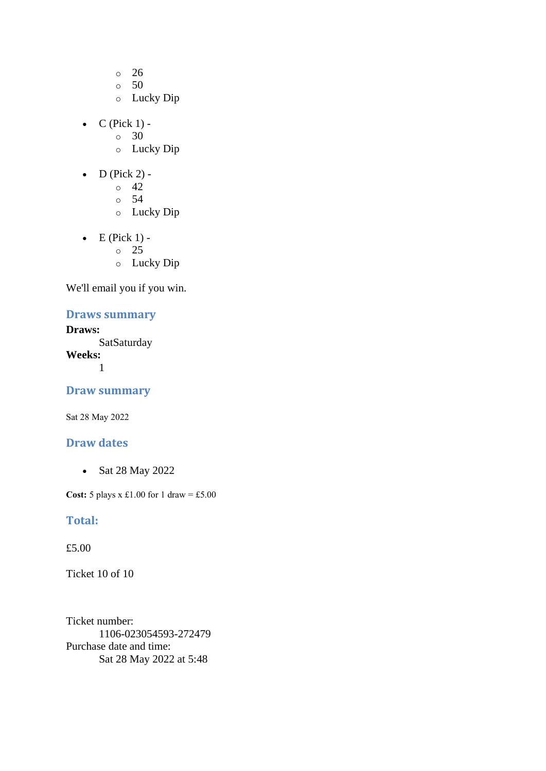- o 26
- o 50
- o Lucky Dip
- $\bullet$  C (Pick 1) -
	- $\circ$  30
	- o Lucky Dip
- $\bullet$  D (Pick 2) -
	- $\circ$  42
	- o 54
	- o Lucky Dip
- $\bullet$  E (Pick 1) -
	- $\circ$  25
	- o Lucky Dip

#### **Draws summary**

#### **Draws: SatSaturday**

**Weeks:**

1

#### **Draw summary**

Sat 28 May 2022

#### **Draw dates**

• Sat 28 May 2022

**Cost:** 5 plays x £1.00 for 1 draw = £5.00

#### **Total:**

£5.00

Ticket 10 of 10

Ticket number: 1106-023054593-272479 Purchase date and time: Sat 28 May 2022 at 5:48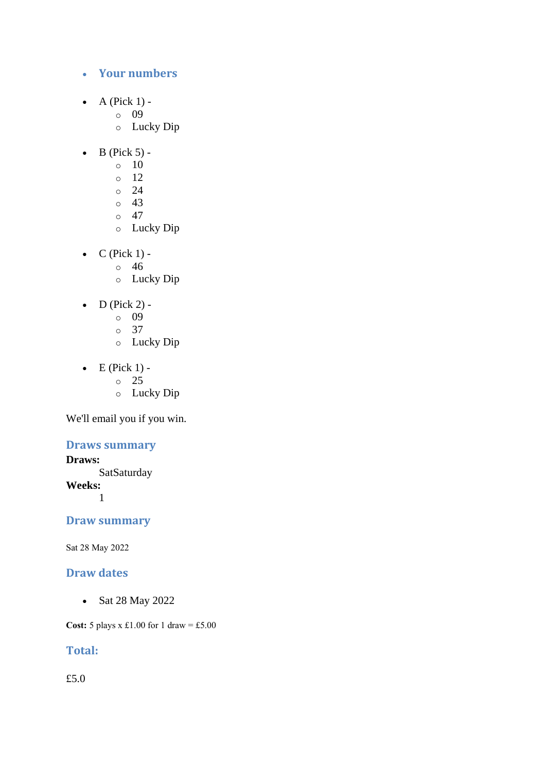- **Your numbers**
- A (Pick  $1$ )
	- o 09
	- o Lucky Dip
- $\bullet$  B (Pick 5) -
	- $\circ$  10
	- o 12
	- $\circ$  24
	- $\circ$  43
	- $\circ$  47
	- o Lucky Dip
- $C$  (Pick 1) -
	- $\circ$  46
	- o Lucky Dip
- D (Pick 2)
	- o 09
	- o 37
	- o Lucky Dip
- $\bullet$  E (Pick 1) -
	- $\circ$  25
		- o Lucky Dip

### **Draws summary**

### **Draws:**

**SatSaturday Weeks:** 1

# **Draw summary**

Sat 28 May 2022

## **Draw dates**

• Sat 28 May 2022

**Cost:** 5 plays x £1.00 for 1 draw = £5.00

# **Total:**

£5.0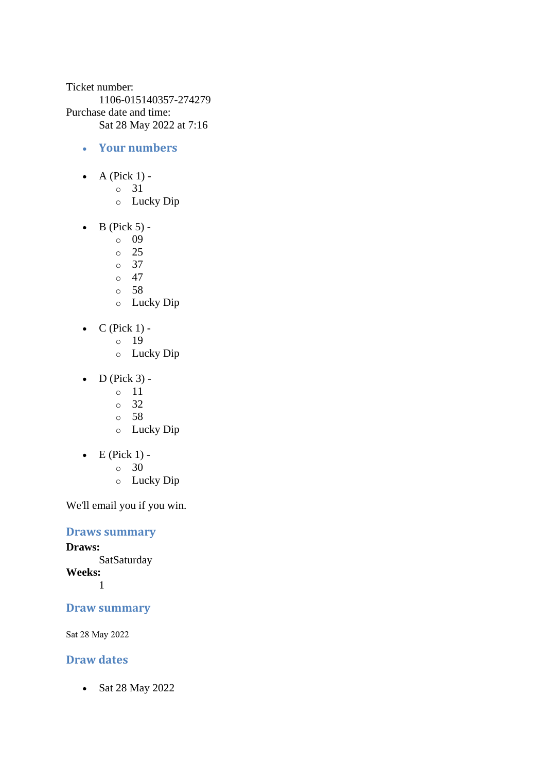Ticket number: 1106-015140357-274279 Purchase date and time: Sat 28 May 2022 at 7:16

- **Your numbers**
- A (Pick  $1$ )
	- o 31
	- o Lucky Dip
- $\bullet$  B (Pick 5)
	- o 09
	- o 25
	- o 37
	- $\circ$  47
	- o 58
	- o Lucky Dip
- $\bullet$  C (Pick 1)
	- o 19
	- o Lucky Dip
- $\bullet$  D (Pick 3)
	- o 11
	- o 32
	- o 58
	- o Lucky Dip
- $\bullet$  E (Pick 1) -
	- $\circ$  30
	- o Lucky Dip

We'll email you if you win.

**Draws summary**

#### **Draws:**

**SatSaturday Weeks:** 1

#### **Draw summary**

Sat 28 May 2022

#### **Draw dates**

• Sat 28 May 2022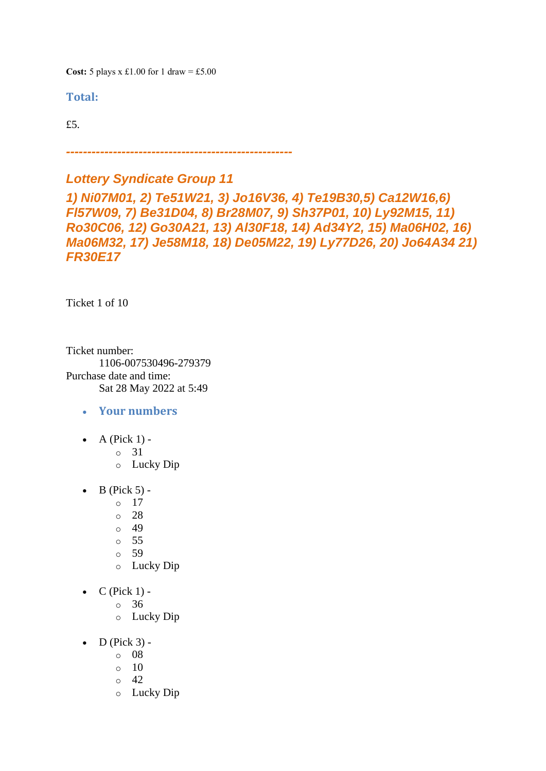**Cost:**  $5$  plays x £1.00 for 1 draw = £5.00

**Total:** 

£5.

*-----------------------------------------------------*

## *Lottery Syndicate Group 11*

*1) Ni07M01, 2) Te51W21, 3) Jo16V36, 4) Te19B30,5) Ca12W16,6) Fl57W09, 7) Be31D04, 8) Br28M07, 9) Sh37P01, 10) Ly92M15, 11) Ro30C06, 12) Go30A21, 13) Al30F18, 14) Ad34Y2, 15) Ma06H02, 16) Ma06M32, 17) Je58M18, 18) De05M22, 19) Ly77D26, 20) Jo64A34 21) FR30E17*

Ticket 1 of 10

Ticket number: 1106-007530496-279379 Purchase date and time: Sat 28 May 2022 at 5:49

- **Your numbers**
- A (Pick  $1$ )
	- o 31
	- o Lucky Dip
- $\bullet$  B (Pick 5) -
	- $\circ$  17
	- o 28
	- o 49
	- o 55
	- o 59
	- o Lucky Dip
- $C$  (Pick 1)
	- o 36
		- o Lucky Dip
- $\bullet$  D (Pick 3)
	- o 08
	- $\circ$  10
	- $\circ$  42
	- o Lucky Dip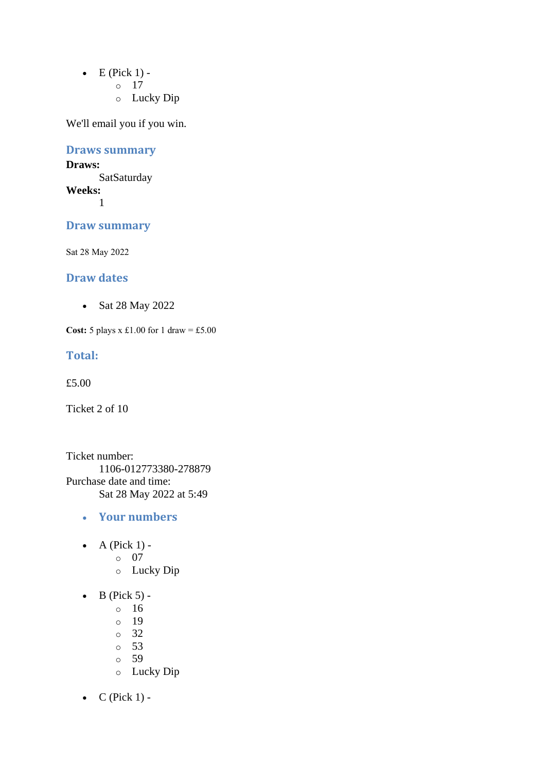- $\bullet$  E (Pick 1)
	- o 17
	- o Lucky Dip

## **Draws summary**

#### **Draws: SatSaturday Weeks:**

1

## **Draw summary**

Sat 28 May 2022

### **Draw dates**

• Sat 28 May 2022

**Cost:**  $5$  plays x £1.00 for 1 draw = £5.00

#### **Total:**

£5.00

Ticket 2 of 10

Ticket number: 1106-012773380-278879 Purchase date and time: Sat 28 May 2022 at 5:49

- **Your numbers**
- A (Pick  $1$ )
	- o 07
	- o Lucky Dip
- $\bullet$  B (Pick 5)
	- o 16
	- o 19
	- o 32
	- o 53
	- o 59
	- o Lucky Dip
- $C$  (Pick 1) -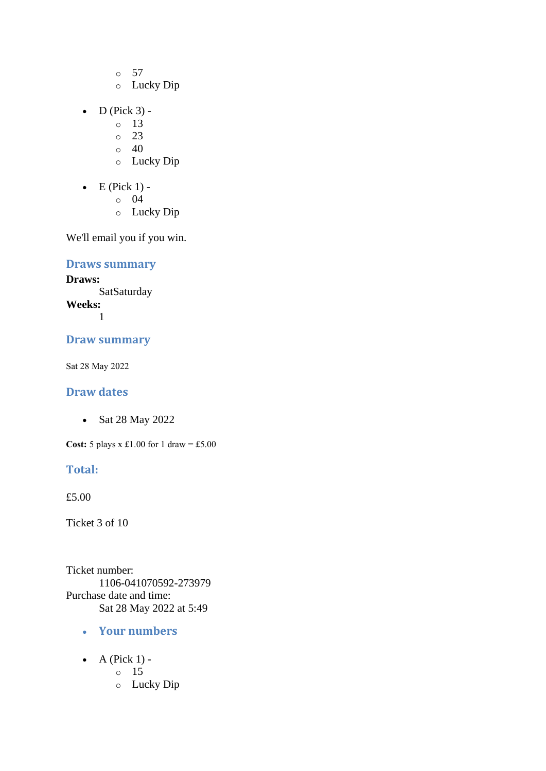- o 57
- o Lucky Dip
- $D$  (Pick 3)
	- o 13
	- o 23
	- $\circ$  40
	- o Lucky Dip
- $\bullet$  E (Pick 1)
	- o 04
	- o Lucky Dip

## **Draws summary**

**Draws: SatSaturday Weeks:**

1

#### **Draw summary**

Sat 28 May 2022

### **Draw dates**

• Sat 28 May 2022

**Cost:**  $5$  plays x £1.00 for 1 draw = £5.00

## **Total:**

£5.00

Ticket 3 of 10

Ticket number: 1106-041070592-273979 Purchase date and time: Sat 28 May 2022 at 5:49

- **Your numbers**
- $\bullet$  A (Pick 1)
	- o 15
	- o Lucky Dip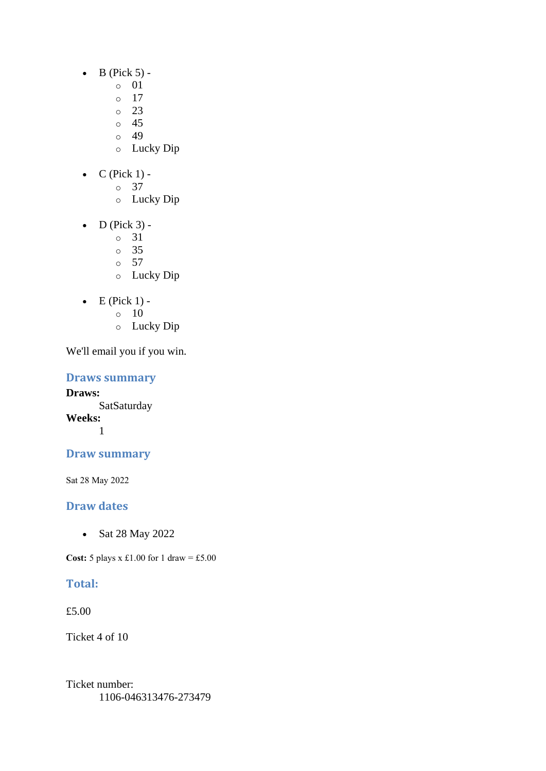- $\bullet$  B (Pick 5)
	- o 01
		- o 17
	- $\degree$  23
	- o 45
	- o 49
	- o Lucky Dip
- $C$  (Pick 1)
	- o 37
		- o Lucky Dip
- $\bullet$  D (Pick 3)
	- o 31
	- o 35
	- o 57
	- o Lucky Dip
- $\bullet$  E (Pick 1) -
	- $\circ$  10
	- o Lucky Dip

**Draws summary**

**Draws: SatSaturday Weeks:** 1

## **Draw summary**

Sat 28 May 2022

## **Draw dates**

• Sat 28 May 2022

**Cost:**  $5$  plays x £1.00 for 1 draw = £5.00

## **Total:**

£5.00

Ticket 4 of 10

Ticket number: 1106-046313476-273479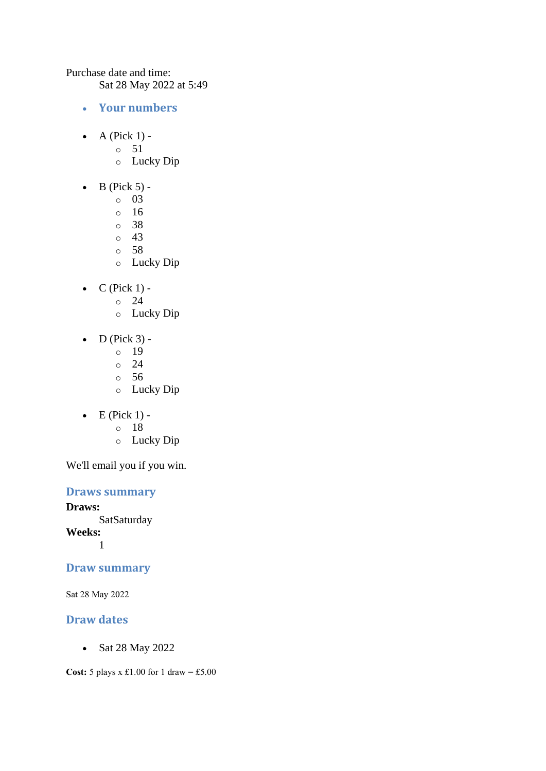Purchase date and time:

Sat 28 May 2022 at 5:49

- **Your numbers**
- A (Pick  $1$ )
	- o 51
	- o Lucky Dip
- $\bullet$  B (Pick 5)
	- o 03
	- o 16
	- o 38
	- o 43
	- o 58
	- o Lucky Dip
- $\bullet$  C (Pick 1) -
	- $\circ$  24
	- o Lucky Dip
- $\bullet$  D (Pick 3) -
	- $\circ$  19
	- $\circ$  24
	- o 56
	- o Lucky Dip
- $\bullet$  E (Pick 1)
	- o 18
	- o Lucky Dip

We'll email you if you win.

## **Draws summary**

**Draws:** SatSaturday **Weeks:** 1

## **Draw summary**

Sat 28 May 2022

### **Draw dates**

• Sat 28 May 2022

**Cost:** 5 plays x £1.00 for 1 draw = £5.00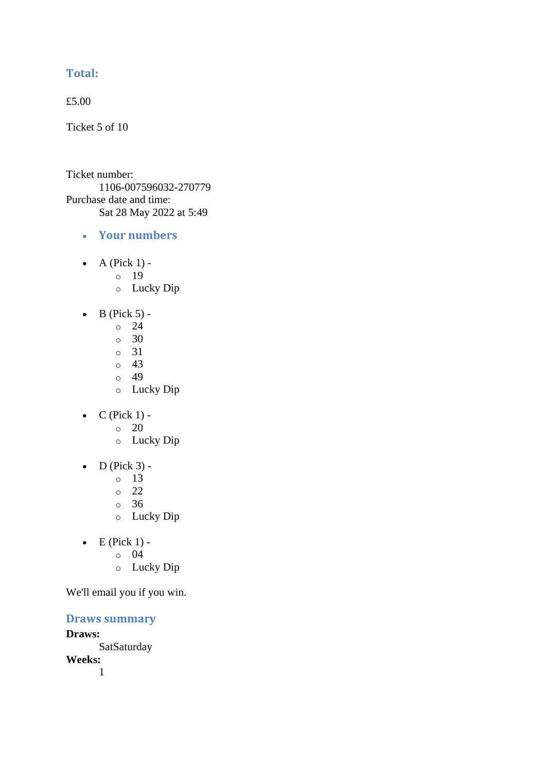## **Total:**

£5.00

Ticket 5 of 10

Ticket number: 1106-007596032-270779 Purchase date and time: Sat 28 May 2022 at 5:49

- **Your numbers**
- A (Pick  $1$ )
	- o 19
	- o Lucky Dip
- $\bullet$  B (Pick 5) -
	- $\circ$  24
	- $\circ$  30
	- o 31
	- o 43
	- $\circ$  49
	- o Lucky Dip
- $C$  (Pick 1) -
	- $\circ$  20
	- o Lucky Dip
- $\bullet$  D (Pick 3)
	- o 13
	- o 22
	- o 36
	- o Lucky Dip
- $\bullet$  E (Pick 1)
	- o 04
	- o Lucky Dip

We'll email you if you win.

**Draws summary**

**Draws: SatSaturday Weeks:**

1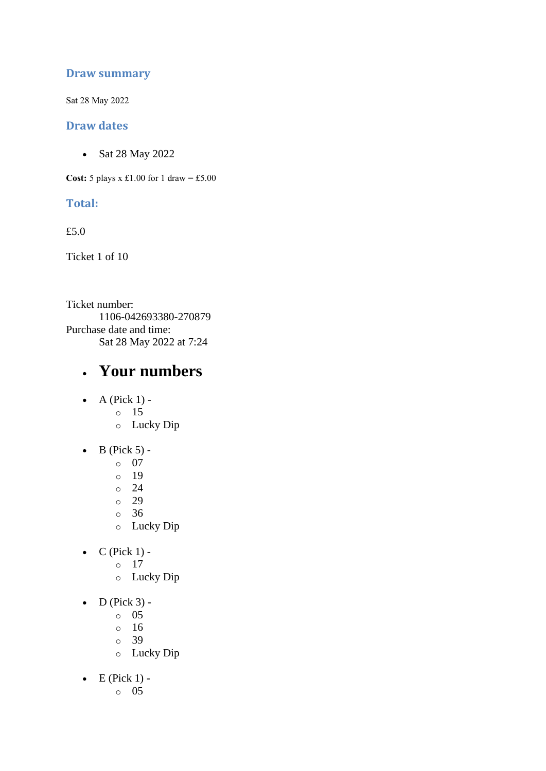## **Draw summary**

Sat 28 May 2022

#### **Draw dates**

• Sat 28 May 2022

**Cost:** 5 plays x £1.00 for 1 draw = £5.00

### **Total:**

£5.0

Ticket 1 of 10

Ticket number: 1106-042693380-270879 Purchase date and time: Sat 28 May 2022 at 7:24

## • **Your numbers**

- A (Pick  $1$ )
	- o 15
		- o Lucky Dip
- $\bullet$  B (Pick 5)
	- o 07
	- o 19
	- $\degree$  24
	- o 29
	- o 36
	- o Lucky Dip
- $C$  (Pick 1)
	- o 17
	- o Lucky Dip
- $\bullet$  D (Pick 3)
	- o 05
	- $\circ$  16
	- o 39
	- o Lucky Dip
- $\bullet$  E (Pick 1)
	- o 05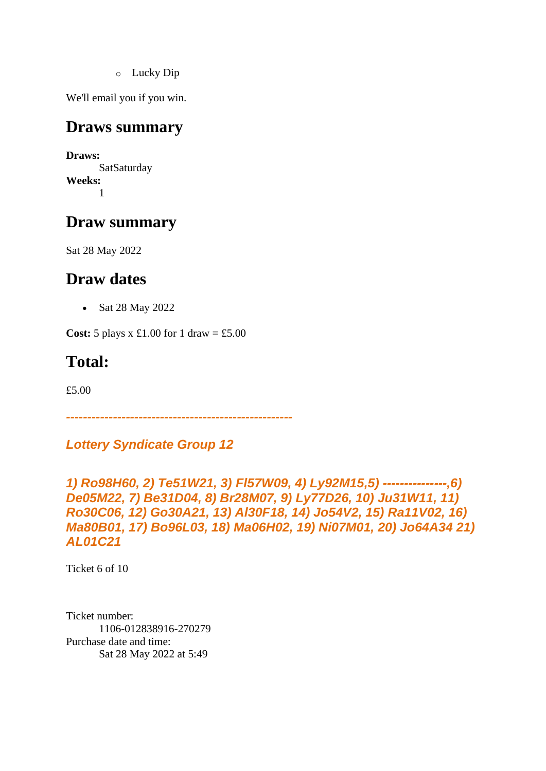o Lucky Dip

We'll email you if you win.

## **Draws summary**

**Draws: SatSaturday Weeks:** 1

## **Draw summary**

Sat 28 May 2022

## **Draw dates**

• Sat 28 May 2022

**Cost:**  $5$  plays x £1.00 for 1 draw = £5.00

## **Total:**

£5.00

*-----------------------------------------------------*

*Lottery Syndicate Group 12*

*1) Ro98H60, 2) Te51W21, 3) Fl57W09, 4) Ly92M15,5) ---------------,6) De05M22, 7) Be31D04, 8) Br28M07, 9) Ly77D26, 10) Ju31W11, 11) Ro30C06, 12) Go30A21, 13) Al30F18, 14) Jo54V2, 15) Ra11V02, 16) Ma80B01, 17) Bo96L03, 18) Ma06H02, 19) Ni07M01, 20) Jo64A34 21) AL01C21*

Ticket 6 of 10

Ticket number: 1106-012838916-270279 Purchase date and time: Sat 28 May 2022 at 5:49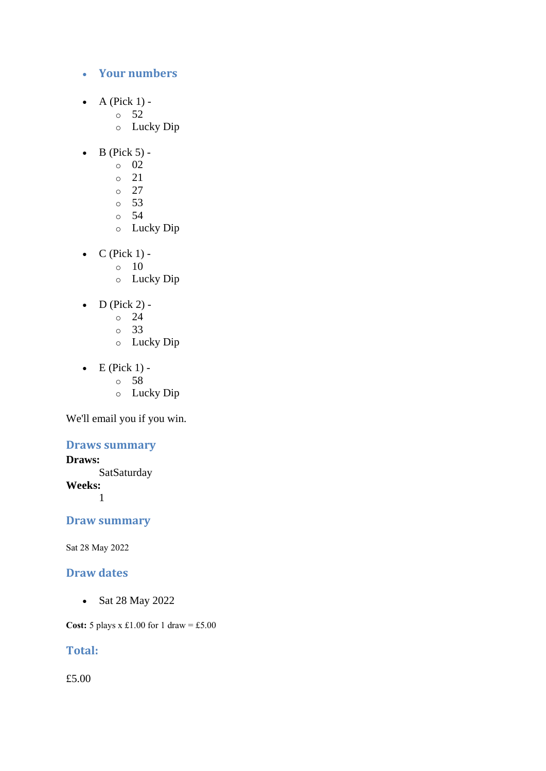### • **Your numbers**

- A (Pick  $1$ )
	- o 52
	- o Lucky Dip
- $\bullet$  B (Pick 5)
	- o 02
	- o 21
	- $\circ$  27
	- $\circ$  53
	- o 54
	- o Lucky Dip
- $\bullet$  C (Pick 1) -
	- $\circ$  10
	- o Lucky Dip
- D (Pick 2) -
	- $\circ$  24
	- o 33
	- o Lucky Dip
- $\bullet$  E (Pick 1)
	- o 58
		- o Lucky Dip

We'll email you if you win.

### **Draws summary**

### **Draws:**

**SatSaturday Weeks:** 1

## **Draw summary**

Sat 28 May 2022

#### **Draw dates**

• Sat 28 May 2022

**Cost:** 5 plays x £1.00 for 1 draw = £5.00

## **Total:**

£5.00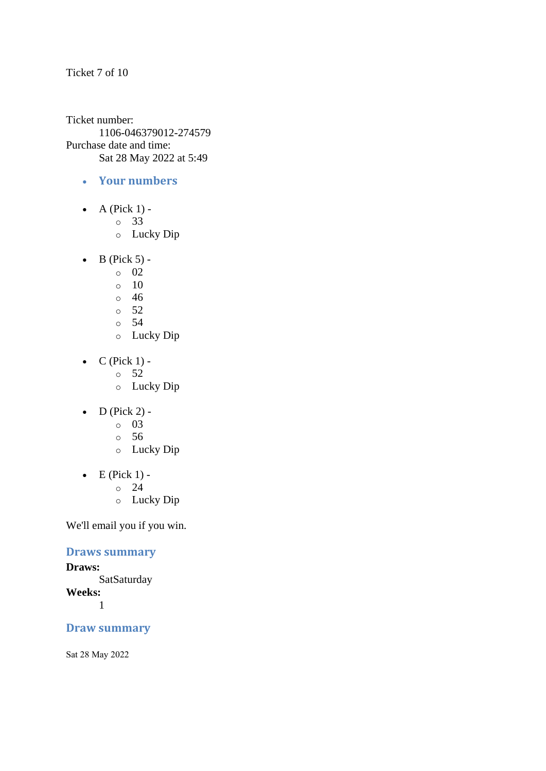Ticket 7 of 10

Ticket number: 1106-046379012-274579 Purchase date and time: Sat 28 May 2022 at 5:49

- **Your numbers**
- A (Pick  $1$ )
	- o 33
	- o Lucky Dip
- $\bullet$  B (Pick 5) -
	- $\circ$  02
	- $\circ$  10
	- $\degree$  46
	- o 52
	- o 54
	- o Lucky Dip
- $C$  (Pick 1) -
	- $\circ$  52
	- o Lucky Dip
- $\bullet$  D (Pick 2)
	- o 03
	- o 56
	- o Lucky Dip
- $\bullet$  E (Pick 1) -
	- $\circ$  24
	- o Lucky Dip

We'll email you if you win.

### **Draws summary**

**Draws: SatSaturday Weeks:** 1

## **Draw summary**

Sat 28 May 2022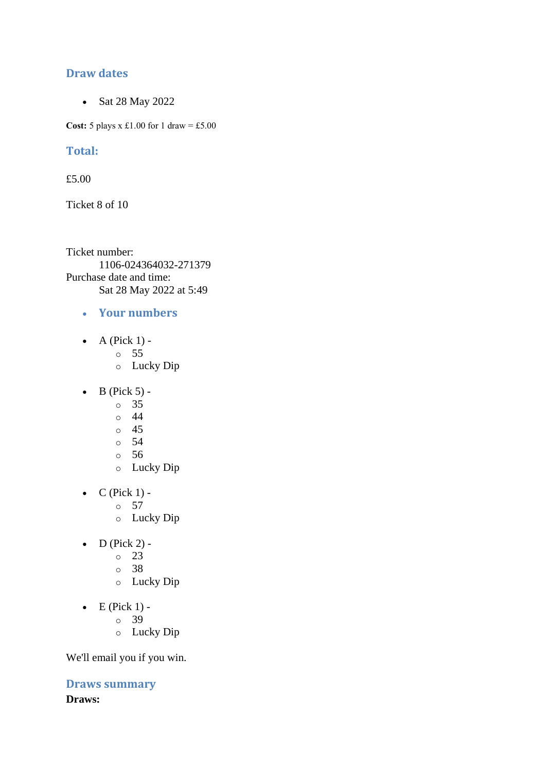### **Draw dates**

• Sat 28 May 2022

**Cost:** 5 plays x £1.00 for 1 draw = £5.00

### **Total:**

£5.00

Ticket 8 of 10

Ticket number: 1106-024364032-271379 Purchase date and time: Sat 28 May 2022 at 5:49

- **Your numbers**
- A (Pick  $1$ )
	- o 55
	- o Lucky Dip
- $\bullet$  B (Pick 5)
	- o 35
	- o 44
	- o 45
	- o 54
	- o 56
	- o Lucky Dip
- $\bullet$  C (Pick 1)
	- o 57
	- o Lucky Dip
- $\bullet$  D (Pick 2) -
	- $\circ$  23
	- o 38
	- o Lucky Dip
- $\bullet$  E (Pick 1)
	- o 39
	- o Lucky Dip

We'll email you if you win.

**Draws summary Draws:**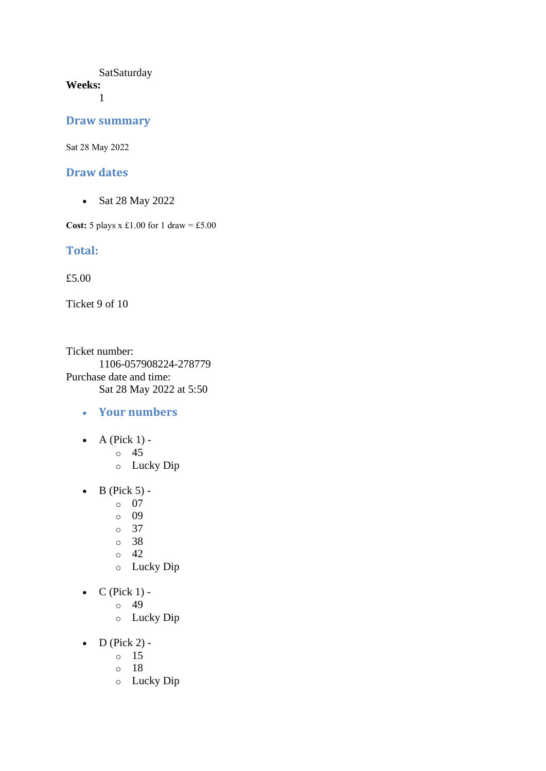#### **SatSaturday Weeks:**

1

#### **Draw summary**

Sat 28 May 2022

#### **Draw dates**

• Sat 28 May 2022

**Cost:** 5 plays x £1.00 for 1 draw = £5.00

#### **Total:**

£5.00

Ticket 9 of 10

Ticket number: 1106-057908224-278779 Purchase date and time: Sat 28 May 2022 at 5:50

- **Your numbers**
- $\bullet$  A (Pick 1)
	- o 45
	- o Lucky Dip
- $\bullet$  B (Pick 5)
	- o 07
	- o 09
	- o 37
	- o 38
	- $\circ$  42
	- o Lucky Dip
- $C$  (Pick 1)
	- o 49
		- o Lucky Dip
- $D$  (Pick 2)
	- o 15
	- o 18
	- o Lucky Dip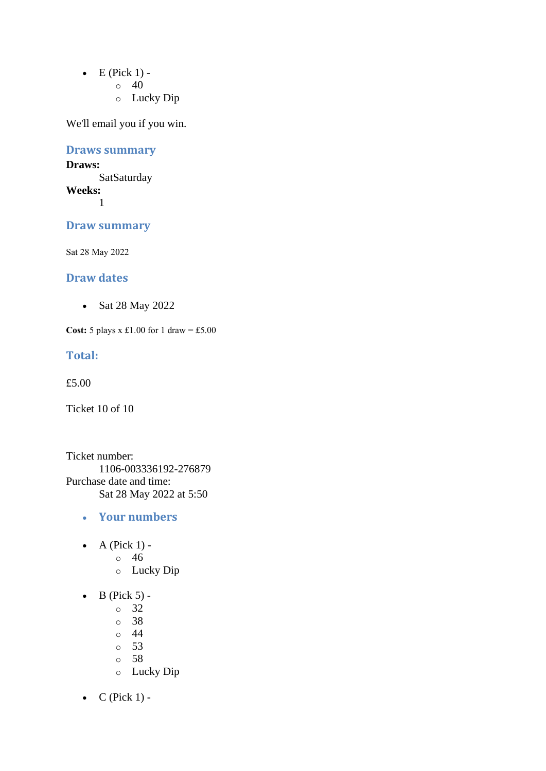- $\bullet$  E (Pick 1) -
	- $\circ$  40
	- o Lucky Dip

## **Draws summary**

#### **Draws: SatSaturday Weeks:**

1

## **Draw summary**

Sat 28 May 2022

## **Draw dates**

• Sat 28 May 2022

**Cost:** 5 plays x £1.00 for 1 draw = £5.00

#### **Total:**

£5.00

Ticket 10 of 10

Ticket number: 1106-003336192-276879 Purchase date and time: Sat 28 May 2022 at 5:50

- **Your numbers**
- $\bullet$  A (Pick 1)
	- o 46
	- o Lucky Dip
- $\bullet$  B (Pick 5)
	- o 32
	- o 38
	- o 44
	- o 53
	- o 58
	- o Lucky Dip
- $C$  (Pick 1) -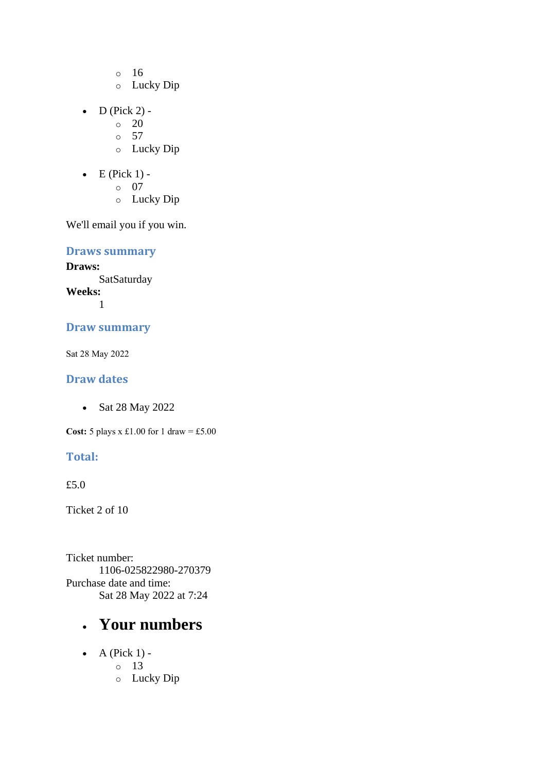- o 16
- o Lucky Dip
- D (Pick  $2$ ) -
	- $\circ$  20
	- $\circ$  57
	- o Lucky Dip
- $\bullet$  E (Pick 1)
	- o 07
		- o Lucky Dip

**Draws summary**

**Draws: SatSaturday Weeks:** 1

## **Draw summary**

Sat 28 May 2022

## **Draw dates**

• Sat 28 May 2022

**Cost:** 5 plays x £1.00 for 1 draw = £5.00

## **Total:**

£5.0

Ticket 2 of 10

Ticket number: 1106-025822980-270379 Purchase date and time: Sat 28 May 2022 at 7:24

## • **Your numbers**

- $\bullet$  A (Pick 1)
	- o 13
		- o Lucky Dip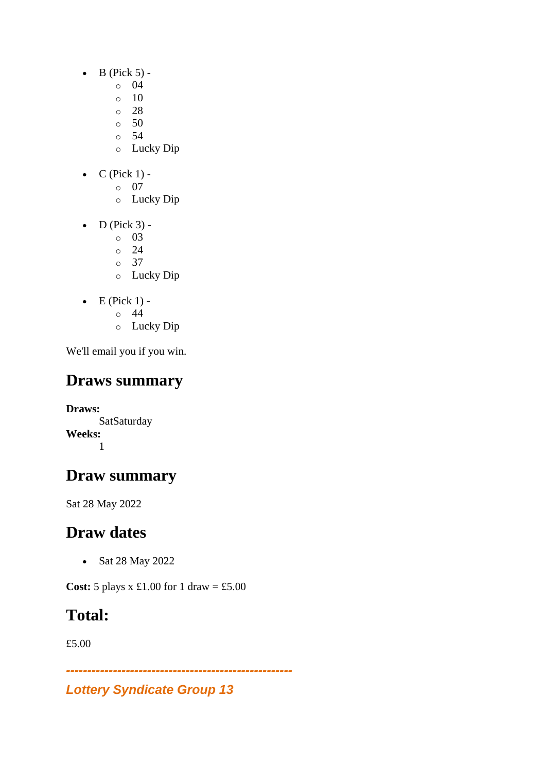- $\bullet$  B (Pick 5)
	- o 04
		- o 10
	- $\degree$  28
	- $\circ$  50
	- o 54
	- o Lucky Dip
- $C$  (Pick 1)
	- o 07
		- o Lucky Dip
- $\bullet$  D (Pick 3)
	- o 03
	- o 24
	- o 37 o Lucky Dip
- $\bullet$  E (Pick 1)
	- o 44
	- o Lucky Dip

# **Draws summary**

**Draws: SatSaturday Weeks:** 1

# **Draw summary**

Sat 28 May 2022

# **Draw dates**

• Sat 28 May 2022

**Cost:** 5 plays x £1.00 for 1 draw = £5.00

# **Total:**

£5.00

*-----------------------------------------------------*

## *Lottery Syndicate Group 13*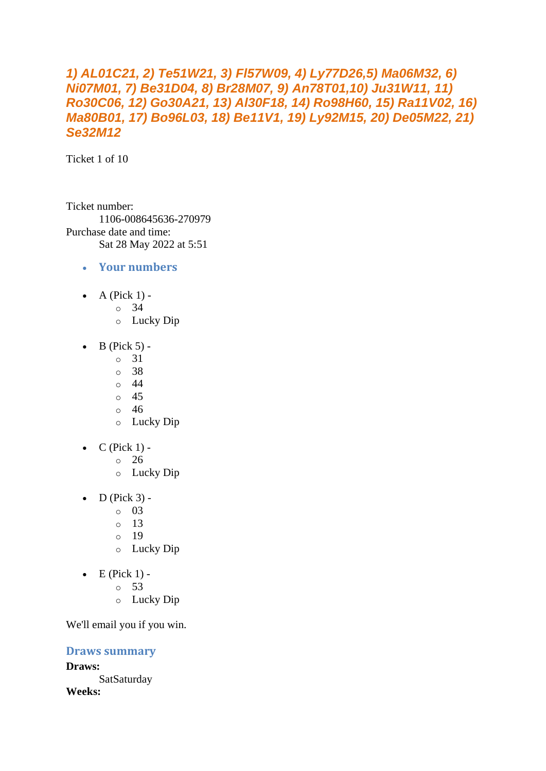## *1) AL01C21, 2) Te51W21, 3) Fl57W09, 4) Ly77D26,5) Ma06M32, 6) Ni07M01, 7) Be31D04, 8) Br28M07, 9) An78T01,10) Ju31W11, 11) Ro30C06, 12) Go30A21, 13) Al30F18, 14) Ro98H60, 15) Ra11V02, 16) Ma80B01, 17) Bo96L03, 18) Be11V1, 19) Ly92M15, 20) De05M22, 21) Se32M12*

Ticket 1 of 10

Ticket number: 1106-008645636-270979 Purchase date and time: Sat 28 May 2022 at 5:51

- **Your numbers**
- A (Pick  $1$ ) -
	- $\circ$  34
	- o Lucky Dip
- $\bullet$  B (Pick 5)
	- o 31
	- o 38
	- o 44
	- o 45
	- o 46
	- o Lucky Dip
- $C$  (Pick 1) -
	- $\degree$  26
		- o Lucky Dip
- $\bullet$  D (Pick 3) -
	- $\circ$  03
	- o 13
	- o 19
	- o Lucky Dip
- $\bullet$  E (Pick 1)
	- o 53
	- o Lucky Dip

We'll email you if you win.

### **Draws summary**

**Draws: SatSaturday Weeks:**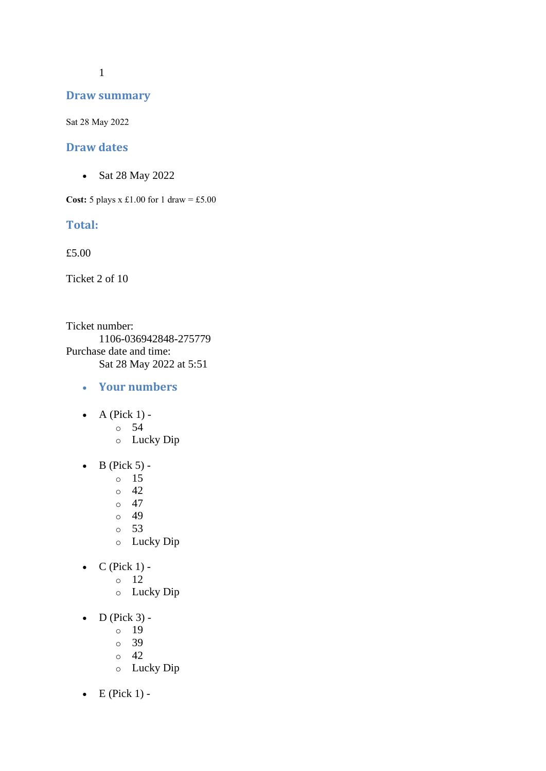1

#### **Draw summary**

Sat 28 May 2022

#### **Draw dates**

• Sat 28 May 2022

**Cost:** 5 plays x £1.00 for 1 draw = £5.00

#### **Total:**

£5.00

Ticket 2 of 10

Ticket number: 1106-036942848-275779 Purchase date and time: Sat 28 May 2022 at 5:51

- **Your numbers**
- $\bullet$  A (Pick 1)
	- o 54
	- o Lucky Dip
- $\bullet$  B (Pick 5)
	- o 15
	- $\circ$  42
	- $\circ$  47
	- o 49
	- o 53
	- o Lucky Dip
- $\bullet$  C (Pick 1)
	- o 12
	- o Lucky Dip
- $\bullet$  D (Pick 3)
	- o 19
	- o 39
	- o 42
	- o Lucky Dip
- $\bullet$  E (Pick 1) -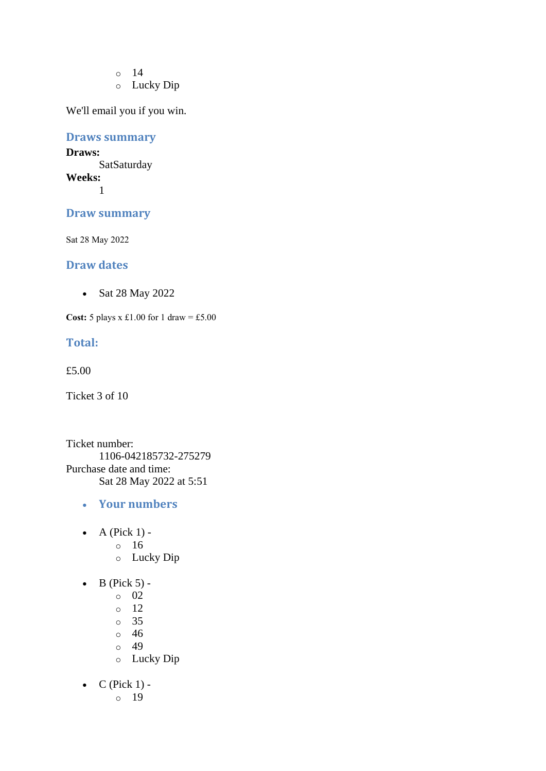- o 14
- o Lucky Dip

#### **Draws summary**

**Draws: SatSaturday Weeks:** 1

**Draw summary**

Sat 28 May 2022

#### **Draw dates**

• Sat 28 May 2022

**Cost:** 5 plays x £1.00 for 1 draw = £5.00

#### **Total:**

£5.00

Ticket 3 of 10

Ticket number: 1106-042185732-275279 Purchase date and time: Sat 28 May 2022 at 5:51

- **Your numbers**
- $\bullet$  A (Pick 1)
	- o 16
	- o Lucky Dip
- $\bullet$  B (Pick 5)
	- o 02
	- o 12
	- o 35
	- o 46
	- o 49
	- o Lucky Dip
- $C$  (Pick 1)
	- o 19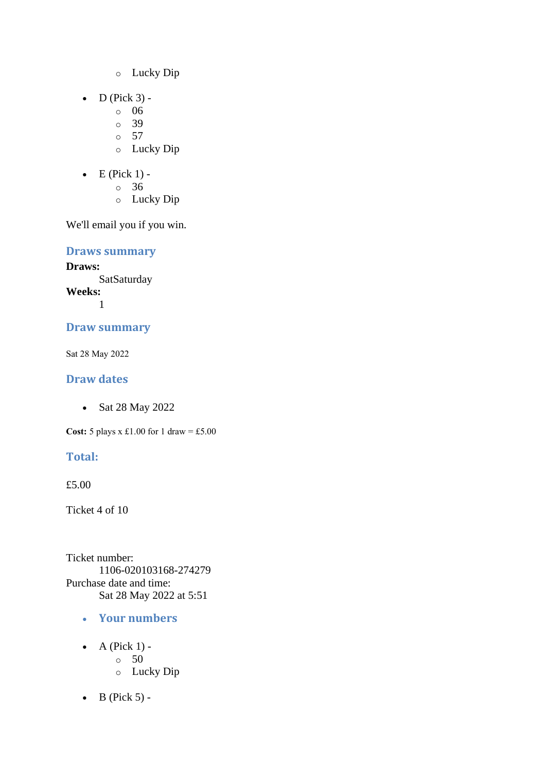- o Lucky Dip
- $\bullet$  D (Pick 3)
	- o 06
	- o 39
	- $\circ$  57
	- o Lucky Dip
- $\bullet$  E (Pick 1)
	- o 36
	- o Lucky Dip

**Draws summary**

**Draws: SatSaturday Weeks:** 1

## **Draw summary**

Sat 28 May 2022

## **Draw dates**

• Sat 28 May 2022

**Cost:** 5 plays x £1.00 for 1 draw = £5.00

## **Total:**

£5.00

Ticket 4 of 10

Ticket number: 1106-020103168-274279 Purchase date and time: Sat 28 May 2022 at 5:51

- **Your numbers**
- $\bullet$  A (Pick 1) - $\circ$  50
	- o Lucky Dip
- $\bullet$  B (Pick 5) -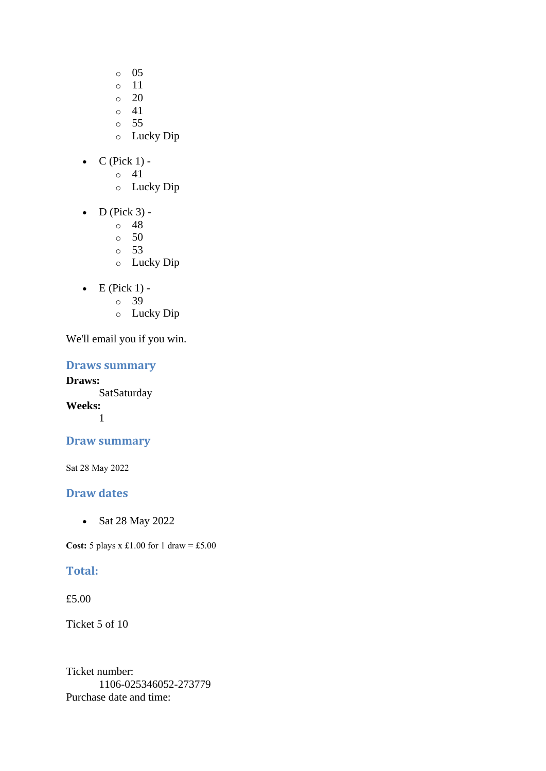- o 05
- o 11
- $\circ$  20
- o 41
- o 55
- o Lucky Dip
- $\bullet$  C (Pick 1)
	- o 41
	- o Lucky Dip
- $\bullet$  D (Pick 3)
	- o 48
	- $\circ$  50
	- o 53
	- o Lucky Dip
- $\bullet$  E (Pick 1)
	- o 39
	- o Lucky Dip

### **Draws summary**

**Draws: SatSaturday Weeks:** 1

## **Draw summary**

Sat 28 May 2022

## **Draw dates**

• Sat 28 May 2022

**Cost:** 5 plays x £1.00 for 1 draw = £5.00

## **Total:**

£5.00

Ticket 5 of 10

Ticket number: 1106-025346052-273779 Purchase date and time: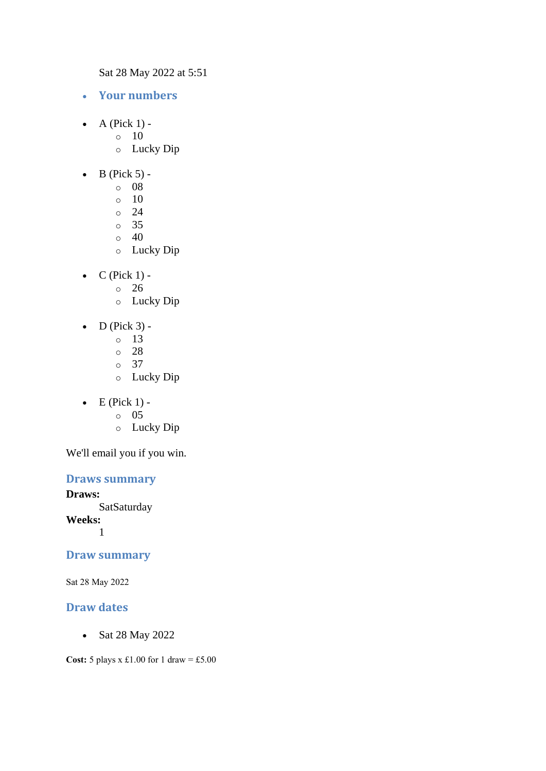Sat 28 May 2022 at 5:51

- **Your numbers**
- A (Pick  $1$ ) -
	- $\circ$  10
		- o Lucky Dip
- $\bullet$  B (Pick 5)
	- o 08
	- o 10
	- $\circ$  24
	- o 35
	- $\circ$  40
	- o Lucky Dip
- $\bullet$  C (Pick 1)
	- o 26
	- o Lucky Dip
- $\bullet$  D (Pick 3) -
	- $\circ$  13
	- o 28
	- o 37
	- o Lucky Dip
- $\bullet$  E (Pick 1)
	- o 05
	- o Lucky Dip

We'll email you if you win.

#### **Draws summary**

**Draws: SatSaturday Weeks:** 1

#### **Draw summary**

Sat 28 May 2022

## **Draw dates**

• Sat 28 May 2022

**Cost:**  $5$  plays x £1.00 for 1 draw = £5.00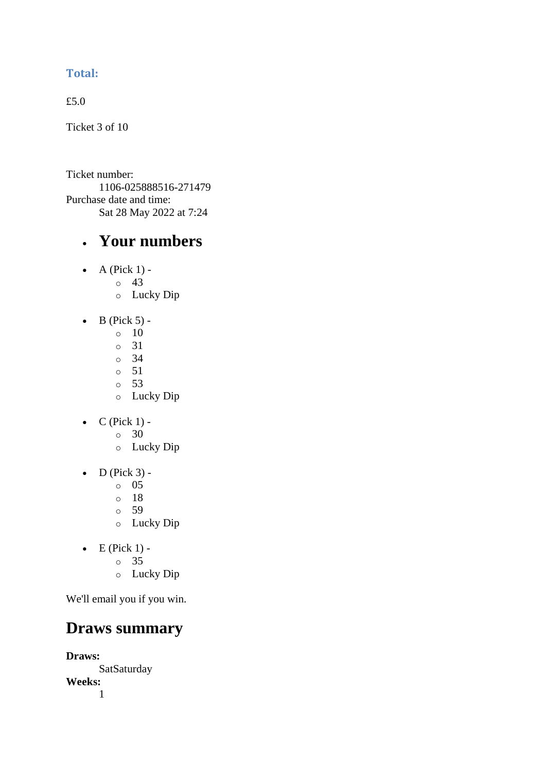## **Total:**

£5.0

Ticket 3 of 10

Ticket number: 1106-025888516-271479 Purchase date and time: Sat 28 May 2022 at 7:24

## • **Your numbers**

- $\bullet$  A (Pick 1)
	- o 43
		- o Lucky Dip
- $\bullet$  B (Pick 5) -
	- $\circ$  10
	- o 31
	- o 34
	- o 51
	- o 53
	- o Lucky Dip
- $\bullet$  C (Pick 1)
	- o 30
	- o Lucky Dip
- $\bullet$  D (Pick 3)
	- o 05
	- o 18
	- o 59
	- o Lucky Dip
- $\bullet$  E (Pick 1)
	- o 35
	- o Lucky Dip

We'll email you if you win.

## **Draws summary**

**Draws: SatSaturday Weeks:** 1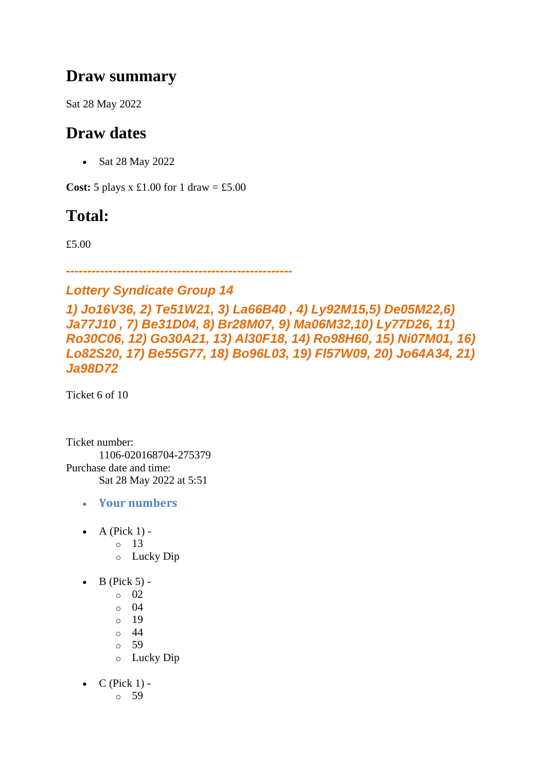## **Draw summary**

Sat 28 May 2022

## **Draw dates**

• Sat 28 May 2022

**Cost:**  $5$  plays x £1.00 for 1 draw = £5.00

## **Total:**

£5.00

*-----------------------------------------------------*

## *Lottery Syndicate Group 14*

*1) Jo16V36, 2) Te51W21, 3) La66B40 , 4) Ly92M15,5) De05M22,6) Ja77J10 , 7) Be31D04, 8) Br28M07, 9) Ma06M32,10) Ly77D26, 11) Ro30C06, 12) Go30A21, 13) Al30F18, 14) Ro98H60, 15) Ni07M01, 16) Lo82S20, 17) Be55G77, 18) Bo96L03, 19) Fl57W09, 20) Jo64A34, 21) Ja98D72*

Ticket 6 of 10

Ticket number: 1106-020168704-275379 Purchase date and time: Sat 28 May 2022 at 5:51

- **Your numbers**
- A (Pick  $1$ )
	- o 13
	- o Lucky Dip
- $\bullet$  B (Pick 5) -
	- $\circ$  02
	- $\circ$  04
	- o 19
	- $\circ$  44
	- o 59
	- o Lucky Dip
- $C$  (Pick 1)
	- o 59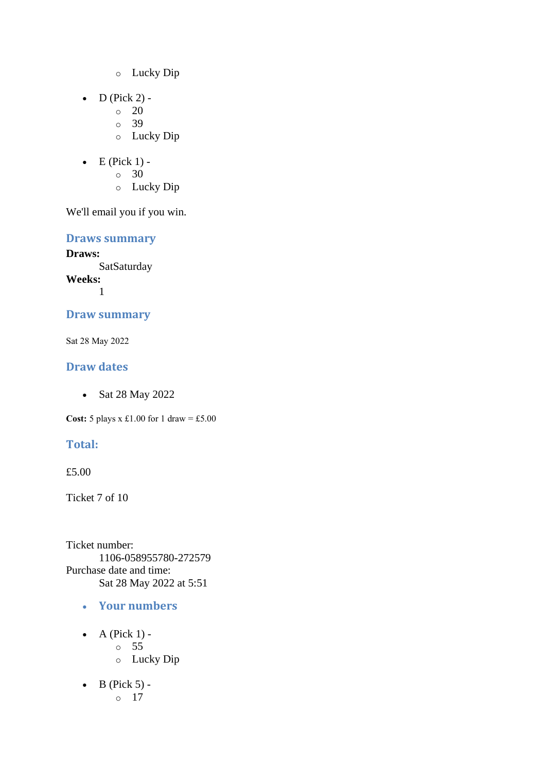- o Lucky Dip
- $\bullet$  D (Pick 2) -
	- $\circ$  20
	- o 39
	- o Lucky Dip
- $\bullet$  E (Pick 1)
	- o 30
	- o Lucky Dip

**Draws summary**

**Draws: SatSaturday Weeks:** 1

### **Draw summary**

Sat 28 May 2022

## **Draw dates**

• Sat 28 May 2022

**Cost:** 5 plays x £1.00 for 1 draw = £5.00

## **Total:**

£5.00

Ticket 7 of 10

Ticket number: 1106-058955780-272579 Purchase date and time: Sat 28 May 2022 at 5:51

- **Your numbers**
- $\bullet$  A (Pick 1) o 55 o Lucky Dip
- $\bullet$  B (Pick 5) o 17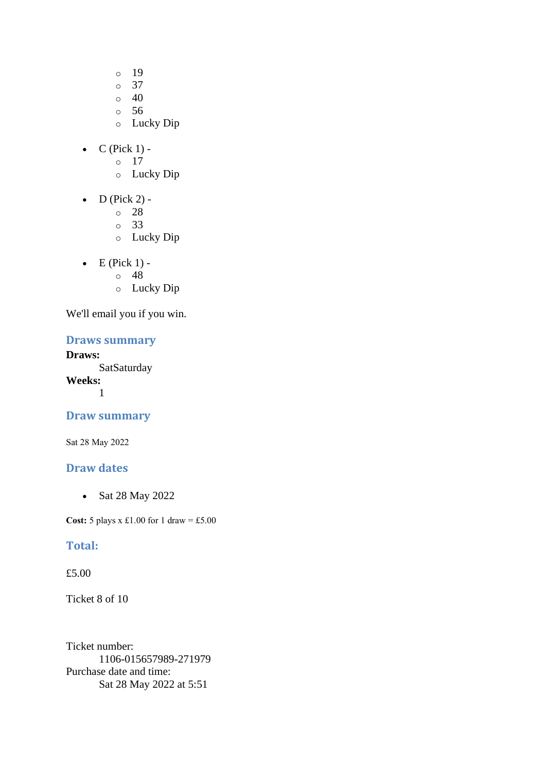- o 19
- o 37
- $\circ$  40
- o 56
- o Lucky Dip
- $C$  (Pick 1)
	- o 17
	- o Lucky Dip
- $\bullet$  D (Pick 2)
	- o 28
	- o 33
	- o Lucky Dip
- $\bullet$  E (Pick 1)
	- o 48
	- o Lucky Dip

#### **Draws summary**

#### **Draws:**

**SatSaturday Weeks:** 1

#### **Draw summary**

Sat 28 May 2022

### **Draw dates**

• Sat 28 May 2022

**Cost:**  $5$  plays x £1.00 for 1 draw = £5.00

### **Total:**

#### £5.00

Ticket 8 of 10

Ticket number: 1106-015657989-271979 Purchase date and time: Sat 28 May 2022 at 5:51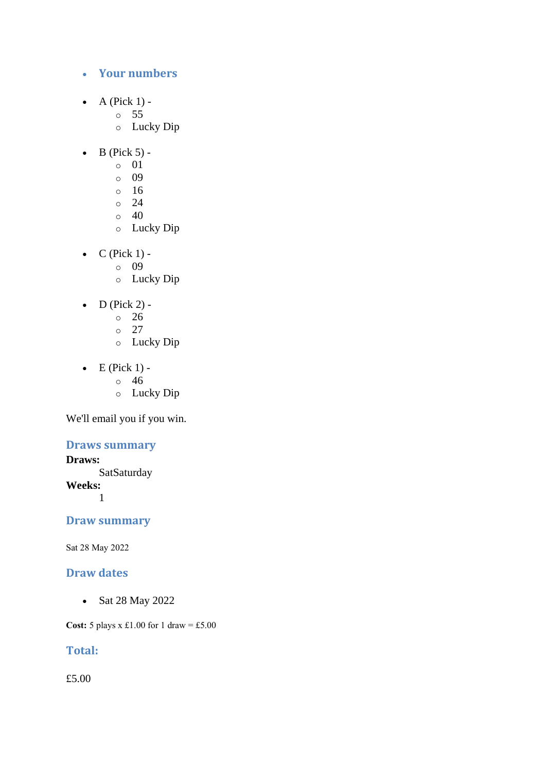### • **Your numbers**

- $\bullet$  A (Pick 1)
	- o 55
	- o Lucky Dip
- $\bullet$  B (Pick 5)
	- o 01
	- o 09
	- o 16
	- $\circ$  24
	- $\circ$  40
	- o Lucky Dip
- $\bullet$  C (Pick 1)
	- o 09
	- o Lucky Dip
- $D$  (Pick 2) -
	- $\circ$  26
	- o 27
	- o Lucky Dip
- $\bullet$  E (Pick 1)
	- o 46
		- o Lucky Dip

We'll email you if you win.

### **Draws summary**

### **Draws:**

**SatSaturday Weeks:** 1

## **Draw summary**

Sat 28 May 2022

### **Draw dates**

• Sat 28 May 2022

**Cost:** 5 plays x £1.00 for 1 draw = £5.00

## **Total:**

£5.00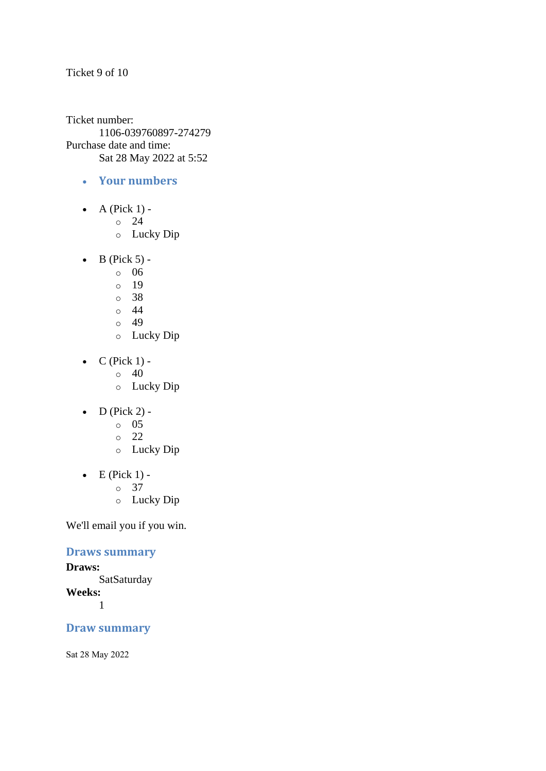#### Ticket 9 of 10

Ticket number: 1106-039760897-274279 Purchase date and time: Sat 28 May 2022 at 5:52

- **Your numbers**
- A (Pick  $1$ )
	- o 24
	- o Lucky Dip
- $\bullet$  B (Pick 5)
	- o 06
	- o 19
	- o 38
	- $\circ$  44
	- o 49
	- o Lucky Dip
- $C$  (Pick 1) -
	- $\circ$  40
	- o Lucky Dip
- $\bullet$  D (Pick 2) -
	- $\circ$  05
	- o 22
	- o Lucky Dip
- $\bullet$  E (Pick 1)
	- o 37
	- o Lucky Dip

We'll email you if you win.

### **Draws summary**

#### **Draws: SatSaturday Weeks:** 1

## **Draw summary**

Sat 28 May 2022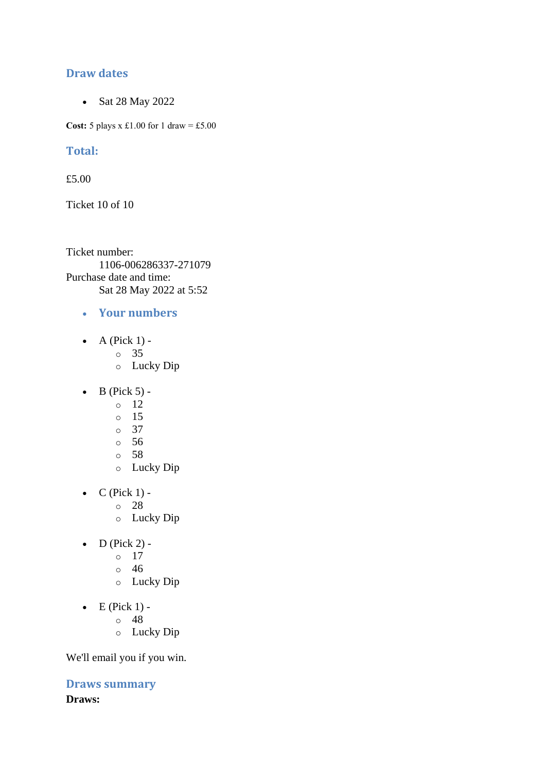### **Draw dates**

• Sat 28 May 2022

**Cost:** 5 plays x £1.00 for 1 draw = £5.00

### **Total:**

£5.00

Ticket 10 of 10

Ticket number: 1106-006286337-271079 Purchase date and time: Sat 28 May 2022 at 5:52

- **Your numbers**
- A (Pick  $1$ )
	- o 35
	- o Lucky Dip
- $\bullet$  B (Pick 5) -
	- $\circ$  12
	- o 15
	- o 37
	- o 56
	- o 58
	- o Lucky Dip
- $\bullet$  C (Pick 1)
	- o 28
	- o Lucky Dip
- $\bullet$  D (Pick 2) -
	- $\circ$  17
	- o 46
	- o Lucky Dip
- $\bullet$  E (Pick 1)
	- o 48
	- o Lucky Dip

We'll email you if you win.

**Draws summary Draws:**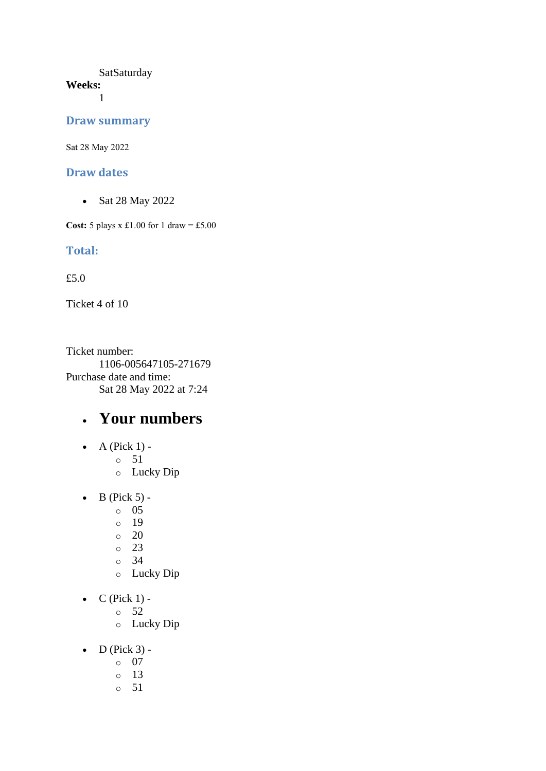#### **SatSaturday Weeks:**

1

#### **Draw summary**

Sat 28 May 2022

#### **Draw dates**

• Sat 28 May 2022

**Cost:** 5 plays x £1.00 for 1 draw = £5.00

### **Total:**

£5.0

Ticket 4 of 10

Ticket number: 1106-005647105-271679 Purchase date and time: Sat 28 May 2022 at 7:24

## • **Your numbers**

- $\bullet$  A (Pick 1)
	- o 51
		- o Lucky Dip
- $\bullet$  B (Pick 5)
	- o 05
	- o 19
	- o 20
	- o 23
	- o 34
	- o Lucky Dip
- $\bullet$  C (Pick 1)
	- o 52
	- o Lucky Dip
- $\bullet$  D (Pick 3)
	- o 07
	- o 13
	- o 51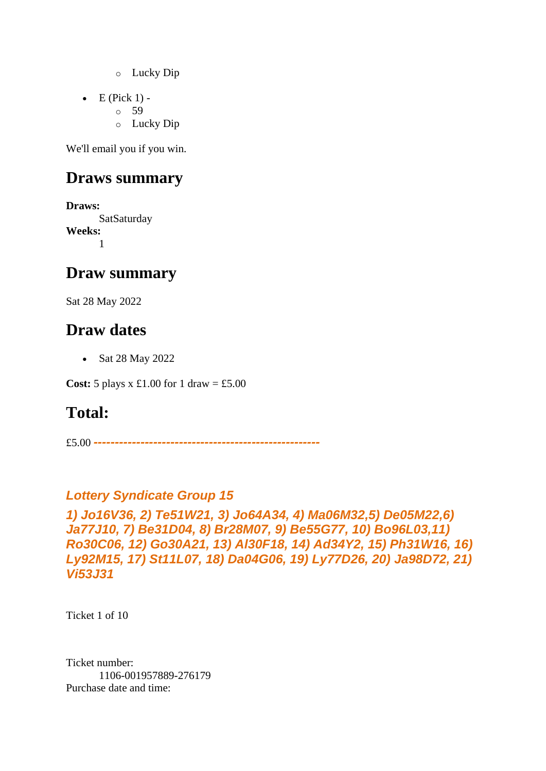- o Lucky Dip
- $\bullet$  E (Pick 1) -
	- $\circ$  59
		- o Lucky Dip

## **Draws summary**

**Draws: SatSaturday Weeks:** 1

## **Draw summary**

Sat 28 May 2022

## **Draw dates**

• Sat 28 May 2022

**Cost:**  $5$  plays x £1.00 for 1 draw = £5.00

## **Total:**

£5.00 *-----------------------------------------------------*

## *Lottery Syndicate Group 15*

```
1) Jo16V36, 2) Te51W21, 3) Jo64A34, 4) Ma06M32,5) De05M22,6) 
Ja77J10, 7) Be31D04, 8) Br28M07, 9) Be55G77, 10) Bo96L03,11) 
Ro30C06, 12) Go30A21, 13) Al30F18, 14) Ad34Y2, 15) Ph31W16, 16) 
Ly92M15, 17) St11L07, 18) Da04G06, 19) Ly77D26, 20) Ja98D72, 21) 
Vi53J31
```
Ticket 1 of 10

Ticket number: 1106-001957889-276179 Purchase date and time: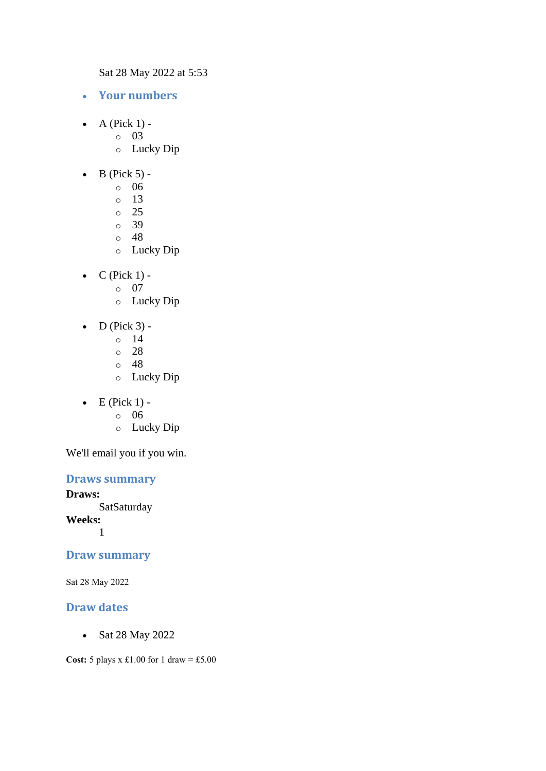Sat 28 May 2022 at 5:53

- **Your numbers**
- $\bullet$  A (Pick 1) -
	- $\circ$  03
		- o Lucky Dip
- $\bullet$  B (Pick 5)
	- o 06
	- o 13
	- $\circ$  25
	- o 39
	- o 48
	- o Lucky Dip
- $\bullet$  C (Pick 1)
	- o 07
	- o Lucky Dip
- $\bullet$  D (Pick 3)
	- o 14
	- o 28
	- o 48
	- o Lucky Dip
- $\bullet$  E (Pick 1)
	- o 06
	- o Lucky Dip

We'll email you if you win.

#### **Draws summary**

**Draws: SatSaturday Weeks:** 1

#### **Draw summary**

Sat 28 May 2022

## **Draw dates**

• Sat 28 May 2022

**Cost:**  $5$  plays x £1.00 for 1 draw = £5.00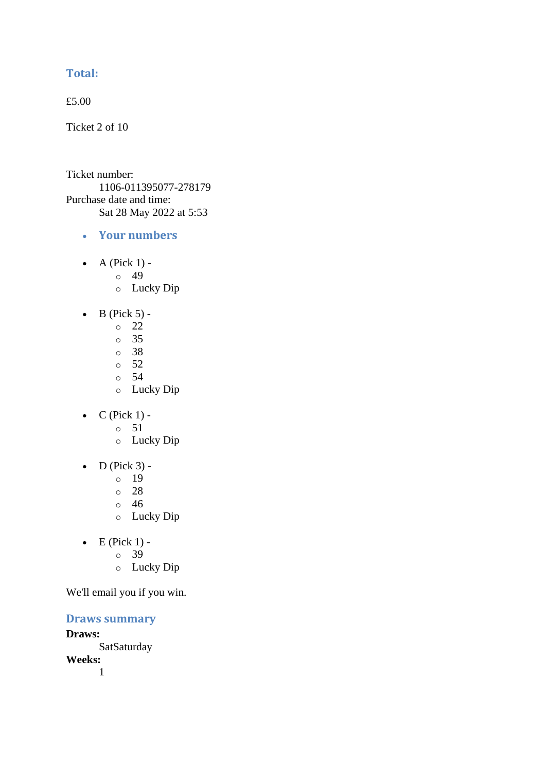## **Total:**

£5.00

Ticket 2 of 10

Ticket number: 1106-011395077-278179 Purchase date and time: Sat 28 May 2022 at 5:53

- **Your numbers**
- A (Pick  $1$ ) -
	- $\circ$  49
	- o Lucky Dip
- $\bullet$  B (Pick 5)
	- o 22
	- o 35
	- o 38
	- o 52
	- o 54
	- o Lucky Dip
- $C$  (Pick 1)
	- o 51
	- o Lucky Dip
- $\bullet$  D (Pick 3)
	- o 19
	- o 28
	- o 46
	- o Lucky Dip
- $\bullet$  E (Pick 1)
	- o 39
	- o Lucky Dip

We'll email you if you win.

**Draws summary**

**Draws: SatSaturday Weeks:**

1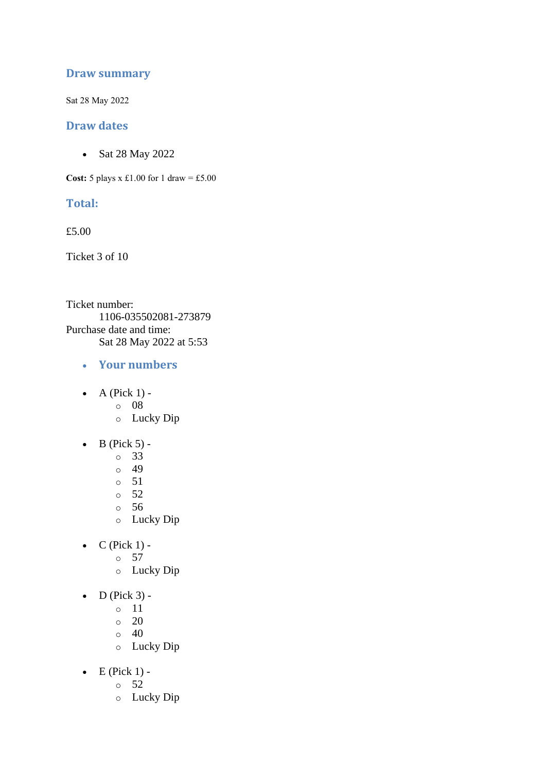#### **Draw summary**

Sat 28 May 2022

#### **Draw dates**

• Sat 28 May 2022

**Cost:**  $5$  plays x £1.00 for 1 draw = £5.00

#### **Total:**

£5.00

Ticket 3 of 10

Ticket number: 1106-035502081-273879 Purchase date and time: Sat 28 May 2022 at 5:53

- **Your numbers**
- $\bullet$  A (Pick 1)
	- o 08
	- o Lucky Dip
- $\bullet$  B (Pick 5)
	- o 33
	- o 49
	- o 51
	- o 52
	- o 56
	- o Lucky Dip
- $C$  (Pick 1)
	- o 57
	- o Lucky Dip
- $\bullet$  D (Pick 3)
	- o 11
	- $\circ$  20
	- $\circ$  40
	- o Lucky Dip
- $\bullet$  E (Pick 1)
	- o 52
	- o Lucky Dip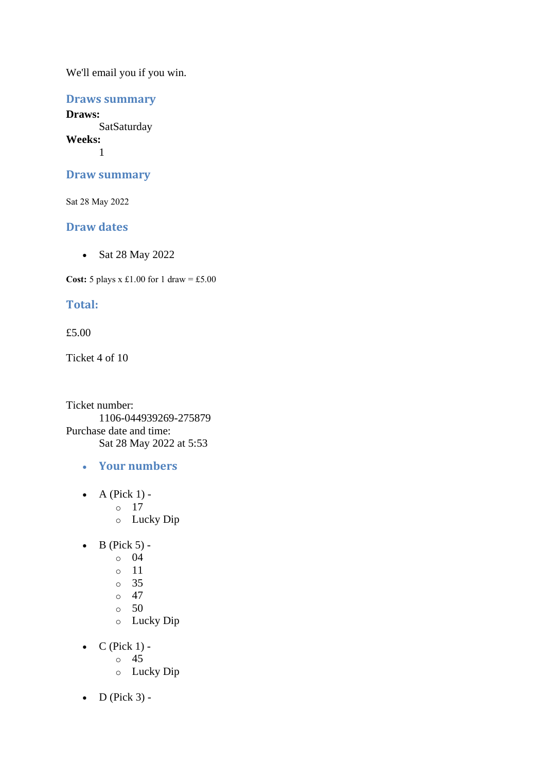### **Draws summary**

**Draws: SatSaturday Weeks:** 1

#### **Draw summary**

Sat 28 May 2022

### **Draw dates**

• Sat 28 May 2022

**Cost:**  $5$  plays x £1.00 for 1 draw = £5.00

## **Total:**

#### £5.00

Ticket 4 of 10

Ticket number: 1106-044939269-275879 Purchase date and time: Sat 28 May 2022 at 5:53

- **Your numbers**
- $\bullet$  A (Pick 1) o 17
	- o Lucky Dip
- $\bullet$  B (Pick 5) -
	- $\circ$  04
		- o 11
		- o 35
		- $\circ$  47
		- $\circ$  50
		- o Lucky Dip
- $\bullet$  C (Pick 1)
	- o 45
	- o Lucky Dip
- $\bullet$  D (Pick 3) -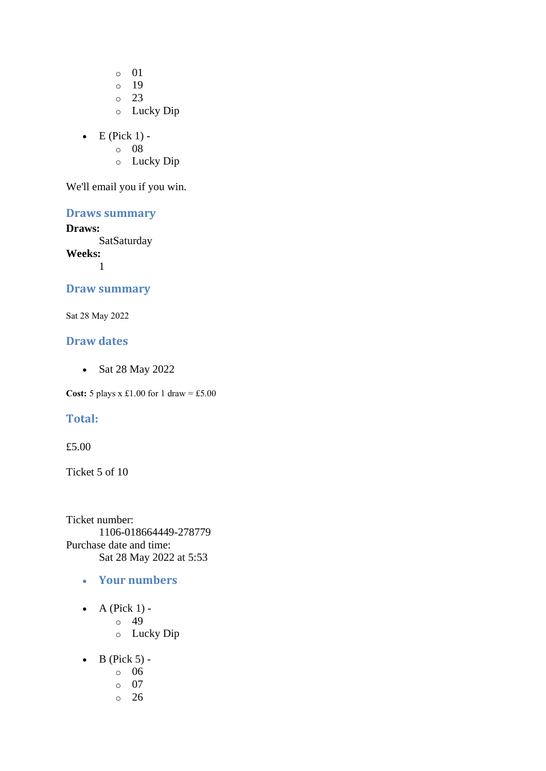o 01

- o 19
- o 23
- o Lucky Dip
- $\bullet$  E (Pick 1)
	- o 08
	- o Lucky Dip

We'll email you if you win.

## **Draws summary**

#### **Draws:**

**SatSaturday** 

**Weeks:** 1

#### **Draw summary**

Sat 28 May 2022

#### **Draw dates**

• Sat 28 May 2022

**Cost:** 5 plays x £1.00 for 1 draw = £5.00

### **Total:**

#### £5.00

Ticket 5 of 10

Ticket number: 1106-018664449-278779 Purchase date and time: Sat 28 May 2022 at 5:53

- **Your numbers**
- $\bullet$  A (Pick 1)
	- o 49
		- o Lucky Dip
- $\bullet$  B (Pick 5)
	- o 06
	- o 07
	- o 26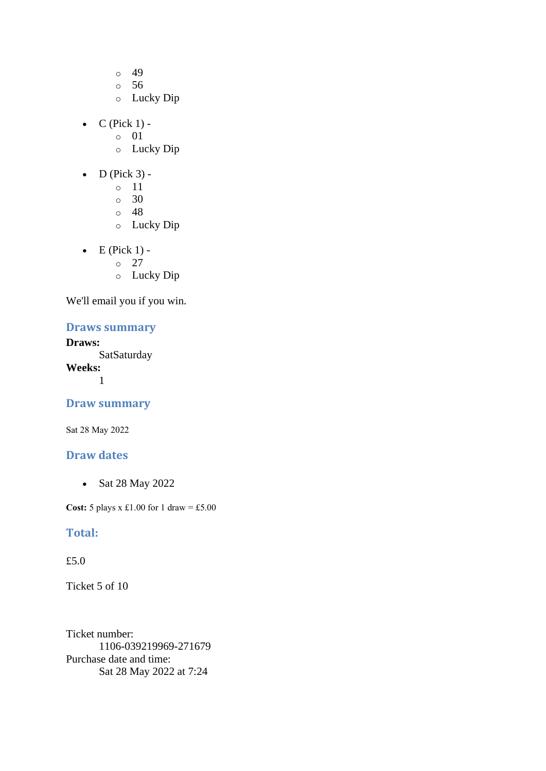- o 49
- o 56
- o Lucky Dip
- $\bullet$  C (Pick 1)
	- o 01
	- o Lucky Dip
- $\bullet$  D (Pick 3)
	- o 11
	- o 30
	- o 48
	- o Lucky Dip
- $\bullet$  E (Pick 1)
	- o 27
	- o Lucky Dip

# **Draws summary**

# **Draws:**

**SatSaturday Weeks:** 1

## **Draw summary**

Sat 28 May 2022

### **Draw dates**

• Sat 28 May 2022

**Cost:** 5 plays x £1.00 for 1 draw = £5.00

#### **Total:**

#### £5.0

Ticket 5 of 10

Ticket number: 1106-039219969-271679 Purchase date and time: Sat 28 May 2022 at 7:24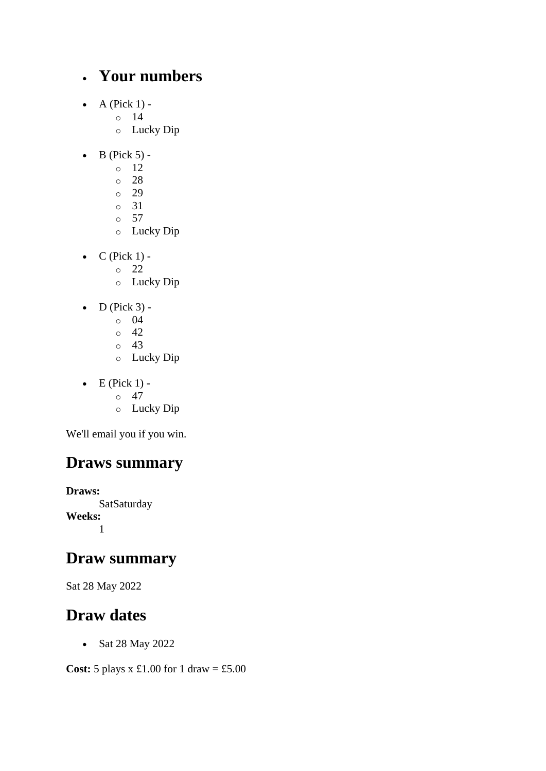# • **Your numbers**

- $\bullet$  A (Pick 1)
	- o 14
	- o Lucky Dip
- $\bullet$  B (Pick 5) -
	- $\circ$  12
	- o 28
	- o 29
	- o 31
	- o 57
	- o Lucky Dip
- $\bullet$  C (Pick 1) -
	- $\circ$  22
	- o Lucky Dip
- $\bullet$  D (Pick 3)
	- o 04
	- $\circ$  42
	- o 43
	- o Lucky Dip
- $\bullet$  E (Pick 1) -
	- $\circ$  47
	- o Lucky Dip

We'll email you if you win.

# **Draws summary**

**Draws: SatSaturday Weeks:** 1

# **Draw summary**

Sat 28 May 2022

# **Draw dates**

• Sat 28 May 2022

**Cost:** 5 plays x £1.00 for 1 draw = £5.00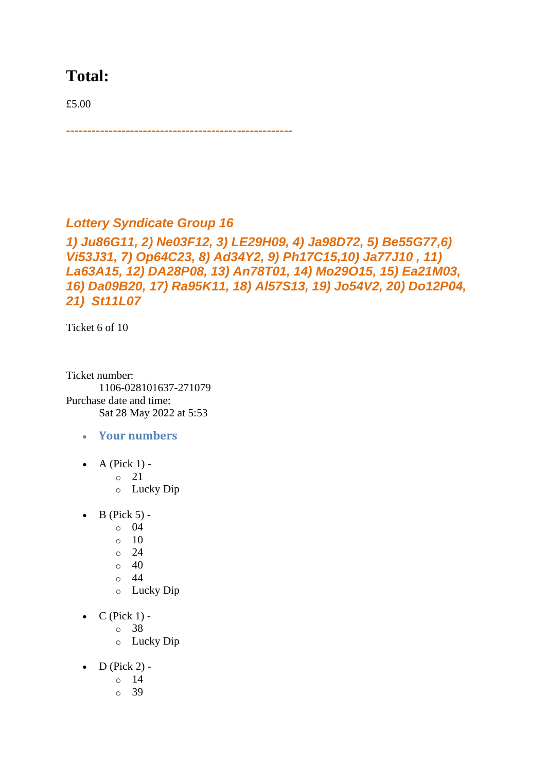# **Total:**

£5.00

*Lottery Syndicate Group 16* 

*-----------------------------------------------------*

*1) Ju86G11, 2) Ne03F12, 3) LE29H09, 4) Ja98D72, 5) Be55G77,6) Vi53J31, 7) Op64C23, 8) Ad34Y2, 9) Ph17C15,10) Ja77J10 , 11) La63A15, 12) DA28P08, 13) An78T01, 14) Mo29O15, 15) Ea21M03, 16) Da09B20, 17) Ra95K11, 18) Al57S13, 19) Jo54V2, 20) Do12P04, 21) St11L07*

Ticket 6 of 10

Ticket number: 1106-028101637-271079 Purchase date and time: Sat 28 May 2022 at 5:53

- **Your numbers**
- A (Pick  $1$ ) -

 $\circ$  21

- o Lucky Dip
- $\bullet$  B (Pick 5) -
	- $\circ$  04
	- $\circ$  10
	- $\circ$  24
	- $\circ$  40
	- o 44
	- o Lucky Dip
- $\bullet$  C (Pick 1)
	- o 38
	- o Lucky Dip
- $\bullet$  D (Pick 2)
	- o 14
	- $\circ$  39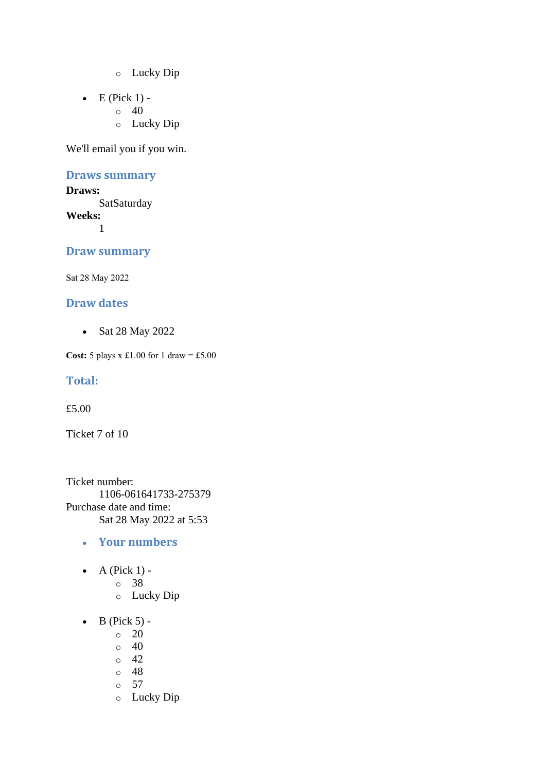- o Lucky Dip
- $\bullet$  E (Pick 1) -
	- $\circ$  40
		- o Lucky Dip

#### **Draws summary**

#### **Draws:**

**SatSaturday Weeks:** 1

#### **Draw summary**

Sat 28 May 2022

#### **Draw dates**

• Sat 28 May 2022

**Cost:** 5 plays x £1.00 for 1 draw = £5.00

#### **Total:**

£5.00

Ticket 7 of 10

Ticket number: 1106-061641733-275379 Purchase date and time: Sat 28 May 2022 at 5:53

- **Your numbers**
- A (Pick  $1$ )
	- o 38
	- o Lucky Dip
- $\bullet$  B (Pick 5) -
	- $\circ$  20
	- $\circ$  40
	- $\circ$  42
	- o 48
	- o 57
	- o Lucky Dip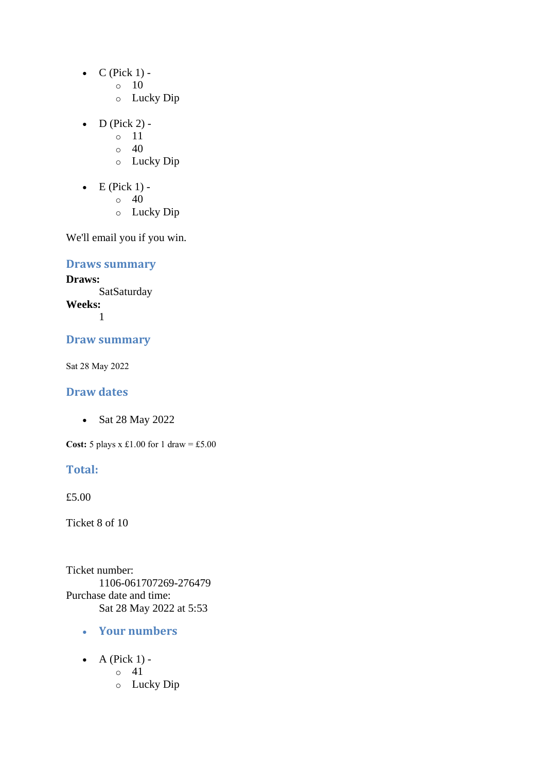- $\bullet$  C (Pick 1) -
	- $\circ$  10
	- o Lucky Dip
- D (Pick 2) -
	- $\circ$  11
	- $\circ$  40
	- o Lucky Dip
- $\bullet$  E (Pick 1) -
	- $\circ$  40
	- o Lucky Dip

# **Draws summary**

**Draws: SatSaturday Weeks:**

1

#### **Draw summary**

Sat 28 May 2022

## **Draw dates**

• Sat 28 May 2022

**Cost:** 5 plays x £1.00 for 1 draw = £5.00

#### **Total:**

£5.00

Ticket 8 of 10

Ticket number: 1106-061707269-276479 Purchase date and time: Sat 28 May 2022 at 5:53

- **Your numbers**
- A (Pick  $1$ )
	- o 41
	- o Lucky Dip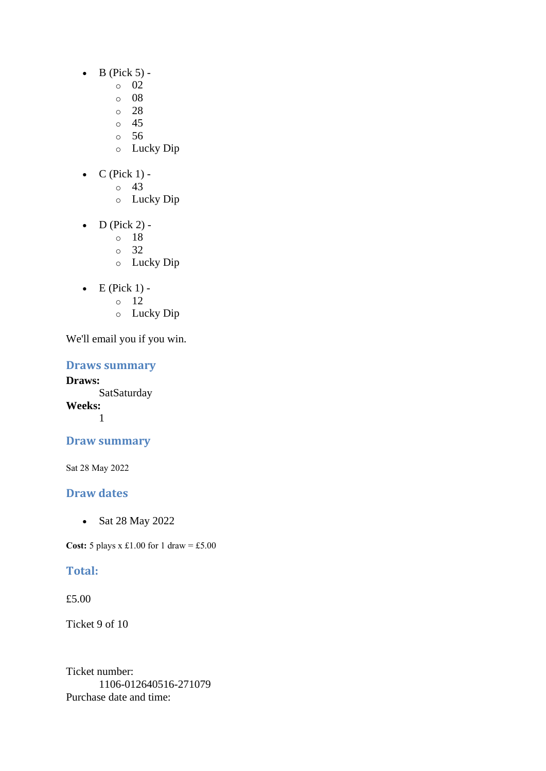- $\bullet$  B (Pick 5)
	- o 02
		- $\circ$  08
	- $\degree$  28
	- o 45
	- o 56
	- o Lucky Dip
- $C$  (Pick 1) -
	- $\circ$  43
		- o Lucky Dip
- D (Pick 2)
	- o 18
	- o 32
	- o Lucky Dip
- $\bullet$  E (Pick 1) -
	- $\circ$  12
	- o Lucky Dip

# **Draws summary**

**Draws:** SatSaturday **Weeks:** 1

# **Draw summary**

Sat 28 May 2022

# **Draw dates**

• Sat 28 May 2022

**Cost:** 5 plays x £1.00 for 1 draw = £5.00

# **Total:**

£5.00

Ticket 9 of 10

Ticket number: 1106-012640516-271079 Purchase date and time: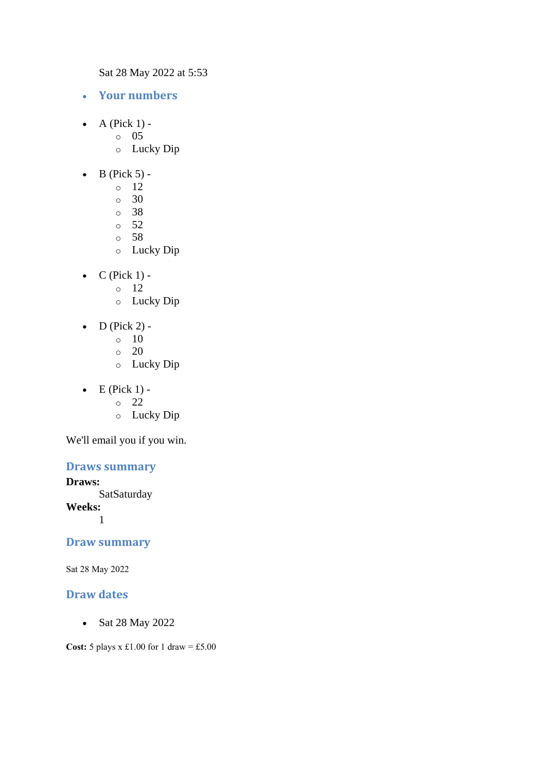Sat 28 May 2022 at 5:53

- **Your numbers**
- $\bullet$  A (Pick 1) -
	- $\circ$  05
		- o Lucky Dip
- $\bullet$  B (Pick 5) -
	- $\circ$  12
	- o 30
	- o 38
	- $\circ$  52
	- o 58
	- o Lucky Dip
- $\bullet$  C (Pick 1)
	- o 12
	- o Lucky Dip
- $D$  (Pick 2) -
	- $\circ$  10
	- $\circ$  20
	- o Lucky Dip
- $\bullet$  E (Pick 1)
	- o 22
	- o Lucky Dip

We'll email you if you win.

# **Draws summary**

#### **Draws:**

**SatSaturday** 

**Weeks:**

1

#### **Draw summary**

Sat 28 May 2022

#### **Draw dates**

• Sat 28 May 2022

**Cost:** 5 plays x £1.00 for 1 draw = £5.00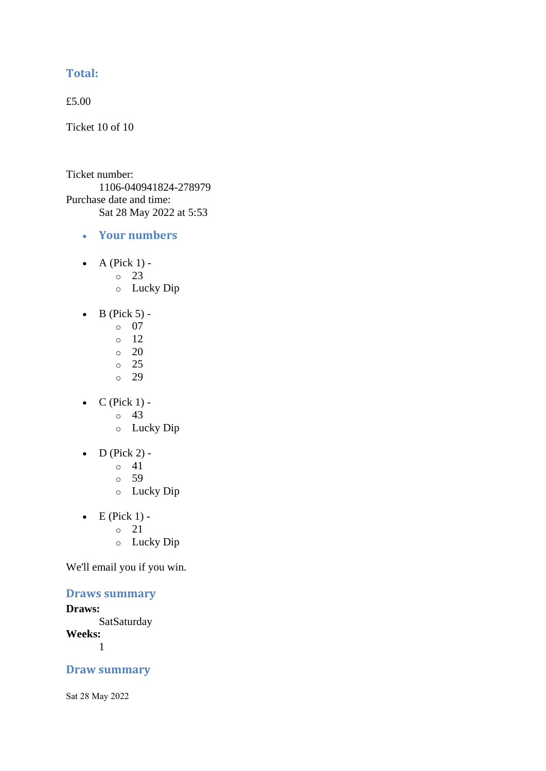# **Total:**

£5.00

Ticket 10 of 10

Ticket number: 1106-040941824-278979 Purchase date and time: Sat 28 May 2022 at 5:53

- **Your numbers**
- A (Pick  $1$ )
	- o 23
	- o Lucky Dip
- $\bullet$  B (Pick 5)
	- o 07
	- o 12
	- $\circ$  20
	- o 25
	- o 29
- $\bullet$  C (Pick 1)
	- o 43
	- o Lucky Dip
- D (Pick 2) -
	- $\circ$  41
	- o 59
	- o Lucky Dip
- $\bullet$  E (Pick 1)
	- o 21
	- o Lucky Dip

We'll email you if you win.

# **Draws summary**

**Draws:**

**SatSaturday Weeks:**

1

# **Draw summary**

Sat 28 May 2022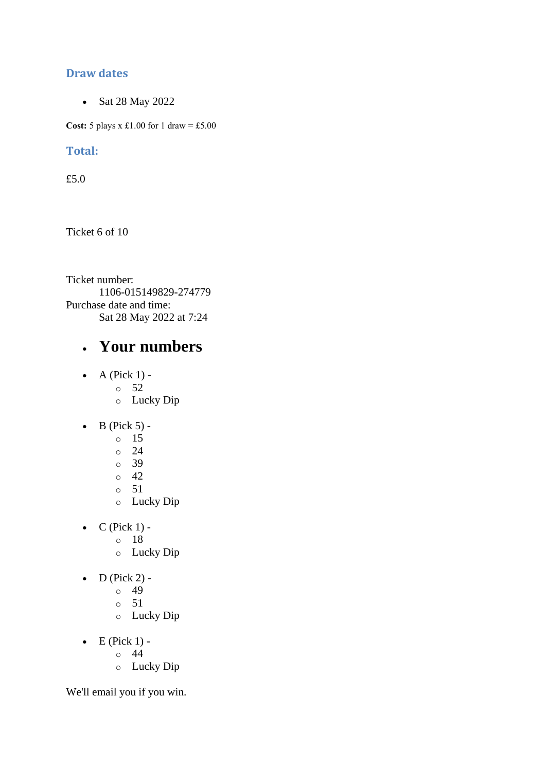# **Draw dates**

• Sat 28 May 2022

**Cost:**  $5$  plays x £1.00 for 1 draw = £5.00

# **Total:**

£5.0

Ticket 6 of 10

Ticket number: 1106-015149829-274779 Purchase date and time: Sat 28 May 2022 at 7:24

# • **Your numbers**

- $\bullet$  A (Pick 1)
	- o 52
	- o Lucky Dip
- $\bullet$  B (Pick 5)
	- o 15
	- $\circ$  24
	- o 39
	- $\circ$  42
	- o 51
	- o Lucky Dip
- $\bullet$  C (Pick 1)
	- o 18
		- o Lucky Dip
- $\bullet$  D (Pick 2) -
	- $\circ$  49
	- o 51
	- o Lucky Dip
- $\bullet$  E (Pick 1)
	- o 44
	- o Lucky Dip

We'll email you if you win.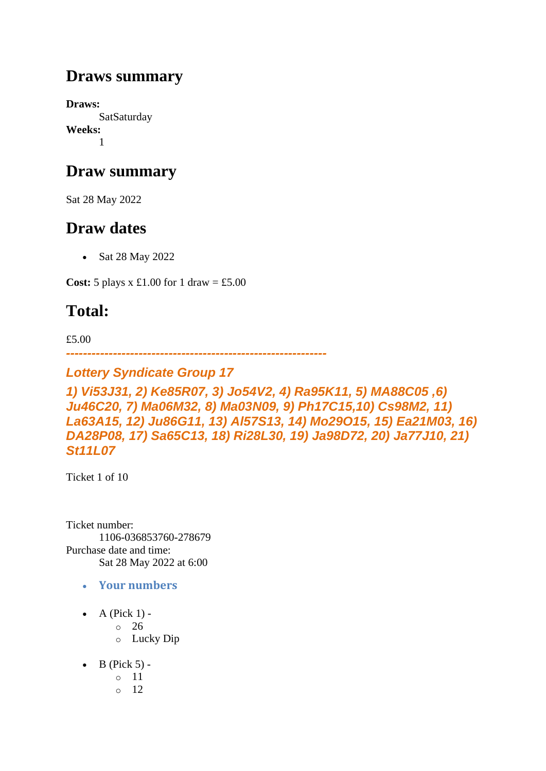# **Draws summary**

**Draws: SatSaturday Weeks:** 1

# **Draw summary**

Sat 28 May 2022

# **Draw dates**

• Sat 28 May 2022

**Cost:**  $5$  plays x  $\pounds1.00$  for  $1$  draw =  $\pounds5.00$ 

# **Total:**

£5.00

*-------------------------------------------------------------*

# *Lottery Syndicate Group 17*

*1) Vi53J31, 2) Ke85R07, 3) Jo54V2, 4) Ra95K11, 5) MA88C05 ,6) Ju46C20, 7) Ma06M32, 8) Ma03N09, 9) Ph17C15,10) Cs98M2, 11) La63A15, 12) Ju86G11, 13) Al57S13, 14) Mo29O15, 15) Ea21M03, 16) DA28P08, 17) Sa65C13, 18) Ri28L30, 19) Ja98D72, 20) Ja77J10, 21) St11L07*

Ticket 1 of 10

Ticket number: 1106-036853760-278679 Purchase date and time: Sat 28 May 2022 at 6:00

- **Your numbers**
- A (Pick  $1$ )
	- o 26
	- o Lucky Dip
- $\bullet$  B (Pick 5)
	- o 11
	- o 12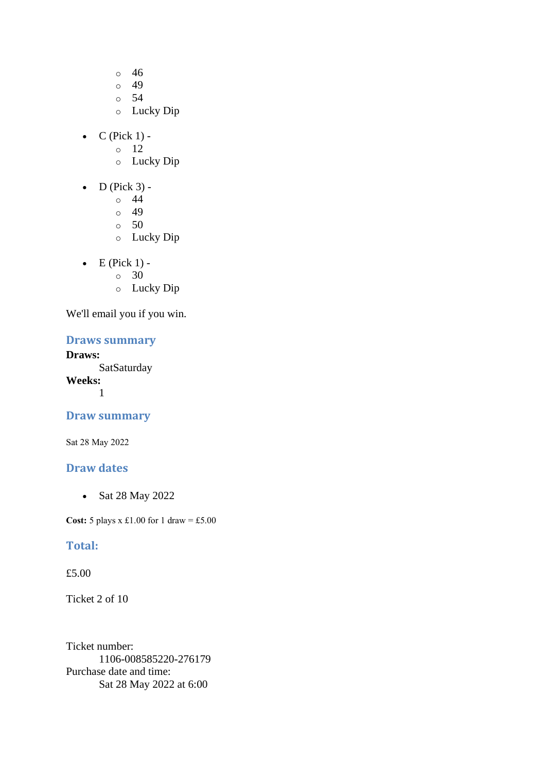- o 46
- o 49
- o 54
- o Lucky Dip
- $C$  (Pick 1) -
	- $\circ$  12
	- o Lucky Dip
- $\bullet$  D (Pick 3)
	- o 44
	- $\circ$  49
	- o 50
	- o Lucky Dip
- $\bullet$  E (Pick 1) -
	- $\circ$  30
	- o Lucky Dip

# **Draws summary**

#### **Draws:**

**SatSaturday Weeks:** 1

#### **Draw summary**

Sat 28 May 2022

### **Draw dates**

• Sat 28 May 2022

**Cost:**  $5$  plays x £1.00 for 1 draw = £5.00

## **Total:**

#### £5.00

Ticket 2 of 10

Ticket number: 1106-008585220-276179 Purchase date and time: Sat 28 May 2022 at 6:00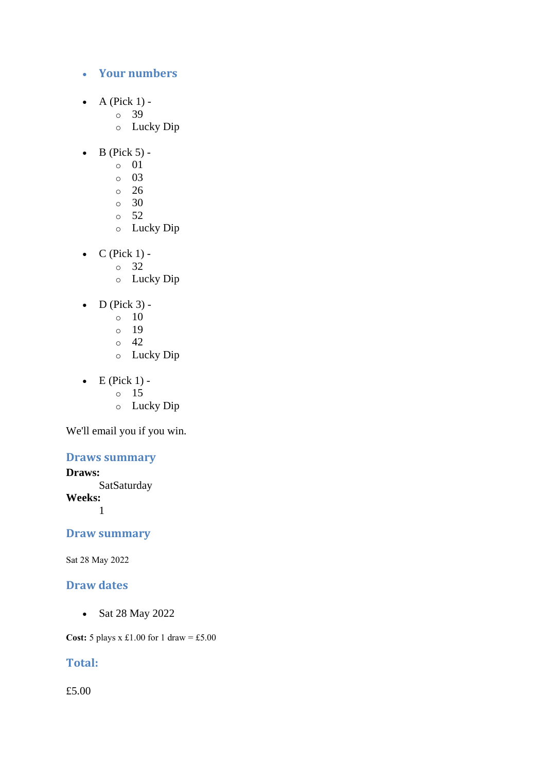#### • **Your numbers**

- A (Pick  $1$ )
	- o 39
	- o Lucky Dip
- $\bullet$  B (Pick 5)
	- o 01
	- o 03
	- o 26
	- $\circ$  30
	- o 52
	- o Lucky Dip
- $C$  (Pick 1)
	- o 32
		- o Lucky Dip
- $\bullet$  D (Pick 3) -
	- $\circ$  10
	- o 19
	- o 42
	- o Lucky Dip
- $\bullet$  E (Pick 1)
	- o 15
	- o Lucky Dip

We'll email you if you win.

# **Draws summary**

**Draws:**

**SatSaturday** 

**Weeks:**

1

## **Draw summary**

Sat 28 May 2022

# **Draw dates**

• Sat 28 May 2022

**Cost:**  $5$  plays x £1.00 for 1 draw = £5.00

# **Total:**

£5.00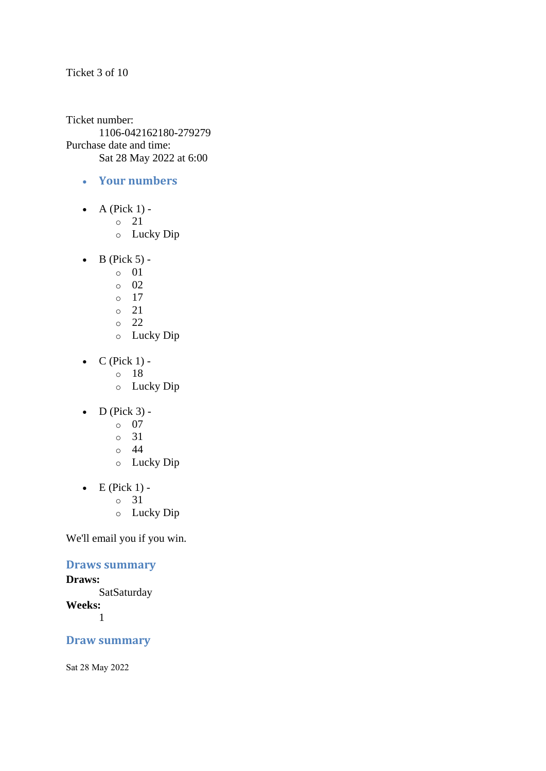Ticket 3 of 10

Ticket number: 1106-042162180-279279 Purchase date and time: Sat 28 May 2022 at 6:00

- **Your numbers**
- A (Pick  $1$ )
	- o 21
	- o Lucky Dip
- $\bullet$  B (Pick 5)
	- o 01
	- o 02
	- $\circ$  17
	- o 21
	- o 22
	- o Lucky Dip
- $\bullet$  C (Pick 1)
	- o 18
	- o Lucky Dip
- $\bullet$  D (Pick 3)
	- o 07
	- o 31
	- o 44
	- o Lucky Dip
- $\bullet$  E (Pick 1)
	- o 31
	- o Lucky Dip

We'll email you if you win.

# **Draws summary**

#### **Draws:**

**SatSaturday Weeks:** 1

## **Draw summary**

Sat 28 May 2022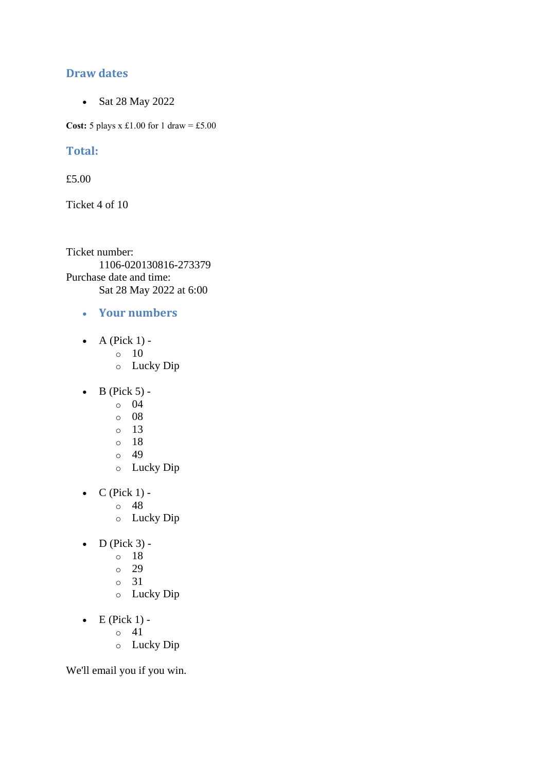## **Draw dates**

• Sat 28 May 2022

**Cost:**  $5$  plays x £1.00 for 1 draw = £5.00

#### **Total:**

£5.00

Ticket 4 of 10

Ticket number: 1106-020130816-273379 Purchase date and time: Sat 28 May 2022 at 6:00

- **Your numbers**
- A (Pick  $1$ ) -
	- $\circ$  10
	- o Lucky Dip
- $\bullet$  B (Pick 5)
	- o 04
	- o 08
	- o 13
	- o 18
	- o 49
	- o Lucky Dip
- $\bullet$  C (Pick 1)
	- o 48
	- o Lucky Dip
- $\bullet$  D (Pick 3)
	- o 18
		- o 29
		- o 31
		- o Lucky Dip
- $\bullet$  E (Pick 1)
	- o 41
	- o Lucky Dip

We'll email you if you win.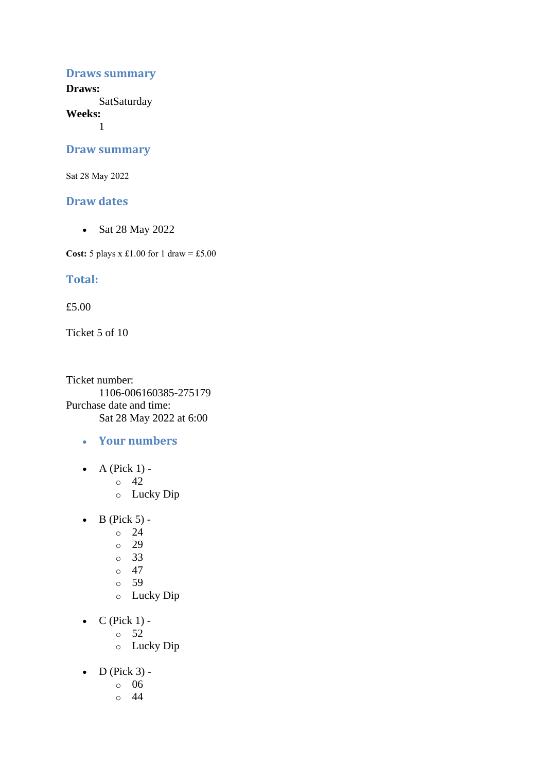#### **Draws summary**

**Draws: SatSaturday** 

**Weeks:**

1

#### **Draw summary**

Sat 28 May 2022

#### **Draw dates**

• Sat 28 May 2022

**Cost:** 5 plays x £1.00 for 1 draw = £5.00

#### **Total:**

£5.00

Ticket 5 of 10

Ticket number: 1106-006160385-275179 Purchase date and time: Sat 28 May 2022 at 6:00

- **Your numbers**
- A (Pick  $1$ ) -
	- $\circ$  42
	- o Lucky Dip
- $\bullet$  B (Pick 5) -
	- $\circ$  24
	- o 29
	- o 33
	- o 47
	- o 59
	- o Lucky Dip
- $\bullet$  C (Pick 1)
	- o 52
	- o Lucky Dip
- $\bullet$  D (Pick 3)
	- o 06
	- o 44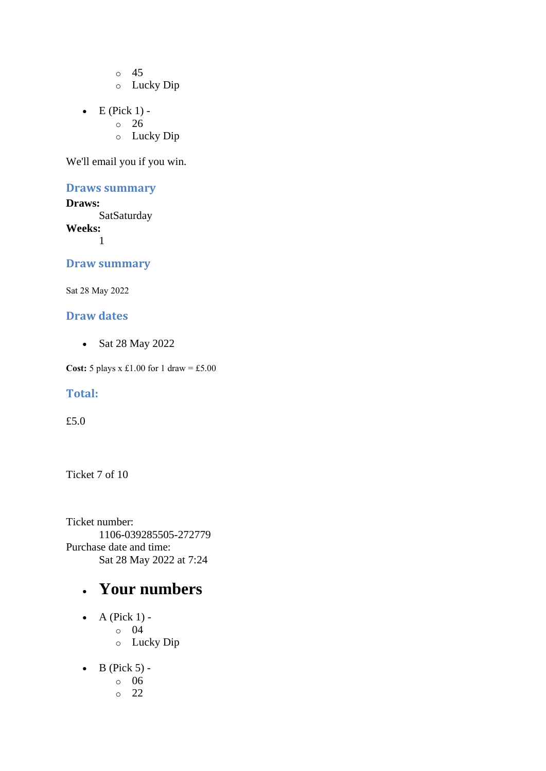o 45 o Lucky Dip

- $\bullet$  E (Pick 1)
	- o 26
		- o Lucky Dip

We'll email you if you win.

### **Draws summary**

**Draws: SatSaturday Weeks:** 1

#### **Draw summary**

Sat 28 May 2022

### **Draw dates**

• Sat 28 May 2022

**Cost:** 5 plays x £1.00 for 1 draw = £5.00

#### **Total:**

£5.0

Ticket 7 of 10

Ticket number: 1106-039285505-272779 Purchase date and time: Sat 28 May 2022 at 7:24

# • **Your numbers**

- $\bullet$  A (Pick 1)
	- o 04
	- o Lucky Dip
- $\bullet$  B (Pick 5)
	- o 06
	- o 22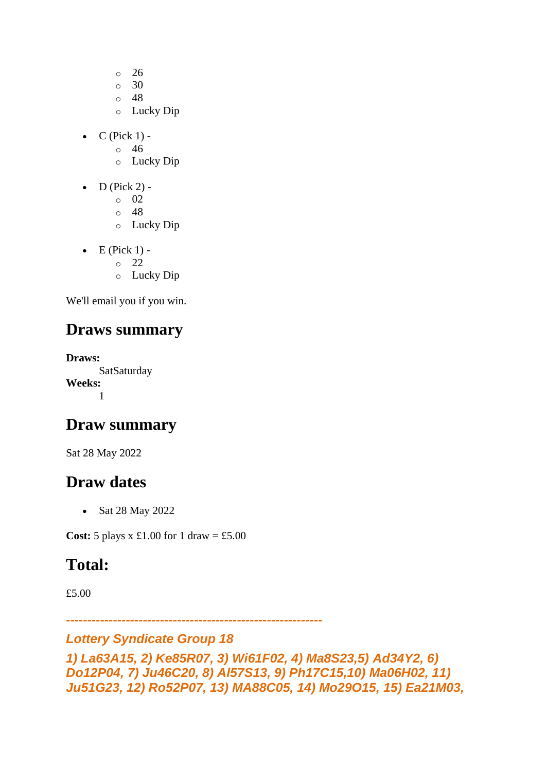- o 26
- o 30
- o 48
- o Lucky Dip
- $\bullet$  C (Pick 1)
	- o 46
	- o Lucky Dip
- $\bullet$  D (Pick 2)
	- o 02
	- o 48
	- o Lucky Dip
- $\bullet$  E (Pick 1)
	- o 22
	- o Lucky Dip

# **Draws summary**

**Draws: SatSaturday Weeks:** 1

# **Draw summary**

Sat 28 May 2022

# **Draw dates**

• Sat 28 May 2022

**Cost:**  $5$  plays x £1.00 for 1 draw = £5.00

# **Total:**

£5.00

*------------------------------------------------------------*

# *Lottery Syndicate Group 18*

```
1) La63A15, 2) Ke85R07, 3) Wi61F02, 4) Ma8S23,5) Ad34Y2, 6) 
Do12P04, 7) Ju46C20, 8) Al57S13, 9) Ph17C15,10) Ma06H02, 11) 
Ju51G23, 12) Ro52P07, 13) MA88C05, 14) Mo29O15, 15) Ea21M03,
```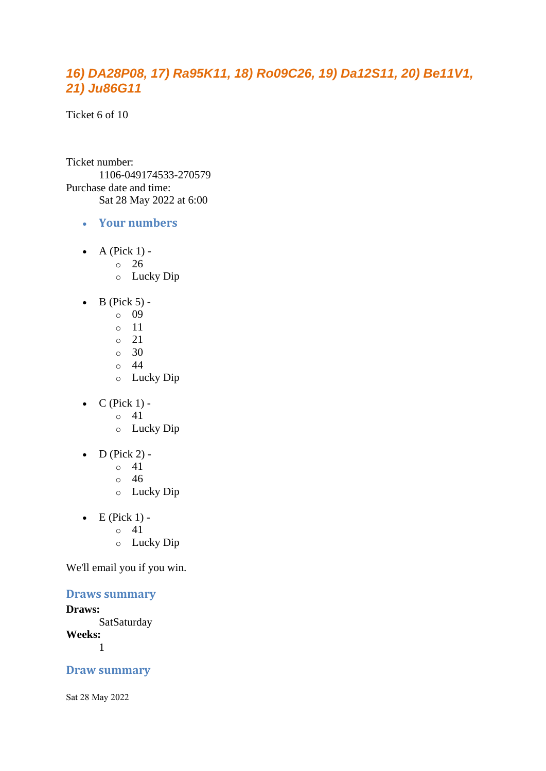# *16) DA28P08, 17) Ra95K11, 18) Ro09C26, 19) Da12S11, 20) Be11V1, 21) Ju86G11*

Ticket 6 of 10

Ticket number: 1106-049174533-270579 Purchase date and time: Sat 28 May 2022 at 6:00

- **Your numbers**
- $\bullet$  A (Pick 1)
	- o 26
	- o Lucky Dip
- $\bullet$  B (Pick 5)
	- o 09
	- o 11
	- o 21
	- $\circ$  30
	- o 44
	- o Lucky Dip
- $\bullet$  C (Pick 1)
	- o 41
	- o Lucky Dip
- $\bullet$  D (Pick 2) -
	- $\circ$  41
	- o 46
	- o Lucky Dip
- $\bullet$  E (Pick 1)
	- o 41
	- o Lucky Dip

We'll email you if you win.

#### **Draws summary**

#### **Draws:**

**SatSaturday** 

**Weeks:**

1

## **Draw summary**

Sat 28 May 2022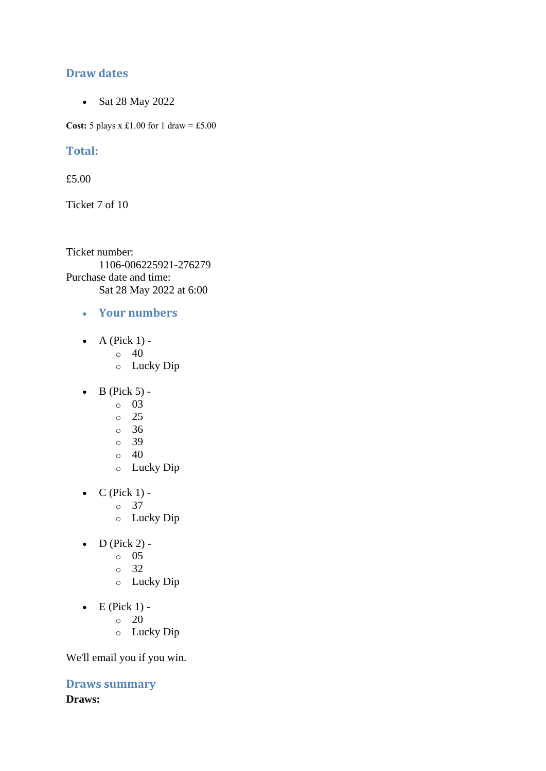# **Draw dates**

• Sat 28 May 2022

**Cost:**  $5$  plays x £1.00 for 1 draw = £5.00

## **Total:**

£5.00

Ticket 7 of 10

Ticket number: 1106-006225921-276279 Purchase date and time: Sat 28 May 2022 at 6:00

- **Your numbers**
- A (Pick  $1$ ) -
	- $\circ$  40
	- o Lucky Dip
- $\bullet$  B (Pick 5)
	- o 03
	- o 25
	- o 36
	- o 39
	- $\circ$  40
	- o Lucky Dip
- $\bullet$  C (Pick 1)
	- o 37
	- o Lucky Dip
- $\bullet$  D (Pick 2) -
	- $\circ$  05
	- o 32
	- o Lucky Dip
- $\bullet$  E (Pick 1) -
	- $\circ$  20
	- o Lucky Dip

We'll email you if you win.

**Draws summary Draws:**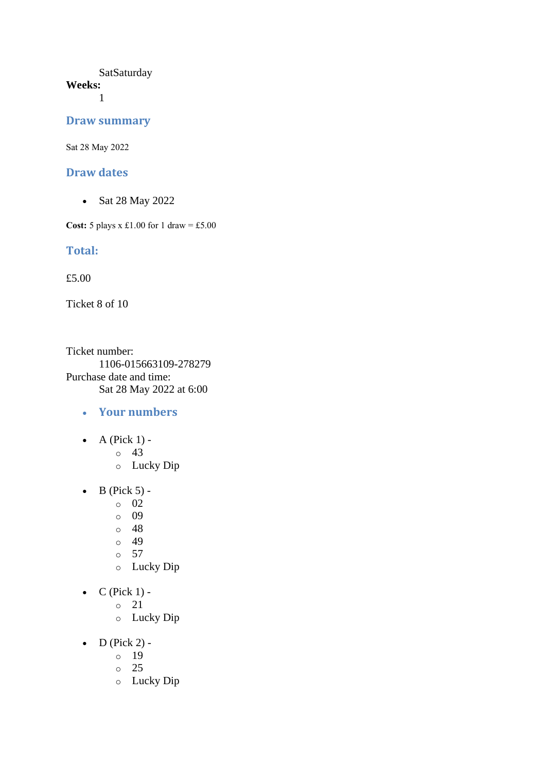#### **SatSaturday Weeks:**

1

#### **Draw summary**

Sat 28 May 2022

#### **Draw dates**

• Sat 28 May 2022

**Cost:** 5 plays x £1.00 for 1 draw = £5.00

#### **Total:**

£5.00

Ticket 8 of 10

Ticket number: 1106-015663109-278279 Purchase date and time: Sat 28 May 2022 at 6:00

- **Your numbers**
- $\bullet$  A (Pick 1) -
	- $\circ$  43
	- o Lucky Dip
- $\bullet$  B (Pick 5)
	- o 02
	- o 09
	- o 48
	- $\circ$  49
	- o 57
	- o Lucky Dip
- $C$  (Pick 1)
	- o 21
		- o Lucky Dip
- $D$  (Pick 2)
	- o 19
	- o 25
	- o Lucky Dip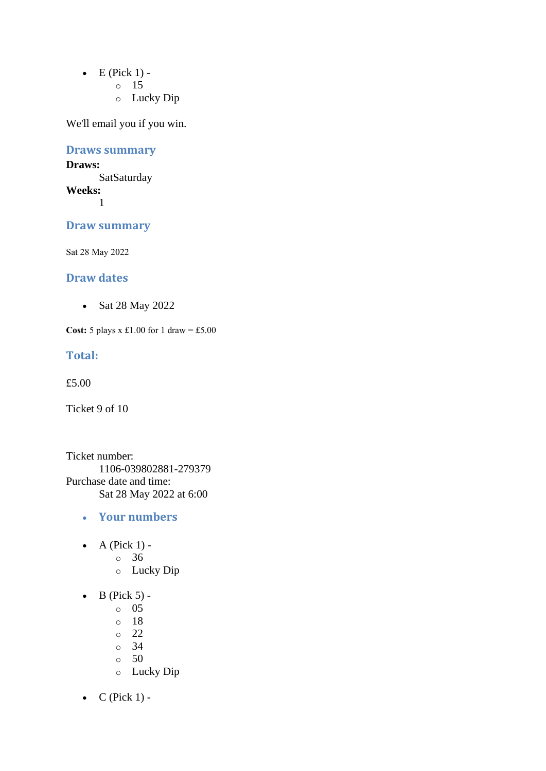- $\bullet$  E (Pick 1)
	- o 15
	- o Lucky Dip

# **Draws summary**

#### **Draws: SatSaturday Weeks:**

1

# **Draw summary**

Sat 28 May 2022

## **Draw dates**

• Sat 28 May 2022

**Cost:** 5 plays x £1.00 for 1 draw = £5.00

#### **Total:**

£5.00

Ticket 9 of 10

Ticket number: 1106-039802881-279379 Purchase date and time: Sat 28 May 2022 at 6:00

- **Your numbers**
- $\bullet$  A (Pick 1)
	- o 36
	- o Lucky Dip
- $\bullet$  B (Pick 5) -
	- $\circ$  05
	- o 18
	- o 22
	- o 34
	- o 50
	- o Lucky Dip
- $C$  (Pick 1) -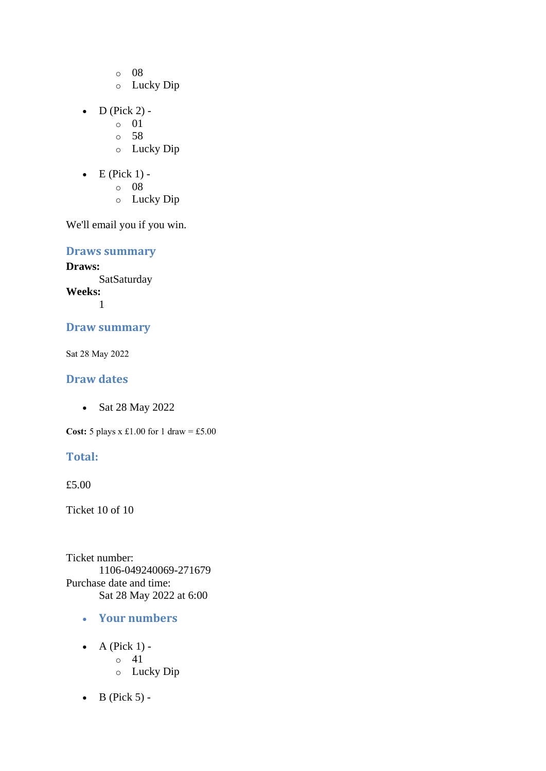- o 08
- o Lucky Dip
- $D$  (Pick 2)
	- o 01
	- o 58
	- o Lucky Dip
- $\bullet$  E (Pick 1)
	- o 08
		- o Lucky Dip

**Draws summary**

**Draws: SatSaturday Weeks:** 1

# **Draw summary**

Sat 28 May 2022

### **Draw dates**

• Sat 28 May 2022

**Cost:** 5 plays x £1.00 for 1 draw = £5.00

# **Total:**

£5.00

Ticket 10 of 10

Ticket number: 1106-049240069-271679 Purchase date and time: Sat 28 May 2022 at 6:00

- **Your numbers**
- $\bullet$  A (Pick 1) - $\circ$  41
	- o Lucky Dip
- $\bullet$  B (Pick 5) -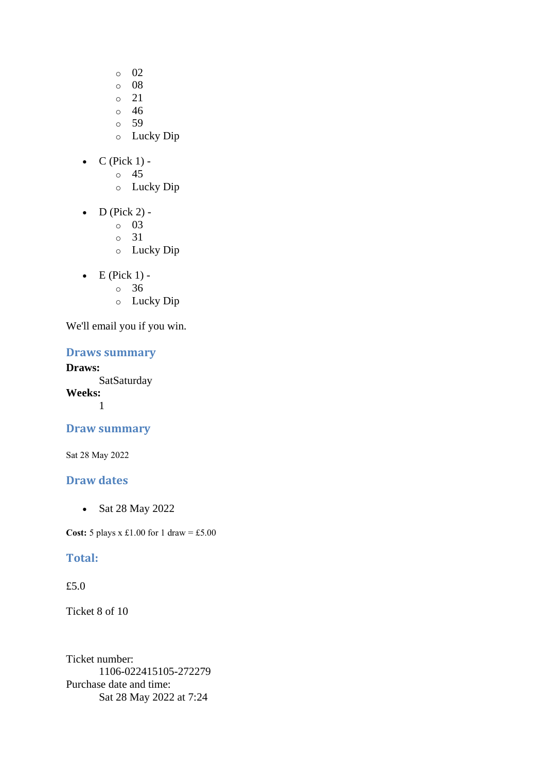- o 02
- o 08
- o 21
- o 46
- o 59
- o Lucky Dip
- $\bullet$  C (Pick 1)
	- o 45
	- o Lucky Dip
- $\bullet$  D (Pick 2)
	- o 03
	- o 31
	- o Lucky Dip
- $\bullet$  E (Pick 1)
	- o 36
	- o Lucky Dip

#### **Draws summary**

**Draws: SatSaturday Weeks:**

1

# **Draw summary**

Sat 28 May 2022

# **Draw dates**

• Sat 28 May 2022

**Cost:** 5 plays x £1.00 for 1 draw = £5.00

## **Total:**

# £5.0

Ticket 8 of 10

Ticket number: 1106-022415105-272279 Purchase date and time: Sat 28 May 2022 at 7:24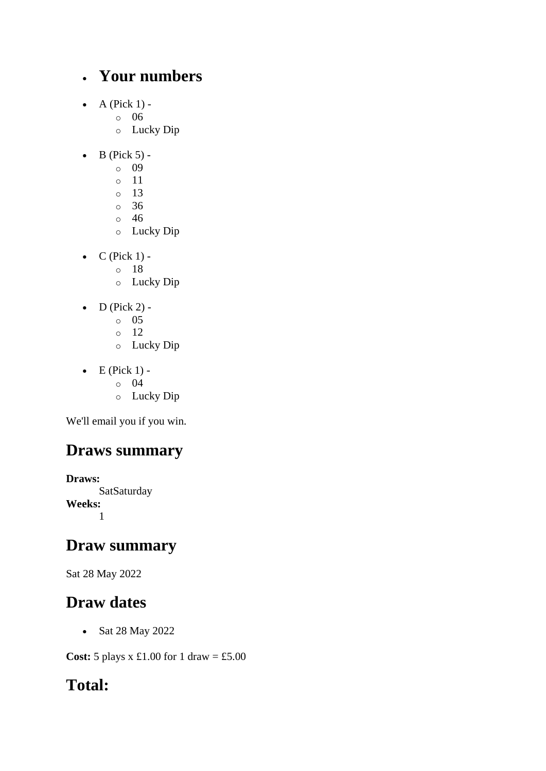# • **Your numbers**

- $\bullet$  A (Pick 1)
	- o 06
	- o Lucky Dip
- $\bullet$  B (Pick 5)
	- o 09
	- o 11
	- o 13
	- o 36
	- o 46
	- o Lucky Dip
- $\bullet$  C (Pick 1)
	- o 18
	- o Lucky Dip
- $\bullet$  D (Pick 2)
	- o 05
	- o 12
	- o Lucky Dip
- $\bullet$  E (Pick 1)
	- o 04
	- o Lucky Dip

We'll email you if you win.

# **Draws summary**

**Draws: SatSaturday Weeks:** 1

# **Draw summary**

Sat 28 May 2022

# **Draw dates**

• Sat 28 May 2022

**Cost:** 5 plays x £1.00 for 1 draw = £5.00

# **Total:**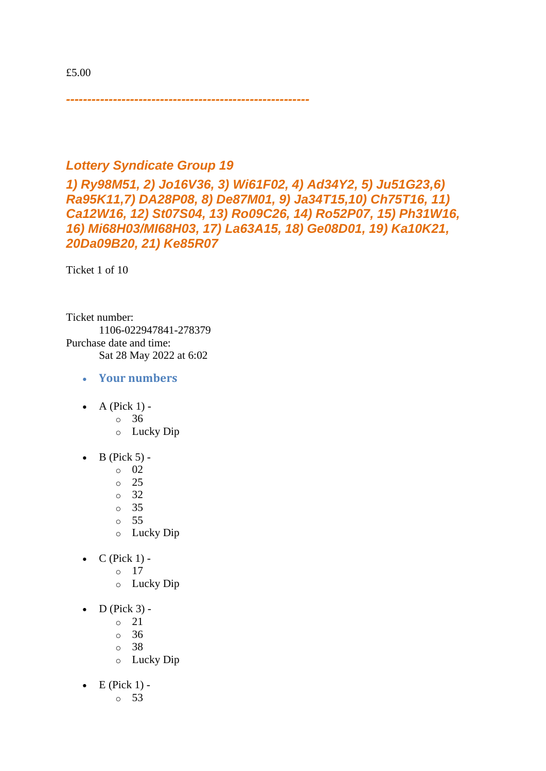*---------------------------------------------------------*

# *Lottery Syndicate Group 19*

*1) Ry98M51, 2) Jo16V36, 3) Wi61F02, 4) Ad34Y2, 5) Ju51G23,6) Ra95K11,7) DA28P08, 8) De87M01, 9) Ja34T15,10) Ch75T16, 11) Ca12W16, 12) St07S04, 13) Ro09C26, 14) Ro52P07, 15) Ph31W16, 16) Mi68H03/MI68H03, 17) La63A15, 18) Ge08D01, 19) Ka10K21, 20Da09B20, 21) Ke85R07*

Ticket 1 of 10

Ticket number: 1106-022947841-278379 Purchase date and time: Sat 28 May 2022 at 6:02

- **Your numbers**
- $\bullet$  A (Pick 1) -
	- $\circ$  36
	- o Lucky Dip
- $\bullet$  B (Pick 5) -
	- $\circ$  02
	- o 25
	- o 32
	- o 35
	- o 55
	- o Lucky Dip
- $\bullet$  C (Pick 1)
	- o 17
	- o Lucky Dip
- $\bullet$  D (Pick 3)
	- o 21
		- o 36
		- o 38
		- o Lucky Dip
- $\bullet$  E (Pick 1)
	- o 53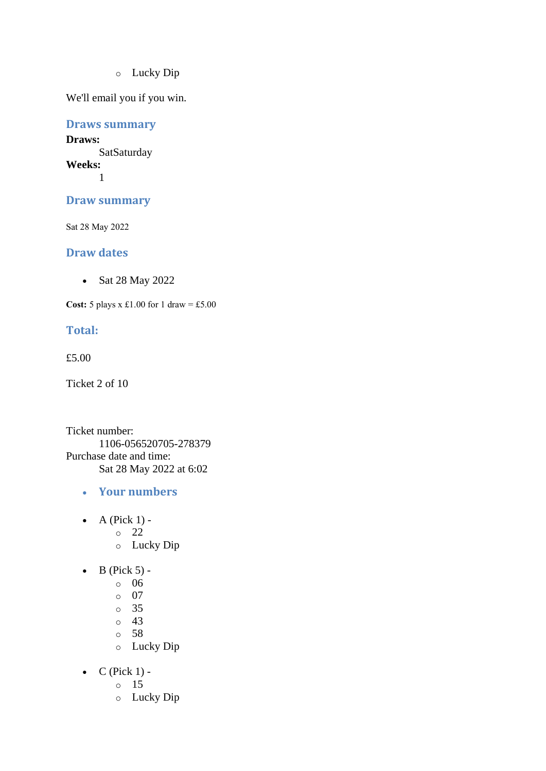o Lucky Dip

We'll email you if you win.

**Draws summary**

**Draws: SatSaturday Weeks:** 1

**Draw summary**

Sat 28 May 2022

#### **Draw dates**

• Sat 28 May 2022

**Cost:** 5 plays x £1.00 for 1 draw = £5.00

#### **Total:**

£5.00

Ticket 2 of 10

Ticket number: 1106-056520705-278379 Purchase date and time: Sat 28 May 2022 at 6:02

- **Your numbers**
- $\bullet$  A (Pick 1)
	- o 22
	- o Lucky Dip
- $\bullet$  B (Pick 5)
	- o 06
	- o 07
	- o 35
	- $\circ$  43
	- o 58
	- o Lucky Dip
- $C$  (Pick 1)
	- o 15
	- o Lucky Dip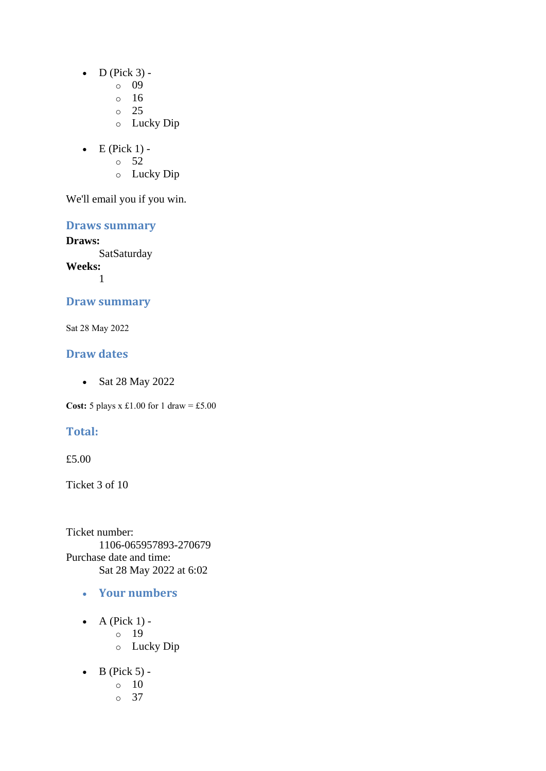- $\bullet$  D (Pick 3)
	- o 09
	- $\circ$  16
	- $\circ$  25
	- o Lucky Dip
- $\bullet$  E (Pick 1) -
	- $\circ$  52
	- o Lucky Dip

**Draws summary**

**Draws:** SatSaturday **Weeks:** 1

## **Draw summary**

Sat 28 May 2022

# **Draw dates**

• Sat 28 May 2022

**Cost:** 5 plays x £1.00 for 1 draw = £5.00

# **Total:**

£5.00

Ticket 3 of 10

Ticket number: 1106-065957893-270679 Purchase date and time: Sat 28 May 2022 at 6:02

- **Your numbers**
- $\bullet$  A (Pick 1) o 19 o Lucky Dip
- $\bullet$  B (Pick 5) -
	- $\circ$  10
		- o 37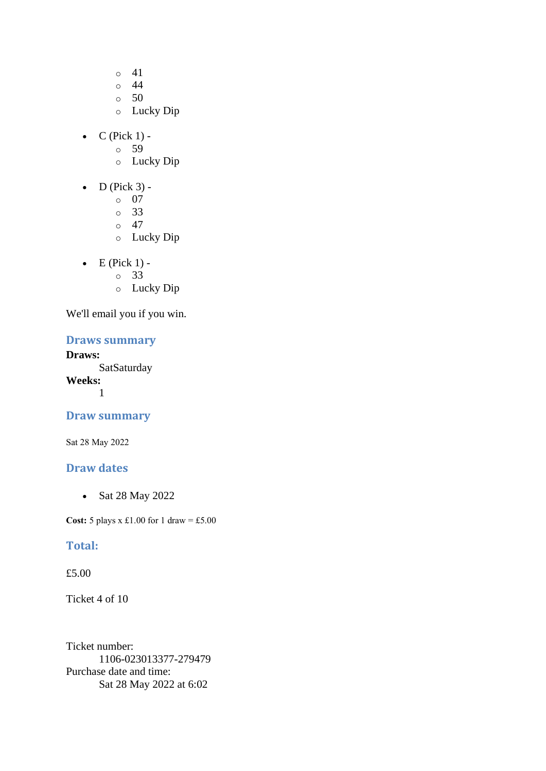- o 41
- o 44
- $\circ$  50
- o Lucky Dip
- $\bullet$  C (Pick 1)
	- o 59
	- o Lucky Dip
- $\bullet$  D (Pick 3)
	- o 07
	- o 33
	- o 47
	- o Lucky Dip
- $\bullet$  E (Pick 1) o 33
	-
	- o Lucky Dip

# **Draws summary**

#### **Draws:**

**SatSaturday Weeks:** 1

#### **Draw summary**

Sat 28 May 2022

### **Draw dates**

• Sat 28 May 2022

**Cost:**  $5$  plays x £1.00 for 1 draw = £5.00

#### **Total:**

#### £5.00

Ticket 4 of 10

Ticket number: 1106-023013377-279479 Purchase date and time: Sat 28 May 2022 at 6:02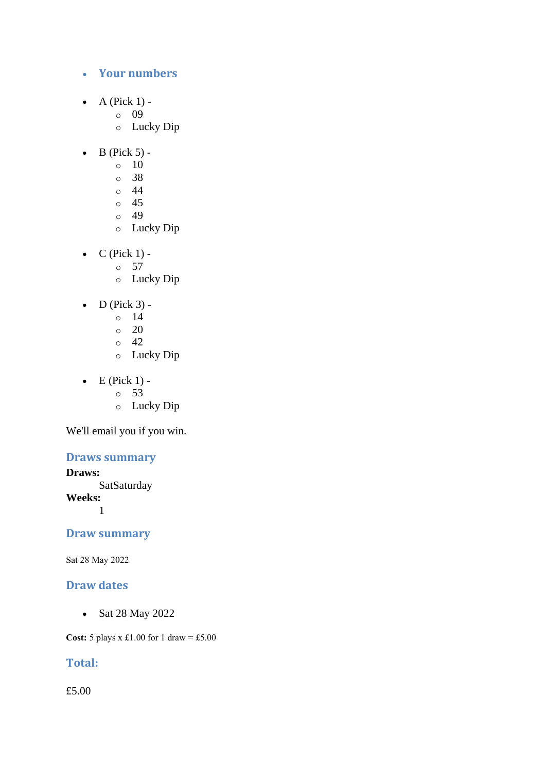#### • **Your numbers**

- A (Pick  $1$ )
	- o 09
	- o Lucky Dip
- $\bullet$  B (Pick 5) -
	- $\circ$  10
	- o 38
	- $\circ$  44
	- o 45
	- o 49
	- o Lucky Dip
- $C$  (Pick 1) -
	- $\circ$  57
		- o Lucky Dip
- $\bullet$  D (Pick 3)
	- o 14
	- $\circ$  20
	- o 42
	- o Lucky Dip
- $\bullet$  E (Pick 1)
	- o 53
	- o Lucky Dip

We'll email you if you win.

# **Draws summary**

**Draws:**

**SatSaturday** 

**Weeks:**

1

## **Draw summary**

Sat 28 May 2022

# **Draw dates**

• Sat 28 May 2022

**Cost:**  $5$  plays x £1.00 for 1 draw = £5.00

# **Total:**

£5.00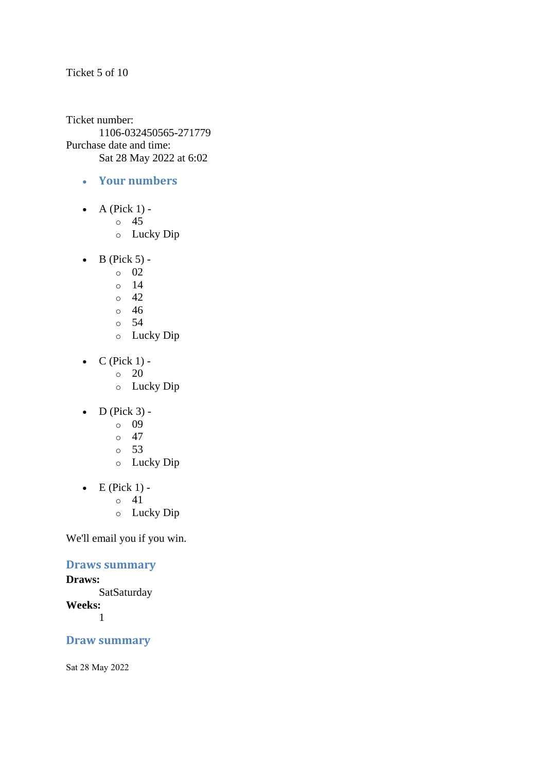Ticket 5 of 10

Ticket number: 1106-032450565-271779 Purchase date and time: Sat 28 May 2022 at 6:02

- **Your numbers**
- $\bullet$  A (Pick 1)
	- o 45
	- o Lucky Dip
- $\bullet$  B (Pick 5) -
	- $\circ$  02
	- o 14
	- $\degree$  42
	- o 46
	- o 54
	- o Lucky Dip
- $\bullet$  C (Pick 1) -
	- $\circ$  20
	- o Lucky Dip
- $\bullet$  D (Pick 3)
	- o 09
	- $\circ$  47
	- o 53
	- o Lucky Dip
- $\bullet$  E (Pick 1) -
	- $\circ$  41
	- o Lucky Dip

We'll email you if you win.

# **Draws summary**

#### **Draws:**

**SatSaturday Weeks:** 1

#### **Draw summary**

Sat 28 May 2022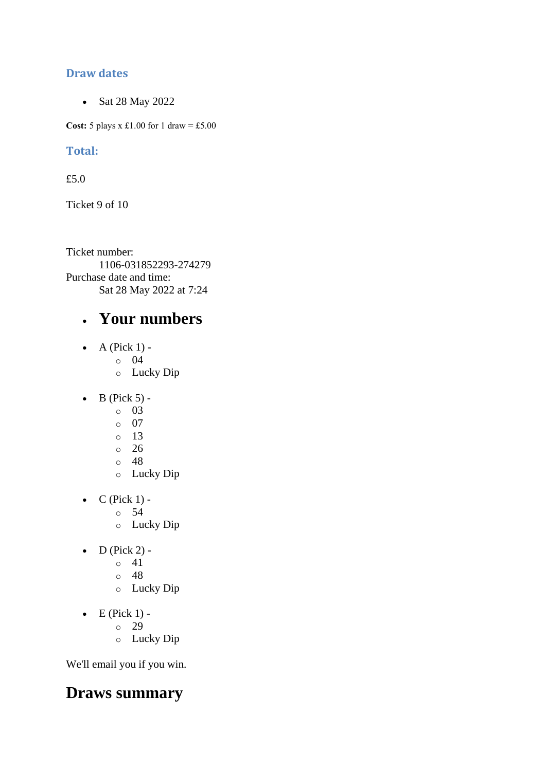# **Draw dates**

• Sat 28 May 2022

**Cost:** 5 plays x £1.00 for 1 draw = £5.00

# **Total:**

£5.0

Ticket 9 of 10

Ticket number: 1106-031852293-274279 Purchase date and time: Sat 28 May 2022 at 7:24

# • **Your numbers**

- A (Pick  $1$ )
	- o 04
	- o Lucky Dip
- $\bullet$  B (Pick 5)
	- o 03
	- o 07
	- o 13
	- o 26
	- o 48
	- o Lucky Dip
- $C$  (Pick 1)
	- o 54
	- o Lucky Dip
- $\bullet$  D (Pick 2)
	- o 41
	- o 48
	- o Lucky Dip
- $\bullet$  E (Pick 1)
	- o 29
	- o Lucky Dip

We'll email you if you win.

# **Draws summary**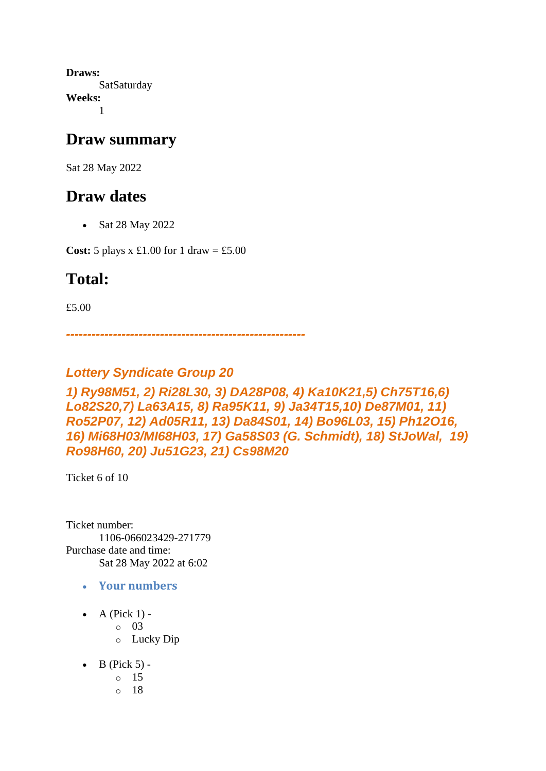**Draws: SatSaturday Weeks:** 1

# **Draw summary**

Sat 28 May 2022

# **Draw dates**

• Sat 28 May 2022

**Cost:** 5 plays x £1.00 for 1 draw = £5.00

# **Total:**

£5.00

*--------------------------------------------------------*

# *Lottery Syndicate Group 20*

# *1) Ry98M51, 2) Ri28L30, 3) DA28P08, 4) Ka10K21,5) Ch75T16,6) Lo82S20,7) La63A15, 8) Ra95K11, 9) Ja34T15,10) De87M01, 11) Ro52P07, 12) Ad05R11, 13) Da84S01, 14) Bo96L03, 15) Ph12O16, 16) Mi68H03/MI68H03, 17) Ga58S03 (G. Schmidt), 18) StJoWal, 19) Ro98H60, 20) Ju51G23, 21) Cs98M20*

Ticket 6 of 10

Ticket number: 1106-066023429-271779 Purchase date and time: Sat 28 May 2022 at 6:02

- **Your numbers**
- $\bullet$  A (Pick 1) -
	- $\circ$  03
	- o Lucky Dip
- $\bullet$  B (Pick 5)
	- o 15
	- o 18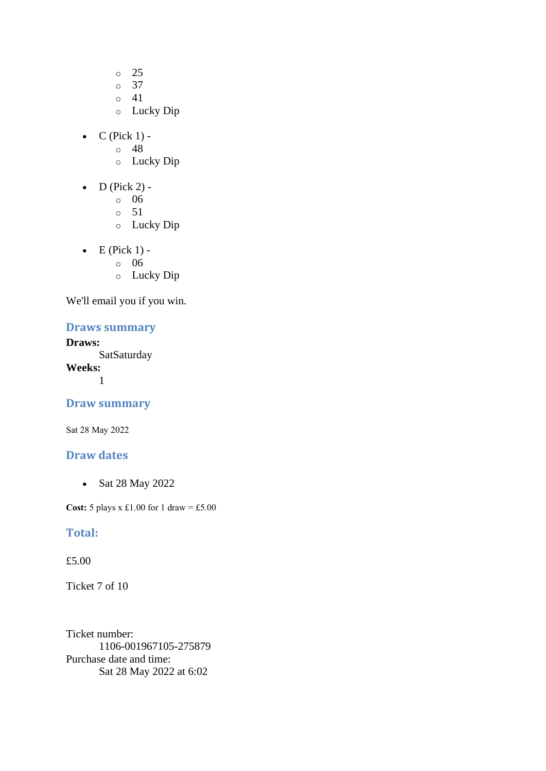- o 25
- o 37
- o 41
- o Lucky Dip
- $\bullet$  C (Pick 1) -
	- $\circ$  48
	- o Lucky Dip
- $D$  (Pick 2)
	- o 06
	- o 51
	- o Lucky Dip
- $\bullet$  E (Pick 1)
	- o 06
	- o Lucky Dip

## **Draws summary**

# **Draws:**

**SatSaturday Weeks:** 1

## **Draw summary**

Sat 28 May 2022

## **Draw dates**

• Sat 28 May 2022

**Cost:** 5 plays x £1.00 for 1 draw = £5.00

#### **Total:**

#### £5.00

Ticket 7 of 10

Ticket number: 1106-001967105-275879 Purchase date and time: Sat 28 May 2022 at 6:02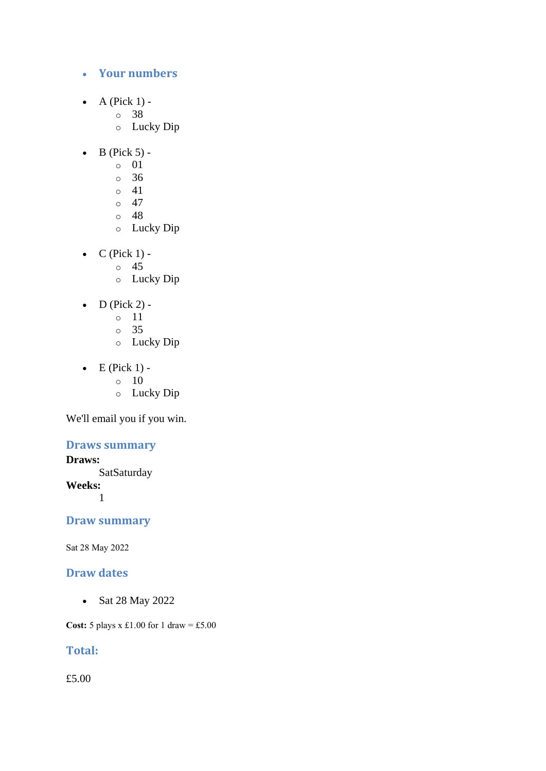- **Your numbers**
- A (Pick  $1$ )
	- o 38
	- o Lucky Dip
- $\bullet$  B (Pick 5)
	- o 01
	- o 36
	- $\circ$  41
	- $\circ$  47
	- o 48
	- o Lucky Dip
- $C$  (Pick 1)
	- o 45
		- o Lucky Dip
- D (Pick 2)
	- o 11
	- o 35
	- o Lucky Dip
- $\bullet$  E (Pick 1) -
	- $\circ$  10
		- o Lucky Dip

## **Draws summary**

## **Draws:**

SatSaturday **Weeks:** 1

# **Draw summary**

Sat 28 May 2022

# **Draw dates**

• Sat 28 May 2022

**Cost:** 5 plays x £1.00 for 1 draw = £5.00

# **Total:**

£5.00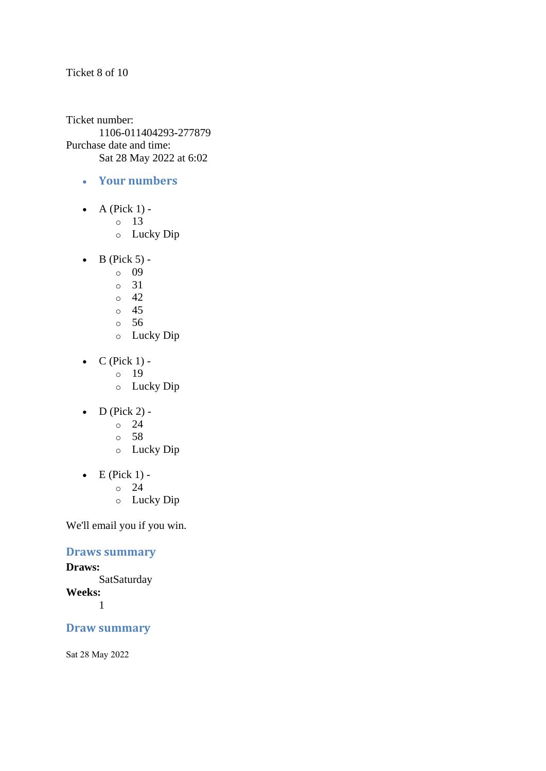#### Ticket 8 of 10

Ticket number: 1106-011404293-277879 Purchase date and time: Sat 28 May 2022 at 6:02

- **Your numbers**
- A (Pick  $1$ )
	- o 13
	- o Lucky Dip
- $\bullet$  B (Pick 5)
	- o 09
	- o 31
	- $\degree$  42
	- o 45
	- o 56
	- o Lucky Dip
- $\bullet$  C (Pick 1)
	- o 19
	- o Lucky Dip
- $\bullet$  D (Pick 2) -
	- $\circ$  24
	- o 58
	- o Lucky Dip
- $\bullet$  E (Pick 1) -
	- $\circ$  24
	- o Lucky Dip

We'll email you if you win.

## **Draws summary**

#### **Draws: SatSaturday Weeks:** 1

# **Draw summary**

Sat 28 May 2022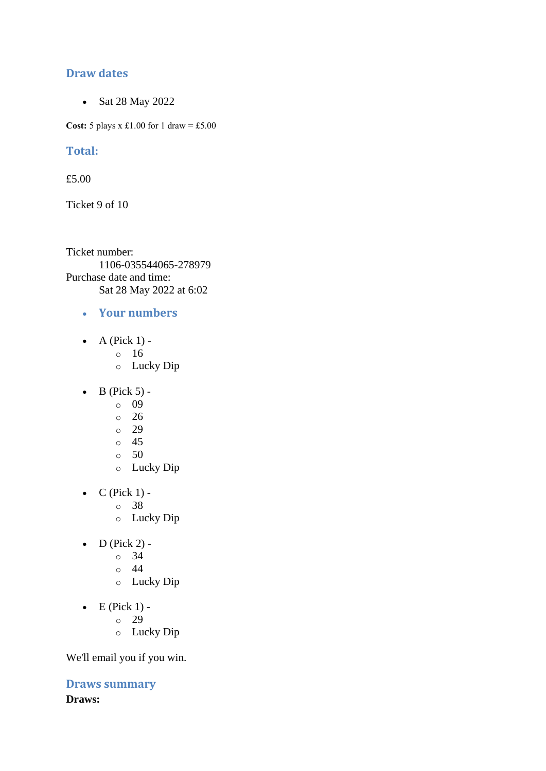# **Draw dates**

• Sat 28 May 2022

**Cost:**  $5$  plays x £1.00 for 1 draw = £5.00

## **Total:**

£5.00

Ticket 9 of 10

Ticket number: 1106-035544065-278979 Purchase date and time: Sat 28 May 2022 at 6:02

- **Your numbers**
- A (Pick  $1$ )
	- o 16
	- o Lucky Dip
- $\bullet$  B (Pick 5)
	- o 09
	- $\degree$  26
	- o 29
	- o 45
	- $\circ$  50
	- o Lucky Dip
- $\bullet$  C (Pick 1)
	- o 38
	- o Lucky Dip
- $\bullet$  D (Pick 2) -
	- $\circ$  34
	- o 44
	- o Lucky Dip
- $\bullet$  E (Pick 1)
	- o 29
	- o Lucky Dip

We'll email you if you win.

**Draws summary Draws:**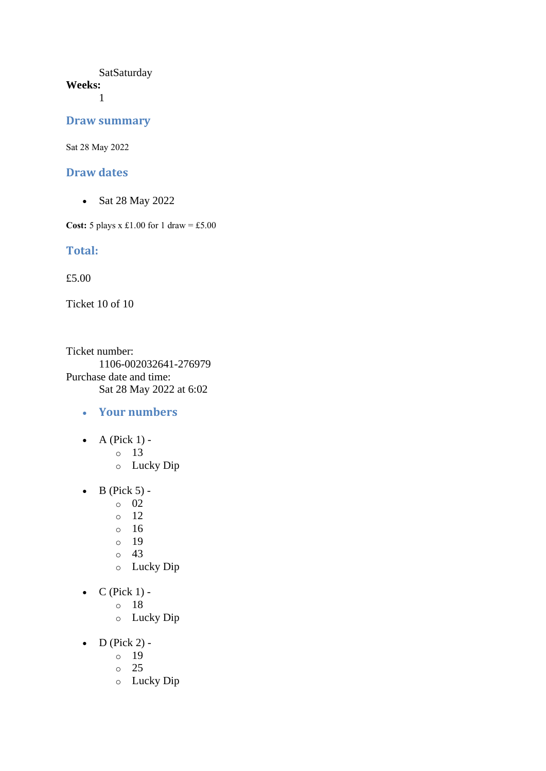#### **SatSaturday Weeks:**

1

#### **Draw summary**

Sat 28 May 2022

#### **Draw dates**

• Sat 28 May 2022

**Cost:** 5 plays x £1.00 for 1 draw = £5.00

#### **Total:**

£5.00

Ticket 10 of 10

Ticket number: 1106-002032641-276979 Purchase date and time: Sat 28 May 2022 at 6:02

- **Your numbers**
- $\bullet$  A (Pick 1)
	- o 13
	- o Lucky Dip
- $\bullet$  B (Pick 5)
	- o 02
	- o 12
	- o 16
	- o 19
	- o 43
	- o Lucky Dip
- $C$  (Pick 1)
	- o 18
		- o Lucky Dip
- $D$  (Pick 2)
	- o 19
	- o 25
	- o Lucky Dip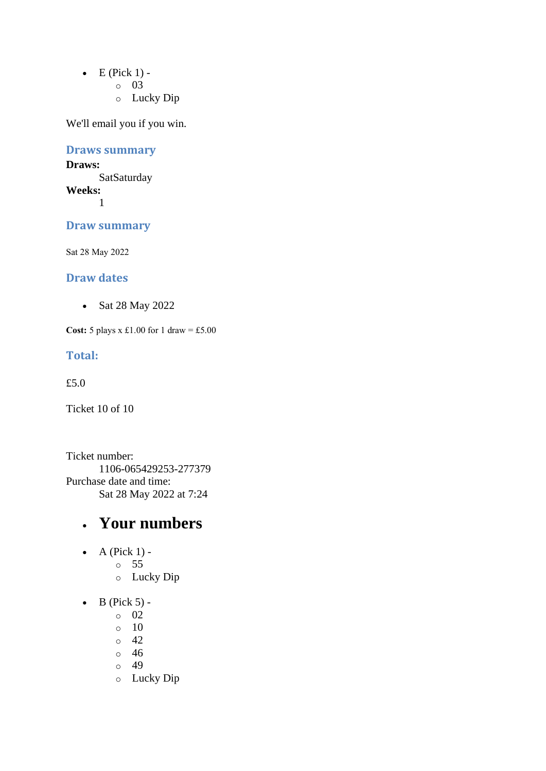- $\bullet$  E (Pick 1)
	- o 03
	- o Lucky Dip

#### **Draws summary**

#### **Draws: SatSaturday Weeks:**

1

### **Draw summary**

Sat 28 May 2022

### **Draw dates**

• Sat 28 May 2022

**Cost:** 5 plays x £1.00 for 1 draw = £5.00

#### **Total:**

£5.0

Ticket 10 of 10

Ticket number: 1106-065429253-277379 Purchase date and time: Sat 28 May 2022 at 7:24

# • **Your numbers**

- $\bullet$  A (Pick 1)
	- o 55
		- o Lucky Dip
- $\bullet$  B (Pick 5)
	- o 02
	- o 10
	- o 42
	- o 46
	- o 49
	- o Lucky Dip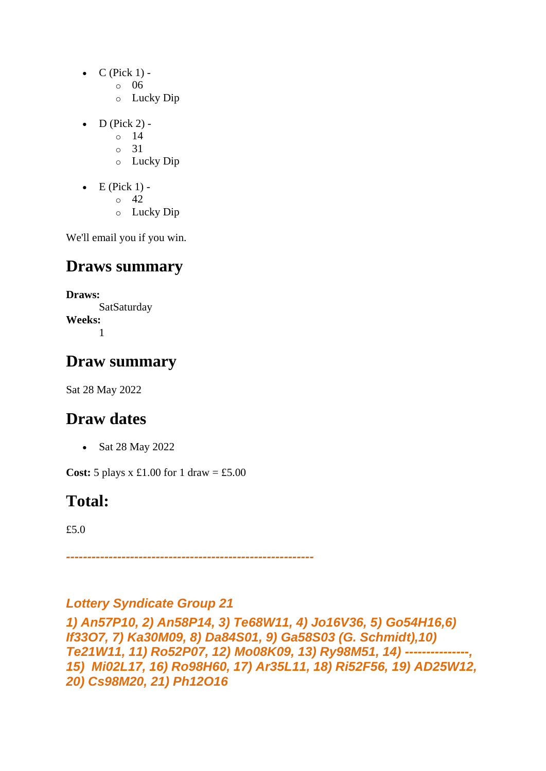- $C$  (Pick 1)
	- o 06
	- o Lucky Dip
- $\bullet$  D (Pick 2) -
	- $\circ$  14
	- o 31
	- o Lucky Dip
- $\bullet$  E (Pick 1)
	- o 42
	- o Lucky Dip

# **Draws summary**

**Draws: SatSaturday Weeks:** 1

# **Draw summary**

Sat 28 May 2022

# **Draw dates**

• Sat 28 May 2022

**Cost:**  $5$  plays x £1.00 for 1 draw = £5.00

# **Total:**

£5.0

*----------------------------------------------------------*

## *Lottery Syndicate Group 21*

*1) An57P10, 2) An58P14, 3) Te68W11, 4) Jo16V36, 5) Go54H16,6) If33O7, 7) Ka30M09, 8) Da84S01, 9) Ga58S03 (G. Schmidt),10) Te21W11, 11) Ro52P07, 12) Mo08K09, 13) Ry98M51, 14) ---------------, 15) Mi02L17, 16) Ro98H60, 17) Ar35L11, 18) Ri52F56, 19) AD25W12, 20) Cs98M20, 21) Ph12O16*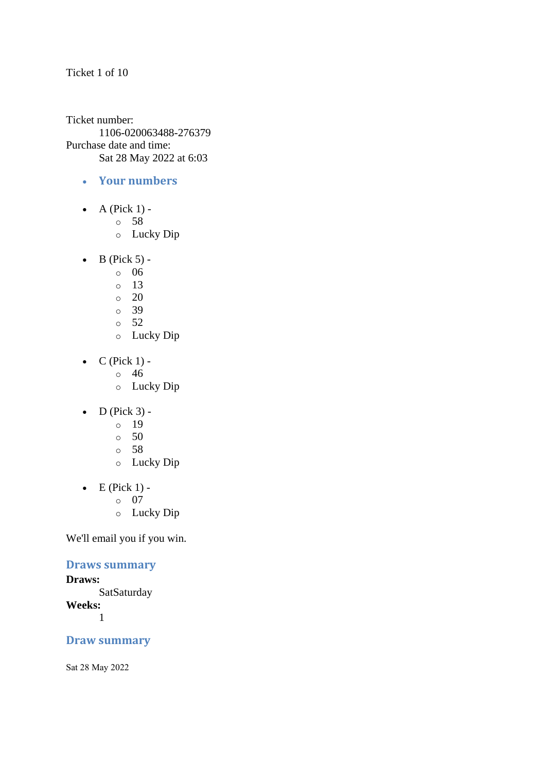#### Ticket 1 of 10

Ticket number: 1106-020063488-276379 Purchase date and time: Sat 28 May 2022 at 6:03

- **Your numbers**
- $\bullet$  A (Pick 1)
	- o 58
	- o Lucky Dip
- $\bullet$  B (Pick 5)
	- o 06
	- o 13
	- $\degree$  20
	- o 39
	- o 52
	- o Lucky Dip
- $\bullet$  C (Pick 1) -
	- $\circ$  46
	- o Lucky Dip
- $\bullet$  D (Pick 3) -
	- $\circ$  19
	- o 50
	- o 58
	- o Lucky Dip
- $\bullet$  E (Pick 1)
	- o 07
	- o Lucky Dip

We'll email you if you win.

### **Draws summary**

#### **Draws:**

**SatSaturday Weeks:** 1

### **Draw summary**

Sat 28 May 2022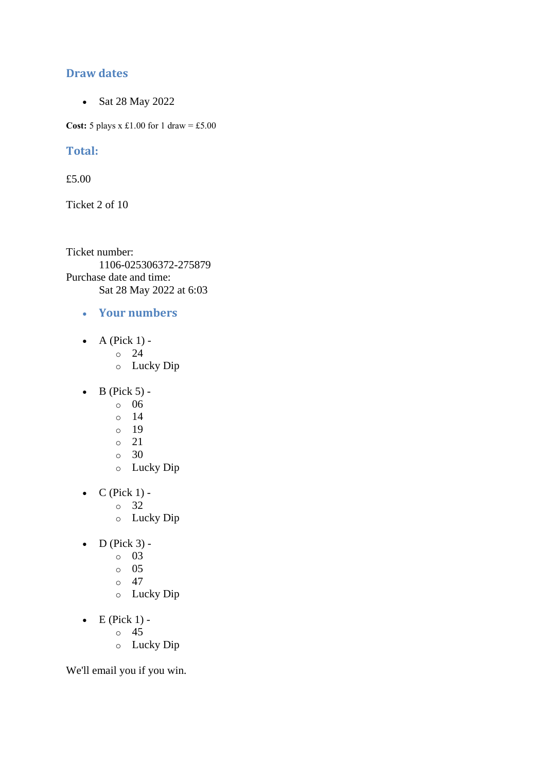### **Draw dates**

• Sat 28 May 2022

**Cost:**  $5$  plays x £1.00 for 1 draw = £5.00

### **Total:**

£5.00

Ticket 2 of 10

Ticket number: 1106-025306372-275879 Purchase date and time: Sat 28 May 2022 at 6:03

- **Your numbers**
- A (Pick  $1$ )
	- o 24
	- o Lucky Dip
- $\bullet$  B (Pick 5)
	- o 06
	- o 14
	- o 19
	- o 21
	- o 30
	- o Lucky Dip
- $\bullet$  C (Pick 1)
	- o 32
	- o Lucky Dip
- $\bullet$  D (Pick 3)
	- o 03
		- o 05
		- $\circ$  47
		- o Lucky Dip
- $\bullet$  E (Pick 1)
	- o 45
	- o Lucky Dip

We'll email you if you win.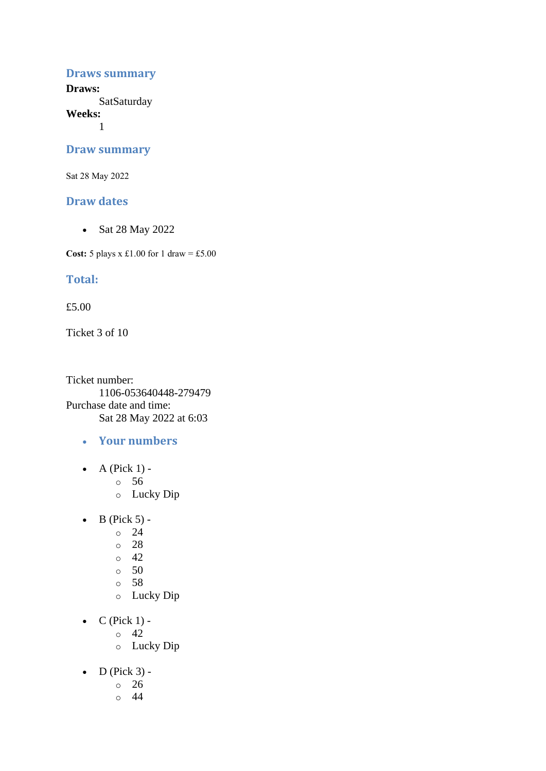#### **Draws summary**

**Draws: SatSaturday** 

**Weeks:**

1

#### **Draw summary**

Sat 28 May 2022

#### **Draw dates**

• Sat 28 May 2022

**Cost:** 5 plays x £1.00 for 1 draw = £5.00

### **Total:**

£5.00

Ticket 3 of 10

Ticket number: 1106-053640448-279479 Purchase date and time: Sat 28 May 2022 at 6:03

- **Your numbers**
- A (Pick  $1$ )
	- o 56
	- o Lucky Dip
- $\bullet$  B (Pick 5) -
	- $\degree$  24
	- o 28
	- $\circ$  42
	- $\circ$  50
	- o 58
	- o Lucky Dip
- $\bullet$  C (Pick 1) -
	- $\circ$  42
	- o Lucky Dip
- $\bullet$  D (Pick 3)
	- o 26
	- o 44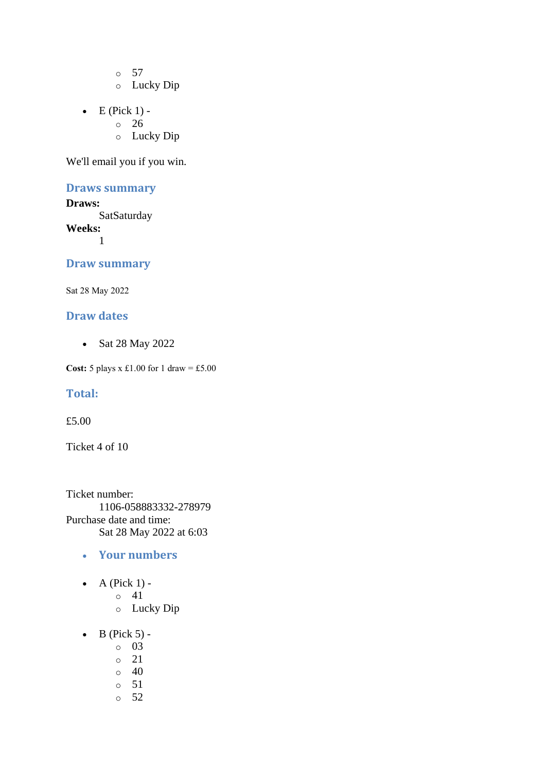o 57

- o Lucky Dip
- $\bullet$  E (Pick 1)
	- o 26
	- o Lucky Dip

We'll email you if you win.

### **Draws summary**

**Draws: SatSaturday Weeks:** 1

#### **Draw summary**

Sat 28 May 2022

### **Draw dates**

• Sat 28 May 2022

**Cost:** 5 plays x £1.00 for 1 draw = £5.00

#### **Total:**

£5.00

Ticket 4 of 10

Ticket number: 1106-058883332-278979 Purchase date and time: Sat 28 May 2022 at 6:03

- **Your numbers**
- A (Pick  $1$ )
	- o 41
	- o Lucky Dip
- $\bullet$  B (Pick 5)
	- o 03
	- o 21
	- $\circ$  40
	- o 51
	- o 52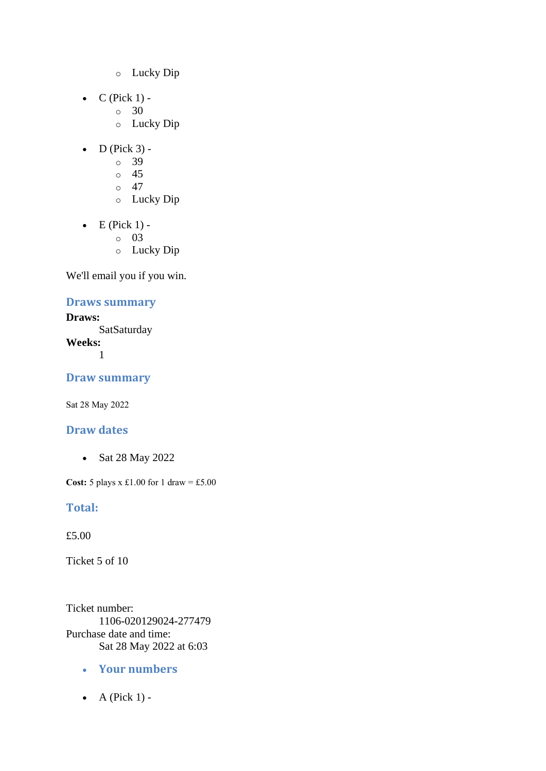- o Lucky Dip
- $C$  (Pick 1) -
	- $\circ$  30
	- o Lucky Dip
- $\bullet$  D (Pick 3)
	- o 39
	- $\circ$  45
	- $\circ$  47
	- o Lucky Dip
- $\bullet$  E (Pick 1)
	- o 03
	- o Lucky Dip

## **Draws summary**

**Draws: SatSaturday Weeks:** 1

**Draw summary**

Sat 28 May 2022

### **Draw dates**

• Sat 28 May 2022

**Cost:** 5 plays x £1.00 for 1 draw = £5.00

### **Total:**

£5.00

Ticket 5 of 10

Ticket number: 1106-020129024-277479 Purchase date and time: Sat 28 May 2022 at 6:03

- **Your numbers**
- $\bullet$  A (Pick 1) -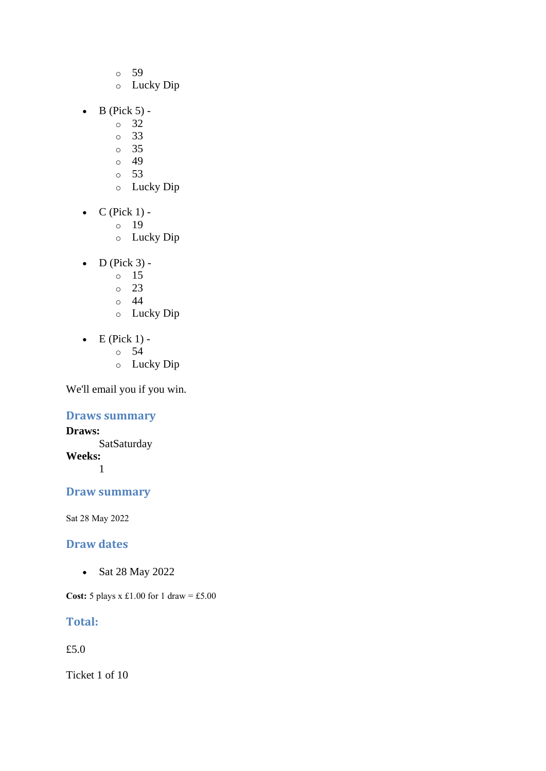- o 59
- o Lucky Dip
- $\bullet$  B (Pick 5)
	- o 32
	- o 33
	- o 35
	- $\circ$  49
	- o 53
	- o Lucky Dip
- $\bullet$  C (Pick 1)
	- o 19
	- o Lucky Dip
- $\bullet$  D (Pick 3)
	- o 15
	- o 23
	- $\circ$  44
	- o Lucky Dip
- $\bullet$  E (Pick 1) -
	- $\circ$  54
	- o Lucky Dip

## **Draws summary**

**Draws: SatSaturday Weeks:** 1

## **Draw summary**

Sat 28 May 2022

## **Draw dates**

• Sat 28 May 2022

**Cost:** 5 plays x £1.00 for 1 draw = £5.00

## **Total:**

£5.0

Ticket 1 of 10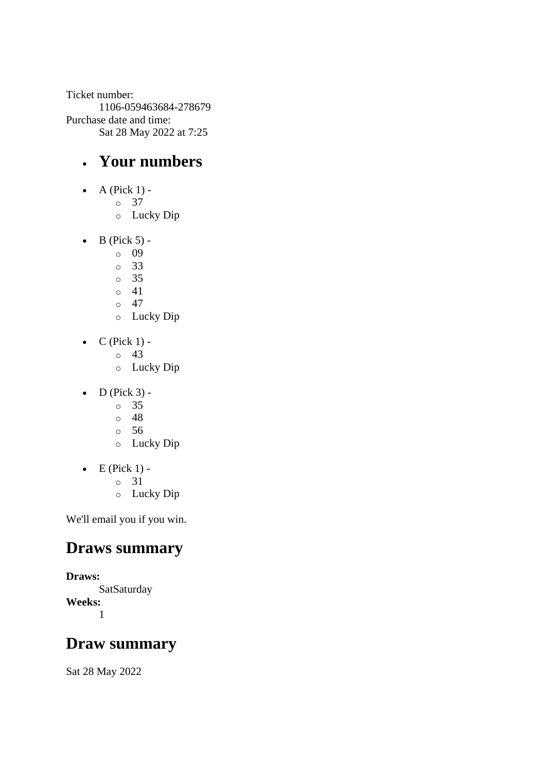Ticket number: 1106-059463684-278679 Purchase date and time: Sat 28 May 2022 at 7:25

# • **Your numbers**

- $\bullet$  A (Pick 1)
	- o 37
		- o Lucky Dip
- $\bullet$  B (Pick 5)
	- o 09
	- o 33
	- o 35
	- o 41 o 47
	- o Lucky Dip
- $\bullet$  C (Pick 1) -
	- $\circ$  43
	- o Lucky Dip
- $\bullet$  D (Pick 3)
	- o 35
	- o 48
	- o 56
	- o Lucky Dip
- $\bullet$  E (Pick 1)
	- o 31
	- o Lucky Dip

We'll email you if you win.

# **Draws summary**

**Draws: SatSaturday Weeks:** 1

# **Draw summary**

Sat 28 May 2022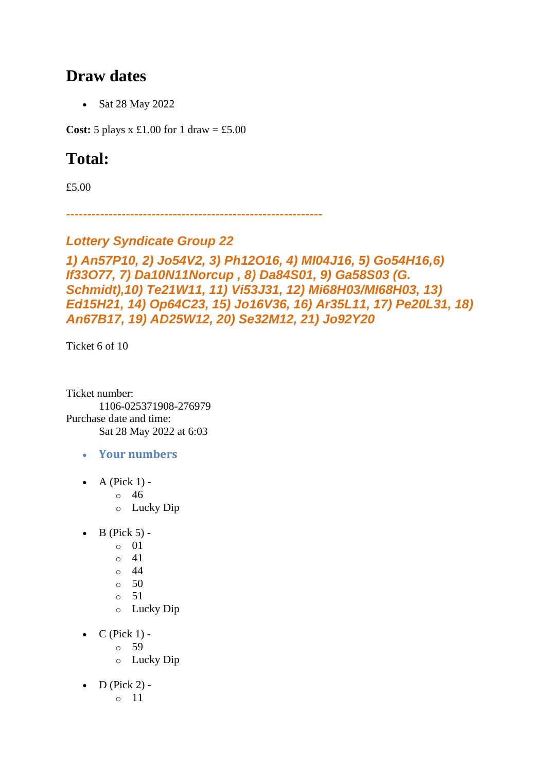# **Draw dates**

• Sat 28 May 2022

**Cost:** 5 plays x £1.00 for 1 draw = £5.00

# **Total:**

£5.00

*------------------------------------------------------------*

## *Lottery Syndicate Group 22*

## *1) An57P10, 2) Jo54V2, 3) Ph12O16, 4) MI04J16, 5) Go54H16,6) If33O77, 7) Da10N11Norcup , 8) Da84S01, 9) Ga58S03 (G. Schmidt),10) Te21W11, 11) Vi53J31, 12) Mi68H03/MI68H03, 13) Ed15H21, 14) Op64C23, 15) Jo16V36, 16) Ar35L11, 17) Pe20L31, 18) An67B17, 19) AD25W12, 20) Se32M12, 21) Jo92Y20*

Ticket 6 of 10

Ticket number: 1106-025371908-276979 Purchase date and time: Sat 28 May 2022 at 6:03

- **Your numbers**
- A (Pick  $1$ )
	- o 46
	- o Lucky Dip
- $\bullet$  B (Pick 5)
	- o 01
	- $\circ$  41
	- o 44
	- $\circ$  50
	- o 51
	- o Lucky Dip
- $\bullet$  C (Pick 1)
	- o 59
	- o Lucky Dip
- $\bullet$  D (Pick 2)
	- o 11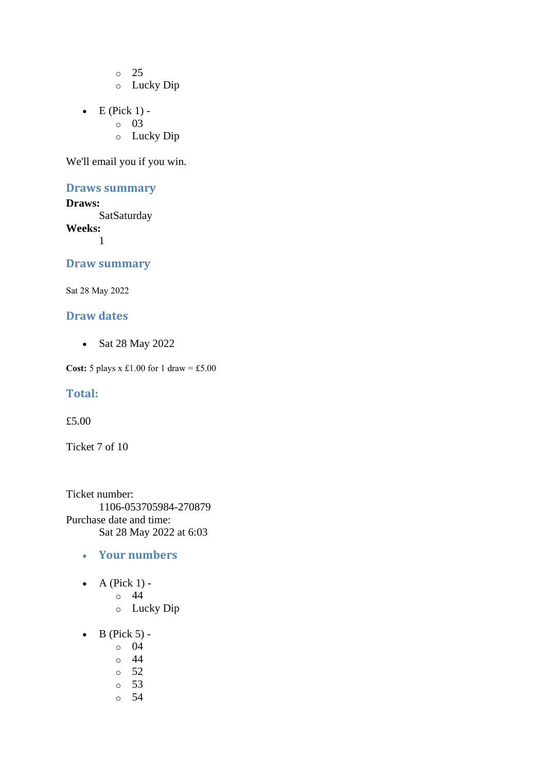o 25 o Lucky Dip

- 
- $\bullet$  E (Pick 1) o 03
	- o Lucky Dip

We'll email you if you win.

#### **Draws summary**

**Draws: SatSaturday Weeks:** 1

#### **Draw summary**

Sat 28 May 2022

### **Draw dates**

• Sat 28 May 2022

**Cost:** 5 plays x £1.00 for 1 draw = £5.00

#### **Total:**

£5.00

Ticket 7 of 10

Ticket number: 1106-053705984-270879 Purchase date and time: Sat 28 May 2022 at 6:03

- **Your numbers**
- A (Pick  $1$ )
	- o 44
	- o Lucky Dip
- $\bullet$  B (Pick 5)
	- o 04
	- o 44
	- o 52
	- o 53
	- o 54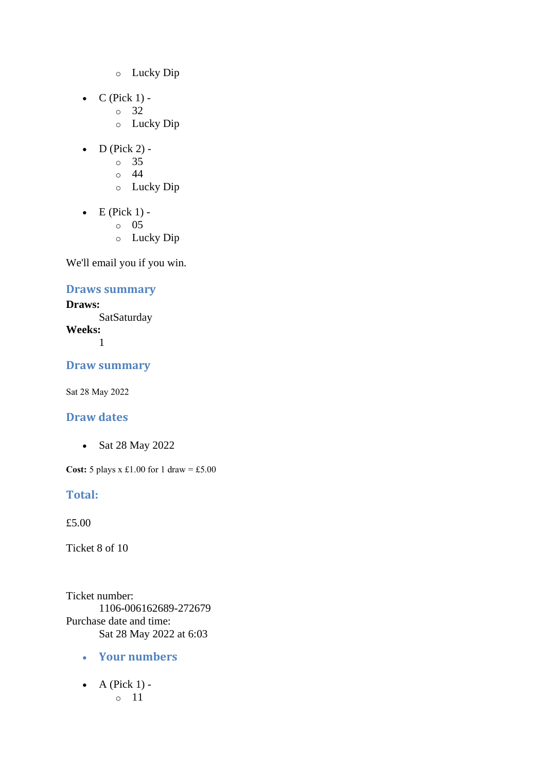- o Lucky Dip
- $\bullet$  C (Pick 1)
	- o 32
	- o Lucky Dip
- $\bullet$  D (Pick 2) -
	- $\circ$  35
	- $\circ$  44
	- o Lucky Dip
- $\bullet$  E (Pick 1)
	- o 05
	- o Lucky Dip

## **Draws summary**

**Draws: SatSaturday Weeks:** 1

### **Draw summary**

Sat 28 May 2022

## **Draw dates**

• Sat 28 May 2022

**Cost:** 5 plays x £1.00 for 1 draw = £5.00

### **Total:**

£5.00

Ticket 8 of 10

Ticket number: 1106-006162689-272679 Purchase date and time: Sat 28 May 2022 at 6:03

- **Your numbers**
- A (Pick  $1$ ) o 11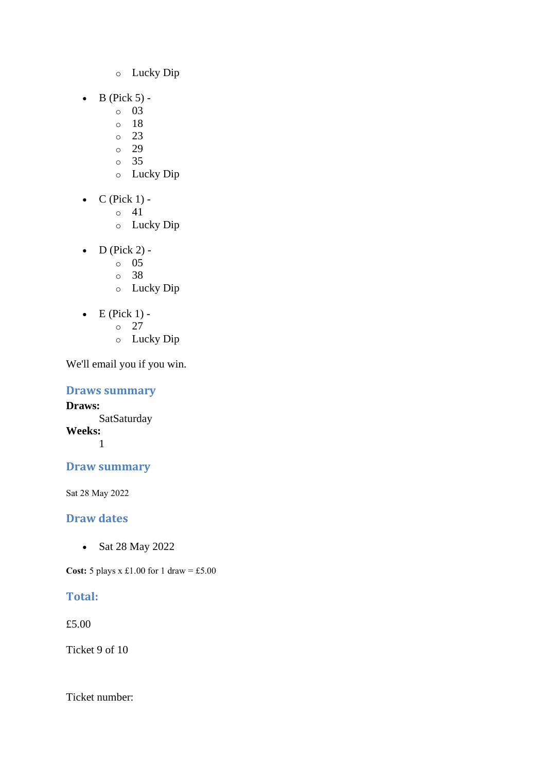- o Lucky Dip
- $\bullet$  B (Pick 5)
	- o 03
	- o 18
	- $\circ$  23
	- o 29 o 35
	- o Lucky Dip
- $\bullet$  C (Pick 1) -
	- $\circ$  41
	- o Lucky Dip
- D (Pick 2)
	- o 05
	- o 38
	- o Lucky Dip
- $\bullet$  E (Pick 1)
	- o 27
	- o Lucky Dip

#### **Draws summary**

**Draws: SatSaturday Weeks:** 1

## **Draw summary**

Sat 28 May 2022

## **Draw dates**

• Sat 28 May 2022

**Cost:** 5 plays x £1.00 for 1 draw = £5.00

## **Total:**

£5.00

Ticket 9 of 10

Ticket number: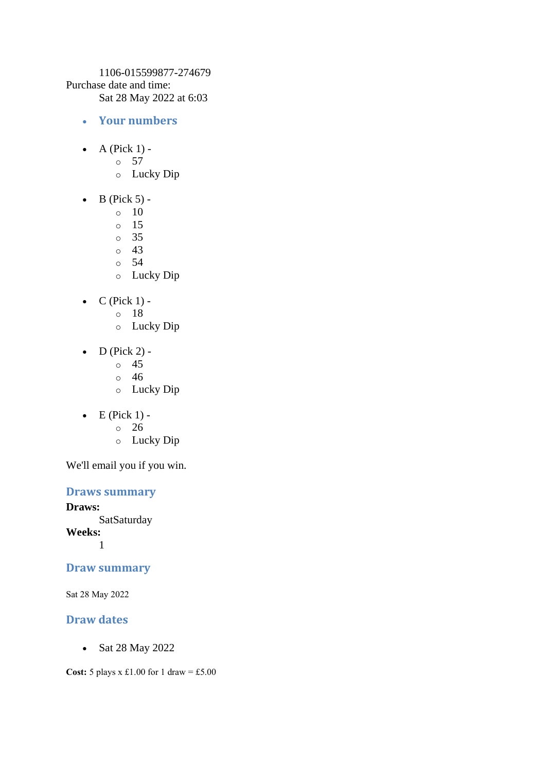1106-015599877-274679 Purchase date and time: Sat 28 May 2022 at 6:03

- **Your numbers**
- A (Pick  $1$ )
	- o 57
	- o Lucky Dip
- $\bullet$  B (Pick 5) -
	- $\circ$  10
	- o 15
	- o 35
	- o 43
	- o 54
	- o Lucky Dip
- $\bullet$  C (Pick 1)
	- o 18
	- o Lucky Dip
- $D$  (Pick 2)
	- o 45
	- o 46
	- o Lucky Dip
- $\bullet$  E (Pick 1) -
	- $\circ$  26
	- o Lucky Dip

We'll email you if you win.

### **Draws summary**

**Draws: SatSaturday Weeks:** 1

### **Draw summary**

Sat 28 May 2022

#### **Draw dates**

• Sat 28 May 2022

**Cost:** 5 plays x £1.00 for 1 draw = £5.00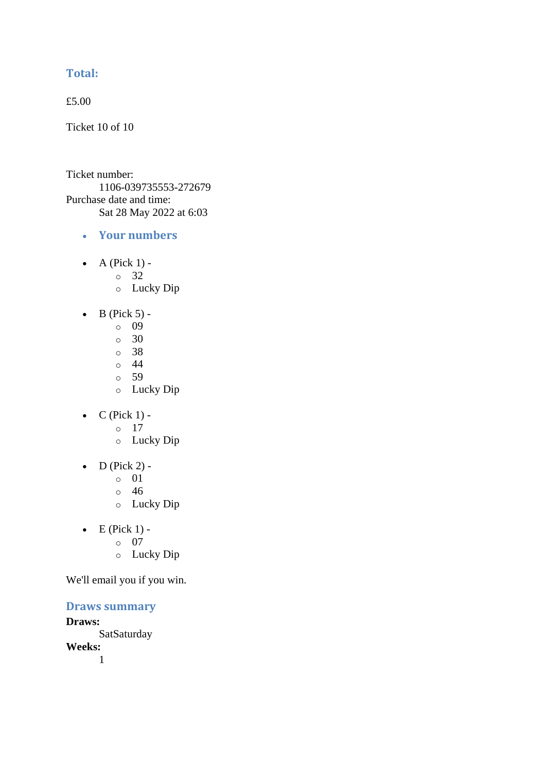## **Total:**

£5.00

Ticket 10 of 10

Ticket number: 1106-039735553-272679 Purchase date and time: Sat 28 May 2022 at 6:03

- **Your numbers**
- A (Pick  $1$ )
	- o 32
	- o Lucky Dip
- $\bullet$  B (Pick 5)
	- o 09
	- $\circ$  30
	- o 38
	- $\circ$  44
	- o 59
	- o Lucky Dip
- $C$  (Pick 1)
	- o 17
	- o Lucky Dip
- $\bullet$  D (Pick 2) -
	- $\circ$  01
	- o 46
	- o Lucky Dip
- $\bullet$  E (Pick 1)
	- o 07
		- o Lucky Dip

We'll email you if you win.

#### **Draws summary**

**Draws:** SatSaturday **Weeks:** 1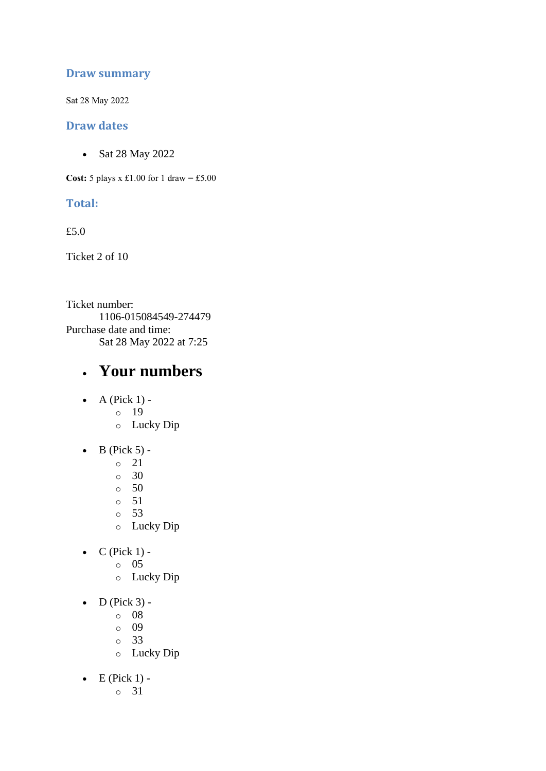## **Draw summary**

Sat 28 May 2022

#### **Draw dates**

• Sat 28 May 2022

**Cost:** 5 plays x £1.00 for 1 draw = £5.00

### **Total:**

£5.0

Ticket 2 of 10

Ticket number: 1106-015084549-274479 Purchase date and time: Sat 28 May 2022 at 7:25

# • **Your numbers**

- A (Pick  $1$ )
	- o 19
		- o Lucky Dip
- $\bullet$  B (Pick 5)
	- o 21
	- o 30
	- $\circ$  50
	- o 51
	- o 53
	- o Lucky Dip
- $C$  (Pick 1)
	- o 05
		- o Lucky Dip
- $\bullet$  D (Pick 3)
	- o 08
	- o 09
	- o 33
	- o Lucky Dip
- $\bullet$  E (Pick 1)
	- o 31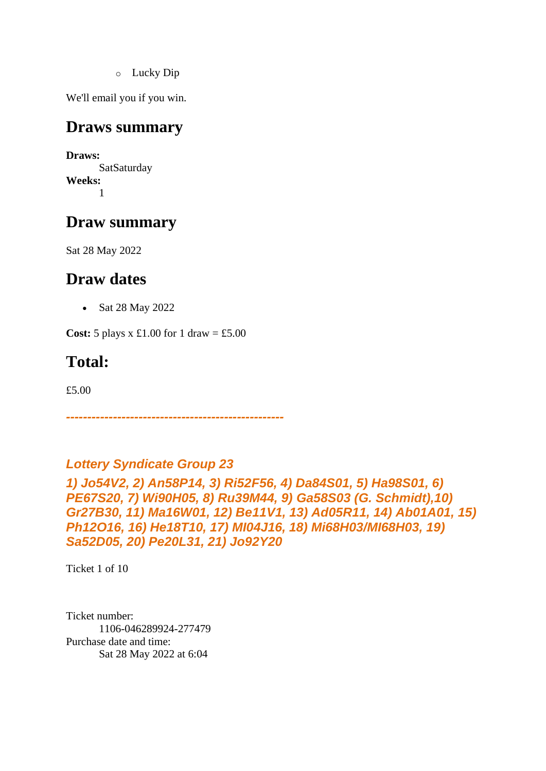o Lucky Dip

We'll email you if you win.

# **Draws summary**

**Draws: SatSaturday Weeks:** 1

# **Draw summary**

Sat 28 May 2022

# **Draw dates**

• Sat 28 May 2022

**Cost:**  $5$  plays x £1.00 for 1 draw = £5.00

# **Total:**

£5.00

*Lottery Syndicate Group 23* 

*---------------------------------------------------*

*1) Jo54V2, 2) An58P14, 3) Ri52F56, 4) Da84S01, 5) Ha98S01, 6) PE67S20, 7) Wi90H05, 8) Ru39M44, 9) Ga58S03 (G. Schmidt),10) Gr27B30, 11) Ma16W01, 12) Be11V1, 13) Ad05R11, 14) Ab01A01, 15) Ph12O16, 16) He18T10, 17) MI04J16, 18) Mi68H03/MI68H03, 19) Sa52D05, 20) Pe20L31, 21) Jo92Y20*

Ticket 1 of 10

Ticket number: 1106-046289924-277479 Purchase date and time: Sat 28 May 2022 at 6:04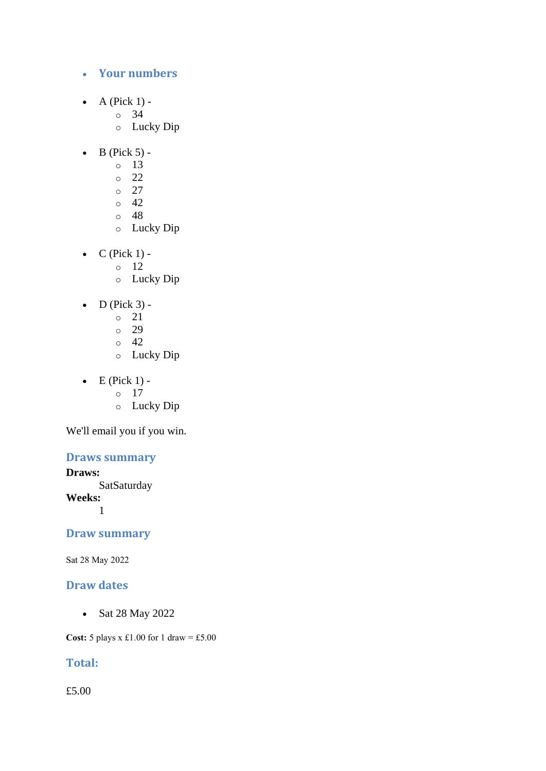#### • **Your numbers**

- A (Pick  $1$ )
	- o 34
	- o Lucky Dip
- $\bullet$  B (Pick 5)
	- o 13
	- o 22
	- o 27
	- $\circ$  42
	- o 48
	- o Lucky Dip
- $C$  (Pick 1)
	- o 12
		- o Lucky Dip
- $\bullet$  D (Pick 3)
	- o 21
	- o 29
	- o 42
	- o Lucky Dip
- $\bullet$  E (Pick 1)
	- o 17
	- o Lucky Dip

We'll email you if you win.

## **Draws summary**

**Draws:**

**SatSaturday** 

**Weeks:**

1

### **Draw summary**

Sat 28 May 2022

## **Draw dates**

• Sat 28 May 2022

**Cost:**  $5$  plays x £1.00 for 1 draw = £5.00

## **Total:**

£5.00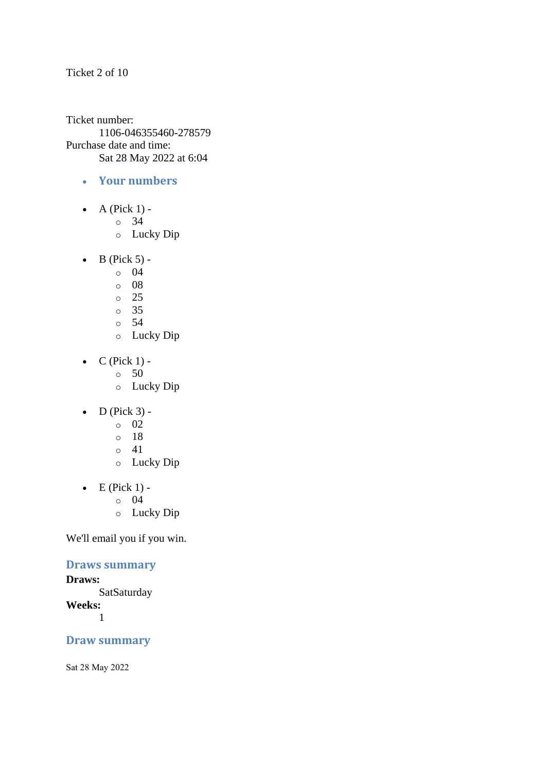Ticket 2 of 10

Ticket number: 1106-046355460-278579 Purchase date and time: Sat 28 May 2022 at 6:04

- **Your numbers**
- $\bullet$  A (Pick 1)
	- o 34
	- o Lucky Dip
- $\bullet$  B (Pick 5)
	- o 04
	- o 08
	- $\degree$  25
	- o 35
	- o 54
	- o Lucky Dip
- $\bullet$  C (Pick 1) -
	- $\circ$  50
	- o Lucky Dip
- $\bullet$  D (Pick 3)
	- o 02
	- o 18
	- o 41
	- o Lucky Dip
- $\bullet$  E (Pick 1)
	- o 04
	- o Lucky Dip

We'll email you if you win.

### **Draws summary**

#### **Draws:**

**SatSaturday Weeks:** 1

### **Draw summary**

Sat 28 May 2022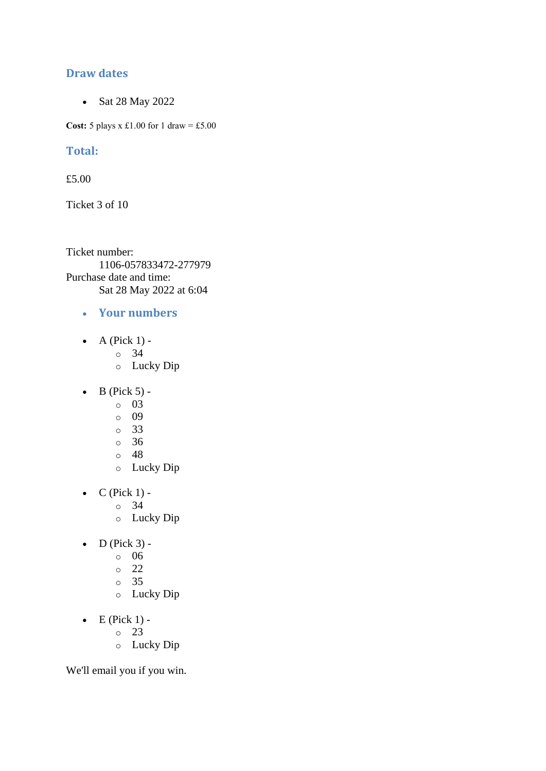### **Draw dates**

• Sat 28 May 2022

**Cost:**  $5$  plays x £1.00 for 1 draw = £5.00

### **Total:**

£5.00

Ticket 3 of 10

Ticket number: 1106-057833472-277979 Purchase date and time: Sat 28 May 2022 at 6:04

- **Your numbers**
- A (Pick  $1$ )
	- o 34
	- o Lucky Dip
- $\bullet$  B (Pick 5)
	- o 03
	- o 09
	- o 33
	- o 36
	- o 48
	- o Lucky Dip
- $\bullet$  C (Pick 1)
	- o 34
	- o Lucky Dip
- $\bullet$  D (Pick 3)
	- o 06
		- o 22
		- o 35
		- o Lucky Dip
- $\bullet$  E (Pick 1)
	- o 23
	- o Lucky Dip

We'll email you if you win.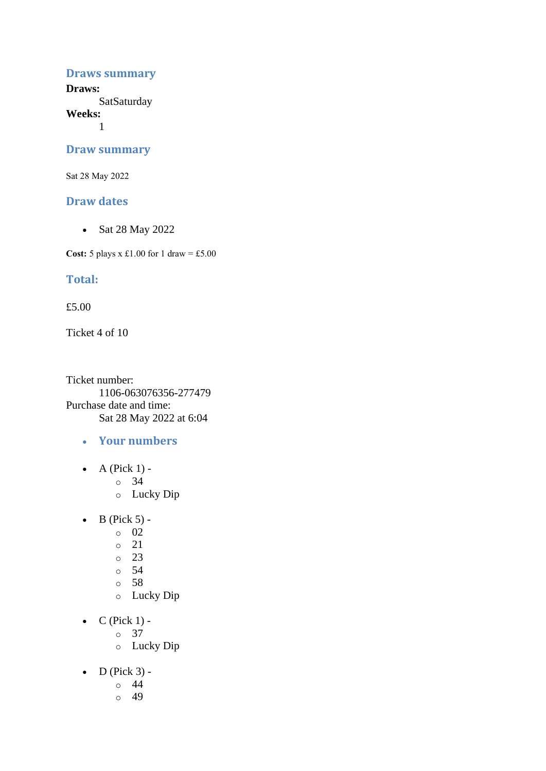#### **Draws summary**

**Draws: SatSaturday** 

**Weeks:**

1

#### **Draw summary**

Sat 28 May 2022

#### **Draw dates**

• Sat 28 May 2022

**Cost:** 5 plays x £1.00 for 1 draw = £5.00

### **Total:**

£5.00

Ticket 4 of 10

Ticket number: 1106-063076356-277479 Purchase date and time: Sat 28 May 2022 at 6:04

- **Your numbers**
- A (Pick  $1$ )
	- o 34
	- o Lucky Dip
- $\bullet$  B (Pick 5) -
	- $\circ$  02
	- o 21
	- $\degree$  23
	- o 54
	- o 58
	- o Lucky Dip
- $\bullet$  C (Pick 1)
	- o 37
	- o Lucky Dip
- $\bullet$  D (Pick 3)
	- o 44
	- $\circ$  49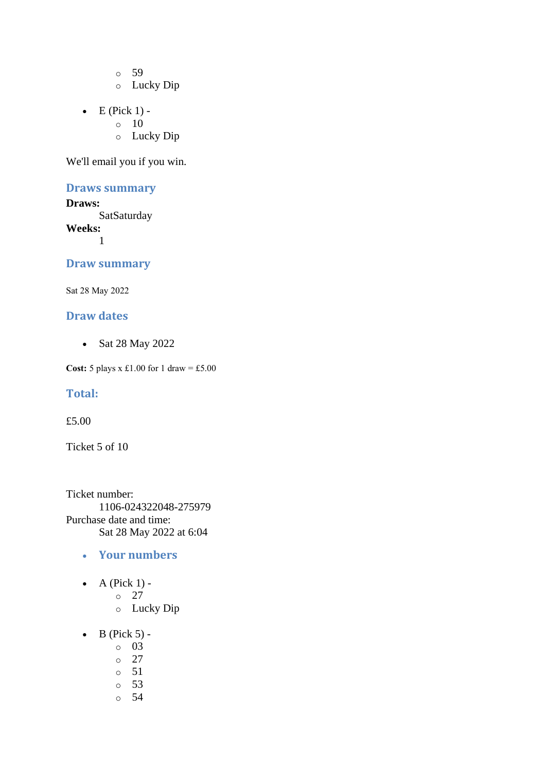o 59

- o Lucky Dip
- $\bullet$  E (Pick 1) -
	- $\circ$  10
		- o Lucky Dip

We'll email you if you win.

### **Draws summary**

**Draws: SatSaturday Weeks:** 1

#### **Draw summary**

Sat 28 May 2022

#### **Draw dates**

• Sat 28 May 2022

**Cost:** 5 plays x £1.00 for 1 draw = £5.00

#### **Total:**

£5.00

Ticket 5 of 10

Ticket number: 1106-024322048-275979 Purchase date and time: Sat 28 May 2022 at 6:04

- **Your numbers**
- $\bullet$  A (Pick 1)
	- o 27
	- o Lucky Dip
- $\bullet$  B (Pick 5)
	- o 03
	- o 27
	- o 51
	- o 53
	- o 54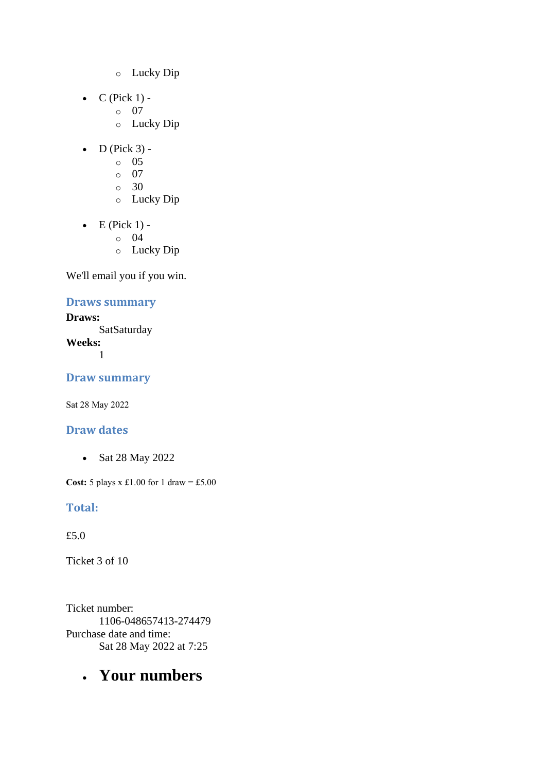- o Lucky Dip
- $\bullet$  C (Pick 1)
	- o 07
		- o Lucky Dip
- $\bullet$  D (Pick 3) -
	- $\circ$  05
	- o 07
	- o 30
	- o Lucky Dip
- $\bullet$  E (Pick 1)
	- o 04
	- o Lucky Dip

## **Draws summary**

**Draws: SatSaturday Weeks:** 1

**Draw summary**

Sat 28 May 2022

## **Draw dates**

• Sat 28 May 2022

**Cost:** 5 plays x £1.00 for 1 draw = £5.00

## **Total:**

£5.0

Ticket 3 of 10

Ticket number: 1106-048657413-274479 Purchase date and time: Sat 28 May 2022 at 7:25

# • **Your numbers**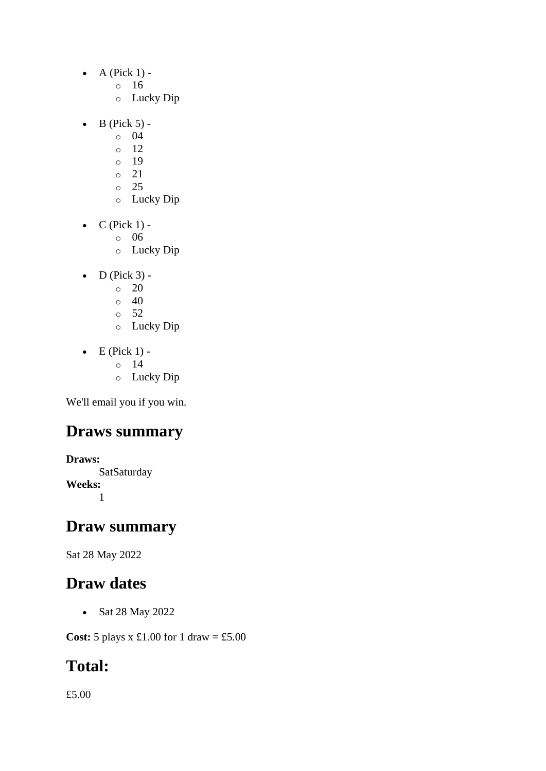- $\bullet$  A (Pick 1)
	- o 16
	- o Lucky Dip
- $\bullet$  B (Pick 5)
	- o 04
	- $\circ$  12
	- o 19
	- o 21  $\circ$  25
	- o Lucky Dip
- $\bullet$  C (Pick 1)
	- o 06
	- o Lucky Dip
- $\bullet$  D (Pick 3)
	- o 20
	- $\circ$  40
	- o 52
	- o Lucky Dip
- $\bullet$  E (Pick 1)
	- o 14
		- o Lucky Dip

# **Draws summary**

**Draws: SatSaturday Weeks:** 1

# **Draw summary**

Sat 28 May 2022

# **Draw dates**

• Sat 28 May 2022

**Cost:** 5 plays x £1.00 for 1 draw = £5.00

# **Total:**

£5.00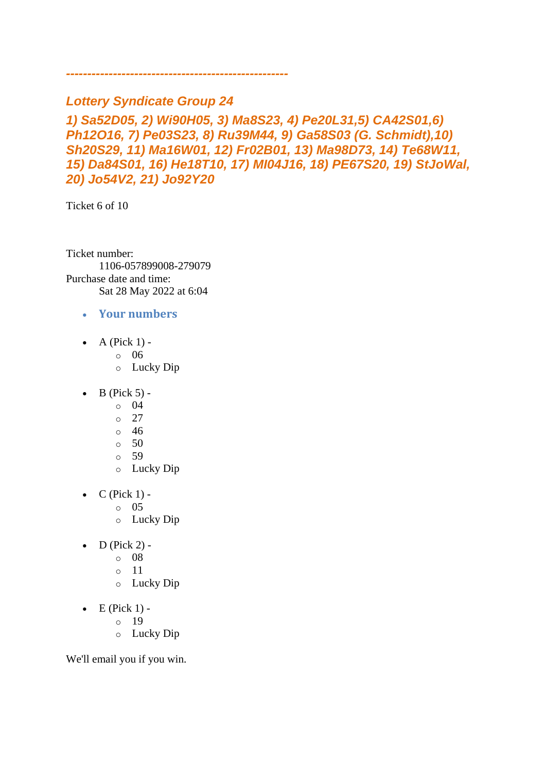## *Lottery Syndicate Group 24*

*----------------------------------------------------*

*1) Sa52D05, 2) Wi90H05, 3) Ma8S23, 4) Pe20L31,5) CA42S01,6) Ph12O16, 7) Pe03S23, 8) Ru39M44, 9) Ga58S03 (G. Schmidt),10) Sh20S29, 11) Ma16W01, 12) Fr02B01, 13) Ma98D73, 14) Te68W11, 15) Da84S01, 16) He18T10, 17) MI04J16, 18) PE67S20, 19) StJoWal, 20) Jo54V2, 21) Jo92Y20*

Ticket 6 of 10

Ticket number: 1106-057899008-279079 Purchase date and time: Sat 28 May 2022 at 6:04

#### • **Your numbers**

- A (Pick  $1$ )
	- o 06
	- o Lucky Dip
- B (Pick 5)
	- o 04
	- o 27
	- o 46
	- $\circ$  50
	- o 59
	- o Lucky Dip
- $\bullet$  C (Pick 1)
	- o 05
	- o Lucky Dip
- $\bullet$  D (Pick 2) -
	- $\circ$  08
	- o 11
	- o Lucky Dip
- $\bullet$  E (Pick 1)
	- o 19
		- o Lucky Dip

We'll email you if you win.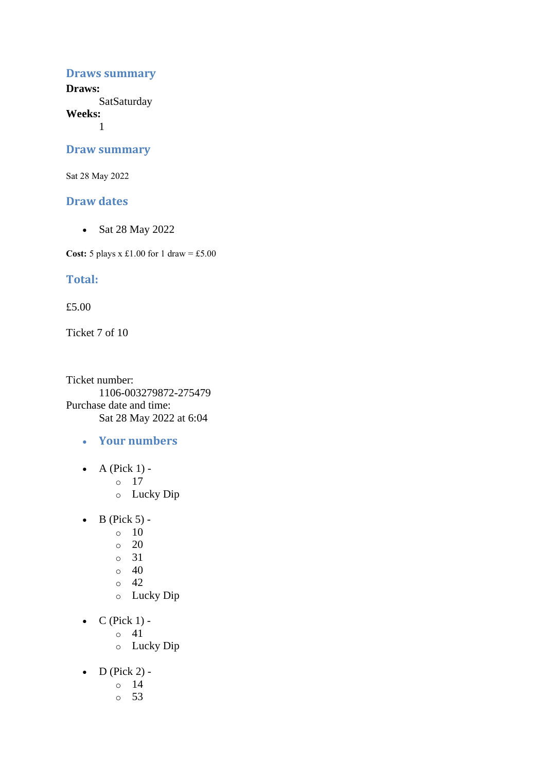#### **Draws summary**

**Draws: SatSaturday** 

**Weeks:**

1

#### **Draw summary**

Sat 28 May 2022

#### **Draw dates**

• Sat 28 May 2022

**Cost:** 5 plays x £1.00 for 1 draw = £5.00

### **Total:**

£5.00

Ticket 7 of 10

Ticket number: 1106-003279872-275479 Purchase date and time: Sat 28 May 2022 at 6:04

- **Your numbers**
- A (Pick  $1$ )
	- o 17
	- o Lucky Dip
- $\bullet$  B (Pick 5) -
	- $\circ$  10
	- $\circ$  20
	- o 31
	- $\circ$  40
	- $\circ$  42
	- o Lucky Dip
- $\bullet$  C (Pick 1)
	- o 41
	- o Lucky Dip
- $\bullet$  D (Pick 2)
	- o 14
	- o 53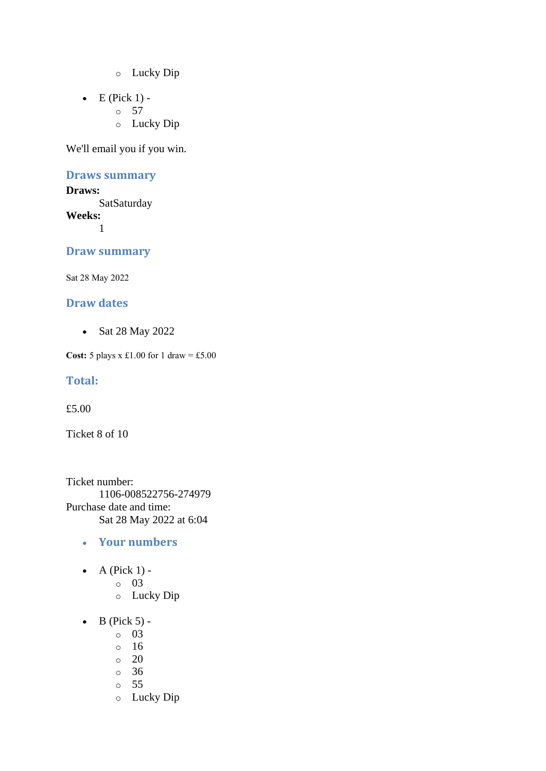- o Lucky Dip
- $\bullet$  E (Pick 1) -
	- $\circ$  57
		- o Lucky Dip

#### **Draws summary**

#### **Draws:**

**SatSaturday Weeks:** 1

**Draw summary**

Sat 28 May 2022

#### **Draw dates**

• Sat 28 May 2022

**Cost:** 5 plays x £1.00 for 1 draw = £5.00

#### **Total:**

£5.00

Ticket 8 of 10

Ticket number: 1106-008522756-274979 Purchase date and time: Sat 28 May 2022 at 6:04

#### • **Your numbers**

- A (Pick  $1$ )
	- o 03
	- o Lucky Dip
- $\bullet$  B (Pick 5)
	- o 03
	- o 16
	- o 20
	- o 36
	- o 55
	- o Lucky Dip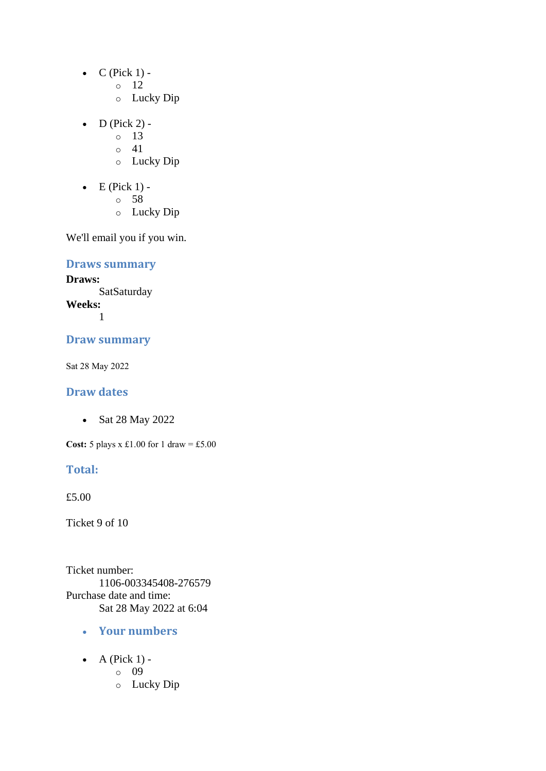- $\bullet$  C (Pick 1) -
	- $\circ$  12
	- o Lucky Dip
- D (Pick 2) -
	- $\circ$  13
	- $\circ$  41
	- o Lucky Dip
- $\bullet$  E (Pick 1)
	- o 58
	- o Lucky Dip

## **Draws summary**

**Draws: SatSaturday Weeks:**

1

#### **Draw summary**

Sat 28 May 2022

### **Draw dates**

• Sat 28 May 2022

**Cost:** 5 plays x £1.00 for 1 draw = £5.00

#### **Total:**

£5.00

Ticket 9 of 10

Ticket number: 1106-003345408-276579 Purchase date and time: Sat 28 May 2022 at 6:04

- **Your numbers**
- $\bullet$  A (Pick 1)
	- o 09
	- o Lucky Dip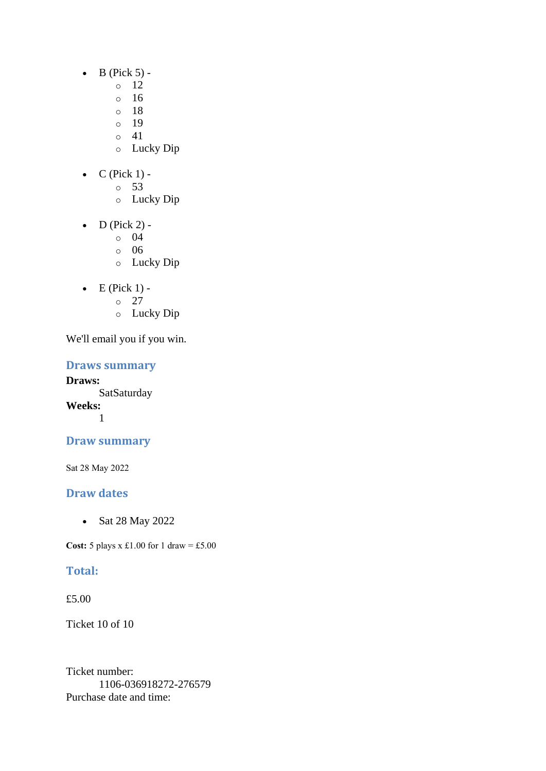- $\bullet$  B (Pick 5) -
	- $\circ$  12
	- o 16
	- o 18
	- o 19
	- $\circ$  41
	- o Lucky Dip
- $C$  (Pick 1)
	- o 53
		- o Lucky Dip
- D (Pick 2)
	- o 04
	- o 06
	- o Lucky Dip
- $\bullet$  E (Pick 1) -
	- $\circ$  27
	- o Lucky Dip

### **Draws summary**

**Draws: SatSaturday Weeks:** 1

## **Draw summary**

Sat 28 May 2022

## **Draw dates**

• Sat 28 May 2022

**Cost:** 5 plays x £1.00 for 1 draw = £5.00

## **Total:**

£5.00

Ticket 10 of 10

Ticket number: 1106-036918272-276579 Purchase date and time: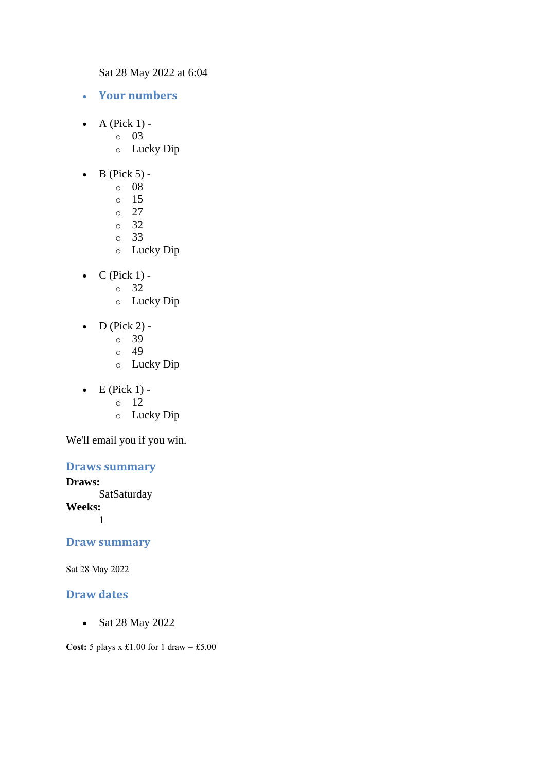Sat 28 May 2022 at 6:04

- **Your numbers**
- $\bullet$  A (Pick 1) -
	- $\circ$  03
		- o Lucky Dip
- $\bullet$  B (Pick 5) -
	- $\circ$  08
	- o 15
	- $\circ$  27
	- o 32
	- o 33
	- o Lucky Dip
- $\bullet$  C (Pick 1)
	- o 32
	- o Lucky Dip
- $D$  (Pick 2)
	- o 39
	- $\circ$  49
	- o Lucky Dip
- $\bullet$  E (Pick 1)
	- o 12
	- o Lucky Dip

We'll email you if you win.

### **Draws summary**

#### **Draws:**

**SatSaturday** 

**Weeks:**

1

#### **Draw summary**

Sat 28 May 2022

#### **Draw dates**

• Sat 28 May 2022

**Cost:** 5 plays x £1.00 for 1 draw = £5.00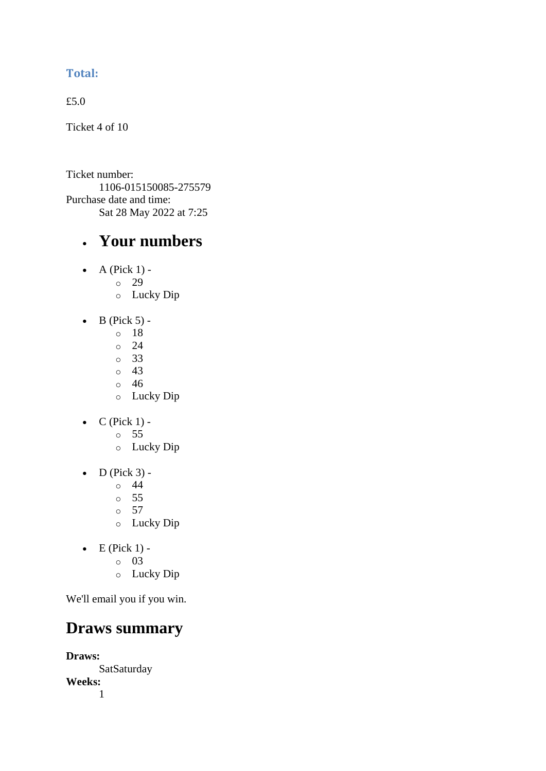## **Total:**

£5.0

Ticket 4 of 10

Ticket number: 1106-015150085-275579 Purchase date and time: Sat 28 May 2022 at 7:25

# • **Your numbers**

- $\bullet$  A (Pick 1)
	- o 29
		- o Lucky Dip
- $\bullet$  B (Pick 5)
	- o 18
	- o 24
	- o 33
	- $\circ$  43
	- o 46 o Lucky Dip
- $\bullet$  C (Pick 1)
	- o 55
	- o Lucky Dip
- $\bullet$  D (Pick 3) -
	- $\circ$  44
	- o 55
	- o 57
	- o Lucky Dip
- $\bullet$  E (Pick 1)
	- o 03
	- o Lucky Dip

We'll email you if you win.

# **Draws summary**

**Draws: SatSaturday Weeks:** 1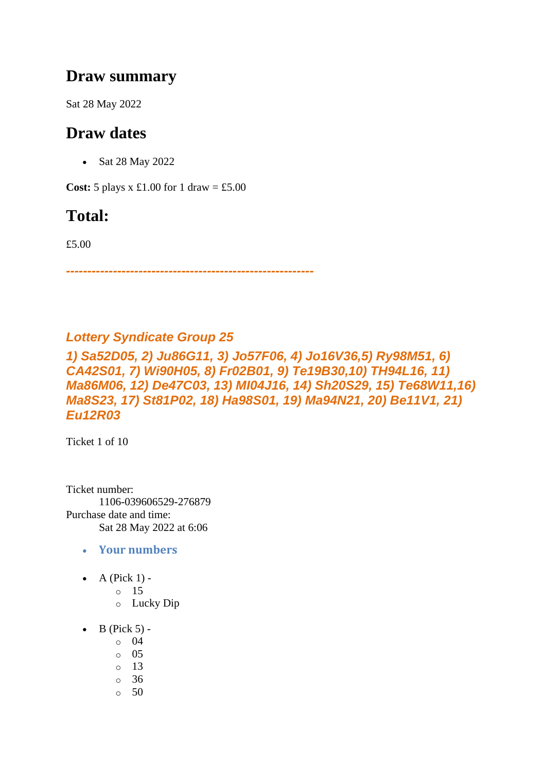# **Draw summary**

Sat 28 May 2022

# **Draw dates**

• Sat 28 May 2022

**Cost:**  $5$  plays x £1.00 for 1 draw = £5.00

# **Total:**

£5.00

*----------------------------------------------------------*

## *Lottery Syndicate Group 25*

*1) Sa52D05, 2) Ju86G11, 3) Jo57F06, 4) Jo16V36,5) Ry98M51, 6) CA42S01, 7) Wi90H05, 8) Fr02B01, 9) Te19B30,10) TH94L16, 11) Ma86M06, 12) De47C03, 13) MI04J16, 14) Sh20S29, 15) Te68W11,16) Ma8S23, 17) St81P02, 18) Ha98S01, 19) Ma94N21, 20) Be11V1, 21) Eu12R03*

Ticket 1 of 10

Ticket number: 1106-039606529-276879 Purchase date and time: Sat 28 May 2022 at 6:06

- **Your numbers**
- A (Pick  $1$ )
	- o 15
		- o Lucky Dip
- $\bullet$  B (Pick 5)
	- o 04
	- o 05
	- o 13
	- o 36
	- $\circ$  50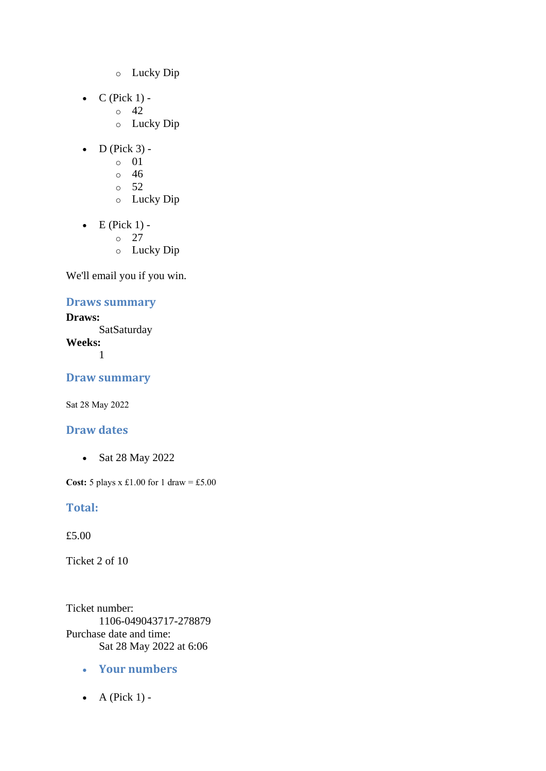- o Lucky Dip
- $C$  (Pick 1) -
	- $\circ$  42
	- o Lucky Dip
- $\bullet$  D (Pick 3)
	- o 01
	- $\circ$  46
	- $\circ$  52
	- o Lucky Dip
- $\bullet$  E (Pick 1) -
	- $\circ$  27
	- o Lucky Dip

## **Draws summary**

**Draws: SatSaturday Weeks:** 1

**Draw summary**

Sat 28 May 2022

### **Draw dates**

• Sat 28 May 2022

**Cost:** 5 plays x £1.00 for 1 draw = £5.00

### **Total:**

£5.00

Ticket 2 of 10

Ticket number: 1106-049043717-278879 Purchase date and time: Sat 28 May 2022 at 6:06

- **Your numbers**
- $\bullet$  A (Pick 1) -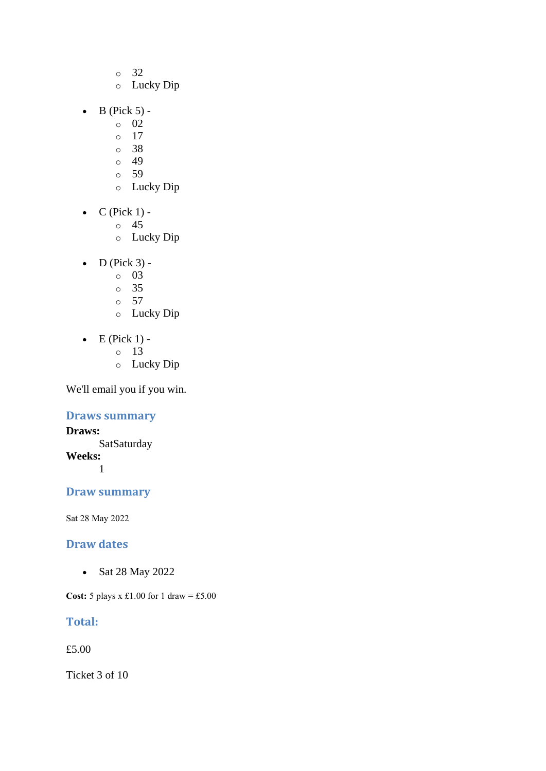- o 32
- o Lucky Dip
- $\bullet$  B (Pick 5)
	- o 02
	- o 17
	- o 38
	- $\circ$  49
	- o 59
	- o Lucky Dip
- $\bullet$  C (Pick 1)
	- o 45
	- o Lucky Dip
- $\bullet$  D (Pick 3)
	- o 03
	- o 35
	- $\circ$  57
	- o Lucky Dip
- $\bullet$  E (Pick 1)
	- o 13
	- o Lucky Dip

## **Draws summary**

**Draws: SatSaturday Weeks:** 1

## **Draw summary**

Sat 28 May 2022

### **Draw dates**

• Sat 28 May 2022

**Cost:** 5 plays x £1.00 for 1 draw = £5.00

## **Total:**

£5.00

Ticket 3 of 10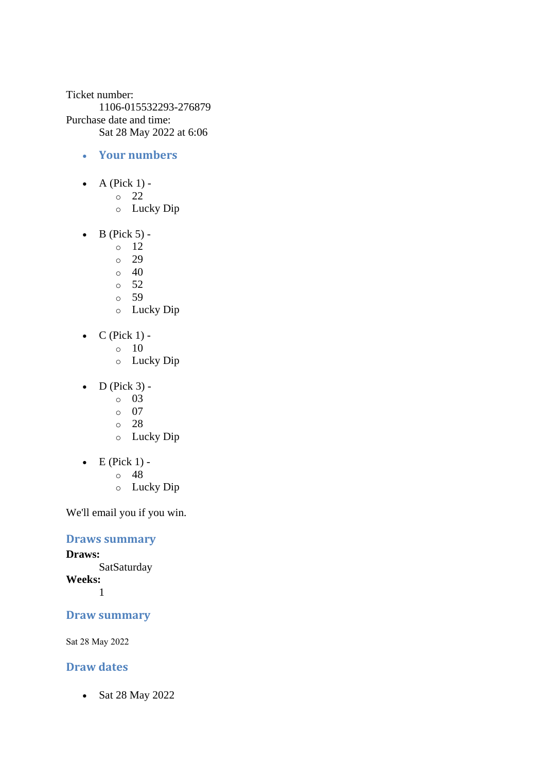Ticket number: 1106-015532293-276879 Purchase date and time: Sat 28 May 2022 at 6:06

- **Your numbers**
- $\bullet$  A (Pick 1) -

o 22

- o Lucky Dip
- $\bullet$  B (Pick 5) -
	- $\circ$  12
	- o 29
	- $\circ$  40
	- $\circ$  52
	- o 59
	- o Lucky Dip
- $C$  (Pick 1) -
	- $\circ$  10
		- o Lucky Dip
- $\bullet$  D (Pick 3)
	- o 03
	- o 07
	- o 28
	- o Lucky Dip
- $\bullet$  E (Pick 1)
	- o 48
	- o Lucky Dip

We'll email you if you win.

### **Draws summary**

**Draws: SatSaturday Weeks:**

1

#### **Draw summary**

Sat 28 May 2022

## **Draw dates**

• Sat 28 May 2022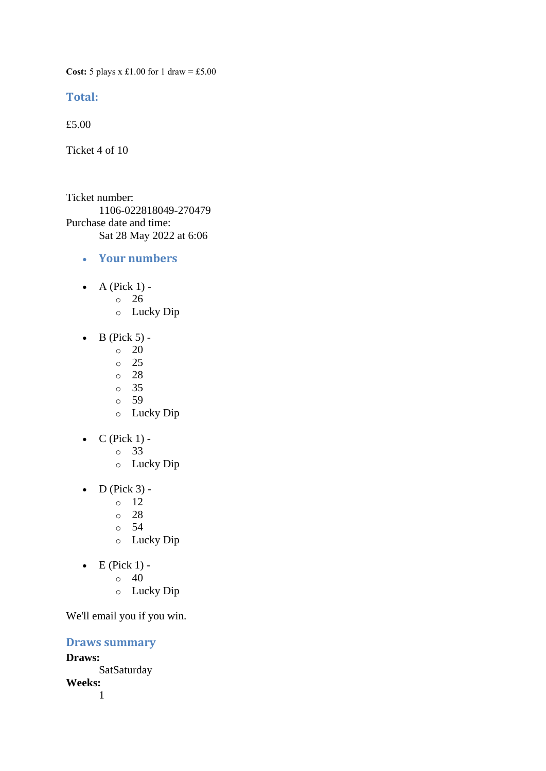**Cost:** 5 plays x £1.00 for 1 draw = £5.00

#### **Total:**

£5.00

Ticket 4 of 10

Ticket number: 1106-022818049-270479 Purchase date and time: Sat 28 May 2022 at 6:06

- **Your numbers**
- A (Pick  $1$ )
	- o 26
		- o Lucky Dip
- $\bullet$  B (Pick 5) -
	- $\circ$  20
	- $\circ$  25
	- o 28
	- o 35
	- o 59
	- o Lucky Dip
- $\bullet$  C (Pick 1)
	- o 33
	- o Lucky Dip
- $\bullet$  D (Pick 3) -
	- $\circ$  12
	- o 28
	- o 54
	- o Lucky Dip
- $\bullet$  E (Pick 1) -
	- $\circ$  40
	- o Lucky Dip

We'll email you if you win.

### **Draws summary**

**Draws: SatSaturday Weeks:** 1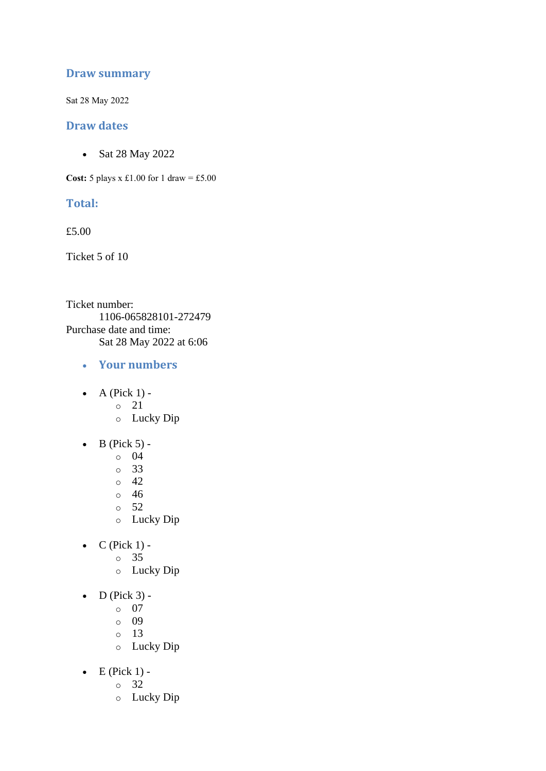## **Draw summary**

Sat 28 May 2022

### **Draw dates**

• Sat 28 May 2022

**Cost:**  $5$  plays x £1.00 for 1 draw = £5.00

## **Total:**

£5.00

Ticket 5 of 10

Ticket number: 1106-065828101-272479 Purchase date and time: Sat 28 May 2022 at 6:06

- **Your numbers**
- $\bullet$  A (Pick 1)
	- o 21
	- o Lucky Dip
- $\bullet$  B (Pick 5)
	- o 04
	- o 33
	- o 42
	- o 46
	- o 52
	- o Lucky Dip
- $C$  (Pick 1)
	- o 35
		- o Lucky Dip
- $\bullet$  D (Pick 3)
	- o 07
	- o 09
	- o 13
	- o Lucky Dip
- $\bullet$  E (Pick 1)
	- o 32
	- o Lucky Dip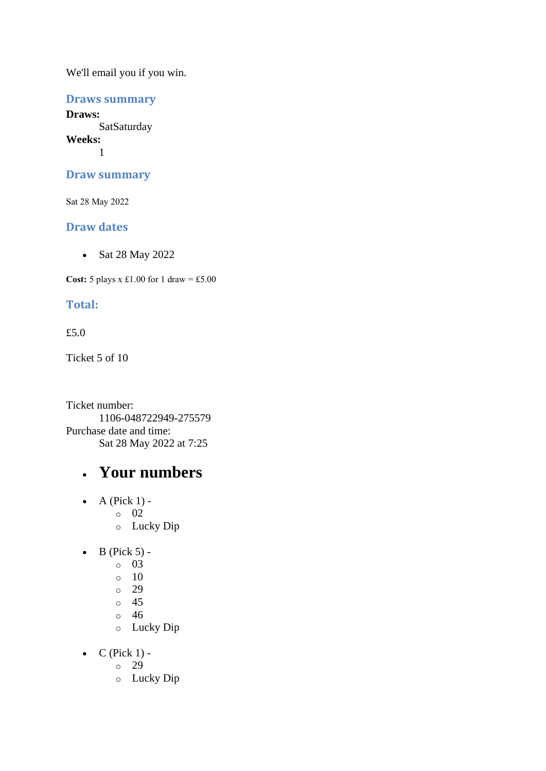## **Draws summary**

**Draws: SatSaturday Weeks:** 1

### **Draw summary**

Sat 28 May 2022

## **Draw dates**

• Sat 28 May 2022

**Cost:**  $5$  plays x £1.00 for 1 draw = £5.00

## **Total:**

### £5.0

Ticket 5 of 10

Ticket number: 1106-048722949-275579 Purchase date and time: Sat 28 May 2022 at 7:25

## • **Your numbers**

- $\bullet$  A (Pick 1) o 02 o Lucky Dip
- $\bullet$  B (Pick 5)
	- o 03
	- $\circ$  10
	- o 29
	- o 45
	- o 46
	- o Lucky Dip
- $\bullet$  C (Pick 1)
	- o 29
	- o Lucky Dip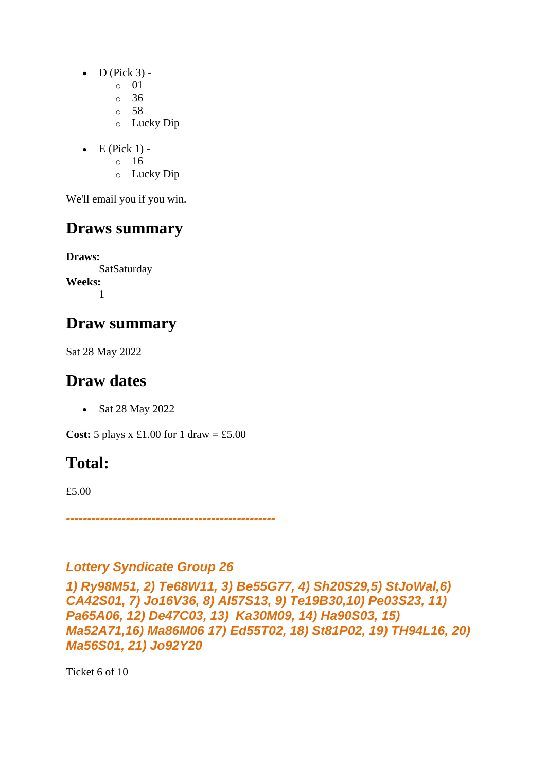- $\bullet$  D (Pick 3)
	- o 01
	- o 36
	- o 58
	- o Lucky Dip
- $\bullet$  E (Pick 1)
	- o 16
	- o Lucky Dip

# **Draws summary**

**Draws: SatSaturday Weeks:** 1

# **Draw summary**

Sat 28 May 2022

# **Draw dates**

• Sat 28 May 2022

**Cost:**  $5$  plays x £1.00 for 1 draw = £5.00

# **Total:**

£5.00

*-------------------------------------------------*

## *Lottery Syndicate Group 26*

*1) Ry98M51, 2) Te68W11, 3) Be55G77, 4) Sh20S29,5) StJoWal,6) CA42S01, 7) Jo16V36, 8) Al57S13, 9) Te19B30,10) Pe03S23, 11) Pa65A06, 12) De47C03, 13) Ka30M09, 14) Ha90S03, 15) Ma52A71,16) Ma86M06 17) Ed55T02, 18) St81P02, 19) TH94L16, 20) Ma56S01, 21) Jo92Y20*

Ticket 6 of 10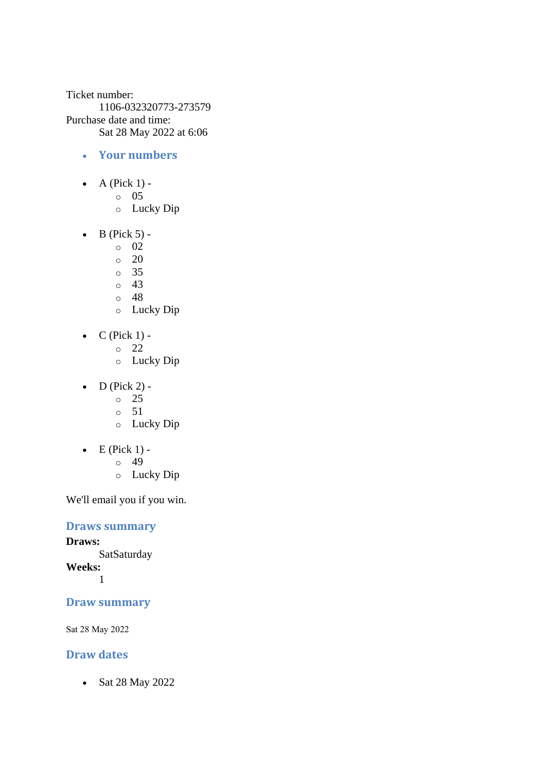Ticket number: 1106-032320773-273579 Purchase date and time: Sat 28 May 2022 at 6:06

- **Your numbers**
- A (Pick  $1$ )
	- o 05
	- o Lucky Dip
- $\bullet$  B (Pick 5) -
	- $\circ$  02
	- $\circ$  20
	- o 35
	- o 43
	- o 48
	- o Lucky Dip
- $C$  (Pick 1)
	- o 22
		- o Lucky Dip
- $\bullet$  D (Pick 2)
	- o 25
	- $\circ$  51
	- o Lucky Dip
- $\bullet$  E (Pick 1) -
	- $\circ$  49
		- o Lucky Dip

We'll email you if you win.

**Draws summary**

**Draws:** SatSaturday **Weeks:**

1

**Draw summary**

Sat 28 May 2022

## **Draw dates**

• Sat 28 May 2022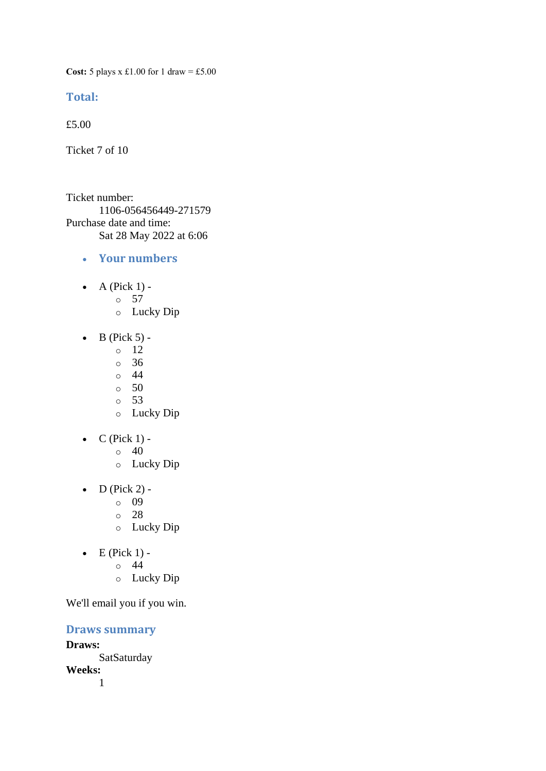**Cost:** 5 plays x £1.00 for 1 draw = £5.00

## **Total:**

£5.00

Ticket 7 of 10

Ticket number: 1106-056456449-271579 Purchase date and time: Sat 28 May 2022 at 6:06

- **Your numbers**
- $\bullet$  A (Pick 1)
	- o 57
		- o Lucky Dip
- $\bullet$  B (Pick 5) -
	- $\circ$  12
	- o 36
	- $\circ$  44
	- $\circ$  50
	- o 53
	- o Lucky Dip
- $\bullet$  C (Pick 1) -
	- $\circ$  40
	- o Lucky Dip
- $\bullet$  D (Pick 2)
	- o 09
	- o 28
	- o Lucky Dip
- $\bullet$  E (Pick 1) -
	- $\circ$  44
	- o Lucky Dip

We'll email you if you win.

**Draws summary Draws: SatSaturday Weeks:** 1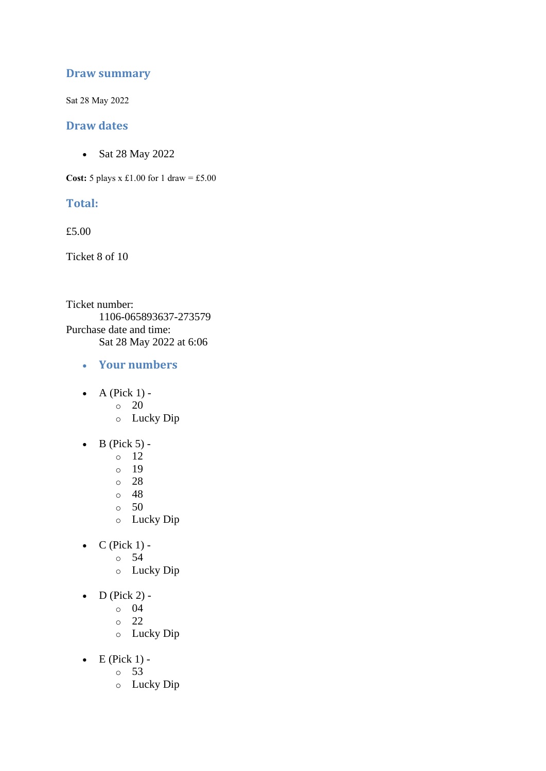## **Draw summary**

Sat 28 May 2022

### **Draw dates**

• Sat 28 May 2022

**Cost:**  $5$  plays x £1.00 for 1 draw = £5.00

## **Total:**

£5.00

Ticket 8 of 10

Ticket number: 1106-065893637-273579 Purchase date and time: Sat 28 May 2022 at 6:06

- **Your numbers**
- $\bullet$  A (Pick 1) -
	- $\circ$  20
	- o Lucky Dip
- $\bullet$  B (Pick 5) -
	- $\circ$  12
	- o 19
	- o 28
	- o 48
	- o 50
	- o Lucky Dip
- $C$  (Pick 1)
	- o 54
		- o Lucky Dip
- $\bullet$  D (Pick 2)
	- o 04
	- o 22
	- o Lucky Dip
- $\bullet$  E (Pick 1)
	- o 53
	- o Lucky Dip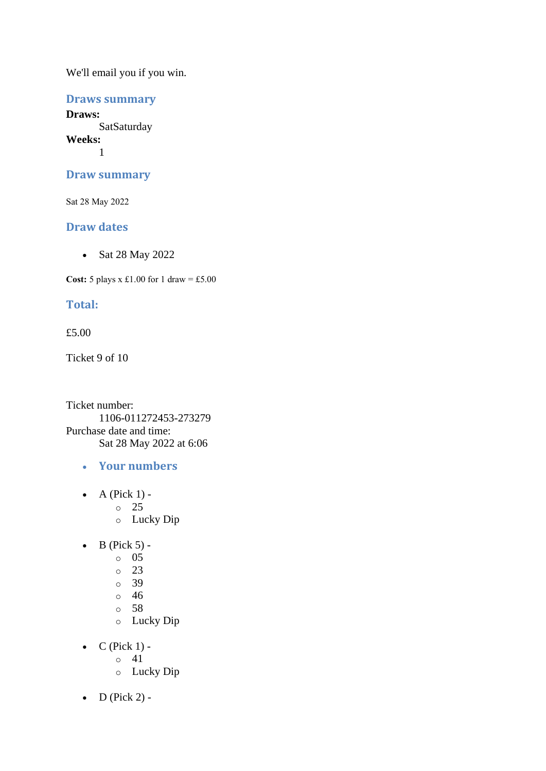## **Draws summary**

**Draws: SatSaturday Weeks:** 1

#### **Draw summary**

Sat 28 May 2022

### **Draw dates**

• Sat 28 May 2022

**Cost:**  $5$  plays x £1.00 for 1 draw = £5.00

### **Total:**

#### £5.00

Ticket 9 of 10

Ticket number: 1106-011272453-273279 Purchase date and time: Sat 28 May 2022 at 6:06

- **Your numbers**
- $\bullet$  A (Pick 1)
	- o 25
	- o Lucky Dip
- $\bullet$  B (Pick 5) -
	- $\circ$  05
		- o 23
		- o 39
		- o 46
		- o 58
		- o Lucky Dip
- $\bullet$  C (Pick 1) -
	- $\circ$  41
	- o Lucky Dip
- $D$  (Pick 2) -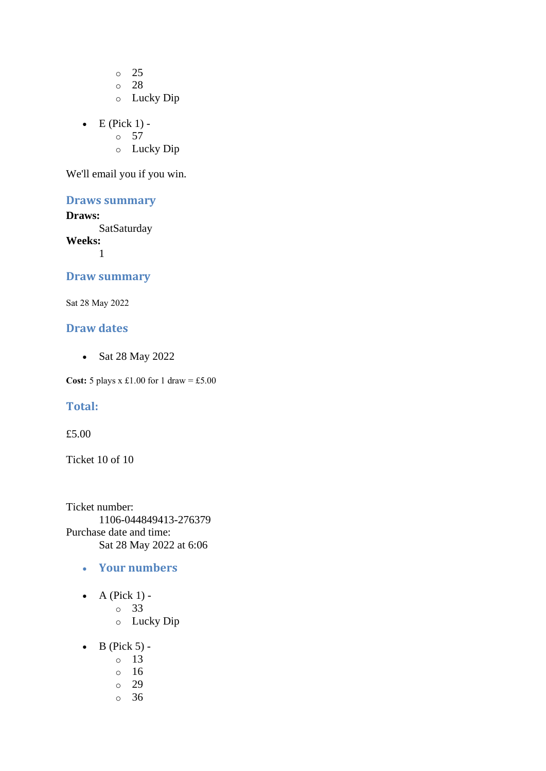o 25 o 28

- o Lucky Dip
- $\bullet$  E (Pick 1) -
	- $\circ$  57
	- o Lucky Dip

We'll email you if you win.

## **Draws summary**

#### **Draws:**

**SatSaturday** 

**Weeks:**

1

## **Draw summary**

Sat 28 May 2022

## **Draw dates**

• Sat 28 May 2022

**Cost:**  $5$  plays x £1.00 for 1 draw = £5.00

#### **Total:**

#### £5.00

Ticket 10 of 10

Ticket number: 1106-044849413-276379 Purchase date and time: Sat 28 May 2022 at 6:06

- **Your numbers**
- $\bullet$  A (Pick 1)
	- o 33
	- o Lucky Dip
- $\bullet$  B (Pick 5)
	- o 13
	- o 16
	- o 29
	- o 36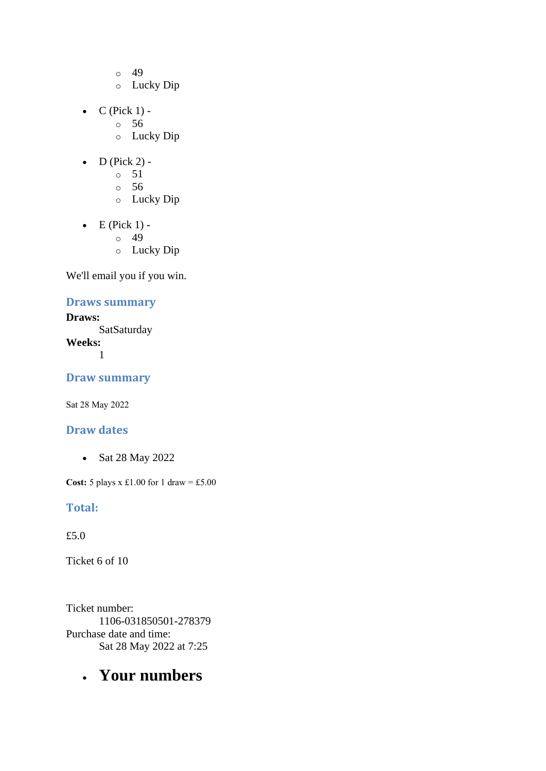- o 49
- o Lucky Dip
- $C$  (Pick 1)
	- o 56
		- o Lucky Dip
- $\bullet$  D (Pick 2) -
	- $\circ$  51
	- o 56
	- o Lucky Dip
- $\bullet$  E (Pick 1) -
	- $\circ$  49
	- o Lucky Dip

## **Draws summary**

**Draws: SatSaturday Weeks:** 1

**Draw summary**

Sat 28 May 2022

## **Draw dates**

• Sat 28 May 2022

**Cost:** 5 plays x £1.00 for 1 draw = £5.00

## **Total:**

£5.0

Ticket 6 of 10

Ticket number: 1106-031850501-278379 Purchase date and time: Sat 28 May 2022 at 7:25

# • **Your numbers**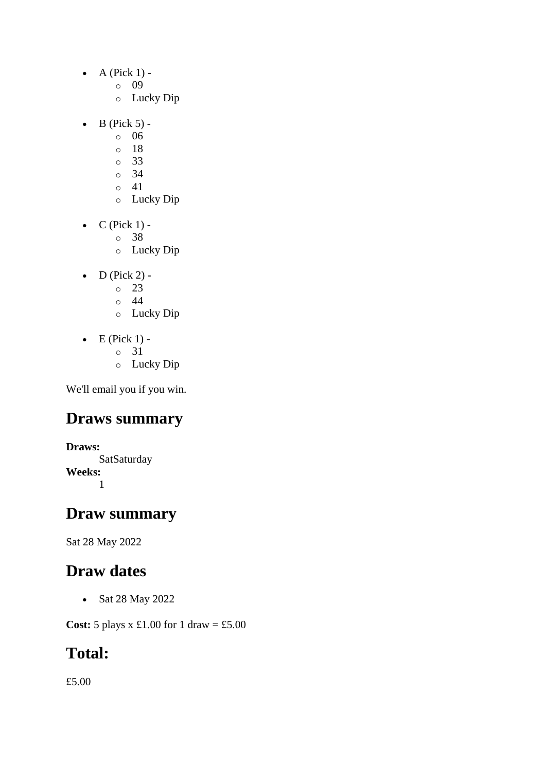- $\bullet$  A (Pick 1)
	- o 09
	- o Lucky Dip
- $\bullet$  B (Pick 5)
	- o 06
	- o 18
	- o 33
	- o 34  $\circ$  41
	- o Lucky Dip
- $\bullet$  C (Pick 1)
	- o 38
	- o Lucky Dip
- $\bullet$  D (Pick 2)
	- o 23
	- o 44
	- o Lucky Dip
- $\bullet$  E (Pick 1)
	- o 31
	- o Lucky Dip

## **Draws summary**

**Draws: SatSaturday Weeks:** 1

## **Draw summary**

Sat 28 May 2022

## **Draw dates**

• Sat 28 May 2022

**Cost:** 5 plays x £1.00 for 1 draw = £5.00

# **Total:**

£5.00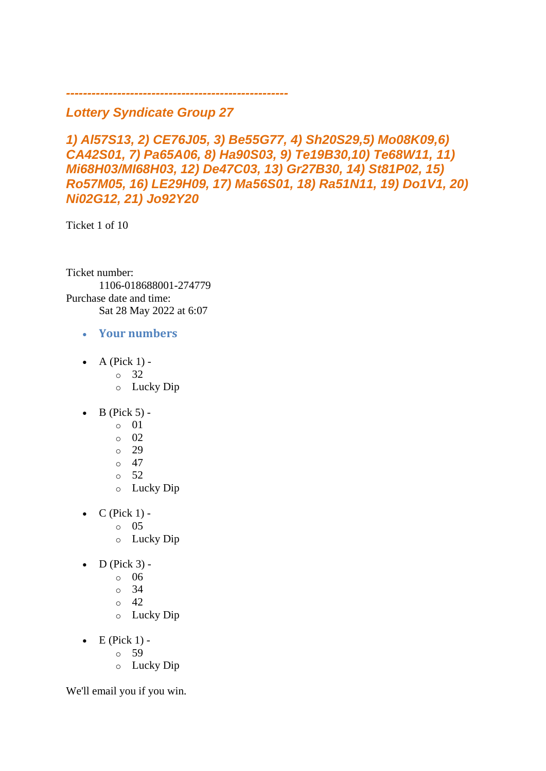## *Lottery Syndicate Group 27*

*----------------------------------------------------*

*1) Al57S13, 2) CE76J05, 3) Be55G77, 4) Sh20S29,5) Mo08K09,6) CA42S01, 7) Pa65A06, 8) Ha90S03, 9) Te19B30,10) Te68W11, 11) Mi68H03/MI68H03, 12) De47C03, 13) Gr27B30, 14) St81P02, 15) Ro57M05, 16) LE29H09, 17) Ma56S01, 18) Ra51N11, 19) Do1V1, 20) Ni02G12, 21) Jo92Y20*

Ticket 1 of 10

Ticket number: 1106-018688001-274779 Purchase date and time: Sat 28 May 2022 at 6:07

- **Your numbers**
- A (Pick  $1$ )
	- o 32
	- o Lucky Dip
- B (Pick 5)
	- $\circ$  01
	- o 02
	- o 29
	- $\circ$  47
	- o 52
	- o Lucky Dip
- $\bullet$  C (Pick 1)
	- o 05
	- o Lucky Dip
- $\bullet$  D (Pick 3) -
	- $\circ$  06
	- o 34
	- o 42
	- o Lucky Dip
- $\bullet$  E (Pick 1)
	- o 59
		- o Lucky Dip

We'll email you if you win.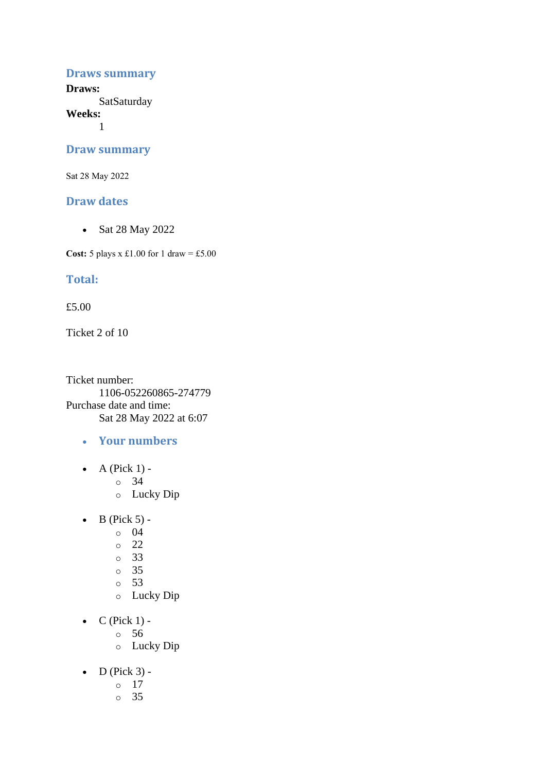#### **Draws summary**

**Draws: SatSaturday** 

**Weeks:**

1

#### **Draw summary**

Sat 28 May 2022

#### **Draw dates**

• Sat 28 May 2022

**Cost:** 5 plays x £1.00 for 1 draw = £5.00

### **Total:**

£5.00

Ticket 2 of 10

Ticket number: 1106-052260865-274779 Purchase date and time: Sat 28 May 2022 at 6:07

- **Your numbers**
- A (Pick  $1$ )
	- o 34
	- o Lucky Dip
- $\bullet$  B (Pick 5) -
	- $\circ$  04
	- o 22
	- o 33
	- o 35
	- o 53
	- o Lucky Dip
- $\bullet$  C (Pick 1)
	- o 56
	- o Lucky Dip
- $\bullet$  D (Pick 3)
	- o 17
	- o 35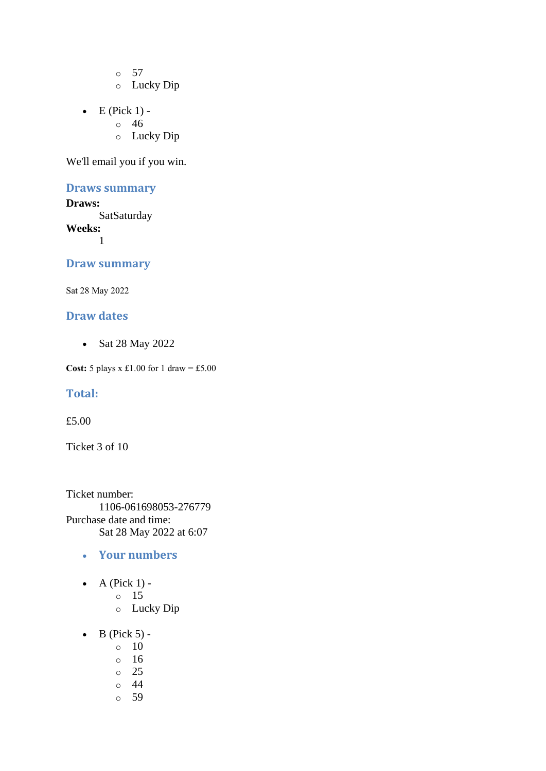o 57 o Lucky Dip

- $\bullet$  E (Pick 1)
	- o 46
		- o Lucky Dip

We'll email you if you win.

## **Draws summary**

**Draws: SatSaturday Weeks:** 1

### **Draw summary**

Sat 28 May 2022

### **Draw dates**

• Sat 28 May 2022

**Cost:** 5 plays x £1.00 for 1 draw = £5.00

#### **Total:**

£5.00

Ticket 3 of 10

Ticket number: 1106-061698053-276779 Purchase date and time: Sat 28 May 2022 at 6:07

- **Your numbers**
- A (Pick  $1$ )
	- o 15
	- o Lucky Dip
- $\bullet$  B (Pick 5) -
	- $\circ$  10
	- o 16
	- o 25
	- o 44
	- o 59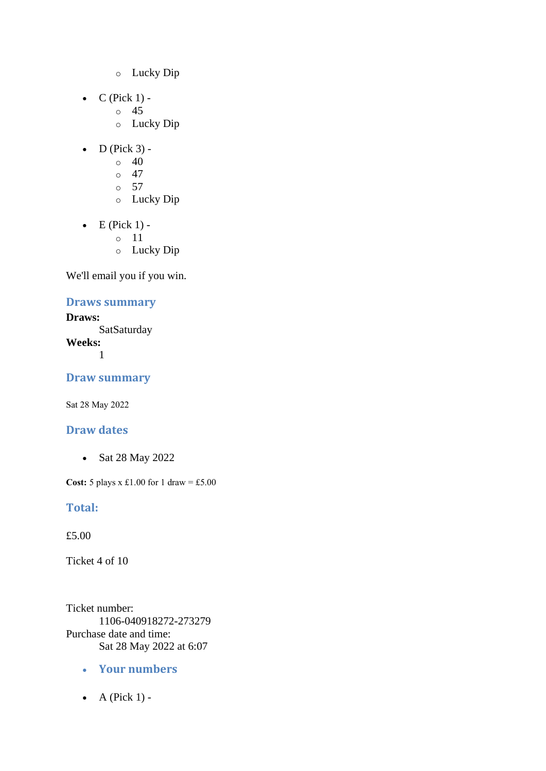- o Lucky Dip
- $C$  (Pick 1)
	- o 45
	- o Lucky Dip
- $\bullet$  D (Pick 3) -
	- $\circ$  40
	- $\circ$  47
	- $\circ$  57
	- o Lucky Dip
- $\bullet$  E (Pick 1)
	- o 11
	- o Lucky Dip

## **Draws summary**

**Draws: SatSaturday Weeks:** 1

**Draw summary**

Sat 28 May 2022

## **Draw dates**

• Sat 28 May 2022

**Cost:** 5 plays x £1.00 for 1 draw = £5.00

## **Total:**

£5.00

Ticket 4 of 10

Ticket number: 1106-040918272-273279 Purchase date and time: Sat 28 May 2022 at 6:07

- **Your numbers**
- $\bullet$  A (Pick 1) -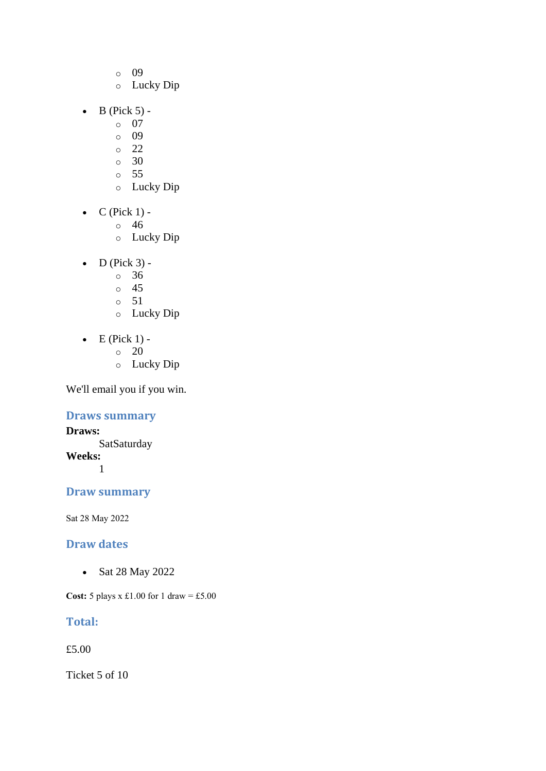- o 09
- o Lucky Dip
- $\bullet$  B (Pick 5)
	- o 07
	- o 09
	- $\circ$  22
	- $\circ$  30
	- o 55
	- o Lucky Dip
- $\bullet$  C (Pick 1)
	- o 46
	- o Lucky Dip
- $\bullet$  D (Pick 3) -
	- $\circ$  36
	- o 45
	- o 51
	- o Lucky Dip
- $\bullet$  E (Pick 1) -
	- $\circ$  20
	- o Lucky Dip

## **Draws summary**

**Draws: SatSaturday Weeks:** 1

## **Draw summary**

Sat 28 May 2022

## **Draw dates**

• Sat 28 May 2022

**Cost:** 5 plays x £1.00 for 1 draw = £5.00

## **Total:**

£5.00

Ticket 5 of 10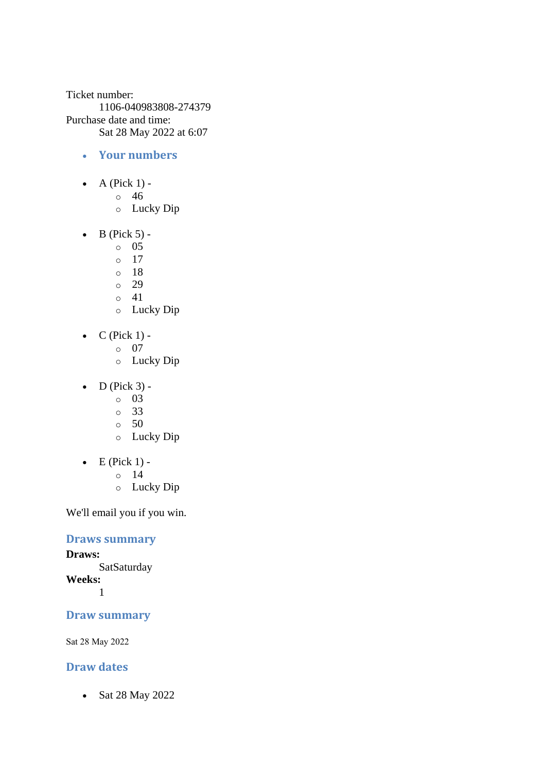Ticket number: 1106-040983808-274379 Purchase date and time: Sat 28 May 2022 at 6:07

- **Your numbers**
- A (Pick  $1$ )
	- o 46
	- o Lucky Dip
- $\bullet$  B (Pick 5) -
	- $\circ$  05
	- o 17
	- o 18
	- o 29
	- $\circ$  41
	- o Lucky Dip
- $C$  (Pick 1)
	- o 07
		- o Lucky Dip
- $\bullet$  D (Pick 3) -
	- $\circ$  03
	- o 33
	- $\circ$  50
	- o Lucky Dip
- $\bullet$  E (Pick 1)
	- o 14
	- o Lucky Dip

We'll email you if you win.

## **Draws summary**

**Draws: SatSaturday Weeks:**

1

## **Draw summary**

Sat 28 May 2022

## **Draw dates**

• Sat 28 May 2022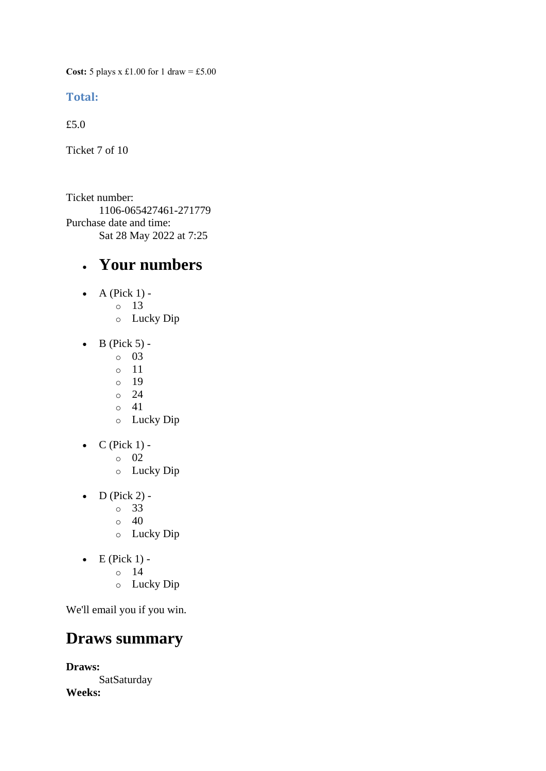**Cost:** 5 plays x £1.00 for 1 draw = £5.00

#### **Total:**

£5.0

Ticket 7 of 10

Ticket number: 1106-065427461-271779 Purchase date and time: Sat 28 May 2022 at 7:25

## • **Your numbers**

- $\bullet$  A (Pick 1)
	- o 13
		- o Lucky Dip
- $\bullet$  B (Pick 5) -
	- $\circ$  03
	- o 11
	- o 19
	- $\circ$  24
	- o 41
	- o Lucky Dip
- $C$  (Pick 1)
	- o 02
	- o Lucky Dip
- $\bullet$  D (Pick 2)
	- o 33
	- $\circ$  40
	- o Lucky Dip
- $\bullet$  E (Pick 1)
	- o 14
		- o Lucky Dip

We'll email you if you win.

## **Draws summary**

**Draws: SatSaturday Weeks:**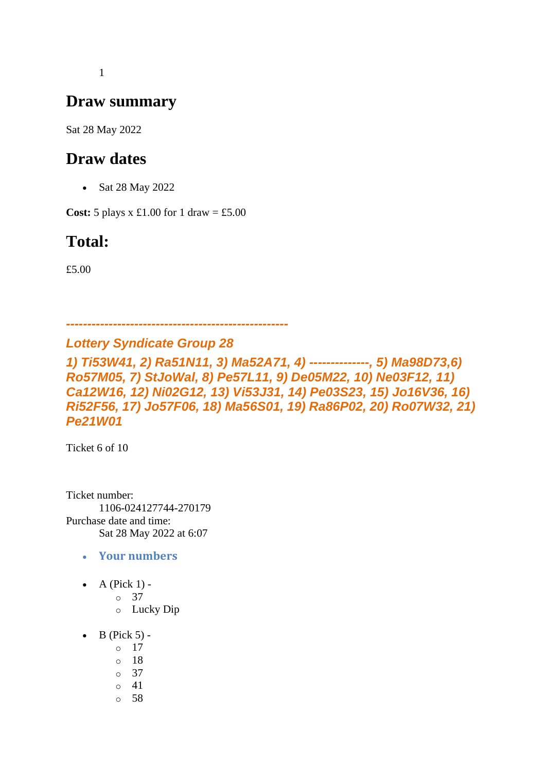1

## **Draw summary**

Sat 28 May 2022

## **Draw dates**

• Sat 28 May 2022

**Cost:**  $5$  plays x £1.00 for 1 draw = £5.00

# **Total:**

£5.00

*Lottery Syndicate Group 28*

*----------------------------------------------------*

*1) Ti53W41, 2) Ra51N11, 3) Ma52A71, 4) --------------, 5) Ma98D73,6) Ro57M05, 7) StJoWal, 8) Pe57L11, 9) De05M22, 10) Ne03F12, 11) Ca12W16, 12) Ni02G12, 13) Vi53J31, 14) Pe03S23, 15) Jo16V36, 16) Ri52F56, 17) Jo57F06, 18) Ma56S01, 19) Ra86P02, 20) Ro07W32, 21) Pe21W01*

Ticket 6 of 10

Ticket number: 1106-024127744-270179 Purchase date and time: Sat 28 May 2022 at 6:07

- **Your numbers**
- A (Pick  $1$ ) -

o 37

- o Lucky Dip
- $\bullet$  B (Pick 5) -
	- $\circ$  17
	- o 18
	- o 37
	- o 41
	- o 58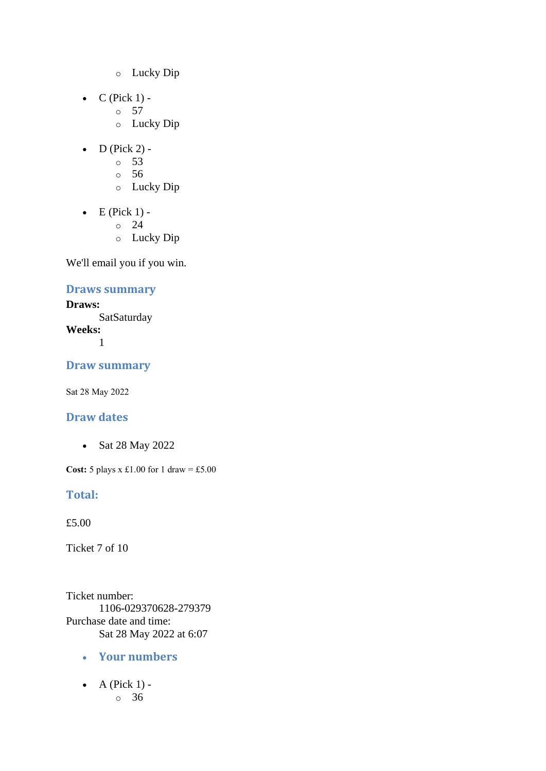- o Lucky Dip
- $\bullet$  C (Pick 1) -
	- $\circ$  57
		- o Lucky Dip
- $\bullet$  D (Pick 2)
	- o 53
	- o 56
	- o Lucky Dip
- $\bullet$  E (Pick 1)
	- o 24
	- o Lucky Dip

## **Draws summary**

**Draws: SatSaturday Weeks:** 1

## **Draw summary**

Sat 28 May 2022

## **Draw dates**

• Sat 28 May 2022

**Cost:** 5 plays x £1.00 for 1 draw = £5.00

#### **Total:**

£5.00

Ticket 7 of 10

Ticket number: 1106-029370628-279379 Purchase date and time: Sat 28 May 2022 at 6:07

- **Your numbers**
- $\bullet$  A (Pick 1) o 36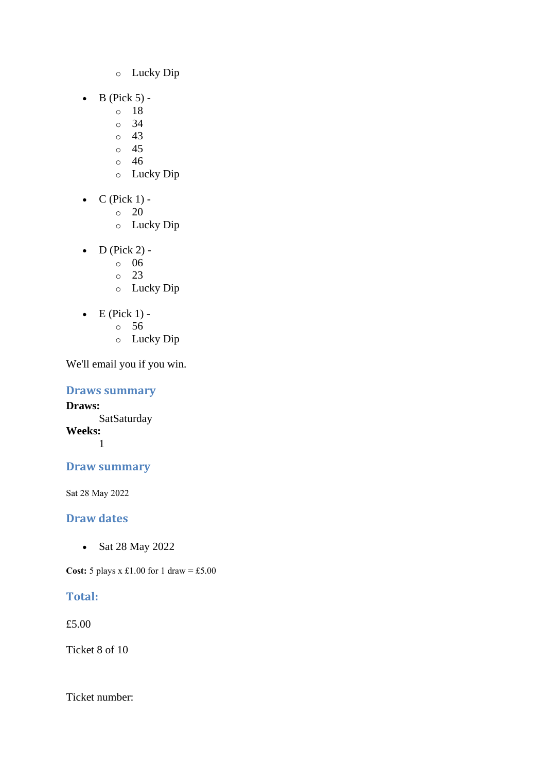- o Lucky Dip
- $\bullet$  B (Pick 5)
	- o 18
	- o 34
	- $\circ$  43
	- o 45
	- o 46
	- o Lucky Dip
- $\bullet$  C (Pick 1) -
	- $\circ$  20
	- o Lucky Dip
- D (Pick 2)
	- o 06
	- o 23
	- o Lucky Dip
- $\bullet$  E (Pick 1)
	- o 56
	- o Lucky Dip

## **Draws summary**

**Draws: SatSaturday Weeks:** 1

## **Draw summary**

Sat 28 May 2022

## **Draw dates**

• Sat 28 May 2022

**Cost:** 5 plays x £1.00 for 1 draw = £5.00

## **Total:**

£5.00

Ticket 8 of 10

Ticket number: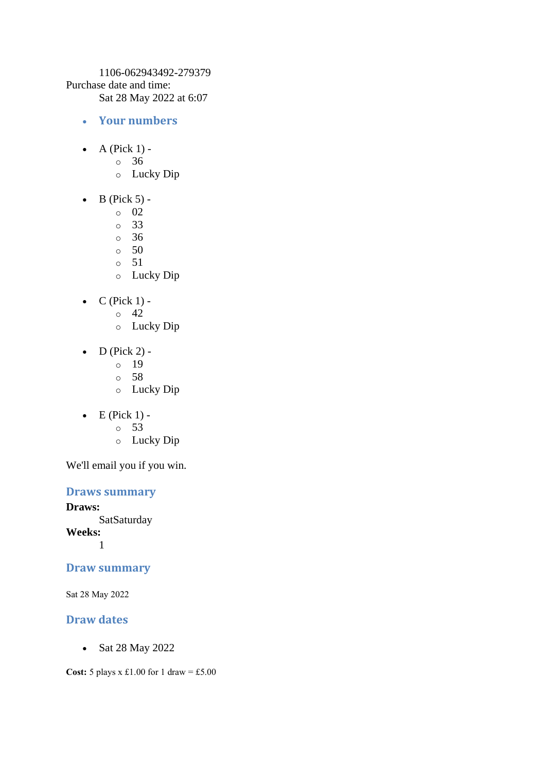1106-062943492-279379 Purchase date and time: Sat 28 May 2022 at 6:07

- **Your numbers**
- $\bullet$  A (Pick 1)
	- o 36
	- o Lucky Dip
- $\bullet$  B (Pick 5)
	- o 02
	- o 33
	- o 36
	- $\circ$  50
	- o 51
	- o Lucky Dip
- $C$  (Pick 1) -
	- $\circ$  42
	- o Lucky Dip
- $D$  (Pick 2)
	- o 19
	- o 58
	- o Lucky Dip
- $\bullet$  E (Pick 1)
	- o 53
	- o Lucky Dip

We'll email you if you win.

### **Draws summary**

**Draws: SatSaturday Weeks:** 1

## **Draw summary**

Sat 28 May 2022

## **Draw dates**

• Sat 28 May 2022

**Cost:** 5 plays x £1.00 for 1 draw = £5.00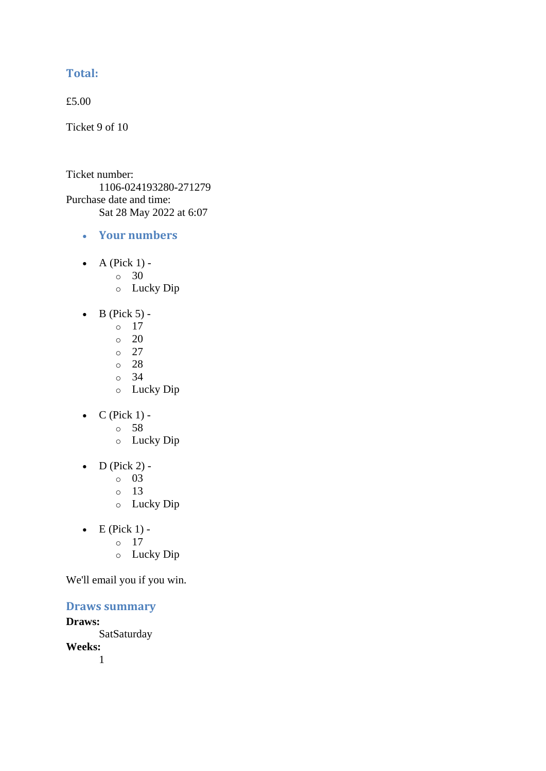## **Total:**

£5.00

Ticket 9 of 10

Ticket number: 1106-024193280-271279 Purchase date and time: Sat 28 May 2022 at 6:07

- **Your numbers**
- A (Pick  $1$ ) -
	- $\circ$  30
	- o Lucky Dip
- $\bullet$  B (Pick 5) -
	- $\circ$  17
	- $\circ$  20
	- $\circ$  27
	- o 28
	- o 34
	- o Lucky Dip
- $C$  (Pick 1)
	- o 58
	- o Lucky Dip
- $\bullet$  D (Pick 2)
	- o 03
	- o 13
	- o Lucky Dip
- $\bullet$  E (Pick 1)
	- o 17
		- o Lucky Dip

We'll email you if you win.

### **Draws summary**

**Draws: SatSaturday Weeks:** 1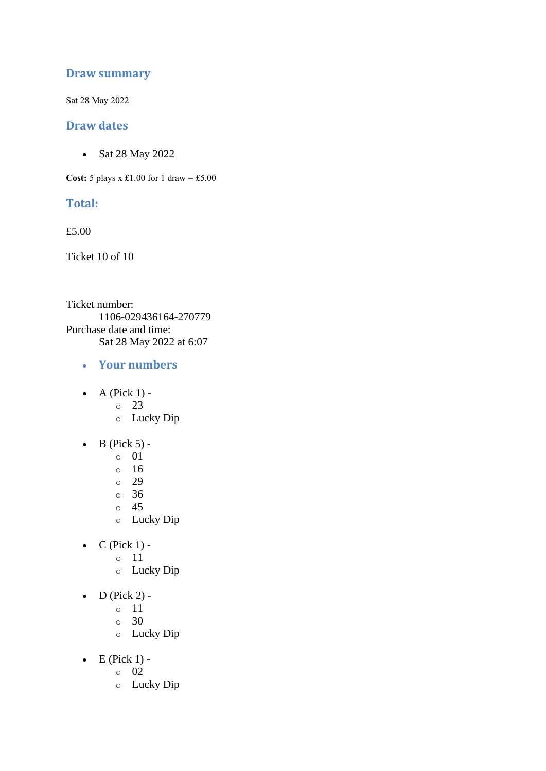## **Draw summary**

Sat 28 May 2022

### **Draw dates**

• Sat 28 May 2022

**Cost:**  $5$  plays x £1.00 for 1 draw = £5.00

## **Total:**

£5.00

Ticket 10 of 10

Ticket number: 1106-029436164-270779 Purchase date and time: Sat 28 May 2022 at 6:07

- **Your numbers**
- $\bullet$  A (Pick 1)
	- o 23
	- o Lucky Dip
- $\bullet$  B (Pick 5)
	- o 01
	- o 16
	- o 29
	- o 36
	- o 45
	- o Lucky Dip
- $C$  (Pick 1)
	- o 11
		- o Lucky Dip
- $\bullet$  D (Pick 2)
	- o 11
	- o 30
	- o Lucky Dip
- $\bullet$  E (Pick 1)
	- o 02
	- o Lucky Dip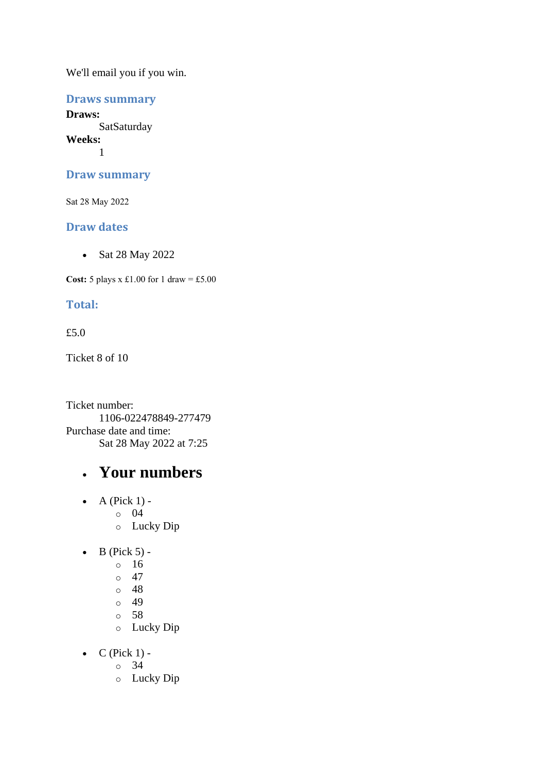## **Draws summary**

**Draws: SatSaturday Weeks:** 1

### **Draw summary**

Sat 28 May 2022

## **Draw dates**

• Sat 28 May 2022

**Cost:**  $5$  plays x £1.00 for 1 draw = £5.00

## **Total:**

### £5.0

Ticket 8 of 10

Ticket number: 1106-022478849-277479 Purchase date and time: Sat 28 May 2022 at 7:25

## • **Your numbers**

- $\bullet$  A (Pick 1) o 04
	- o Lucky Dip
- $\bullet$  B (Pick 5)
	- o 16
	- $\circ$  47
	- o 48
	- o 49
	- o 58
	- o Lucky Dip
- $\bullet$  C (Pick 1)
	- o 34
	- o Lucky Dip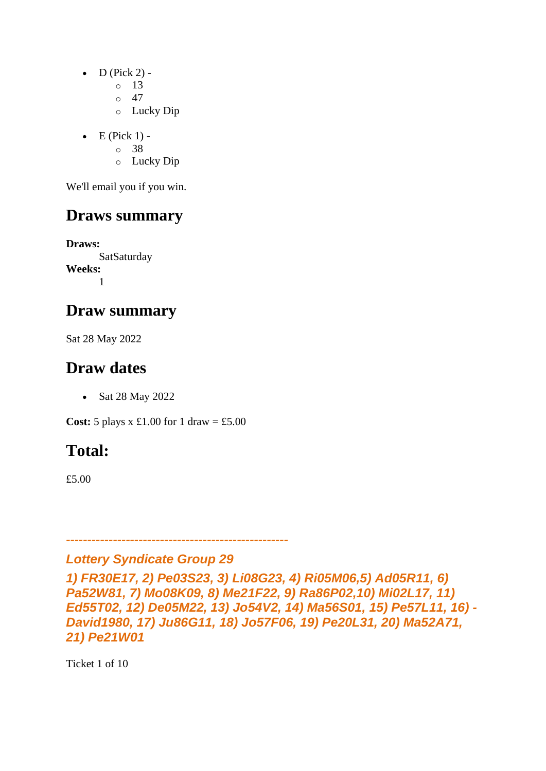- $D$  (Pick 2) -
	- $\circ$  13
	- $\circ$  47
	- o Lucky Dip
- $\bullet$  E (Pick 1)
	- o 38
	- o Lucky Dip

## **Draws summary**

**Draws: SatSaturday Weeks:** 1

## **Draw summary**

Sat 28 May 2022

## **Draw dates**

• Sat 28 May 2022

**Cost:**  $5$  plays x £1.00 for 1 draw = £5.00

# **Total:**

£5.00

## *Lottery Syndicate Group 29*

*----------------------------------------------------*

*1) FR30E17, 2) Pe03S23, 3) Li08G23, 4) Ri05M06,5) Ad05R11, 6) Pa52W81, 7) Mo08K09, 8) Me21F22, 9) Ra86P02,10) Mi02L17, 11) Ed55T02, 12) De05M22, 13) Jo54V2, 14) Ma56S01, 15) Pe57L11, 16) - David1980, 17) Ju86G11, 18) Jo57F06, 19) Pe20L31, 20) Ma52A71, 21) Pe21W01*

Ticket 1 of 10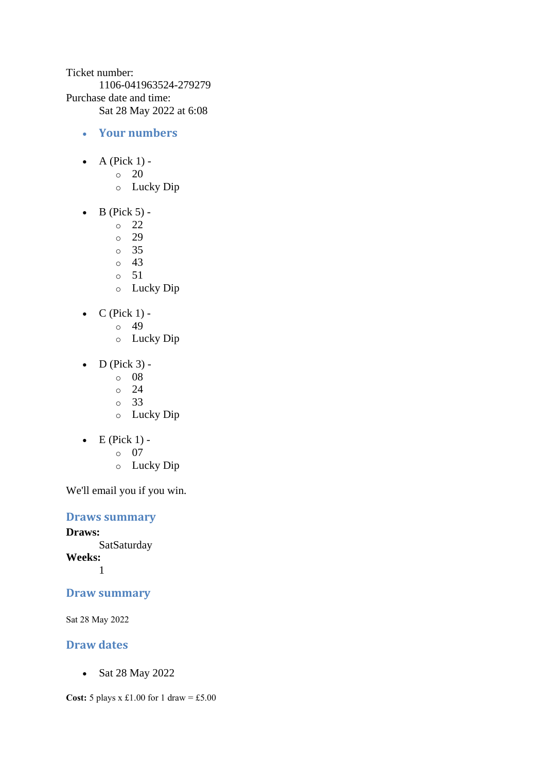Ticket number: 1106-041963524-279279 Purchase date and time: Sat 28 May 2022 at 6:08

- **Your numbers**
- A (Pick  $1$ ) -
	- $\circ$  20
	- o Lucky Dip
- $\bullet$  B (Pick 5)
	- o 22
	- o 29
	- o 35
	- o 43
	- o 51
	- o Lucky Dip
- $C$  (Pick 1)
	- o 49
	- o Lucky Dip
- D (Pick  $3$ ) -
	- $\circ$  08
	- $\circ$  24
	- o 33
	- o Lucky Dip
- $\bullet$  E (Pick 1)
	- o 07
	- o Lucky Dip

We'll email you if you win.

## **Draws summary**

**Draws: SatSaturday Weeks:** 1

## **Draw summary**

Sat 28 May 2022

## **Draw dates**

• Sat 28 May 2022

**Cost:** 5 plays x £1.00 for 1 draw = £5.00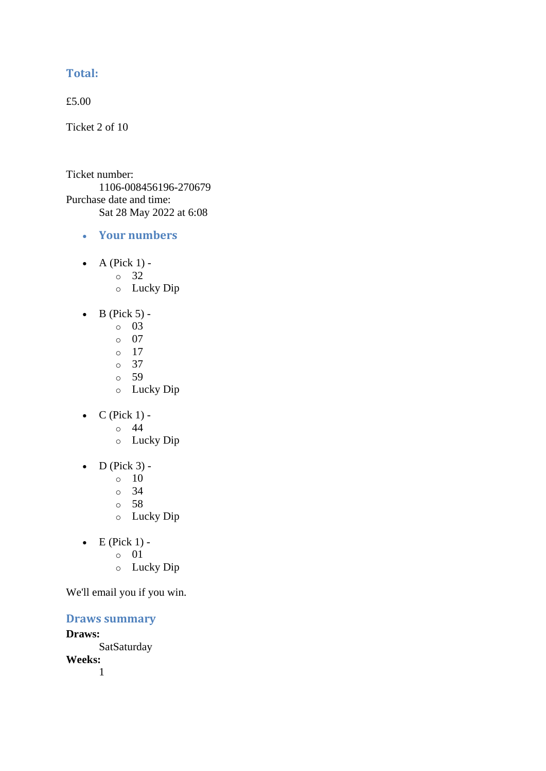## **Total:**

£5.00

Ticket 2 of 10

Ticket number: 1106-008456196-270679 Purchase date and time: Sat 28 May 2022 at 6:08

- **Your numbers**
- A (Pick  $1$ )
	- o 32
	- o Lucky Dip
- $\bullet$  B (Pick 5)
	- o 03
	- o 07
	- o 17
	- o 37
	- o 59
	- o Lucky Dip
- $C$  (Pick 1) -
	- $\circ$  44
	- o Lucky Dip
- $\bullet$  D (Pick 3) -
	- $\circ$  10
	- o 34
	- o 58
	- o Lucky Dip
- $\bullet$  E (Pick 1)
	- o 01
	- o Lucky Dip

We'll email you if you win.

**Draws summary**

**Draws: SatSaturday Weeks:**

1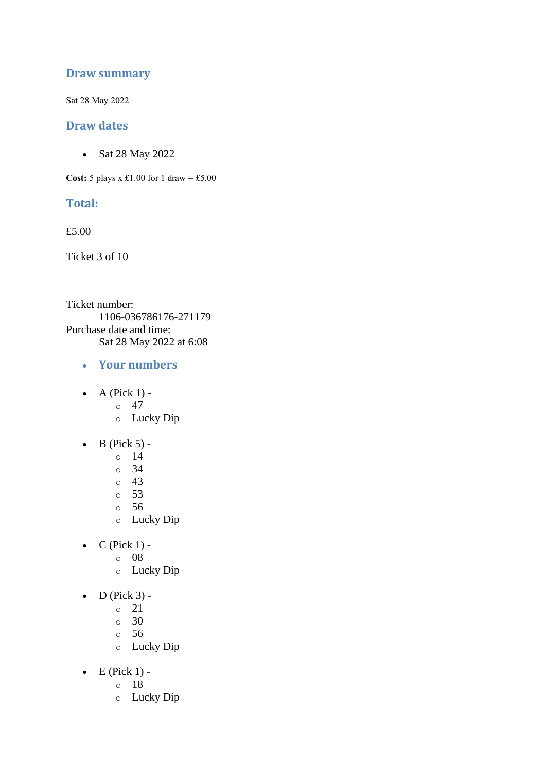## **Draw summary**

Sat 28 May 2022

### **Draw dates**

• Sat 28 May 2022

**Cost:**  $5$  plays x £1.00 for 1 draw = £5.00

## **Total:**

£5.00

Ticket 3 of 10

Ticket number: 1106-036786176-271179 Purchase date and time: Sat 28 May 2022 at 6:08

- **Your numbers**
- $\bullet$  A (Pick 1) -
	- $\circ$  47
	- o Lucky Dip
- $\bullet$  B (Pick 5)
	- o 14
	- o 34
	- o 43
	- o 53
	- o 56
	- o Lucky Dip
- $C$  (Pick 1)
	- o 08
		- o Lucky Dip
- $\bullet$  D (Pick 3)
	- o 21
	- $\circ$  30
	- o 56
	- o Lucky Dip
- $\bullet$  E (Pick 1)
	- o 18
	- o Lucky Dip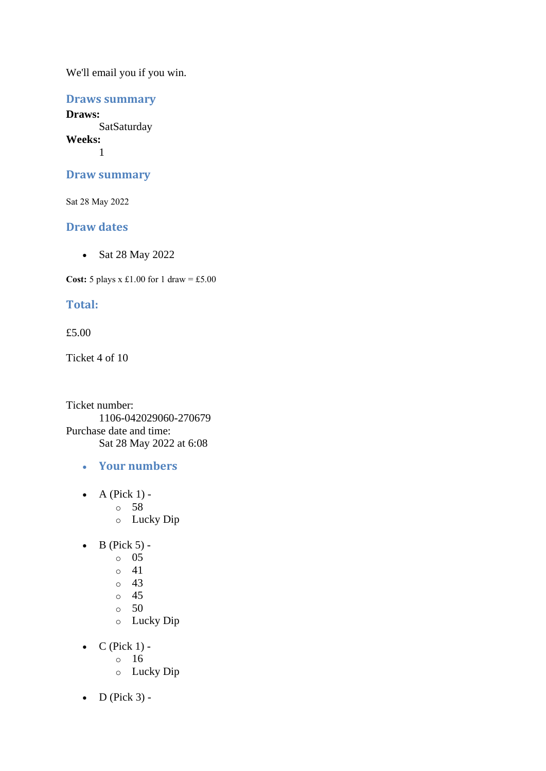## **Draws summary**

**Draws: SatSaturday Weeks:** 1

#### **Draw summary**

Sat 28 May 2022

## **Draw dates**

• Sat 28 May 2022

**Cost:**  $5$  plays x £1.00 for 1 draw = £5.00

## **Total:**

#### £5.00

Ticket 4 of 10

Ticket number: 1106-042029060-270679 Purchase date and time: Sat 28 May 2022 at 6:08

- **Your numbers**
- $\bullet$  A (Pick 1)
	- o 58
	- o Lucky Dip
- $\bullet$  B (Pick 5) -
	- $\circ$  05
		- $\circ$  41
	- $\circ$  43
	- o 45
	- $\circ$  50
	- o Lucky Dip
- $\bullet$  C (Pick 1)
	- o 16
	- o Lucky Dip
- $\bullet$  D (Pick 3) -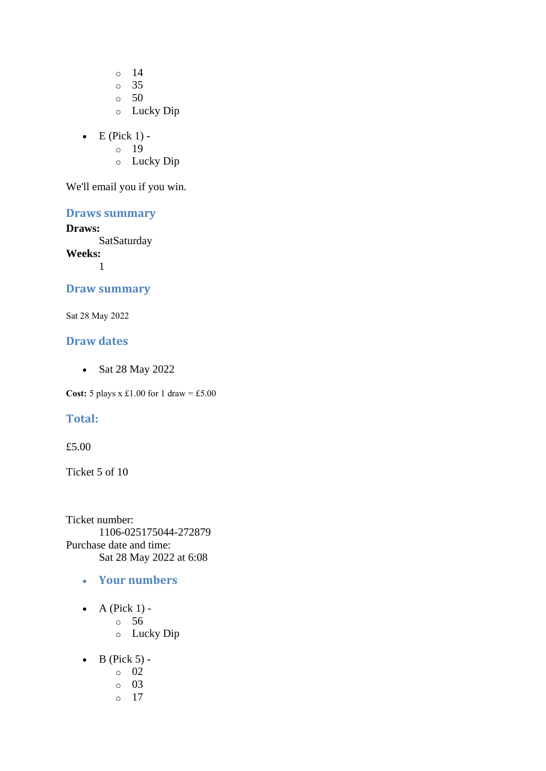o 14

o 35

- $\circ$  50
- o Lucky Dip
- $\bullet$  E (Pick 1)
	- o 19
	- o Lucky Dip

We'll email you if you win.

## **Draws summary**

#### **Draws:**

**SatSaturday** 

**Weeks:** 1

### **Draw summary**

Sat 28 May 2022

### **Draw dates**

• Sat 28 May 2022

**Cost:** 5 plays x £1.00 for 1 draw = £5.00

## **Total:**

#### £5.00

Ticket 5 of 10

Ticket number: 1106-025175044-272879 Purchase date and time: Sat 28 May 2022 at 6:08

- **Your numbers**
- A (Pick  $1$ )
	- o 56
		- o Lucky Dip
- $\bullet$  B (Pick 5)
	- o 02
	- o 03
	- o 17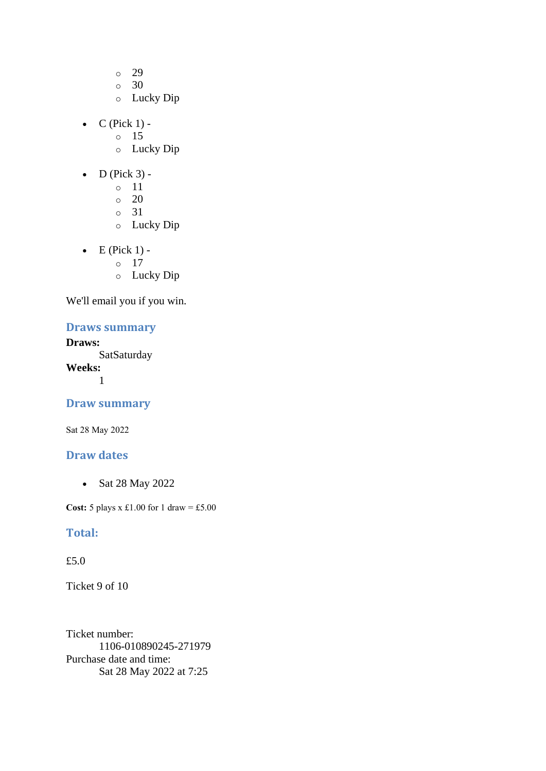- o 29
- o 30
- o Lucky Dip
- $\bullet$  C (Pick 1) -
	- $\circ$  15
	- o Lucky Dip
- $\bullet$  D (Pick 3)
	- o 11
	- o 20
	- o 31
	- o Lucky Dip
- $\bullet$  E (Pick 1)
	- o 17
	- o Lucky Dip

## **Draws summary**

## **Draws:**

**SatSaturday Weeks:** 1

## **Draw summary**

Sat 28 May 2022

### **Draw dates**

• Sat 28 May 2022

**Cost:** 5 plays x £1.00 for 1 draw = £5.00

#### **Total:**

### £5.0

Ticket 9 of 10

Ticket number: 1106-010890245-271979 Purchase date and time: Sat 28 May 2022 at 7:25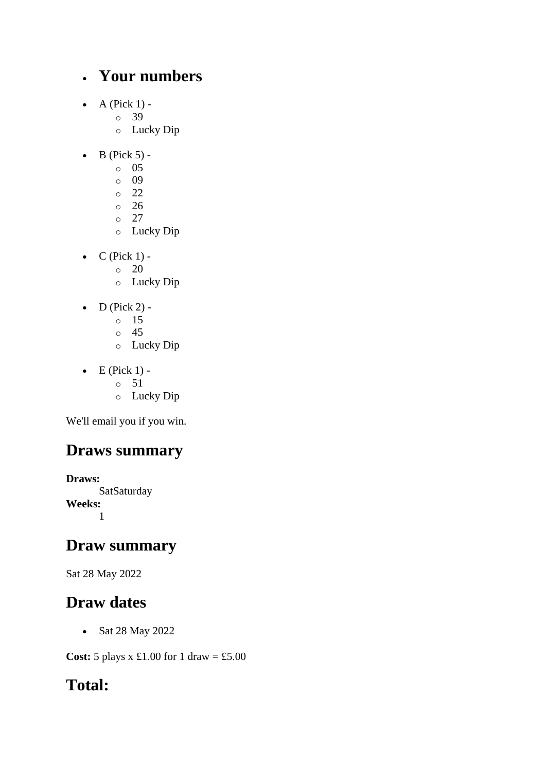## • **Your numbers**

- $\bullet$  A (Pick 1)
	- o 39
	- o Lucky Dip
- $\bullet$  B (Pick 5)
	- o 05
	- o 09
	- o 22
	- o 26
	- $\circ$  27
	- o Lucky Dip
- $\bullet$  C (Pick 1) -
	- $\circ$  20
	- o Lucky Dip
- $\bullet$  D (Pick 2)
	- o 15
	- o 45
	- o Lucky Dip
- $\bullet$  E (Pick 1)
	- o 51
	- o Lucky Dip

We'll email you if you win.

# **Draws summary**

**Draws: SatSaturday Weeks:** 1

## **Draw summary**

Sat 28 May 2022

# **Draw dates**

• Sat 28 May 2022

**Cost:** 5 plays x £1.00 for 1 draw = £5.00

# **Total:**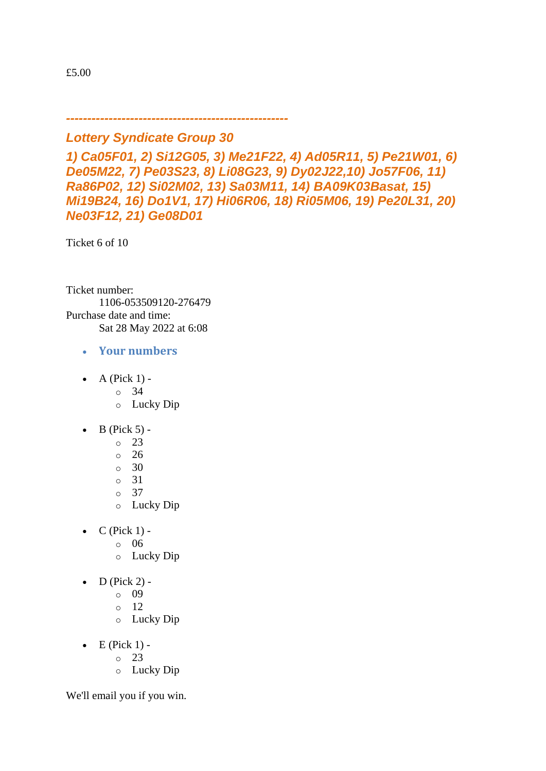£5.00

*----------------------------------------------------*

## *Lottery Syndicate Group 30*

*1) Ca05F01, 2) Si12G05, 3) Me21F22, 4) Ad05R11, 5) Pe21W01, 6) De05M22, 7) Pe03S23, 8) Li08G23, 9) Dy02J22,10) Jo57F06, 11) Ra86P02, 12) Si02M02, 13) Sa03M11, 14) BA09K03Basat, 15) Mi19B24, 16) Do1V1, 17) Hi06R06, 18) Ri05M06, 19) Pe20L31, 20) Ne03F12, 21) Ge08D01*

Ticket 6 of 10

Ticket number: 1106-053509120-276479 Purchase date and time: Sat 28 May 2022 at 6:08

- **Your numbers**
- $\bullet$  A (Pick 1)
	- o 34
	- o Lucky Dip
- $\bullet$  B (Pick 5) -
	- $\circ$  23
	- o 26
	- $\circ$  30
	- $\circ$  31
	- o 37
	- o Lucky Dip
- $\bullet$  C (Pick 1)
	- o 06
	- o Lucky Dip
- $\bullet$  D (Pick 2)
	- o 09
	- o 12
	- o Lucky Dip
- $\bullet$  E (Pick 1) -
	- $\circ$  23
	- o Lucky Dip

We'll email you if you win.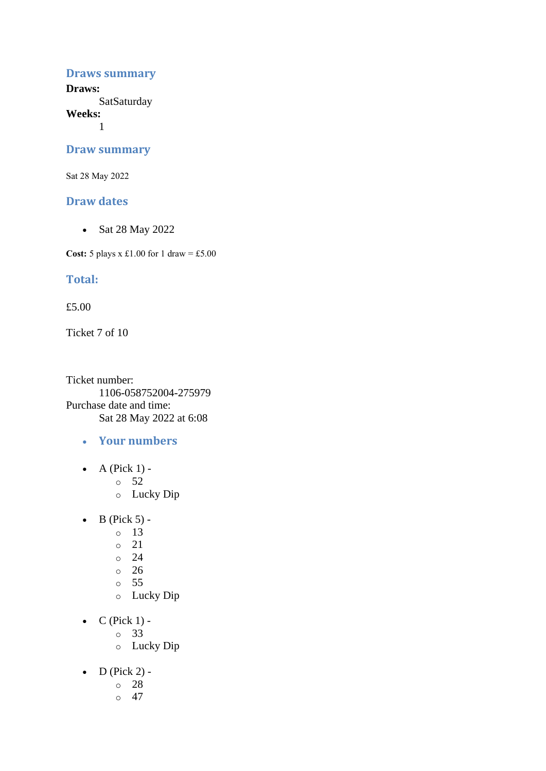#### **Draws summary**

**Draws: SatSaturday** 

**Weeks:**

1

#### **Draw summary**

Sat 28 May 2022

#### **Draw dates**

• Sat 28 May 2022

**Cost:** 5 plays x £1.00 for 1 draw = £5.00

### **Total:**

£5.00

Ticket 7 of 10

Ticket number: 1106-058752004-275979 Purchase date and time: Sat 28 May 2022 at 6:08

- **Your numbers**
- A (Pick  $1$ )
	- o 52
	- o Lucky Dip
- $\bullet$  B (Pick 5) -
	- $\circ$  13
	- o 21
	- $\degree$  24
	- o 26
	- o 55
	- o Lucky Dip
- $\bullet$  C (Pick 1)
	- o 33
	- o Lucky Dip
- $\bullet$  D (Pick 2)
	- o 28
	- $\circ$  47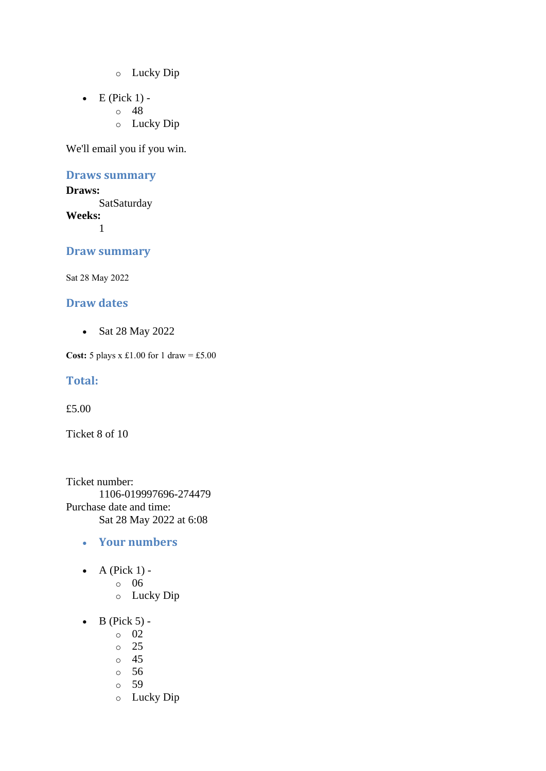- o Lucky Dip
- $\bullet$  E (Pick 1)
	- o 48
		- o Lucky Dip

#### **Draws summary**

#### **Draws:**

**SatSaturday Weeks:** 1

**Draw summary**

Sat 28 May 2022

### **Draw dates**

• Sat 28 May 2022

**Cost:** 5 plays x £1.00 for 1 draw = £5.00

#### **Total:**

£5.00

Ticket 8 of 10

Ticket number: 1106-019997696-274479 Purchase date and time: Sat 28 May 2022 at 6:08

#### • **Your numbers**

- A (Pick  $1$ )
	- o 06
	- o Lucky Dip
- $\bullet$  B (Pick 5)
	- o 02
	- o 25
	- o 45
	- o 56
	- o 59
	- o Lucky Dip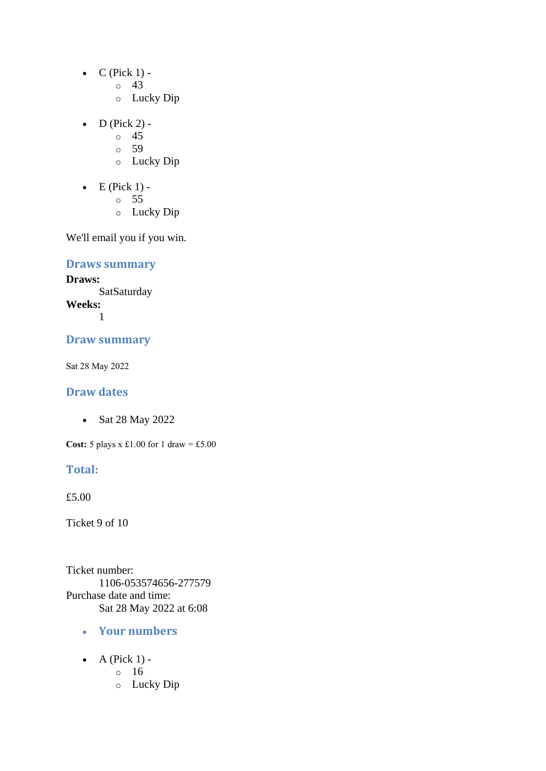- $\bullet$  C (Pick 1)
	- o 43
	- o Lucky Dip
- D (Pick 2)
	- o 45
	- o 59
	- o Lucky Dip
- $\bullet$  E (Pick 1)
	- o 55
	- o Lucky Dip

### **Draws summary**

**Draws: SatSaturday Weeks:**

1

### **Draw summary**

Sat 28 May 2022

### **Draw dates**

• Sat 28 May 2022

**Cost:** 5 plays x £1.00 for 1 draw = £5.00

### **Total:**

£5.00

Ticket 9 of 10

Ticket number: 1106-053574656-277579 Purchase date and time: Sat 28 May 2022 at 6:08

- **Your numbers**
- $\bullet$  A (Pick 1)
	- o 16
	- o Lucky Dip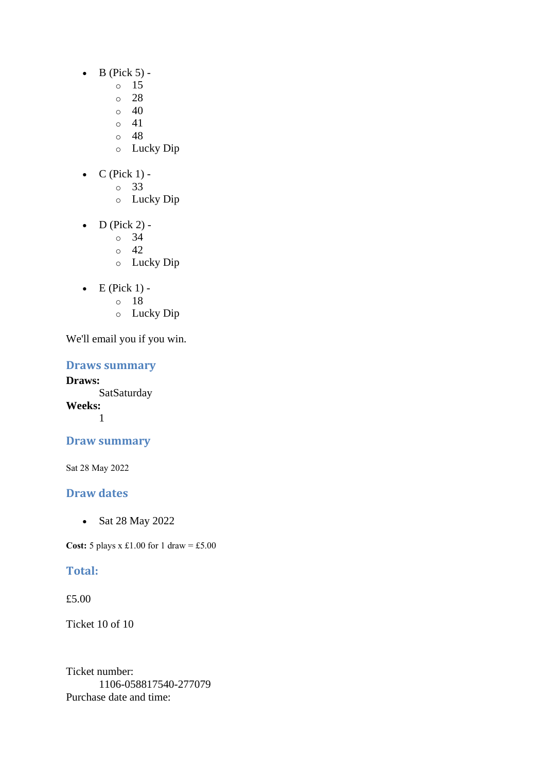- $\bullet$  B (Pick 5)
	- o 15
		- o 28
	- $\circ$  40
	- $\circ$  41
	- o 48
	- o Lucky Dip
- $C$  (Pick 1)
	- o 33
		- o Lucky Dip
- D (Pick 2) -
	- $\circ$  34
	- $\circ$  42
	- o Lucky Dip
- $\bullet$  E (Pick 1)
	- o 18
	- o Lucky Dip

### **Draws summary**

**Draws: SatSaturday Weeks:** 1

### **Draw summary**

Sat 28 May 2022

## **Draw dates**

• Sat 28 May 2022

**Cost:** 5 plays x £1.00 for 1 draw = £5.00

### **Total:**

£5.00

Ticket 10 of 10

Ticket number: 1106-058817540-277079 Purchase date and time: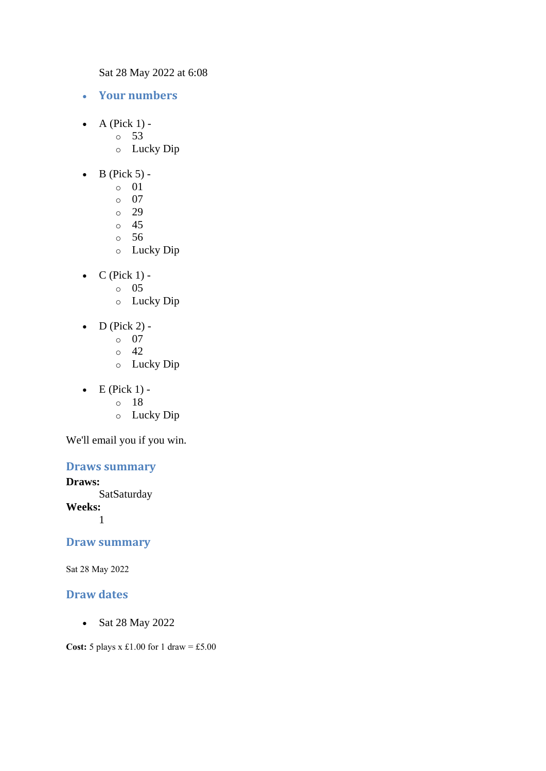Sat 28 May 2022 at 6:08

- **Your numbers**
- $\bullet$  A (Pick 1) -
	- $\circ$  53
		- o Lucky Dip
- $\bullet$  B (Pick 5) -
	- $\circ$  01
	- o 07
	- o 29
	- o 45
	- o 56
	- o Lucky Dip
- $\bullet$  C (Pick 1)
	- o 05
	- o Lucky Dip
- $D$  (Pick 2)
	- o 07
	- $\circ$  42
	- o Lucky Dip
- $\bullet$  E (Pick 1)
	- o 18
	- o Lucky Dip

We'll email you if you win.

### **Draws summary**

#### **Draws:**

**SatSaturday** 

**Weeks:**

1

### **Draw summary**

Sat 28 May 2022

### **Draw dates**

• Sat 28 May 2022

**Cost:** 5 plays x £1.00 for 1 draw = £5.00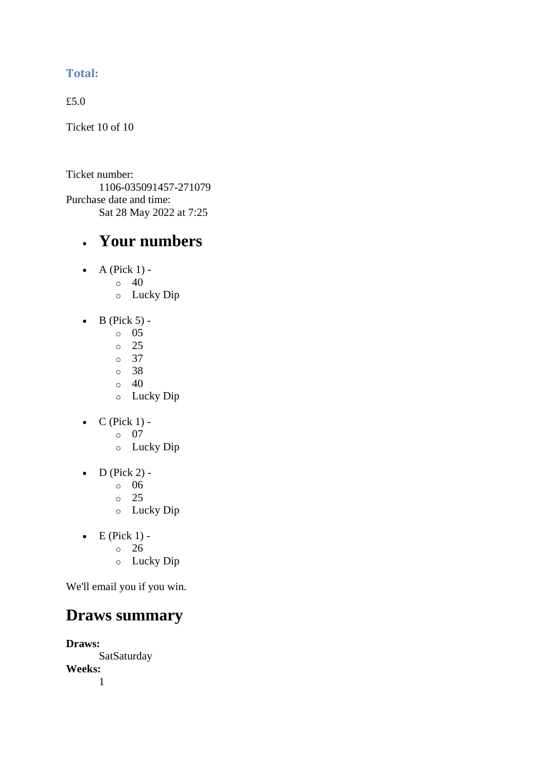### **Total:**

£5.0

Ticket 10 of 10

Ticket number: 1106-035091457-271079 Purchase date and time: Sat 28 May 2022 at 7:25

# • **Your numbers**

- $\bullet$  A (Pick 1) -
	- $\circ$  40
		- o Lucky Dip
- $\bullet$  B (Pick 5) -
	- $\circ$  05
	- o 25
	- o 37
	- o 38
	- $\circ$  40
	- o Lucky Dip
- $\bullet$  C (Pick 1)
	- o 07
	- o Lucky Dip
- $\bullet$  D (Pick 2)
	- o 06
	- $\circ$  25
	- o Lucky Dip
- $\bullet$  E (Pick 1)
	- o 26
	- o Lucky Dip

We'll email you if you win.

# **Draws summary**

**Draws: SatSaturday Weeks:** 1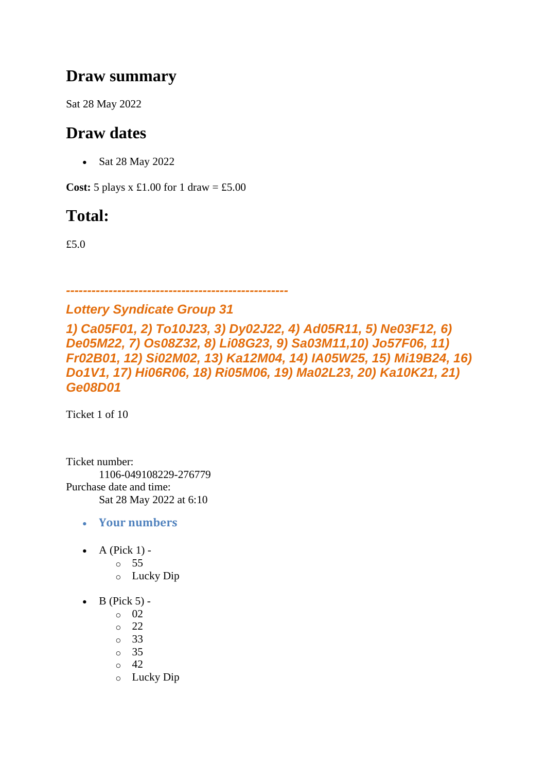# **Draw summary**

Sat 28 May 2022

# **Draw dates**

• Sat 28 May 2022

**Cost:**  $5$  plays x £1.00 for 1 draw = £5.00

# **Total:**

£5.0

*----------------------------------------------------*

*Lottery Syndicate Group 31*

*1) Ca05F01, 2) To10J23, 3) Dy02J22, 4) Ad05R11, 5) Ne03F12, 6) De05M22, 7) Os08Z32, 8) Li08G23, 9) Sa03M11,10) Jo57F06, 11) Fr02B01, 12) Si02M02, 13) Ka12M04, 14) IA05W25, 15) Mi19B24, 16) Do1V1, 17) Hi06R06, 18) Ri05M06, 19) Ma02L23, 20) Ka10K21, 21) Ge08D01*

Ticket 1 of 10

Ticket number: 1106-049108229-276779 Purchase date and time: Sat 28 May 2022 at 6:10

- **Your numbers**
- A (Pick  $1$ )
	- o 55
	- o Lucky Dip
- $\bullet$  B (Pick 5)
	- o 02
	- o 22
	- o 33
	- o 35
	- $\circ$  42
	- o Lucky Dip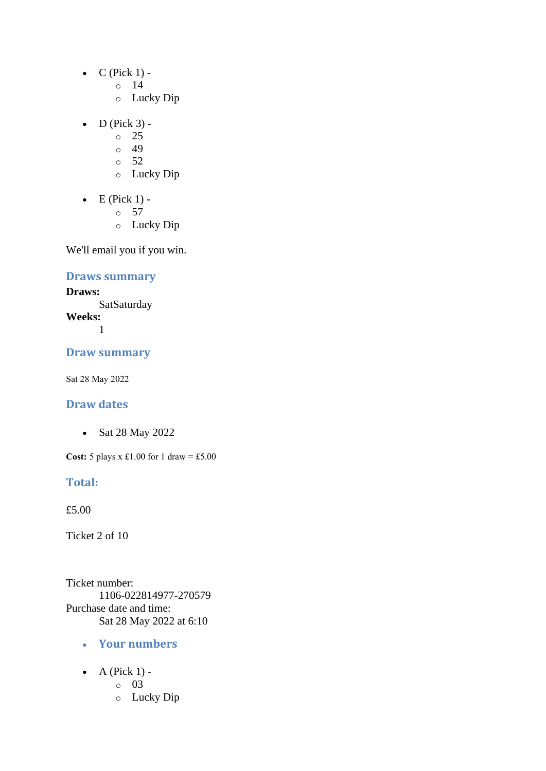- $\bullet$  C (Pick 1)
	- o 14
	- o Lucky Dip
- $\bullet$  D (Pick 3) -
	- $\circ$  25
	- o 49
	- $\circ$  52
	- o Lucky Dip
- $\bullet$  E (Pick 1)
	- o 57
	- o Lucky Dip

### **Draws summary**

### **Draws:**

**SatSaturday Weeks:** 1

### **Draw summary**

Sat 28 May 2022

### **Draw dates**

• Sat 28 May 2022

**Cost:** 5 plays x £1.00 for 1 draw = £5.00

### **Total:**

£5.00

Ticket 2 of 10

Ticket number: 1106-022814977-270579 Purchase date and time: Sat 28 May 2022 at 6:10

- **Your numbers**
- A (Pick  $1$ )
	- o 03
	- o Lucky Dip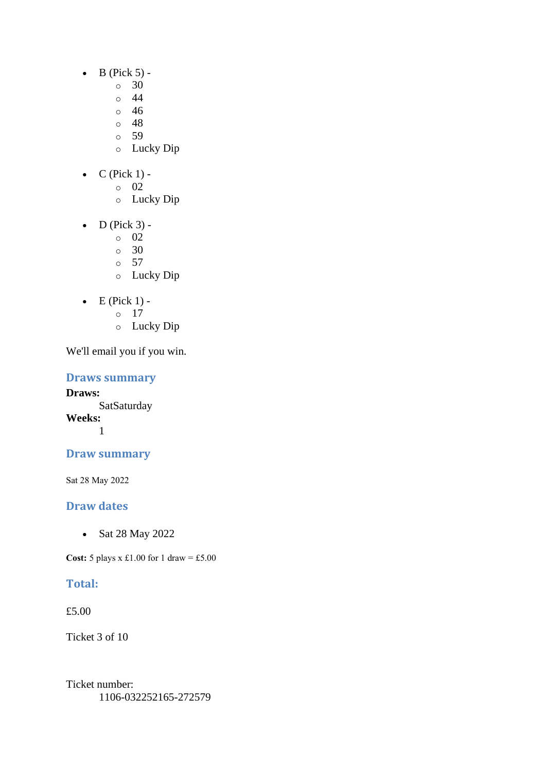- $\bullet$  B (Pick 5) -
	- $\circ$  30
		- o 44
	- $\circ$  46
	- o 48
	- o 59
	- o Lucky Dip
- $C$  (Pick 1)
	- o 02
		- o Lucky Dip
- $\bullet$  D (Pick 3)
	- o 02
	- $\circ$  30
	- o 57
	- o Lucky Dip
- $\bullet$  E (Pick 1)
	- o 17
	- o Lucky Dip

**Draws summary**

**Draws: SatSaturday Weeks:** 1

## **Draw summary**

Sat 28 May 2022

### **Draw dates**

• Sat 28 May 2022

**Cost:**  $5$  plays x £1.00 for 1 draw = £5.00

## **Total:**

£5.00

Ticket 3 of 10

Ticket number: 1106-032252165-272579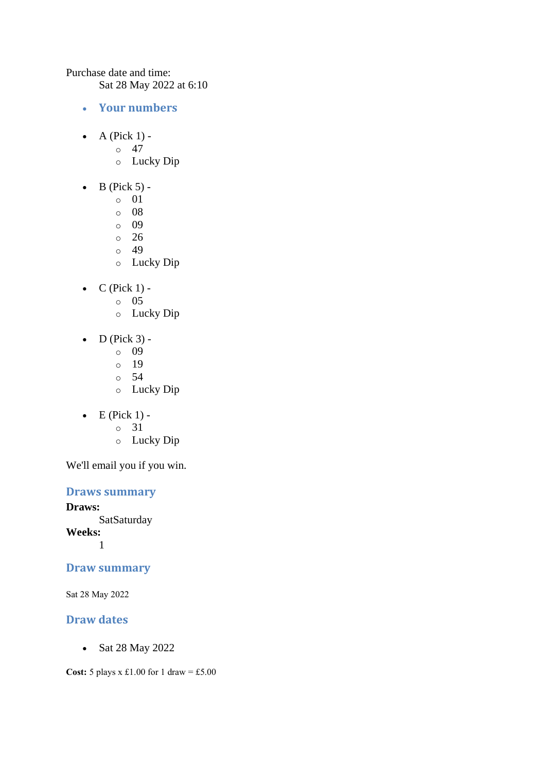Purchase date and time:

Sat 28 May 2022 at 6:10

- **Your numbers**
- A (Pick  $1$ ) -
	- $\circ$  47
	- o Lucky Dip
- $\bullet$  B (Pick 5)
	- o 01
	- o 08
	- o 09
	- $\circ$  26
	- o 49
	- o Lucky Dip
- $\bullet$  C (Pick 1)
	- o 05
	- o Lucky Dip
- $\bullet$  D (Pick 3)
	- o 09
	- o 19
	- o 54
	- o Lucky Dip
- $\bullet$  E (Pick 1)
	- o 31
	- o Lucky Dip

We'll email you if you win.

### **Draws summary**

**Draws:** SatSaturday **Weeks:** 1

### **Draw summary**

Sat 28 May 2022

### **Draw dates**

• Sat 28 May 2022

**Cost:** 5 plays x £1.00 for 1 draw = £5.00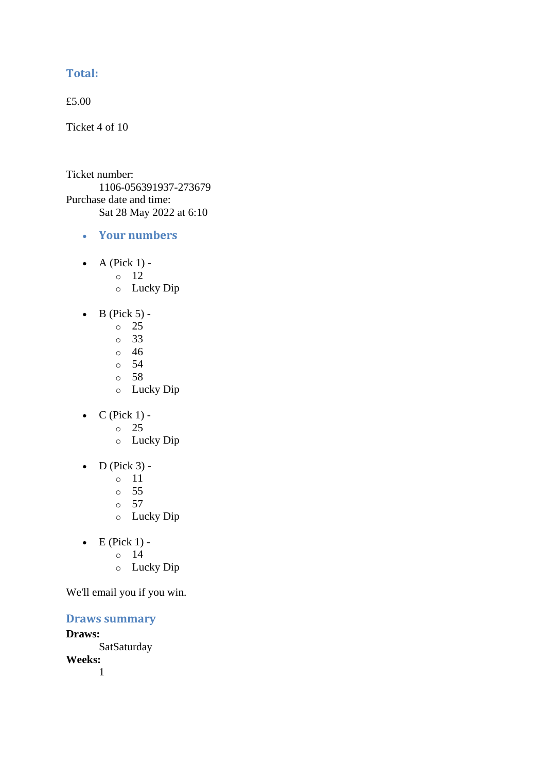### **Total:**

£5.00

Ticket 4 of 10

Ticket number: 1106-056391937-273679 Purchase date and time: Sat 28 May 2022 at 6:10

- **Your numbers**
- A (Pick  $1$ )
	- o 12
	- o Lucky Dip
- $\bullet$  B (Pick 5)
	- o 25
	- o 33
	- o 46
	- o 54
	- o 58
	- o Lucky Dip
- $C$  (Pick 1) -
	- $\circ$  25
	- o Lucky Dip
- $\bullet$  D (Pick 3)
	- o 11
	- o 55
	- o 57
	- o Lucky Dip
- $\bullet$  E (Pick 1) -
	- $\circ$  14
	- o Lucky Dip

We'll email you if you win.

**Draws summary**

**Draws: SatSaturday Weeks:**

1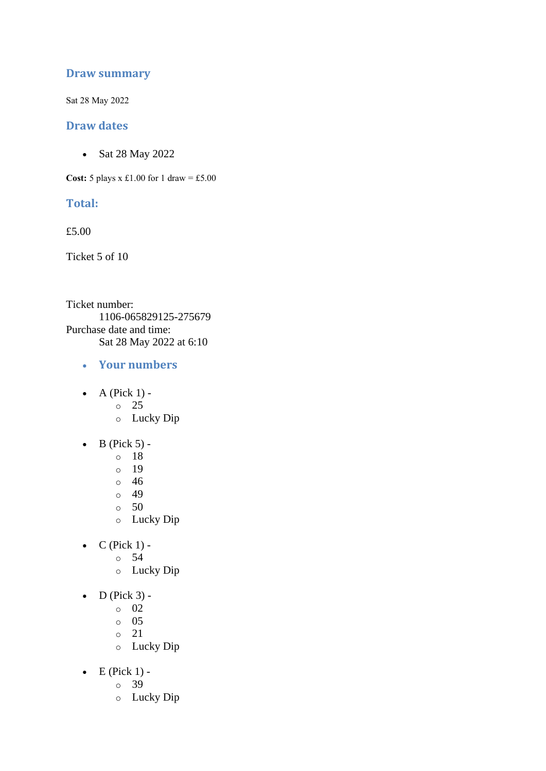### **Draw summary**

Sat 28 May 2022

### **Draw dates**

• Sat 28 May 2022

**Cost:**  $5$  plays x £1.00 for 1 draw = £5.00

### **Total:**

£5.00

Ticket 5 of 10

Ticket number: 1106-065829125-275679 Purchase date and time: Sat 28 May 2022 at 6:10

- **Your numbers**
- $\bullet$  A (Pick 1)
	- o 25
	- o Lucky Dip
- $\bullet$  B (Pick 5)
	- o 18
	- o 19
	- o 46
	- o 49
	- o 50
	- o Lucky Dip
- $\bullet$  C (Pick 1)
	- o 54
		- o Lucky Dip
- $\bullet$  D (Pick 3)
	- o 02
	- o 05
	- o 21
	- o Lucky Dip
- $\bullet$  E (Pick 1)
	- o 39
	- o Lucky Dip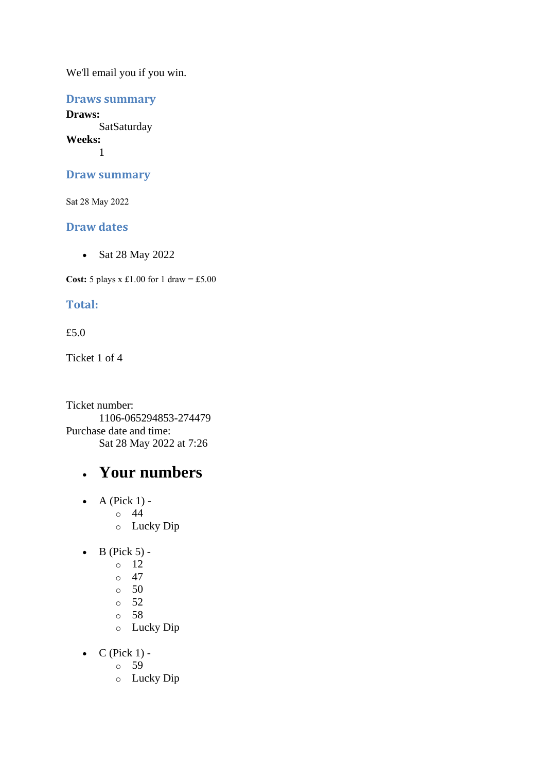### **Draws summary**

**Draws: SatSaturday Weeks:** 1

### **Draw summary**

Sat 28 May 2022

### **Draw dates**

• Sat 28 May 2022

**Cost:**  $5$  plays x £1.00 for 1 draw = £5.00

### **Total:**

### £5.0

Ticket 1 of 4

Ticket number: 1106-065294853-274479 Purchase date and time: Sat 28 May 2022 at 7:26

# • **Your numbers**

- $\bullet$  A (Pick 1) o 44 o Lucky Dip
- $\bullet$  B (Pick 5)
	- o 12
	- $\circ$  47
	- $\circ$  50
	- o 52
	- o 58
	- o Lucky Dip
- $\bullet$  C (Pick 1)
	- o 59
	- o Lucky Dip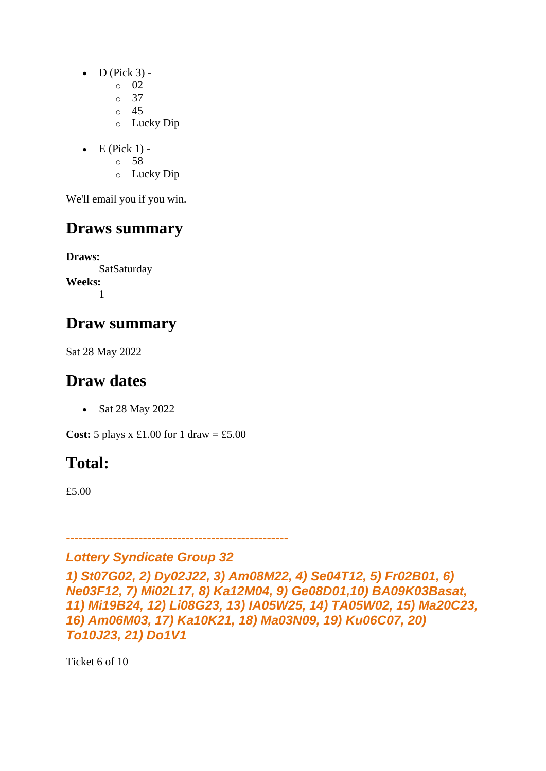- $\bullet$  D (Pick 3) -
	- $\circ$  02
	- o 37
	- o 45
	- o Lucky Dip
- $\bullet$  E (Pick 1)
	- o 58
	- o Lucky Dip

# **Draws summary**

**Draws: SatSaturday Weeks:** 1

# **Draw summary**

Sat 28 May 2022

# **Draw dates**

• Sat 28 May 2022

**Cost:**  $5$  plays x £1.00 for 1 draw = £5.00

# **Total:**

£5.00

*----------------------------------------------------*

# *Lottery Syndicate Group 32*

*1) St07G02, 2) Dy02J22, 3) Am08M22, 4) Se04T12, 5) Fr02B01, 6) Ne03F12, 7) Mi02L17, 8) Ka12M04, 9) Ge08D01,10) BA09K03Basat, 11) Mi19B24, 12) Li08G23, 13) IA05W25, 14) TA05W02, 15) Ma20C23, 16) Am06M03, 17) Ka10K21, 18) Ma03N09, 19) Ku06C07, 20) To10J23, 21) Do1V1*

Ticket 6 of 10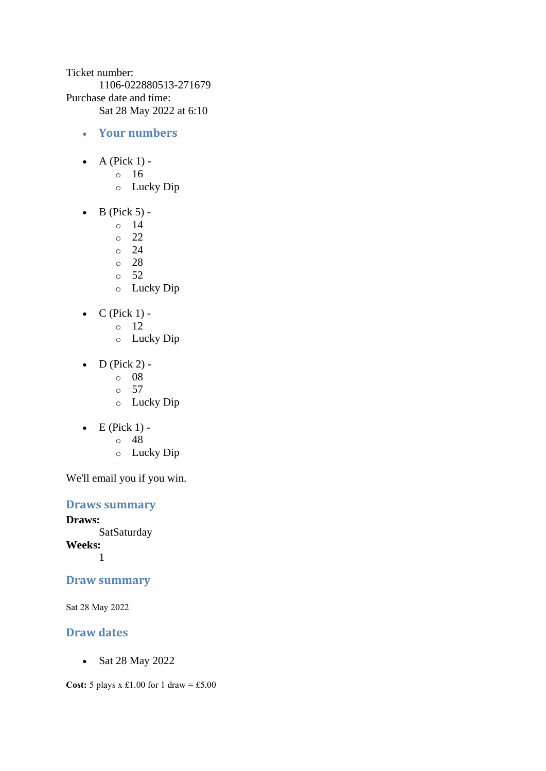Ticket number: 1106-022880513-271679 Purchase date and time: Sat 28 May 2022 at 6:10

- **Your numbers**
- A (Pick  $1$ )
	- o 16
	- o Lucky Dip
- $\bullet$  B (Pick 5)
	- o 14
	- o 22
	- o 24
	- o 28
	- o 52
	- o Lucky Dip
- $C$  (Pick 1)
	- o 12
	- o Lucky Dip
- D (Pick 2) -
	- $\circ$  08
	- o 57
	- o Lucky Dip
- $\bullet$  E (Pick 1)
	- o 48
	- o Lucky Dip

We'll email you if you win.

**Draws summary**

**Draws:** SatSaturday **Weeks:** 1

**Draw summary**

Sat 28 May 2022

### **Draw dates**

• Sat 28 May 2022

**Cost:** 5 plays x £1.00 for 1 draw = £5.00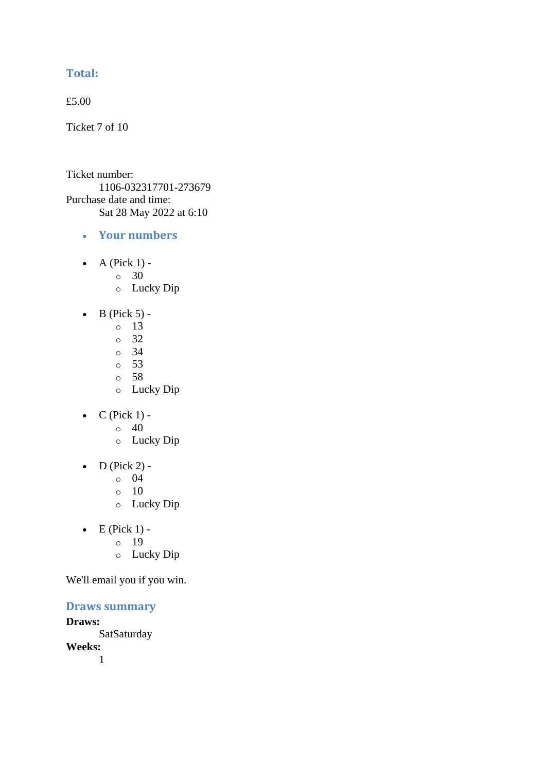### **Total:**

£5.00

Ticket 7 of 10

Ticket number: 1106-032317701-273679 Purchase date and time: Sat 28 May 2022 at 6:10

- **Your numbers**
- A (Pick  $1$ ) -
	- $\circ$  30
	- o Lucky Dip
- $\bullet$  B (Pick 5) -
	- $\circ$  13
	- o 32
	- o 34
	- o 53
	- o 58
	- o Lucky Dip
- $C$  (Pick 1) -
	- $\circ$  40
	- o Lucky Dip
- $\bullet$  D (Pick 2) -
	- $\circ$  04
	- o 10
	- o Lucky Dip
- $\bullet$  E (Pick 1)
	- o 19
		- o Lucky Dip

We'll email you if you win.

### **Draws summary**

**Draws:** SatSaturday **Weeks:** 1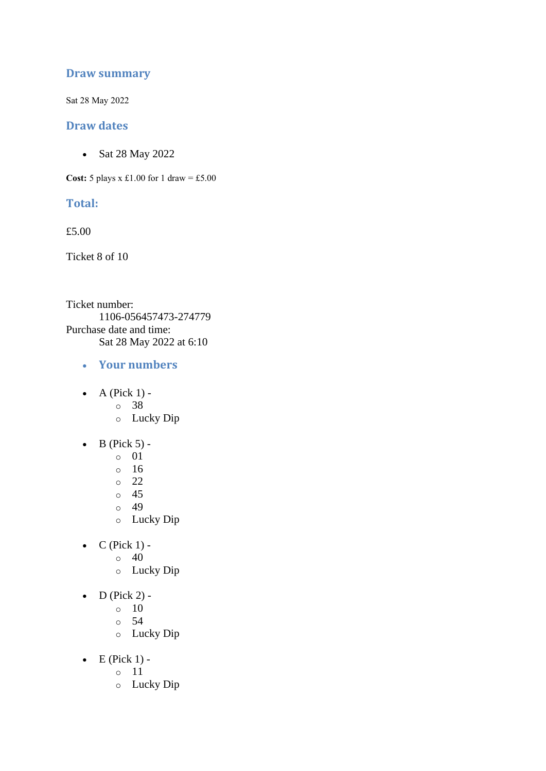### **Draw summary**

Sat 28 May 2022

### **Draw dates**

• Sat 28 May 2022

**Cost:**  $5$  plays x £1.00 for 1 draw = £5.00

### **Total:**

£5.00

Ticket 8 of 10

Ticket number: 1106-056457473-274779 Purchase date and time: Sat 28 May 2022 at 6:10

- **Your numbers**
- $\bullet$  A (Pick 1)
	- o 38
	- o Lucky Dip
- $\bullet$  B (Pick 5)
	- o 01
	- o 16
	- o 22
	- o 45
	- o 49
	- o Lucky Dip
- $C$  (Pick 1) -
	- $\circ$  40
		- o Lucky Dip
- $\bullet$  D (Pick 2) -
	- $\circ$  10
	- o 54
	- o Lucky Dip
- $\bullet$  E (Pick 1)
	- o 11
	- o Lucky Dip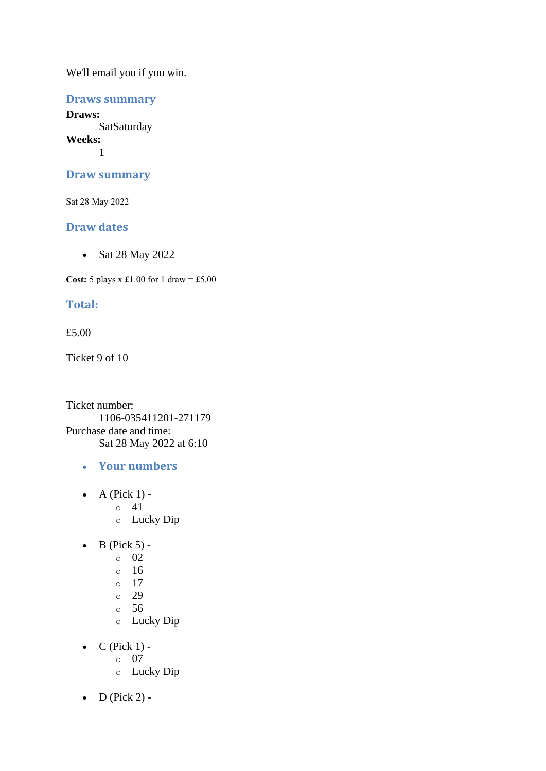### **Draws summary**

**Draws: SatSaturday Weeks:** 1

### **Draw summary**

Sat 28 May 2022

### **Draw dates**

• Sat 28 May 2022

**Cost:**  $5$  plays x £1.00 for 1 draw = £5.00

### **Total:**

### £5.00

Ticket 9 of 10

Ticket number: 1106-035411201-271179 Purchase date and time: Sat 28 May 2022 at 6:10

- **Your numbers**
- $\bullet$  A (Pick 1)
	- o 41
	- o Lucky Dip
- $\bullet$  B (Pick 5) -
	- $\circ$  02
		- o 16
		- o 17
		- o 29
		- o 56
		- o Lucky Dip
- $\bullet$  C (Pick 1)
	- o 07
	- o Lucky Dip
- $D$  (Pick 2) -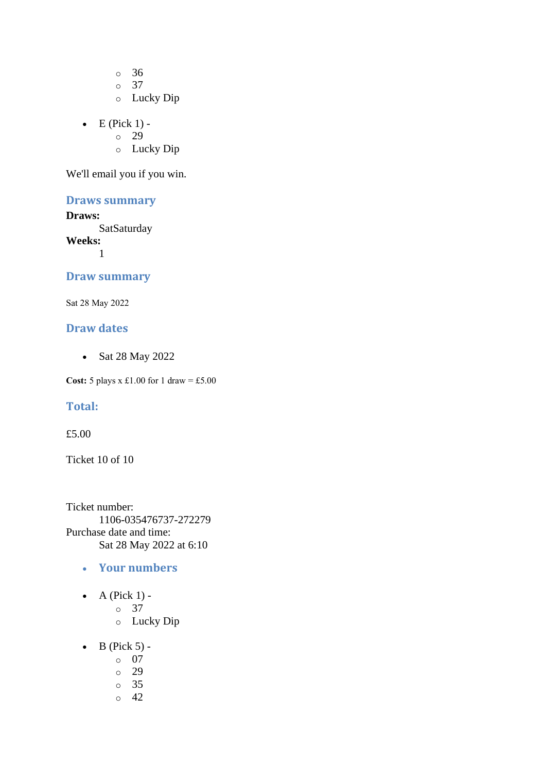o 36

o 37

- o Lucky Dip
- $\bullet$  E (Pick 1) -
	- $\circ$  29
	- o Lucky Dip

We'll email you if you win.

### **Draws summary**

### **Draws:**

**SatSaturday** 

**Weeks:**

1

### **Draw summary**

Sat 28 May 2022

### **Draw dates**

• Sat 28 May 2022

**Cost:**  $5$  plays x £1.00 for 1 draw = £5.00

### **Total:**

£5.00

Ticket 10 of 10

Ticket number: 1106-035476737-272279 Purchase date and time: Sat 28 May 2022 at 6:10

- **Your numbers**
- $\bullet$  A (Pick 1)
	- o 37
	- o Lucky Dip
- $\bullet$  B (Pick 5)
	- o 07
	- o 29
	- o 35
	- $\circ$  42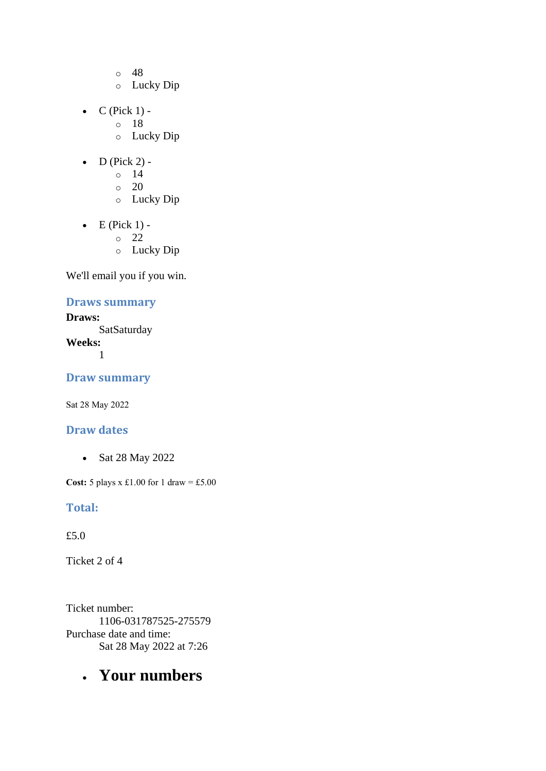- o 48
- o Lucky Dip
- $C$  (Pick 1)
	- o 18
		- o Lucky Dip
- $\bullet$  D (Pick 2) -
	- $\circ$  14
	- $\circ$  20
	- o Lucky Dip
- $\bullet$  E (Pick 1)
	- o 22
	- o Lucky Dip

### **Draws summary**

**Draws: SatSaturday Weeks:** 1

**Draw summary**

Sat 28 May 2022

### **Draw dates**

• Sat 28 May 2022

**Cost:** 5 plays x £1.00 for 1 draw = £5.00

### **Total:**

£5.0

Ticket 2 of 4

Ticket number: 1106-031787525-275579 Purchase date and time: Sat 28 May 2022 at 7:26

# • **Your numbers**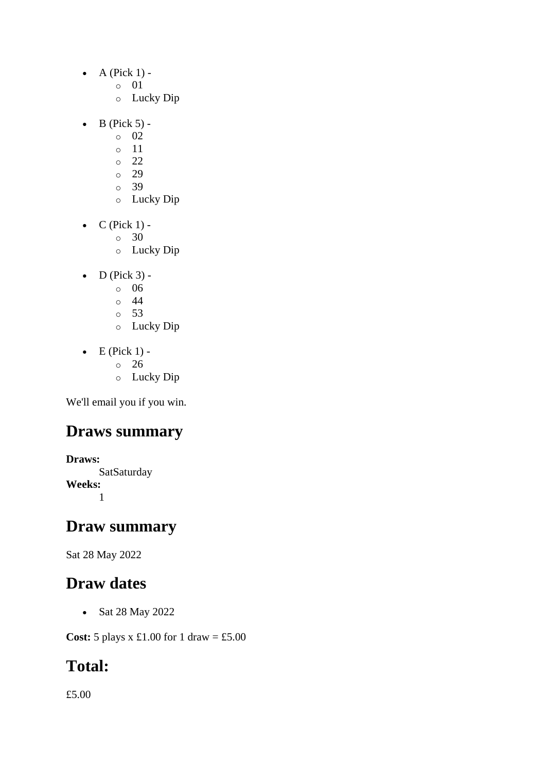- $\bullet$  A (Pick 1)
	- o 01
	- o Lucky Dip
- $\bullet$  B (Pick 5)
	- o 02
	- o 11
	- o 22
	- o 29
	- o 39
	- o Lucky Dip
- $\bullet$  C (Pick 1) -
	- $\circ$  30
	- o Lucky Dip
- $\bullet$  D (Pick 3)
	- o 06
	- o 44
	- o 53
	- o Lucky Dip
- $\bullet$  E (Pick 1)
	- o 26
		- o Lucky Dip

# **Draws summary**

**Draws: SatSaturday Weeks:** 1

# **Draw summary**

Sat 28 May 2022

# **Draw dates**

• Sat 28 May 2022

**Cost:** 5 plays x £1.00 for 1 draw = £5.00

# **Total:**

£5.00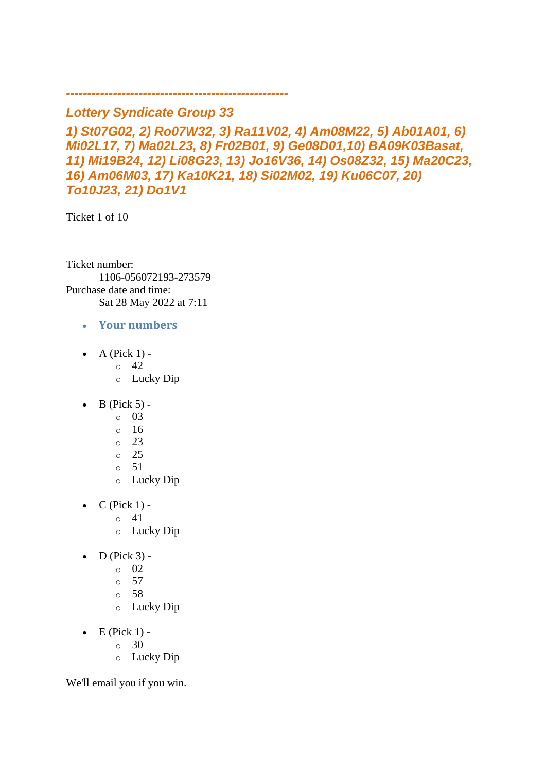## *Lottery Syndicate Group 33*

*----------------------------------------------------*

*1) St07G02, 2) Ro07W32, 3) Ra11V02, 4) Am08M22, 5) Ab01A01, 6) Mi02L17, 7) Ma02L23, 8) Fr02B01, 9) Ge08D01,10) BA09K03Basat, 11) Mi19B24, 12) Li08G23, 13) Jo16V36, 14) Os08Z32, 15) Ma20C23, 16) Am06M03, 17) Ka10K21, 18) Si02M02, 19) Ku06C07, 20) To10J23, 21) Do1V1*

Ticket 1 of 10

Ticket number: 1106-056072193-273579 Purchase date and time: Sat 28 May 2022 at 7:11

- **Your numbers**
- A (Pick  $1$ )
	- o 42
		- o Lucky Dip
- $\bullet$  B (Pick 5) -
	- $\circ$  03
	- $\circ$  16
	- $\circ$  23
	- o 25
	- $\circ$  51
	- o Lucky Dip
- $\bullet$  C (Pick 1)
	- o 41
	- o Lucky Dip
- $\bullet$  D (Pick 3) -
	- $\circ$  02
		- o 57
		- o 58
		- o Lucky Dip
- $\bullet$  E (Pick 1) -
	- $\circ$  30
	- o Lucky Dip

We'll email you if you win.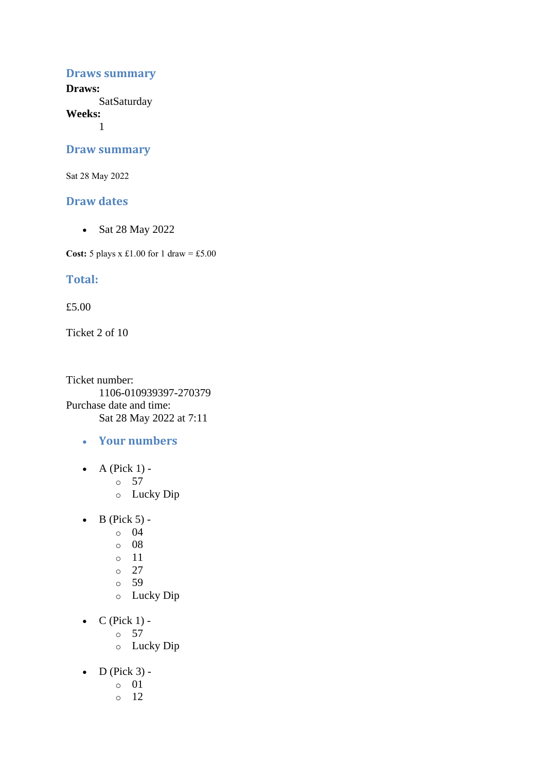#### **Draws summary**

**Draws: SatSaturday** 

**Weeks:**

1

#### **Draw summary**

Sat 28 May 2022

### **Draw dates**

• Sat 28 May 2022

**Cost:** 5 plays x £1.00 for 1 draw = £5.00

### **Total:**

£5.00

Ticket 2 of 10

Ticket number: 1106-010939397-270379 Purchase date and time: Sat 28 May 2022 at 7:11

- **Your numbers**
- A (Pick  $1$ )
	- o 57
	- o Lucky Dip
- $\bullet$  B (Pick 5) -
	- $\circ$  04
	- o 08
	- $\circ$  11
	- $\circ$  27
	- o 59
	- o Lucky Dip
- $\bullet$  C (Pick 1)
	- o 57
	- o Lucky Dip
- $\bullet$  D (Pick 3)
	- o 01
	- o 12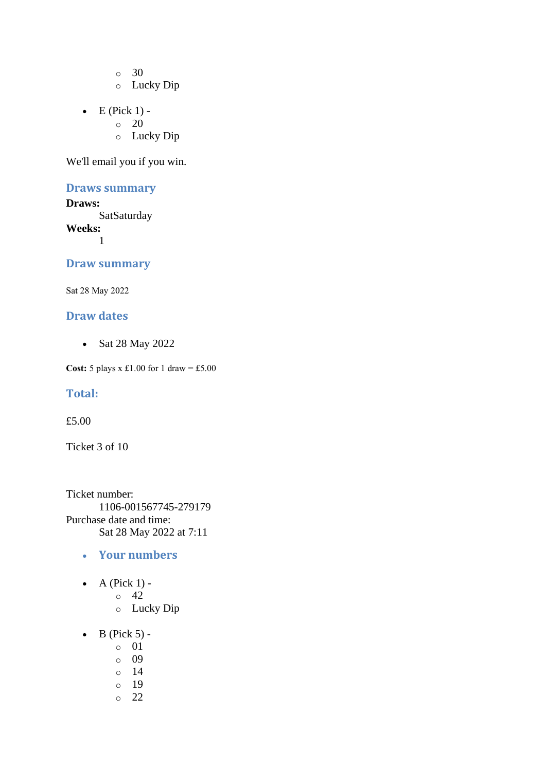o 30

- o Lucky Dip
- $\bullet$  E (Pick 1) -
	- $\circ$  20
		- o Lucky Dip

We'll email you if you win.

### **Draws summary**

**Draws: SatSaturday Weeks:** 1

### **Draw summary**

Sat 28 May 2022

### **Draw dates**

• Sat 28 May 2022

**Cost:** 5 plays x £1.00 for 1 draw = £5.00

#### **Total:**

£5.00

Ticket 3 of 10

Ticket number: 1106-001567745-279179 Purchase date and time: Sat 28 May 2022 at 7:11

- **Your numbers**
- A (Pick  $1$ )
	- o 42
	- o Lucky Dip
- $\bullet$  B (Pick 5)
	- o 01
	- o 09
	- o 14
	- o 19
	- o 22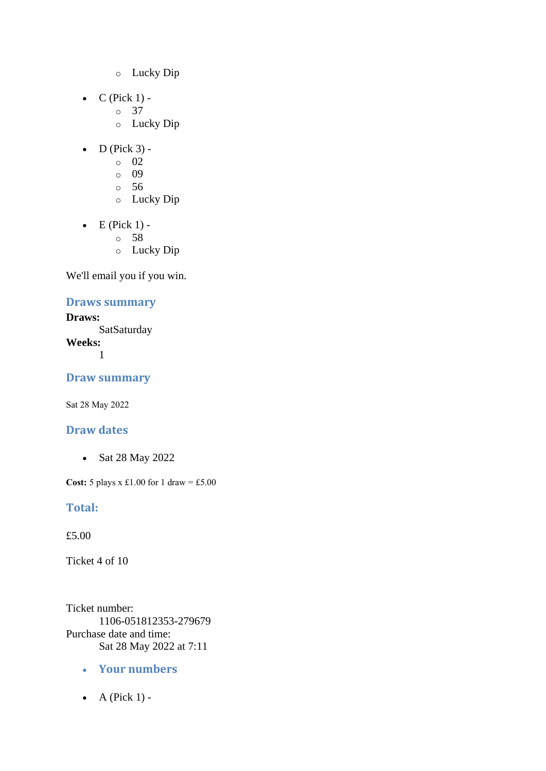- o Lucky Dip
- $\bullet$  C (Pick 1)
	- o 37
		- o Lucky Dip
- $\bullet$  D (Pick 3) -
	- $\circ$  02
	- o 09
	- o 56
	- o Lucky Dip
- $\bullet$  E (Pick 1)
	- o 58
	- o Lucky Dip

### **Draws summary**

**Draws: SatSaturday Weeks:** 1

**Draw summary**

Sat 28 May 2022

### **Draw dates**

• Sat 28 May 2022

**Cost:** 5 plays x £1.00 for 1 draw = £5.00

### **Total:**

£5.00

Ticket 4 of 10

Ticket number: 1106-051812353-279679 Purchase date and time: Sat 28 May 2022 at 7:11

- **Your numbers**
- $\bullet$  A (Pick 1) -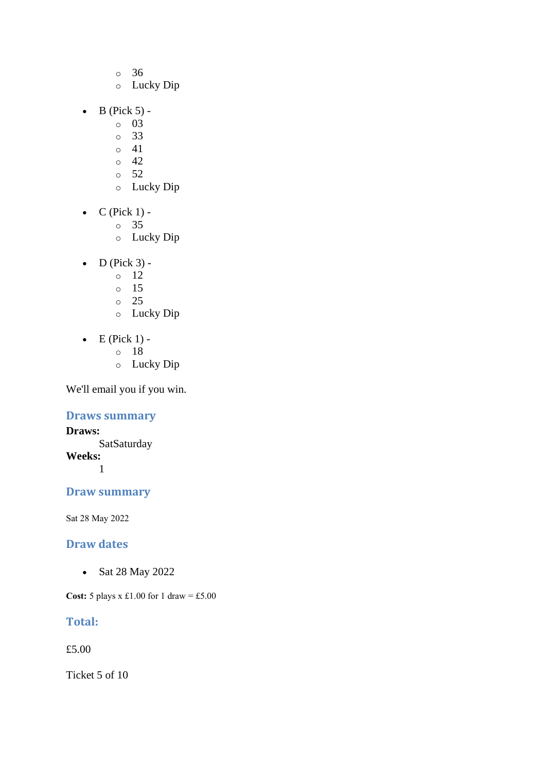- o 36
- o Lucky Dip
- $\bullet$  B (Pick 5)
	- o 03
	- o 33
	- $\circ$  41
	- $\circ$  42
	- o 52
	- o Lucky Dip
- $\bullet$  C (Pick 1)
	- o 35
	- o Lucky Dip
- $\bullet$  D (Pick 3) -
	- $\circ$  12
	- o 15
	- $\circ$  25
	- o Lucky Dip
- $\bullet$  E (Pick 1)
	- o 18
	- o Lucky Dip

### **Draws summary**

**Draws: SatSaturday Weeks:** 1

## **Draw summary**

Sat 28 May 2022

### **Draw dates**

• Sat 28 May 2022

**Cost:** 5 plays x £1.00 for 1 draw = £5.00

### **Total:**

£5.00

Ticket 5 of 10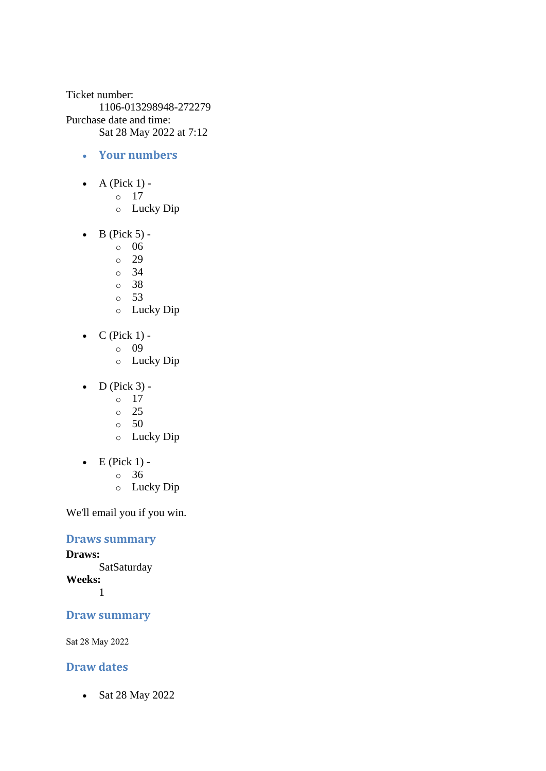Ticket number: 1106-013298948-272279 Purchase date and time: Sat 28 May 2022 at 7:12

- **Your numbers**
- A (Pick  $1$ )
	- o 17
	- o Lucky Dip
- $\bullet$  B (Pick 5)
	- o 06
	- o 29
	- o 34
	- o 38
	- o 53
	- o Lucky Dip
- $C$  (Pick 1)
	- o 09
		- o Lucky Dip
- $\bullet$  D (Pick 3) -
	- $\circ$  17
	- o 25
	- $\circ$  50
	- o Lucky Dip
- $\bullet$  E (Pick 1)
	- o 36
	- o Lucky Dip

We'll email you if you win.

### **Draws summary**

**Draws: SatSaturday Weeks:**

1

### **Draw summary**

Sat 28 May 2022

### **Draw dates**

• Sat 28 May 2022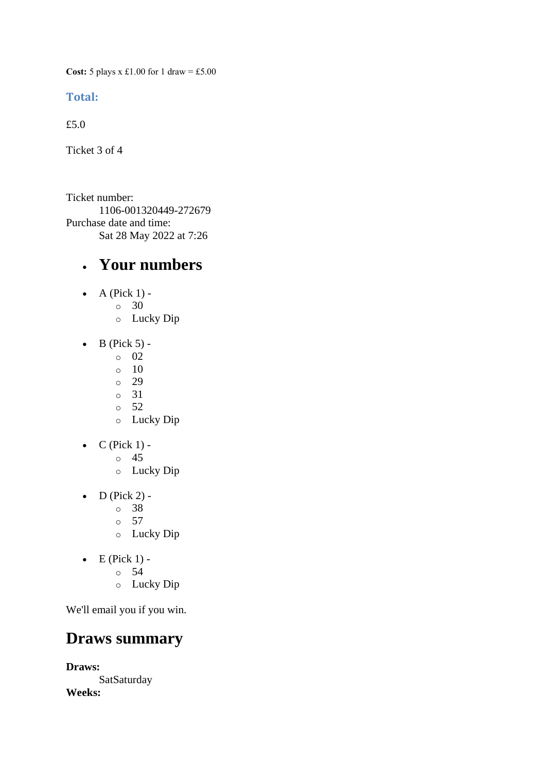**Cost:** 5 plays x £1.00 for 1 draw = £5.00

### **Total:**

£5.0

Ticket 3 of 4

Ticket number: 1106-001320449-272679 Purchase date and time: Sat 28 May 2022 at 7:26

## • **Your numbers**

- $\bullet$  A (Pick 1)
	- o 30
		- o Lucky Dip
- $\bullet$  B (Pick 5) -
	- $\circ$  02
	- $\circ$  10
	- o 29
	- o 31  $\circ$  52
	- o Lucky Dip
- $C$  (Pick 1)
	- o 45
	- o Lucky Dip
- $\bullet$  D (Pick 2)
	- o 38
	- $\circ$  57
	- o Lucky Dip
- $\bullet$  E (Pick 1)
	- o 54
		- o Lucky Dip

We'll email you if you win.

## **Draws summary**

**Draws: SatSaturday Weeks:**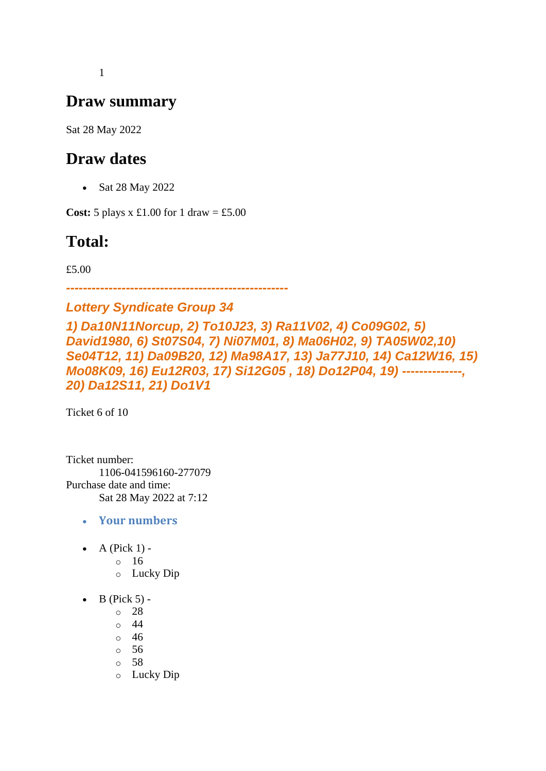1

# **Draw summary**

Sat 28 May 2022

# **Draw dates**

• Sat 28 May 2022

**Cost:**  $5$  plays x £1.00 for 1 draw = £5.00

# **Total:**

£5.00

*----------------------------------------------------*

## *Lottery Syndicate Group 34*

*1) Da10N11Norcup, 2) To10J23, 3) Ra11V02, 4) Co09G02, 5) David1980, 6) St07S04, 7) Ni07M01, 8) Ma06H02, 9) TA05W02,10) Se04T12, 11) Da09B20, 12) Ma98A17, 13) Ja77J10, 14) Ca12W16, 15) Mo08K09, 16) Eu12R03, 17) Si12G05 , 18) Do12P04, 19) --------------, 20) Da12S11, 21) Do1V1*

Ticket 6 of 10

Ticket number: 1106-041596160-277079 Purchase date and time: Sat 28 May 2022 at 7:12

- **Your numbers**
- A (Pick  $1$ )
	- o 16
	- o Lucky Dip
- $\bullet$  B (Pick 5)
	- o 28
	- $\circ$  44
	- o 46
	- o 56
	- o 58
	- o Lucky Dip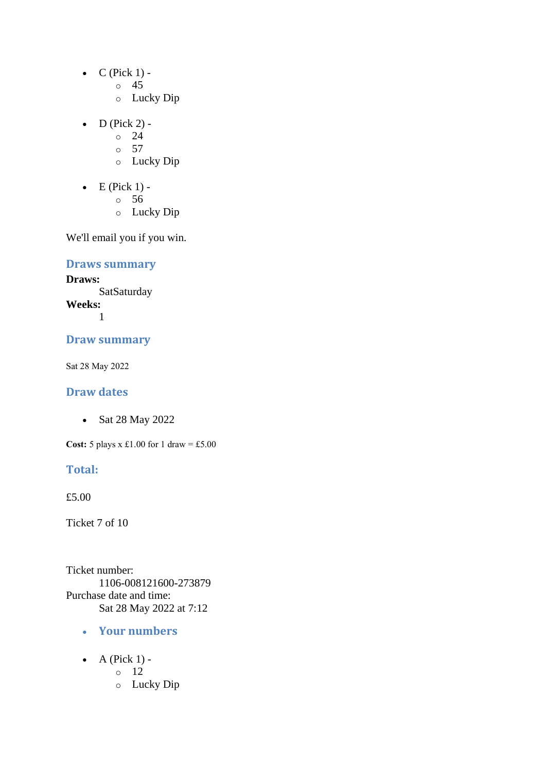- $\bullet$  C (Pick 1)
	- o 45
	- o Lucky Dip
- D (Pick 2) -
	- $\circ$  24
	- $\circ$  57
	- o Lucky Dip
- $\bullet$  E (Pick 1)
	- o 56
	- o Lucky Dip

### **Draws summary**

**Draws: SatSaturday Weeks:**

1

### **Draw summary**

Sat 28 May 2022

### **Draw dates**

• Sat 28 May 2022

**Cost:** 5 plays x £1.00 for 1 draw = £5.00

### **Total:**

£5.00

Ticket 7 of 10

Ticket number: 1106-008121600-273879 Purchase date and time: Sat 28 May 2022 at 7:12

- **Your numbers**
- $\bullet$  A (Pick 1)
	- o 12
	- o Lucky Dip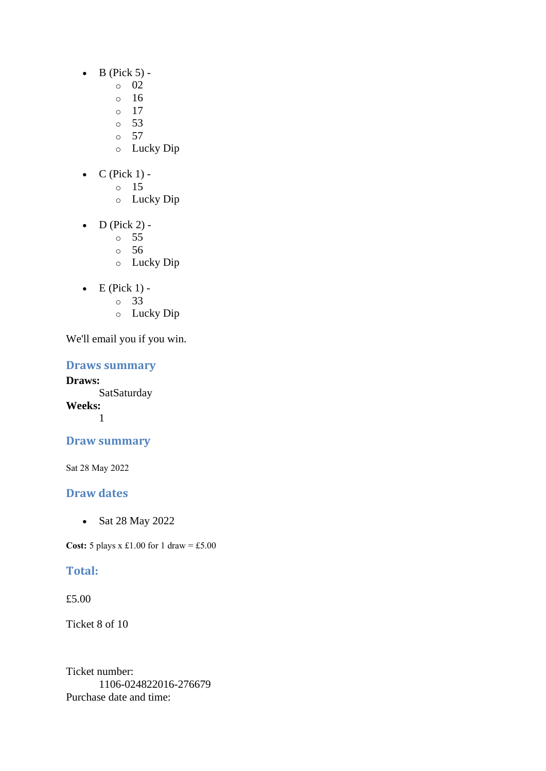- $\bullet$  B (Pick 5) -
	- $\circ$  02
	- o 16
	- $\circ$  17
	- o 53
	- o 57
	- o Lucky Dip
- $C$  (Pick 1) -
	- $\circ$  15
		- o Lucky Dip
- D (Pick 2) -
	- $\circ$  55
	- o 56
	- o Lucky Dip
- $\bullet$  E (Pick 1)
	- o 33
	- o Lucky Dip

### **Draws summary**

**Draws: SatSaturday Weeks:** 1

## **Draw summary**

Sat 28 May 2022

## **Draw dates**

• Sat 28 May 2022

**Cost:** 5 plays x £1.00 for 1 draw = £5.00

## **Total:**

£5.00

Ticket 8 of 10

Ticket number: 1106-024822016-276679 Purchase date and time: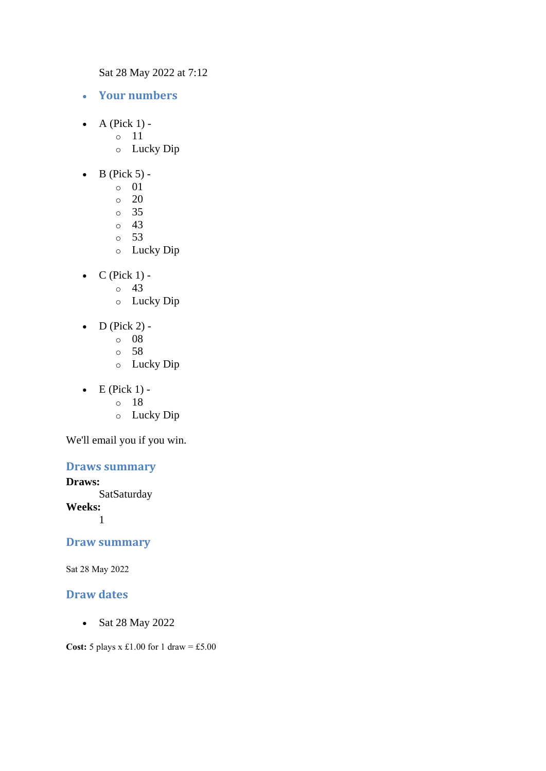Sat 28 May 2022 at 7:12

- **Your numbers**
- $\bullet$  A (Pick 1) -
	- $\circ$  11
		- o Lucky Dip
- $\bullet$  B (Pick 5) -
	- $\circ$  01
	- o 20
	- o 35
	- o 43
	- o 53
	- o Lucky Dip
- $\bullet$  C (Pick 1)
	- o 43
	- o Lucky Dip
- $\bullet$  D (Pick 2)
	- o 08
	- o 58
	- o Lucky Dip
- $\bullet$  E (Pick 1)
	- o 18
	- o Lucky Dip

We'll email you if you win.

### **Draws summary**

#### **Draws:**

**SatSaturday** 

**Weeks:**

1

### **Draw summary**

Sat 28 May 2022

### **Draw dates**

• Sat 28 May 2022

**Cost:** 5 plays x £1.00 for 1 draw = £5.00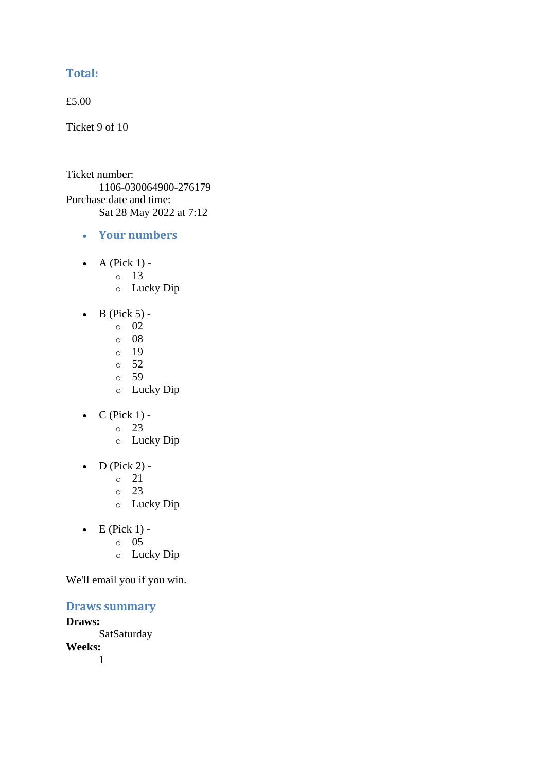### **Total:**

£5.00

Ticket 9 of 10

Ticket number: 1106-030064900-276179 Purchase date and time: Sat 28 May 2022 at 7:12

- **Your numbers**
- A (Pick  $1$ )
	- o 13
	- o Lucky Dip
- $\bullet$  B (Pick 5) -
	- $\circ$  02
	- o 08
	- o 19
	- o 52
	- o 59
	- o Lucky Dip
- $C$  (Pick 1)
	- o 23
	- o Lucky Dip
- $\bullet$  D (Pick 2) -
	- $\circ$  21
	- o 23
	- o Lucky Dip
- $\bullet$  E (Pick 1)
	- o 05
		- o Lucky Dip

We'll email you if you win.

### **Draws summary**

**Draws: SatSaturday Weeks:** 1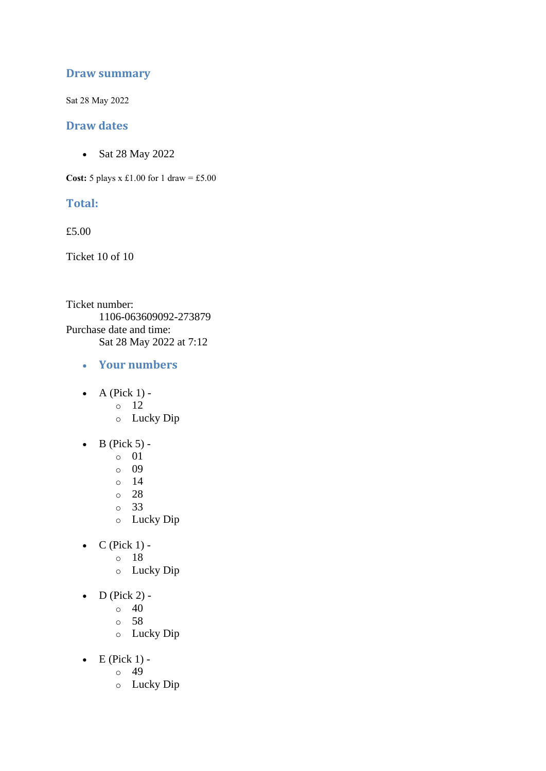### **Draw summary**

Sat 28 May 2022

### **Draw dates**

• Sat 28 May 2022

**Cost:**  $5$  plays x £1.00 for 1 draw = £5.00

### **Total:**

£5.00

Ticket 10 of 10

Ticket number: 1106-063609092-273879 Purchase date and time: Sat 28 May 2022 at 7:12

- **Your numbers**
- $\bullet$  A (Pick 1)
	- o 12
	- o Lucky Dip
- $\bullet$  B (Pick 5)
	- o 01
	- o 09
	- o 14
	- o 28
	- o 33
	- o Lucky Dip
- $C$  (Pick 1)
	- o 18
		- o Lucky Dip
- $\bullet$  D (Pick 2) -
	- $\circ$  40
	- o 58
	- o Lucky Dip
- $\bullet$  E (Pick 1) -
	- $\circ$  49
	- o Lucky Dip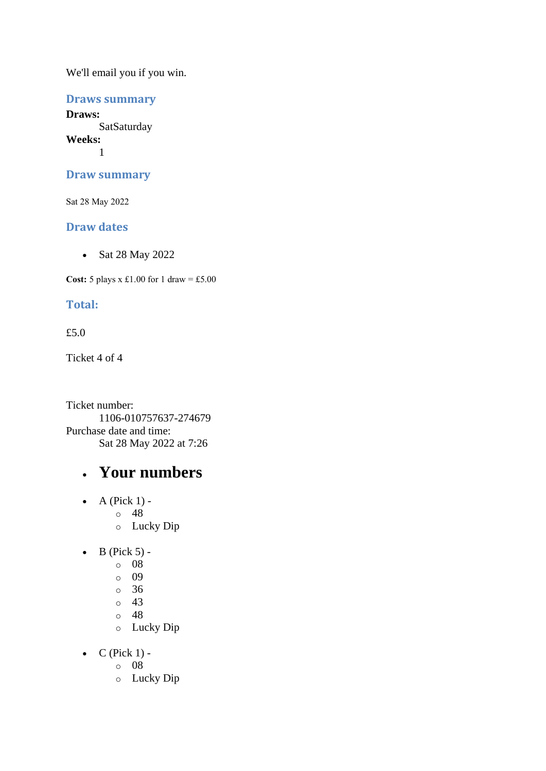### **Draws summary**

**Draws: SatSaturday Weeks:** 1

### **Draw summary**

Sat 28 May 2022

### **Draw dates**

• Sat 28 May 2022

**Cost:**  $5$  plays x £1.00 for 1 draw = £5.00

### **Total:**

### £5.0

Ticket 4 of 4

Ticket number: 1106-010757637-274679 Purchase date and time: Sat 28 May 2022 at 7:26

# • **Your numbers**

- $\bullet$  A (Pick 1) o 48
	- o Lucky Dip
- $\bullet$  B (Pick 5)
	- o 08
	- o 09
	- o 36
	- $\circ$  43
	- o 48
	- o Lucky Dip
- $\bullet$  C (Pick 1)
	- o 08
	- o Lucky Dip